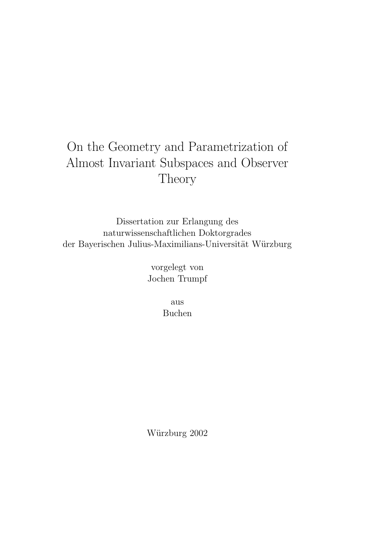## On the Geometry and Parametrization of Almost Invariant Subspaces and Observer Theory

Dissertation zur Erlangung des naturwissenschaftlichen Doktorgrades der Bayerischen Julius-Maximilians-Universität Würzburg

> vorgelegt von Jochen Trumpf

> > aus Buchen

Würzburg 2002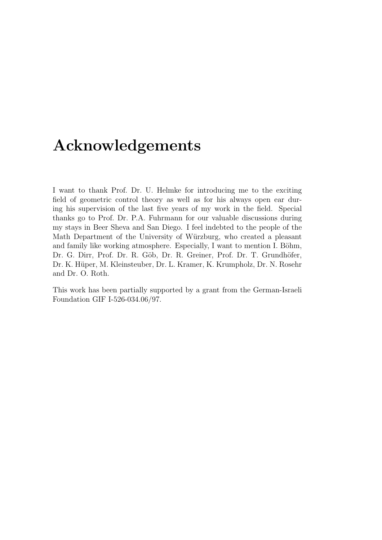## Acknowledgements

I want to thank Prof. Dr. U. Helmke for introducing me to the exciting field of geometric control theory as well as for his always open ear during his supervision of the last five years of my work in the field. Special thanks go to Prof. Dr. P.A. Fuhrmann for our valuable discussions during my stays in Beer Sheva and San Diego. I feel indebted to the people of the Math Department of the University of Würzburg, who created a pleasant and family like working atmosphere. Especially, I want to mention I. Böhm, Dr. G. Dirr, Prof. Dr. R. Göb, Dr. R. Greiner, Prof. Dr. T. Grundhöfer, Dr. K. Hüper, M. Kleinsteuber, Dr. L. Kramer, K. Krumpholz, Dr. N. Rosehr and Dr. O. Roth.

This work has been partially supported by a grant from the German-Israeli Foundation GIF I-526-034.06/97.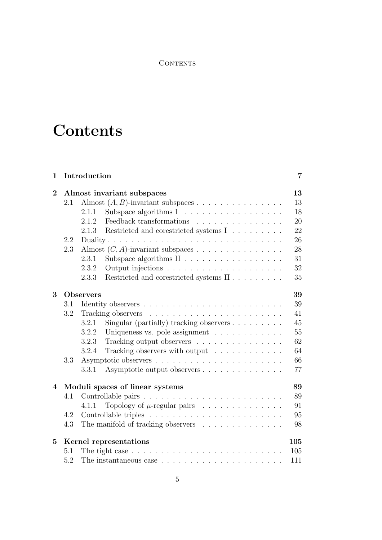### **CONTENTS**

# **Contents**

| $\mathbf{1}$   |     | Introduction                                                              | 7   |
|----------------|-----|---------------------------------------------------------------------------|-----|
| $\mathbf 2$    |     | Almost invariant subspaces                                                | 13  |
|                | 2.1 | Almost $(A, B)$ -invariant subspaces                                      | 13  |
|                |     | Subspace algorithms $I \dots \dots \dots \dots \dots \dots$<br>2.1.1      | 18  |
|                |     | Feedback transformations<br>2.1.2                                         | 20  |
|                |     | 2.1.3<br>Restricted and corestricted systems I                            | 22  |
|                | 2.2 |                                                                           | 26  |
|                | 2.3 | Almost $(C, A)$ -invariant subspaces $\ldots \ldots \ldots \ldots \ldots$ | 28  |
|                |     | 2.3.1                                                                     | 31  |
|                |     | 2.3.2                                                                     | 32  |
|                |     | Restricted and core<br>stricted systems $\mathrm{II}$ .<br><br>2.3.3      | 35  |
| 3              |     | <b>Observers</b>                                                          | 39  |
|                | 3.1 |                                                                           | 39  |
|                | 3.2 |                                                                           | 41  |
|                |     | Singular (partially) tracking observers $\dots \dots \dots$<br>3.2.1      | 45  |
|                |     | 3.2.2<br>Uniqueness vs. pole assignment $\ldots \ldots \ldots \ldots$     | 55  |
|                |     | 3.2.3<br>Tracking output observers                                        | 62  |
|                |     | Tracking observers with output $\ldots \ldots \ldots \ldots$<br>3.2.4     | 64  |
|                | 3.3 |                                                                           | 66  |
|                |     | Asymptotic output observers<br>3.3.1                                      | 77  |
| 4              |     | Moduli spaces of linear systems                                           | 89  |
|                | 4.1 |                                                                           | 89  |
|                |     | Topology of $\mu$ -regular pairs<br>4.1.1                                 | 91  |
|                | 4.2 |                                                                           | 95  |
|                | 4.3 | The manifold of tracking observers $\dots \dots \dots \dots \dots$        | 98  |
| $\overline{5}$ |     | Kernel representations                                                    | 105 |
|                | 5.1 | The tight case $\ldots \ldots \ldots \ldots \ldots \ldots \ldots \ldots$  | 105 |
|                | 5.2 | The instantaneous case $\dots \dots \dots \dots \dots \dots \dots \dots$  | 111 |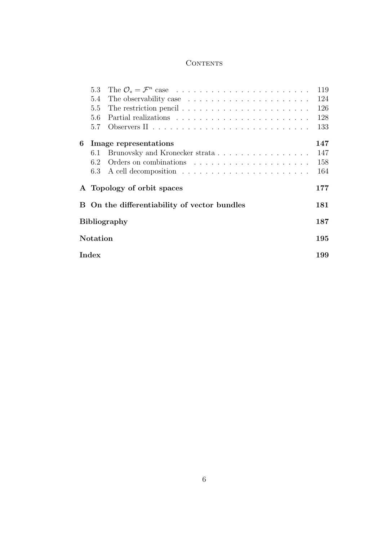### **CONTENTS**

|   | 5.3                 |                                                                           | 119 |  |  |
|---|---------------------|---------------------------------------------------------------------------|-----|--|--|
|   | 5.4                 | The observability case $\dots \dots \dots \dots \dots \dots \dots \dots$  | 124 |  |  |
|   | 5.5                 | The restriction pencil $\ldots \ldots \ldots \ldots \ldots \ldots \ldots$ | 126 |  |  |
|   | 5.6                 |                                                                           | 128 |  |  |
|   | 5.7                 |                                                                           | 133 |  |  |
| 6 |                     | Image representations                                                     | 147 |  |  |
|   | 6.1                 | Brunovsky and Kronecker strata                                            | 147 |  |  |
|   | 6.2                 |                                                                           | 158 |  |  |
|   | 6.3                 |                                                                           | 164 |  |  |
|   |                     | A Topology of orbit spaces                                                | 177 |  |  |
|   |                     | B On the differentiability of vector bundles                              | 181 |  |  |
|   | <b>Bibliography</b> |                                                                           |     |  |  |
|   | Notation            |                                                                           |     |  |  |
|   | Index               |                                                                           |     |  |  |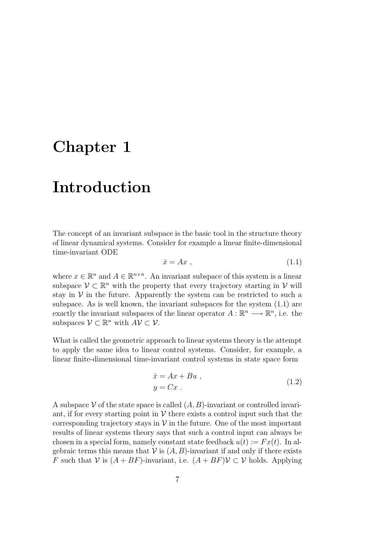## Chapter 1

## Introduction

The concept of an invariant subspace is the basic tool in the structure theory of linear dynamical systems. Consider for example a linear finite-dimensional time-invariant ODE

$$
\dot{x} = Ax \tag{1.1}
$$

where  $x \in \mathbb{R}^n$  and  $A \in \mathbb{R}^{n \times n}$ . An invariant subspace of this system is a linear subspace  $\mathcal{V} \subset \mathbb{R}^n$  with the property that every trajectory starting in  $\mathcal{V}$  will stay in  $V$  in the future. Apparently the system can be restricted to such a subspace. As is well known, the invariant subspaces for the system (1.1) are exactly the invariant subspaces of the linear operator  $A: \mathbb{R}^n \longrightarrow \mathbb{R}^n$ , i.e. the subspaces  $\mathcal{V} \subset \mathbb{R}^n$  with  $A\mathcal{V} \subset \mathcal{V}$ .

What is called the geometric approach to linear systems theory is the attempt to apply the same idea to linear control systems. Consider, for example, a linear finite-dimensional time-invariant control systems in state space form

$$
\begin{aligned}\n\dot{x} &= Ax + Bu, \\
y &= Cx.\n\end{aligned} \tag{1.2}
$$

A subspace  $V$  of the state space is called  $(A, B)$ -invariant or controlled invariant, if for every starting point in  $V$  there exists a control input such that the corresponding trajectory stays in  $\mathcal V$  in the future. One of the most important results of linear systems theory says that such a control input can always be chosen in a special form, namely constant state feedback  $u(t) := Fx(t)$ . In algebraic terms this means that  $\mathcal V$  is  $(A, B)$ -invariant if and only if there exists F such that V is  $(A + BF)$ -invariant, i.e.  $(A + BF)$  $V \subset V$  holds. Applying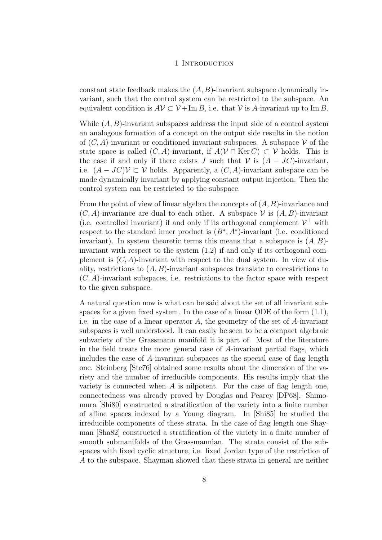constant state feedback makes the  $(A, B)$ -invariant subspace dynamically invariant, such that the control system can be restricted to the subspace. An equivalent condition is  $A\mathcal{V} \subset \mathcal{V} + \text{Im } B$ , i.e. that  $\mathcal{V}$  is A-invariant up to Im B.

While  $(A, B)$ -invariant subspaces address the input side of a control system an analogous formation of a concept on the output side results in the notion of  $(C, A)$ -invariant or conditioned invariant subspaces. A subspace V of the state space is called  $(C, A)$ -invariant, if  $A(V \cap \text{Ker } C) \subset V$  holds. This is the case if and only if there exists J such that  $\mathcal V$  is  $(A - JC)$ -invariant, i.e.  $(A - JC)\mathcal{V} \subset \mathcal{V}$  holds. Apparently, a  $(C, A)$ -invariant subspace can be made dynamically invariant by applying constant output injection. Then the control system can be restricted to the subspace.

From the point of view of linear algebra the concepts of  $(A, B)$ -invariance and  $(C, A)$ -invariance are dual to each other. A subspace V is  $(A, B)$ -invariant (i.e. controlled invariant) if and only if its orthogonal complement  $\mathcal{V}^{\perp}$  with respect to the standard inner product is  $(B^*, A^*)$ -invariant (i.e. conditioned invariant). In system theoretic terms this means that a subspace is  $(A, B)$ invariant with respect to the system (1.2) if and only if its orthogonal complement is  $(C, A)$ -invariant with respect to the dual system. In view of duality, restrictions to  $(A, B)$ -invariant subspaces translate to corestrictions to  $(C, A)$ -invariant subspaces, i.e. restrictions to the factor space with respect to the given subspace.

A natural question now is what can be said about the set of all invariant subspaces for a given fixed system. In the case of a linear ODE of the form (1.1), i.e. in the case of a linear operator  $A$ , the geometry of the set of  $A$ -invariant subspaces is well understood. It can easily be seen to be a compact algebraic subvariety of the Grassmann manifold it is part of. Most of the literature in the field treats the more general case of  $A$ -invariant partial flags, which includes the case of A-invariant subspaces as the special case of flag length one. Steinberg [Ste76] obtained some results about the dimension of the variety and the number of irreducible components. His results imply that the variety is connected when  $A$  is nilpotent. For the case of flag length one, connectedness was already proved by Douglas and Pearcy [DP68]. Shimomura [Shi80] constructed a stratification of the variety into a finite number of affine spaces indexed by a Young diagram. In [Shi85] he studied the irreducible components of these strata. In the case of flag length one Shayman [Sha82] constructed a stratification of the variety in a finite number of smooth submanifolds of the Grassmannian. The strata consist of the subspaces with fixed cyclic structure, i.e. fixed Jordan type of the restriction of A to the subspace. Shayman showed that these strata in general are neither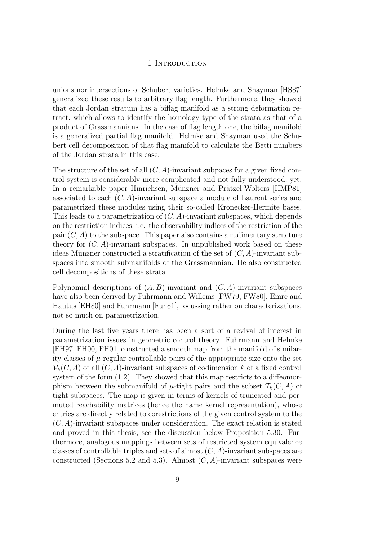unions nor intersections of Schubert varieties. Helmke and Shayman [HS87] generalized these results to arbitrary flag length. Furthermore, they showed that each Jordan stratum has a biflag manifold as a strong deformation retract, which allows to identify the homology type of the strata as that of a product of Grassmannians. In the case of flag length one, the biflag manifold is a generalized partial flag manifold. Helmke and Shayman used the Schubert cell decomposition of that flag manifold to calculate the Betti numbers of the Jordan strata in this case.

The structure of the set of all  $(C, A)$ -invariant subpaces for a given fixed control system is considerably more complicated and not fully understood, yet. In a remarkable paper Hinrichsen, Münzner and Prätzel-Wolters [HMP81] associated to each  $(C, A)$ -invariant subspace a module of Laurent series and parametrized these modules using their so-called Kronecker-Hermite bases. This leads to a parametrization of  $(C, A)$ -invariant subspaces, which depends on the restriction indices, i.e. the observability indices of the restriction of the pair  $(C, A)$  to the subspace. This paper also contains a rudimentary structure theory for  $(C, A)$ -invariant subspaces. In unpublished work based on these ideas Münzner constructed a stratification of the set of  $(C, A)$ -invariant subspaces into smooth submanifolds of the Grassmannian. He also constructed cell decompositions of these strata.

Polynomial descriptions of  $(A, B)$ -invariant and  $(C, A)$ -invariant subspaces have also been derived by Fuhrmann and Willems [FW79, FW80], Emre and Hautus [EH80] and Fuhrmann [Fuh81], focussing rather on characterizations, not so much on parametrization.

During the last five years there has been a sort of a revival of interest in parametrization issues in geometric control theory. Fuhrmann and Helmke [FH97, FH00, FH01] constructed a smooth map from the manifold of similarity classes of  $\mu$ -regular controllable pairs of the appropriate size onto the set  $\mathcal{V}_k(C, A)$  of all  $(C, A)$ -invariant subspaces of codimension k of a fixed control system of the form  $(1.2)$ . They showed that this map restricts to a diffeomorphism between the submanifold of  $\mu$ -tight pairs and the subset  $\mathcal{T}_k(C, A)$  of tight subspaces. The map is given in terms of kernels of truncated and permuted reachability matrices (hence the name kernel representation), whose entries are directly related to corestrictions of the given control system to the  $(C, A)$ -invariant subspaces under consideration. The exact relation is stated and proved in this thesis, see the discussion below Proposition 5.30. Furthermore, analogous mappings between sets of restricted system equivalence classes of controllable triples and sets of almost  $(C, A)$ -invariant subspaces are constructed (Sections 5.2 and 5.3). Almost  $(C, A)$ -invariant subspaces were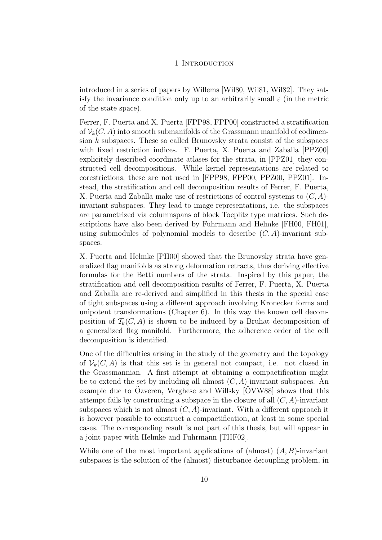introduced in a series of papers by Willems [Wil80, Wil81, Wil82]. They satisfy the invariance condition only up to an arbitrarily small  $\varepsilon$  (in the metric of the state space).

Ferrer, F. Puerta and X. Puerta [FPP98, FPP00] constructed a stratification of  $\mathcal{V}_k(C, A)$  into smooth submanifolds of the Grassmann manifold of codimension k subspaces. These so called Brunovsky strata consist of the subspaces with fixed restriction indices. F. Puerta, X. Puerta and Zaballa [PPZ00] explicitely described coordinate atlases for the strata, in [PPZ01] they constructed cell decompositions. While kernel representations are related to corestrictions, these are not used in [FPP98, FPP00, PPZ00, PPZ01]. Instead, the stratification and cell decomposition results of Ferrer, F. Puerta, X. Puerta and Zaballa make use of restrictions of control systems to  $(C, A)$ invariant subspaces. They lead to image representations, i.e. the subspaces are parametrized via columnspans of block Toeplitz type matrices. Such descriptions have also been derived by Fuhrmann and Helmke [FH00, FH01], using submodules of polynomial models to describe  $(C, A)$ -invariant subspaces.

X. Puerta and Helmke [PH00] showed that the Brunovsky strata have generalized flag manifolds as strong deformation retracts, thus deriving effective formulas for the Betti numbers of the strata. Inspired by this paper, the stratification and cell decomposition results of Ferrer, F. Puerta, X. Puerta and Zaballa are re-derived and simplified in this thesis in the special case of tight subspaces using a different approach involving Kronecker forms and unipotent transformations (Chapter 6). In this way the known cell decomposition of  $\mathcal{T}_k(C, A)$  is shown to be induced by a Bruhat decomposition of a generalized flag manifold. Furthermore, the adherence order of the cell decomposition is identified.

One of the difficulties arising in the study of the geometry and the topology of  $V_k(C, A)$  is that this set is in general not compact, i.e. not closed in the Grassmannian. A first attempt at obtaining a compactification might be to extend the set by including all almost  $(C, A)$ -invariant subspaces. An example due to Ozveren, Verghese and Willsky [OVW88] shows that this attempt fails by constructing a subspace in the closure of all  $(C, A)$ -invariant subspaces which is not almost  $(C, A)$ -invariant. With a different approach it is however possible to construct a compactification, at least in some special cases. The corresponding result is not part of this thesis, but will appear in a joint paper with Helmke and Fuhrmann [THF02].

While one of the most important applications of (almost)  $(A, B)$ -invariant subspaces is the solution of the (almost) disturbance decoupling problem, in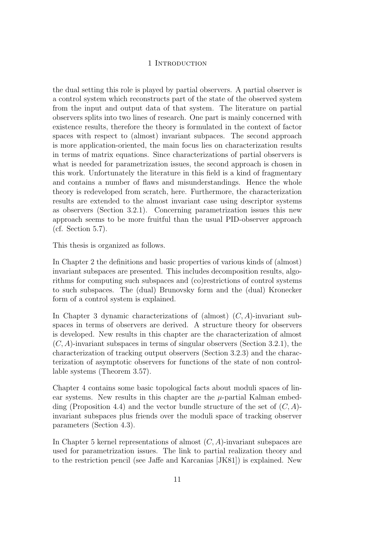the dual setting this role is played by partial observers. A partial observer is a control system which reconstructs part of the state of the observed system from the input and output data of that system. The literature on partial observers splits into two lines of research. One part is mainly concerned with existence results, therefore the theory is formulated in the context of factor spaces with respect to (almost) invariant subpaces. The second approach is more application-oriented, the main focus lies on characterization results in terms of matrix equations. Since characterizations of partial observers is what is needed for parametrization issues, the second approach is chosen in this work. Unfortunately the literature in this field is a kind of fragmentary and contains a number of flaws and misunderstandings. Hence the whole theory is redeveloped from scratch, here. Furthermore, the characterization results are extended to the almost invariant case using descriptor systems as observers (Section 3.2.1). Concerning parametrization issues this new approach seems to be more fruitful than the usual PID-observer approach (cf. Section 5.7).

This thesis is organized as follows.

In Chapter 2 the definitions and basic properties of various kinds of (almost) invariant subspaces are presented. This includes decomposition results, algorithms for computing such subspaces and (co)restrictions of control systems to such subspaces. The (dual) Brunovsky form and the (dual) Kronecker form of a control system is explained.

In Chapter 3 dynamic characterizations of (almost)  $(C, A)$ -invariant subspaces in terms of observers are derived. A structure theory for observers is developed. New results in this chapter are the characterization of almost  $(C, A)$ -invariant subspaces in terms of singular observers (Section 3.2.1), the characterization of tracking output observers (Section 3.2.3) and the characterization of asymptotic observers for functions of the state of non controllable systems (Theorem 3.57).

Chapter 4 contains some basic topological facts about moduli spaces of linear systems. New results in this chapter are the  $\mu$ -partial Kalman embedding (Proposition 4.4) and the vector bundle structure of the set of  $(C, A)$ invariant subspaces plus friends over the moduli space of tracking observer parameters (Section 4.3).

In Chapter 5 kernel representations of almost  $(C, A)$ -invariant subspaces are used for parametrization issues. The link to partial realization theory and to the restriction pencil (see Jaffe and Karcanias [JK81]) is explained. New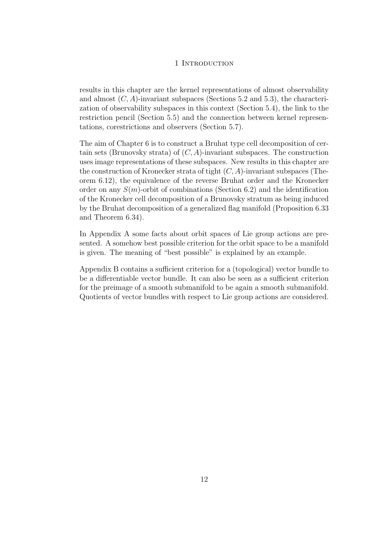#### 1 INTRODUCTION

results in this chapter are the kernel representations of almost observability and almost  $(C, A)$ -invariant subspaces (Sections 5.2 and 5.3), the characterization of observability subspaces in this context (Section 5.4), the link to the restriction pencil (Section 5.5) and the connection between kernel representations, corestrictions and observers (Section 5.7).

The aim of Chapter 6 is to construct a Bruhat type cell decomposition of certain sets (Brunovsky strata) of  $(C, A)$ -invariant subspaces. The construction uses image representations of these subspaces. New results in this chapter are the construction of Kronecker strata of tight  $(C, A)$ -invariant subspaces (Theorem 6.12), the equivalence of the reverse Bruhat order and the Kronecker order on any  $S(m)$ -orbit of combinations (Section 6.2) and the identification of the Kronecker cell decomposition of a Brunovsky stratum as being induced by the Bruhat decomposition of a generalized flag manifold (Proposition 6.33 and Theorem 6.34).

In Appendix A some facts about orbit spaces of Lie group actions are presented. A somehow best possible criterion for the orbit space to be a manifold is given. The meaning of "best possible" is explained by an example.

Appendix B contains a sufficient criterion for a (topological) vector bundle to be a differentiable vector bundle. It can also be seen as a sufficient criterion for the preimage of a smooth submanifold to be again a smooth submanifold. Quotients of vector bundles with respect to Lie group actions are considered.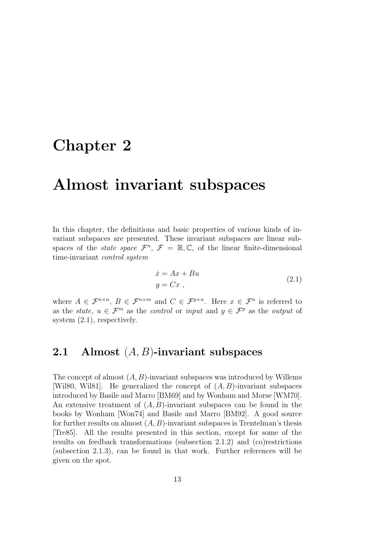## Chapter 2

### Almost invariant subspaces

In this chapter, the definitions and basic properties of various kinds of invariant subspaces are presented. These invariant subspaces are linear subspaces of the *state space*  $\mathcal{F}^n$ ,  $\mathcal{F} = \mathbb{R}, \mathbb{C}$ , of the linear finite-dimensional time-invariant control system

$$
\begin{aligned}\n\dot{x} &= Ax + Bu \\
y &= Cx \,,\n\end{aligned} \tag{2.1}
$$

where  $A \in \mathcal{F}^{n \times n}$ ,  $B \in \mathcal{F}^{n \times m}$  and  $C \in \mathcal{F}^{p \times n}$ . Here  $x \in \mathcal{F}^n$  is referred to as the *state*,  $u \in \mathcal{F}^m$  as the *control* or *input* and  $y \in \mathcal{F}^p$  as the *output* of system (2.1), respectively.

### 2.1 Almost  $(A, B)$ -invariant subspaces

The concept of almost  $(A, B)$ -invariant subspaces was introduced by Willems [Wil80, Wil81]. He generalized the concept of  $(A, B)$ -invariant subspaces introduced by Basile and Marro [BM69] and by Wonham and Morse [WM70]. An extensive treatment of  $(A, B)$ -invariant subspaces can be found in the books by Wonham [Won74] and Basile and Marro [BM92]. A good source for further results on almost  $(A, B)$ -invariant subspaces is Trentelman's thesis [Tre85]. All the results presented in this section, except for some of the results on feedback transformations (subsection 2.1.2) and (co)restrictions (subsection 2.1.3), can be found in that work. Further references will be given on the spot.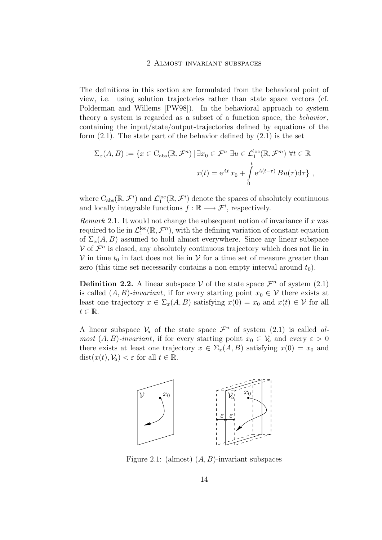The definitions in this section are formulated from the behavioral point of view, i.e. using solution trajectories rather than state space vectors (cf. Polderman and Willems [PW98]). In the behavioral approach to system theory a system is regarded as a subset of a function space, the *behavior*, containing the input/state/output-trajectories defined by equations of the form  $(2.1)$ . The state part of the behavior defined by  $(2.1)$  is the set

$$
\Sigma_x(A, B) := \{ x \in C_{\text{abs}}(\mathbb{R}, \mathcal{F}^n) \mid \exists x_0 \in \mathcal{F}^n \exists u \in \mathcal{L}_1^{\text{loc}}(\mathbb{R}, \mathcal{F}^m) \,\forall t \in \mathbb{R} \}
$$

$$
x(t) = e^{At} x_0 + \int_0^t e^{A(t-\tau)} B u(\tau) d\tau \},
$$

where  $C_{\text{abs}}(\mathbb{R}, \mathcal{F}^i)$  and  $\mathcal{L}_1^{\text{loc}}(\mathbb{R}, \mathcal{F}^i)$  denote the spaces of absolutely continuous and locally integrable functions  $f : \mathbb{R} \longrightarrow \mathcal{F}^i$ , respectively.

Remark 2.1. It would not change the subsequent notion of invariance if  $x$  was required to lie in  $\mathcal{L}_1^{\text{loc}}(\mathbb{R}, \mathcal{F}^n)$ , with the defining variation of constant equation of  $\Sigma_x(A, B)$  assumed to hold almost everywhere. Since any linear subspace  $V$  of  $\mathcal{F}^n$  is closed, any absolutely continuous trajectory which does not lie in  $V$  in time  $t_0$  in fact does not lie in  $V$  for a time set of measure greater than zero (this time set necessarily contains a non empty interval around  $t_0$ ).

**Definition 2.2.** A linear subspace  $V$  of the state space  $\mathcal{F}^n$  of system (2.1) is called  $(A, B)$ -invariant, if for every starting point  $x_0 \in V$  there exists at least one trajectory  $x \in \Sigma_x(A, B)$  satisfying  $x(0) = x_0$  and  $x(t) \in V$  for all  $t \in \mathbb{R}$ .

A linear subspace  $\mathcal{V}_a$  of the state space  $\mathcal{F}^n$  of system (2.1) is called almost  $(A, B)$ -invariant, if for every starting point  $x_0 \in V_a$  and every  $\varepsilon > 0$ there exists at least one trajectory  $x \in \Sigma_x(A, B)$  satisfying  $x(0) = x_0$  and  $dist(x(t), V_a) < \varepsilon$  for all  $t \in \mathbb{R}$ .



Figure 2.1: (almost)  $(A, B)$ -invariant subspaces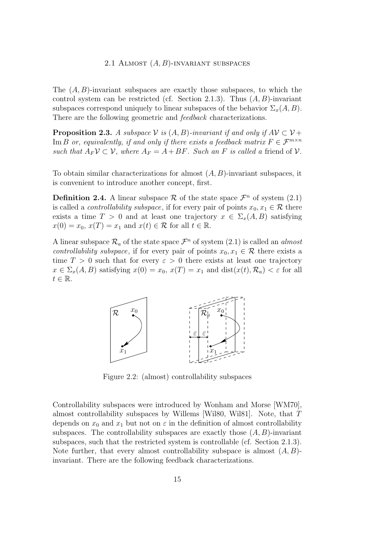#### 2.1 ALMOST  $(A, B)$ -INVARIANT SUBSPACES

The  $(A, B)$ -invariant subspaces are exactly those subspaces, to which the control system can be restricted (cf. Section 2.1.3). Thus  $(A, B)$ -invariant subspaces correspond uniquely to linear subspaces of the behavior  $\Sigma_x(A, B)$ . There are the following geometric and *feedback* characterizations.

**Proposition 2.3.** A subspace V is  $(A, B)$ -invariant if and only if  $AV \subset V$  + Im B or, equivalently, if and only if there exists a feedback matrix  $F \in \mathcal{F}^{m \times n}$ such that  $A_F V \subset V$ , where  $A_F = A + BF$ . Such an F is called a friend of V.

To obtain similar characterizations for almost  $(A, B)$ -invariant subspaces, it is convenient to introduce another concept, first.

**Definition 2.4.** A linear subspace  $\mathcal{R}$  of the state space  $\mathcal{F}^n$  of system (2.1) is called a *controllability subspace*, if for every pair of points  $x_0, x_1 \in \mathcal{R}$  there exists a time  $T > 0$  and at least one trajectory  $x \in \Sigma_x(A, B)$  satisfying  $x(0) = x_0, x(T) = x_1 \text{ and } x(t) \in \mathcal{R} \text{ for all } t \in \mathbb{R}.$ 

A linear subspace  $\mathcal{R}_a$  of the state space  $\mathcal{F}^n$  of system  $(2.1)$  is called an *almost* controllability subspace, if for every pair of points  $x_0, x_1 \in \mathcal{R}$  there exists a time  $T > 0$  such that for every  $\varepsilon > 0$  there exists at least one trajectory  $x \in \Sigma_x(A, B)$  satisfying  $x(0) = x_0, x(T) = x_1$  and  $dist(x(t), \mathcal{R}_a) < \varepsilon$  for all  $t \in \mathbb{R}$ .



Figure 2.2: (almost) controllability subspaces

Controllability subspaces were introduced by Wonham and Morse [WM70], almost controllability subspaces by Willems [Wil80, Wil81]. Note, that T depends on  $x_0$  and  $x_1$  but not on  $\varepsilon$  in the definition of almost controllability subspaces. The controllability subspaces are exactly those  $(A, B)$ -invariant subspaces, such that the restricted system is controllable (cf. Section 2.1.3). Note further, that every almost controllability subspace is almost  $(A, B)$ invariant. There are the following feedback characterizations.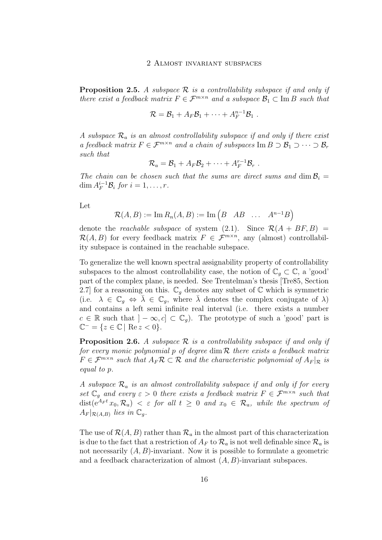**Proposition 2.5.** A subspace  $\mathcal{R}$  is a controllability subspace if and only if there exist a feedback matrix  $F \in \mathcal{F}^{m \times n}$  and a subspace  $\mathcal{B}_1 \subset \text{Im } B$  such that

 $\mathcal{R} = \mathcal{B}_1 + A_F \mathcal{B}_1 + \cdots + A_F^{n-1} \mathcal{B}_1$ .

A subspace  $\mathcal{R}_a$  is an almost controllability subspace if and only if there exist a feedback matrix  $F \in \mathcal{F}^{m \times n}$  and a chain of subspaces  $\text{Im } B \supset B_1 \supset \cdots \supset B_r$ such that

$$
\mathcal{R}_a=\mathcal{B}_1+A_F\mathcal{B}_2+\cdots+A_F^{r-1}\mathcal{B}_r.
$$

The chain can be chosen such that the sums are direct sums and  $\dim \mathcal{B}_i =$  $\dim A_F^{i-1} \mathcal{B}_i$  for  $i = 1, \ldots, r$ .

Let

$$
\mathcal{R}(A, B) := \operatorname{Im} R_n(A, B) := \operatorname{Im} \left( B \quad AB \quad \dots \quad A^{n-1}B \right)
$$

denote the *reachable subspace* of system (2.1). Since  $\mathcal{R}(A + BF, B)$  =  $\mathcal{R}(A, B)$  for every feedback matrix  $F \in \mathcal{F}^{m \times n}$ , any (almost) controllability subspace is contained in the reachable subspace.

To generalize the well known spectral assignability property of controllability subspaces to the almost controllability case, the notion of  $\mathbb{C}_q \subset \mathbb{C}$ , a 'good' part of the complex plane, is needed. See Trentelman's thesis [Tre85, Section 2.7] for a reasoning on this.  $\mathbb{C}_q$  denotes any subset of  $\mathbb C$  which is symmetric (i.e.  $\lambda \in \mathbb{C}_q \Leftrightarrow \bar{\lambda} \in \mathbb{C}_q$ , where  $\bar{\lambda}$  denotes the complex conjugate of  $\lambda$ ) and contains a left semi infinite real interval (i.e. there exists a number  $c \in \mathbb{R}$  such that  $]-\infty, c] \subset \mathbb{C}_q$ . The prototype of such a 'good' part is  $\mathbb{C}^{-} = \{ z \in \mathbb{C} \mid \text{Re } z < 0 \}.$ 

**Proposition 2.6.** A subspace  $\mathcal{R}$  is a controllability subspace if and only if for every monic polynomial p of degree  $\dim \mathcal{R}$  there exists a feedback matrix  $F \in \mathcal{F}^{m \times n}$  such that  $A_F \mathcal{R} \subset \mathcal{R}$  and the characteristic polynomial of  $A_F |_{\mathcal{R}}$  is equal to p.

A subspace  $\mathcal{R}_a$  is an almost controllability subspace if and only if for every set  $\mathbb{C}_g$  and every  $\varepsilon > 0$  there exists a feedback matrix  $F \in \mathcal{F}^{m \times n}$  such that  $dist(e^{A_F t} x_0, \mathcal{R}_a) < \varepsilon$  for all  $t \geq 0$  and  $x_0 \in \mathcal{R}_a$ , while the spectrum of  $A_F |_{\mathcal{R}(A,B)}$  lies in  $\mathbb{C}_g$ .

The use of  $\mathcal{R}(A, B)$  rather than  $\mathcal{R}_a$  in the almost part of this characterization is due to the fact that a restriction of  $A_F$  to  $\mathcal{R}_a$  is not well definable since  $\mathcal{R}_a$  is not necessarily  $(A, B)$ -invariant. Now it is possible to formulate a geometric and a feedback characterization of almost  $(A, B)$ -invariant subspaces.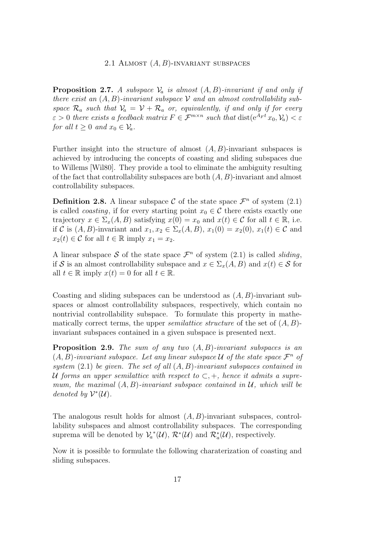#### 2.1 ALMOST  $(A, B)$ -INVARIANT SUBSPACES

**Proposition 2.7.** A subspace  $V_a$  is almost  $(A, B)$ -invariant if and only if there exist an  $(A, B)$ -invariant subspace V and an almost controllability subspace  $\mathcal{R}_a$  such that  $\mathcal{V}_a = \mathcal{V} + \mathcal{R}_a$  or, equivalently, if and only if for every  $\varepsilon > 0$  there exists a feedback matrix  $F \in \mathcal{F}^{m \times n}$  such that  $dist(e^{A_F t} x_0, \mathcal{V}_a) < \varepsilon$ for all  $t \geq 0$  and  $x_0 \in \mathcal{V}_a$ .

Further insight into the structure of almost  $(A, B)$ -invariant subspaces is achieved by introducing the concepts of coasting and sliding subspaces due to Willems [Wil80]. They provide a tool to eliminate the ambiguity resulting of the fact that controllability subspaces are both  $(A, B)$ -invariant and almost controllability subspaces.

**Definition 2.8.** A linear subspace C of the state space  $\mathcal{F}^n$  of system (2.1) is called *coasting*, if for every starting point  $x_0 \in \mathcal{C}$  there exists exactly one trajectory  $x \in \Sigma_x(A, B)$  satisfying  $x(0) = x_0$  and  $x(t) \in C$  for all  $t \in \mathbb{R}$ , i.e. if C is  $(A, B)$ -invariant and  $x_1, x_2 \in \Sigma_x(A, B), x_1(0) = x_2(0), x_1(t) \in C$  and  $x_2(t) \in \mathcal{C}$  for all  $t \in \mathbb{R}$  imply  $x_1 = x_2$ .

A linear subspace S of the state space  $\mathcal{F}^n$  of system (2.1) is called *sliding*, if S is an almost controllability subspace and  $x \in \Sigma_x(A, B)$  and  $x(t) \in S$  for all  $t \in \mathbb{R}$  imply  $x(t) = 0$  for all  $t \in \mathbb{R}$ .

Coasting and sliding subspaces can be understood as  $(A, B)$ -invariant subspaces or almost controllability subspaces, respectively, which contain no nontrivial controllability subspace. To formulate this property in mathematically correct terms, the upper *semilattice structure* of the set of  $(A, B)$ invariant subspaces contained in a given subspace is presented next.

**Proposition 2.9.** The sum of any two  $(A, B)$ -invariant subspaces is an  $(A, B)$ -invariant subspace. Let any linear subspace U of the state space  $\mathcal{F}^n$  of system  $(2.1)$  be given. The set of all  $(A, B)$ -invariant subspaces contained in U forms an upper semilattice with respect to  $\subset, +$ , hence it admits a supremum, the maximal  $(A, B)$ -invariant subspace contained in  $\mathcal U$ , which will be denoted by  $\mathcal{V}^*(\mathcal{U})$ .

The analogous result holds for almost  $(A, B)$ -invariant subspaces, controllability subspaces and almost controllability subspaces. The corresponding suprema will be denoted by  $\mathcal{V}_a^*(\mathcal{U}), \mathcal{R}^*(\mathcal{U})$  and  $\mathcal{R}_a^*(\mathcal{U}),$  respectively.

Now it is possible to formulate the following charaterization of coasting and sliding subspaces.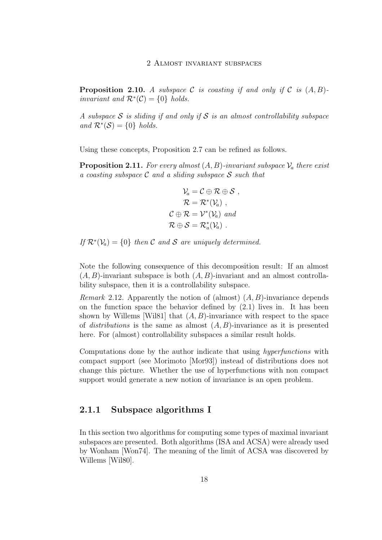**Proposition 2.10.** A subspace C is coasting if and only if C is  $(A, B)$ invariant and  $\mathcal{R}^*(\mathcal{C}) = \{0\}$  holds.

A subspace S is sliding if and only if S is an almost controllability subspace and  $\mathcal{R}^*(\mathcal{S}) = \{0\}$  holds.

Using these concepts, Proposition 2.7 can be refined as follows.

**Proposition 2.11.** For every almost  $(A, B)$ -invariant subspace  $\mathcal{V}_a$  there exist a coasting subspace  $\mathcal C$  and a sliding subspace  $\mathcal S$  such that

$$
\mathcal{V}_a = \mathcal{C} \oplus \mathcal{R} \oplus \mathcal{S} ,
$$
  
\n
$$
\mathcal{R} = \mathcal{R}^*(\mathcal{V}_a) ,
$$
  
\n
$$
\mathcal{C} \oplus \mathcal{R} = \mathcal{V}^*(\mathcal{V}_a) \text{ and}
$$
  
\n
$$
\mathcal{R} \oplus \mathcal{S} = \mathcal{R}_a^*(\mathcal{V}_a) .
$$

If  $\mathcal{R}^*(\mathcal{V}_a) = \{0\}$  then C and S are uniquely determined.

Note the following consequence of this decomposition result: If an almost  $(A, B)$ -invariant subspace is both  $(A, B)$ -invariant and an almost controllability subspace, then it is a controllability subspace.

*Remark* 2.12. Apparently the notion of (almost)  $(A, B)$ -invariance depends on the function space the behavior defined by (2.1) lives in. It has been shown by Willems [Wil81] that  $(A, B)$ -invariance with respect to the space of *distributions* is the same as almost  $(A, B)$ -invariance as it is presented here. For (almost) controllability subspaces a similar result holds.

Computations done by the author indicate that using hyperfunctions with compact support (see Morimoto [Mor93]) instead of distributions does not change this picture. Whether the use of hyperfunctions with non compact support would generate a new notion of invariance is an open problem.

#### 2.1.1 Subspace algorithms I

In this section two algorithms for computing some types of maximal invariant subspaces are presented. Both algorithms (ISA and ACSA) were already used by Wonham [Won74]. The meaning of the limit of ACSA was discovered by Willems [Wil80].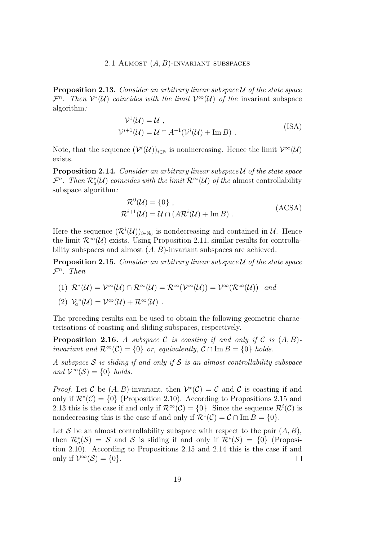#### 2.1 ALMOST  $(A, B)$ -INVARIANT SUBSPACES

**Proposition 2.13.** Consider an arbitrary linear subspace  $U$  of the state space  $\mathcal{F}^n$ . Then  $\mathcal{V}^*(\mathcal{U})$  coincides with the limit  $\mathcal{V}^{\infty}(\mathcal{U})$  of the invariant subspace algorithm:

$$
\mathcal{V}^{1}(\mathcal{U}) = \mathcal{U} ,
$$
  
\n
$$
\mathcal{V}^{i+1}(\mathcal{U}) = \mathcal{U} \cap A^{-1}(\mathcal{V}^{i}(\mathcal{U}) + \text{Im } B) .
$$
\n(ISA)

Note, that the sequence  $(\mathcal{V}^i(\mathcal{U}))_{i\in\mathbb{N}}$  is nonincreasing. Hence the limit  $\mathcal{V}^{\infty}(\mathcal{U})$ exists.

**Proposition 2.14.** Consider an arbitrary linear subspace  $U$  of the state space  $\mathcal{F}^n$ . Then  $\mathcal{R}_a^*(\mathcal{U})$  coincides with the limit  $\mathcal{R}^\infty(\mathcal{U})$  of the almost controllability subspace algorithm:

$$
\mathcal{R}^{0}(\mathcal{U}) = \{0\},
$$
  
\n
$$
\mathcal{R}^{i+1}(\mathcal{U}) = \mathcal{U} \cap (A\mathcal{R}^{i}(\mathcal{U}) + \text{Im } B).
$$
\n(ACSA)

Here the sequence  $(\mathcal{R}^i(\mathcal{U}))_{i\in\mathbb{N}_0}$  is nondecreasing and contained in  $\mathcal{U}$ . Hence the limit  $\mathcal{R}^{\infty}(\mathcal{U})$  exists. Using Proposition 2.11, similar results for controllability subspaces and almost  $(A, B)$ -invariant subspaces are achieved.

**Proposition 2.15.** Consider an arbitrary linear subspace  $U$  of the state space  $\mathcal{F}^n$ . Then

(1)  $\mathcal{R}^*(\mathcal{U}) = \mathcal{V}^{\infty}(\mathcal{U}) \cap \mathcal{R}^{\infty}(\mathcal{U}) = \mathcal{R}^{\infty}(\mathcal{V}^{\infty}(\mathcal{U})) = \mathcal{V}^{\infty}(\mathcal{R}^{\infty}(\mathcal{U}))$  and

(2) 
$$
V_a^*(\mathcal{U}) = \mathcal{V}^\infty(\mathcal{U}) + \mathcal{R}^\infty(\mathcal{U})
$$
.

The preceding results can be used to obtain the following geometric characterisations of coasting and sliding subspaces, respectively.

**Proposition 2.16.** A subspace C is coasting if and only if C is  $(A, B)$ invariant and  $\mathcal{R}^{\infty}(\mathcal{C}) = \{0\}$  or, equivalently,  $\mathcal{C} \cap \text{Im } B = \{0\}$  holds.

A subspace S is sliding if and only if S is an almost controllability subspace and  $\mathcal{V}^{\infty}(\mathcal{S}) = \{0\}$  holds.

*Proof.* Let C be  $(A, B)$ -invariant, then  $\mathcal{V}^*(\mathcal{C}) = \mathcal{C}$  and C is coasting if and only if  $\mathcal{R}^*(\mathcal{C}) = \{0\}$  (Proposition 2.10). According to Propositions 2.15 and 2.13 this is the case if and only if  $\mathcal{R}^{\infty}(\mathcal{C}) = \{0\}$ . Since the sequence  $\mathcal{R}^{i}(\mathcal{C})$  is nondecreasing this is the case if and only if  $\mathcal{R}^1(\mathcal{C}) = \mathcal{C} \cap \text{Im } B = \{0\}.$ 

Let S be an almost controllability subspace with respect to the pair  $(A, B)$ , then  $\mathcal{R}_a^*(\mathcal{S}) = \mathcal{S}$  and  $\mathcal{S}$  is sliding if and only if  $\mathcal{R}^*(\mathcal{S}) = \{0\}$  (Proposition 2.10). According to Propositions 2.15 and 2.14 this is the case if and only if  $\mathcal{V}^{\infty}(\mathcal{S}) = \{0\}.$  $\Box$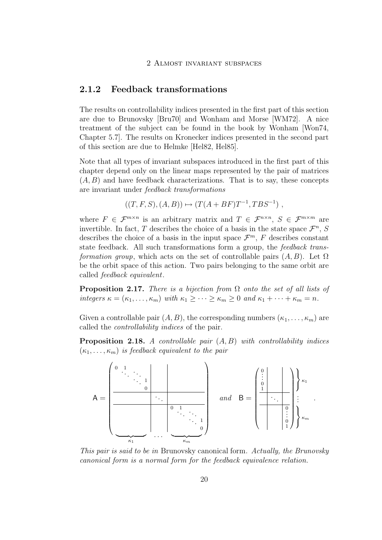#### 2.1.2 Feedback transformations

The results on controllability indices presented in the first part of this section are due to Brunovsky [Bru70] and Wonham and Morse [WM72]. A nice treatment of the subject can be found in the book by Wonham [Won74, Chapter 5.7]. The results on Kronecker indices presented in the second part of this section are due to Helmke [Hel82, Hel85].

Note that all types of invariant subspaces introduced in the first part of this chapter depend only on the linear maps represented by the pair of matrices  $(A, B)$  and have feedback characterizations. That is to say, these concepts are invariant under feedback transformations

$$
((T, F, S), (A, B)) \mapsto (T(A + BF)T^{-1}, TBS^{-1}),
$$

where  $F \in \mathcal{F}^{m \times n}$  is an arbitrary matrix and  $T \in \mathcal{F}^{n \times n}$ ,  $S \in \mathcal{F}^{m \times m}$  are invertible. In fact, T describes the choice of a basis in the state space  $\mathcal{F}^n$ , S describes the choice of a basis in the input space  $\mathcal{F}^m$ , F describes constant state feedback. All such transformations form a group, the feedback transformation group, which acts on the set of controllable pairs  $(A, B)$ . Let  $\Omega$ be the orbit space of this action. Two pairs belonging to the same orbit are called feedback equivalent.

**Proposition 2.17.** There is a bijection from  $\Omega$  onto the set of all lists of integers  $\kappa = (\kappa_1, \ldots, \kappa_m)$  with  $\kappa_1 \geq \cdots \geq \kappa_m \geq 0$  and  $\kappa_1 + \cdots + \kappa_m = n$ .

Given a controllable pair  $(A, B)$ , the corresponding numbers  $(\kappa_1, \ldots, \kappa_m)$  are called the controllability indices of the pair.

**Proposition 2.18.** A controllable pair  $(A, B)$  with controllability indices  $(\kappa_1, \ldots, \kappa_m)$  is feedback equivalent to the pair



This pair is said to be in Brunovsky canonical form. Actually, the Brunovsky canonical form is a normal form for the feedback equivalence relation.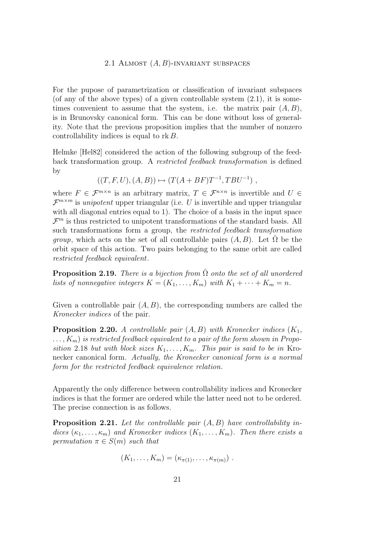#### 2.1 ALMOST  $(A, B)$ -INVARIANT SUBSPACES

For the pupose of parametrization or classification of invariant subspaces (of any of the above types) of a given controllable system  $(2.1)$ , it is sometimes convenient to assume that the system, i.e. the matrix pair  $(A, B)$ , is in Brunovsky canonical form. This can be done without loss of generality. Note that the previous proposition implies that the number of nonzero controllability indices is equal to rk B.

Helmke [Hel82] considered the action of the following subgroup of the feedback transformation group. A restricted feedback transformation is defined by

$$
((T, F, U), (A, B)) \mapsto (T(A + BF)T^{-1}, TBU^{-1}),
$$

where  $F \in \mathcal{F}^{m \times n}$  is an arbitrary matrix,  $T \in \mathcal{F}^{n \times n}$  is invertible and  $U \in$  $\mathcal{F}^{m \times m}$  is unipotent upper triangular (i.e. U is invertible and upper triangular with all diagonal entries equal to 1). The choice of a basis in the input space  $\mathcal{F}^m$  is thus restricted to unipotent transformations of the standard basis. All such transformations form a group, the restricted feedback transformation *group*, which acts on the set of all controllable pairs  $(A, B)$ . Let  $\Omega$  be the orbit space of this action. Two pairs belonging to the same orbit are called restricted feedback equivalent.

**Proposition 2.19.** There is a bijection from  $\hat{\Omega}$  onto the set of all unordered lists of nonnegative integers  $K = (K_1, \ldots, K_m)$  with  $K_1 + \cdots + K_m = n$ .

Given a controllable pair  $(A, B)$ , the corresponding numbers are called the Kronecker indices of the pair.

**Proposition 2.20.** A controllable pair  $(A, B)$  with Kronecker indices  $(K_1,$  $\dots, K_m$ ) is restricted feedback equivalent to a pair of the form shown in Proposition 2.18 but with block sizes  $K_1, \ldots, K_m$ . This pair is said to be in Kronecker canonical form. Actually, the Kronecker canonical form is a normal form for the restricted feedback equivalence relation.

Apparently the only difference between controllability indices and Kronecker indices is that the former are ordered while the latter need not to be ordered. The precise connection is as follows.

**Proposition 2.21.** Let the controllable pair  $(A, B)$  have controllability indices  $(\kappa_1, \ldots, \kappa_m)$  and Kronecker indices  $(K_1, \ldots, K_m)$ . Then there exists a permutation  $\pi \in S(m)$  such that

$$
(K_1,\ldots,K_m)=(\kappa_{\pi(1)},\ldots,\kappa_{\pi(m)})\ .
$$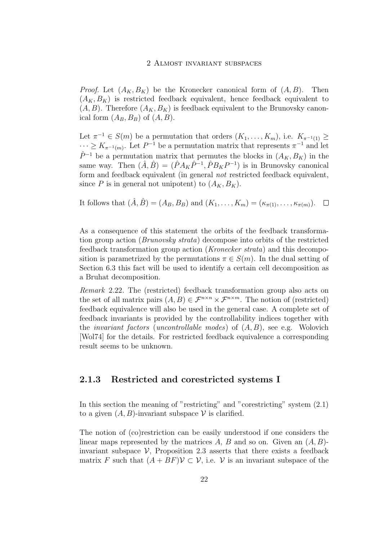*Proof.* Let  $(A_K, B_K)$  be the Kronecker canonical form of  $(A, B)$ . Then  $(A_K, B_K)$  is restricted feedback equivalent, hence feedback equivalent to  $(A, B)$ . Therefore  $(A_K, B_K)$  is feedback equivalent to the Brunovsky canonical form  $(A_B, B_B)$  of  $(A, B)$ .

Let  $\pi^{-1} \in S(m)$  be a permutation that orders  $(K_1, \ldots, K_m)$ , i.e.  $K_{\pi^{-1}(1)} \geq$  $\cdots \geq K_{\pi^{-1}(m)}$ . Let  $P^{-1}$  be a permutation matrix that represents  $\pi^{-1}$  and let  $\hat{P}^{-1}$  be a permutation matrix that permutes the blocks in  $(A_K, B_K)$  in the same way. Then  $(\hat{A}, \hat{B}) = (\hat{P} A_K \hat{P}^{-1}, \hat{P} B_K P^{-1})$  is in Brunovsky canonical form and feedback equivalent (in general not restricted feedback equivalent, since P is in general not unipotent) to  $(A_K, B_K)$ .

It follows that  $(\hat{A}, \hat{B}) = (A_B, B_B)$  and  $(K_1, \ldots, K_m) = (\kappa_{\pi(1)}, \ldots, \kappa_{\pi(m)})$ .  $\Box$ 

As a consequence of this statement the orbits of the feedback transformation group action (Brunovsky strata) decompose into orbits of the restricted feedback transformation group action (Kronecker strata) and this decomposition is parametrized by the permutations  $\pi \in S(m)$ . In the dual setting of Section 6.3 this fact will be used to identify a certain cell decomposition as a Bruhat decomposition.

Remark 2.22. The (restricted) feedback transformation group also acts on the set of all matrix pairs  $(A, B) \in \mathcal{F}^{n \times n} \times \mathcal{F}^{n \times m}$ . The notion of (restricted) feedback equivalence will also be used in the general case. A complete set of feedback invariants is provided by the controllability indices together with the *invariant factors* (*uncontrollable modes*) of  $(A, B)$ , see e.g. Wolovich [Wol74] for the details. For restricted feedback equivalence a corresponding result seems to be unknown.

#### 2.1.3 Restricted and corestricted systems I

In this section the meaning of "restricting" and "corestricting" system (2.1) to a given  $(A, B)$ -invariant subspace V is clarified.

The notion of (co)restriction can be easily understood if one considers the linear maps represented by the matrices A, B and so on. Given an  $(A, B)$ invariant subspace  $\mathcal{V}$ , Proposition 2.3 asserts that there exists a feedback matrix F such that  $(A + BF)\mathcal{V} \subset \mathcal{V}$ , i.e. V is an invariant subspace of the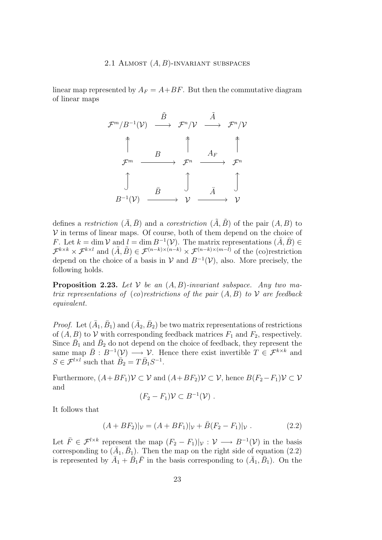#### 2.1 ALMOST  $(A, B)$ -INVARIANT SUBSPACES

linear map represented by  $A_F = A + BF$ . But then the commutative diagram of linear maps



defines a restriction  $(\bar{A}, \bar{B})$  and a corestriction  $(\tilde{A}, \tilde{B})$  of the pair  $(A, B)$  to  $V$  in terms of linear maps. Of course, both of them depend on the choice of F. Let  $k = \dim V$  and  $l = \dim B^{-1}(V)$ . The matrix representations  $(\bar{A}, \bar{B}) \in$  $\mathcal{F}^{k\times k}\times \mathcal{F}^{k\times l}$  and  $(\tilde{A},\tilde{B})\in \mathcal{F}^{(n-k)\times (n-k)}\times \mathcal{F}^{(n-k)\times (m-l)}$  of the (co)restriction depend on the choice of a basis in  $\mathcal V$  and  $B^{-1}(\mathcal V)$ , also. More precisely, the following holds.

**Proposition 2.23.** Let V be an  $(A, B)$ -invariant subspace. Any two matrix representations of (co)restrictions of the pair  $(A, B)$  to V are feedback equivalent.

*Proof.* Let  $(\bar{A}_1, \bar{B}_1)$  and  $(\bar{A}_2, \bar{B}_2)$  be two matrix representations of restrictions of  $(A, B)$  to V with corresponding feedback matrices  $F_1$  and  $F_2$ , respectively. Since  $\overline{B}_1$  and  $\overline{B}_2$  do not depend on the choice of feedback, they represent the same map  $\bar{B}: B^{-1}(\mathcal{V}) \longrightarrow \mathcal{V}$ . Hence there exist invertible  $T \in \mathcal{F}^{k \times k}$  and  $S \in \mathcal{F}^{l \times l}$  such that  $\overline{B}_2 = T \overline{B}_1 S^{-1}$ .

Furthermore,  $(A+BF_1)\mathcal{V} \subset \mathcal{V}$  and  $(A+BF_2)\mathcal{V} \subset \mathcal{V}$ , hence  $B(F_2-F_1)\mathcal{V} \subset \mathcal{V}$ and

$$
(F_2-F_1)\mathcal{V}\subset B^{-1}(\mathcal{V})\ .
$$

It follows that

$$
(A + BF_2)|_{\mathcal{V}} = (A + BF_1)|_{\mathcal{V}} + \bar{B}(F_2 - F_1)|_{\mathcal{V}}.
$$
 (2.2)

Let  $\bar{F} \in \mathcal{F}^{l \times k}$  represent the map  $(F_2 - F_1)|_{\mathcal{V}} : \mathcal{V} \longrightarrow B^{-1}(\mathcal{V})$  in the basis corresponding to  $(\bar{A}_1, \bar{B}_1)$ . Then the map on the right side of equation (2.2) is represented by  $\bar{A}_1 + \bar{B}_1 \bar{F}$  in the basis corresponding to  $(\bar{A}_1, \bar{B}_1)$ . On the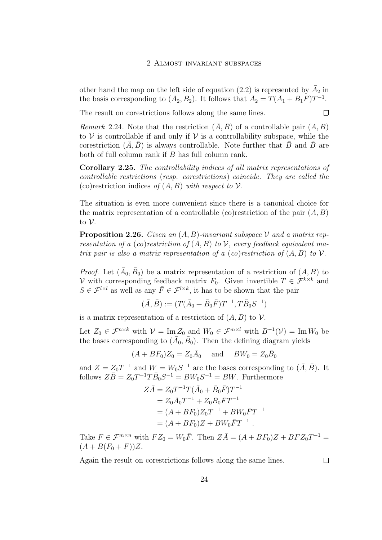other hand the map on the left side of equation (2.2) is represented by  $\overline{A}_2$  in the basis corresponding to  $(\bar{A}_2, \bar{B}_2)$ . It follows that  $\bar{A}_2 = T(\bar{A}_1 + \bar{B}_1 \bar{F})T^{-1}$ .

The result on corestrictions follows along the same lines.

*Remark* 2.24. Note that the restriction  $(\bar{A}, \bar{B})$  of a controllable pair  $(A, B)$ to  $V$  is controllable if and only if  $V$  is a controllability subspace, while the corestriction  $(A, B)$  is always controllable. Note further that  $\overline{B}$  and B are both of full column rank if B has full column rank.

Corollary 2.25. The controllability indices of all matrix representations of controllable restrictions (resp. corestrictions) coincide. They are called the (co) restriction indices of  $(A, B)$  with respect to  $V$ .

The situation is even more convenient since there is a canonical choice for the matrix representation of a controllable (co)restriction of the pair  $(A, B)$ to V.

**Proposition 2.26.** Given an  $(A, B)$ -invariant subspace V and a matrix representation of a (co) restriction of  $(A, B)$  to V, every feedback equivalent matrix pair is also a matrix representation of a (co)restriction of  $(A, B)$  to  $V$ .

*Proof.* Let  $(\bar{A}_0, \bar{B}_0)$  be a matrix representation of a restriction of  $(A, B)$  to V with corresponding feedback matrix  $F_0$ . Given invertible  $T \in \mathcal{F}^{k \times k}$  and  $S \in \mathcal{F}^{l \times l}$  as well as any  $\bar{F} \in \mathcal{F}^{l \times k}$ , it has to be shown that the pair

$$
(\bar{A}, \bar{B}) := (T(\bar{A}_0 + \bar{B}_0 \bar{F})T^{-1}, T\bar{B}_0 S^{-1})
$$

is a matrix representation of a restriction of  $(A, B)$  to  $\mathcal V$ .

Let  $Z_0 \in \mathcal{F}^{n \times k}$  with  $\mathcal{V} = \text{Im } Z_0$  and  $W_0 \in \mathcal{F}^{m \times l}$  with  $B^{-1}(\mathcal{V}) = \text{Im } W_0$  be the bases corresponding to  $(\bar{A}_0, \bar{B}_0)$ . Then the defining diagram yields

$$
(A + BF_0)Z_0 = Z_0\overline{A}_0 \quad \text{and} \quad BW_0 = Z_0\overline{B}_0
$$

and  $Z = Z_0 T^{-1}$  and  $W = W_0 S^{-1}$  are the bases corresponding to  $(\overline{A}, \overline{B})$ . It follows  $Z\overline{B} = Z_0T^{-1}T\overline{B}_0S^{-1} = BW_0S^{-1} = BW$ . Furthermore

$$
Z\bar{A} = Z_0 T^{-1} T (\bar{A}_0 + \bar{B}_0 \bar{F}) T^{-1}
$$
  
=  $Z_0 \bar{A}_0 T^{-1} + Z_0 \bar{B}_0 \bar{F} T^{-1}$   
=  $(A + BF_0) Z_0 T^{-1} + BW_0 \bar{F} T^{-1}$   
=  $(A + BF_0) Z + BW_0 \bar{F} T^{-1}$ .

Take  $F \in \mathcal{F}^{m \times n}$  with  $FZ_0 = W_0 \bar{F}$ . Then  $Z\bar{A} = (A + BF_0)Z + BFZ_0T^{-1} =$  $(A + B(F_0 + F))Z$ .

Again the result on corestrictions follows along the same lines.

 $\Box$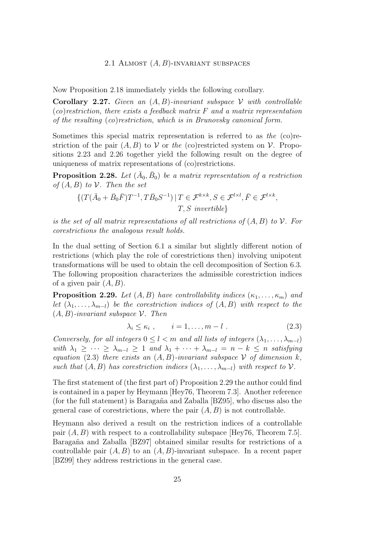#### 2.1 ALMOST  $(A, B)$ -INVARIANT SUBSPACES

Now Proposition 2.18 immediately yields the following corollary.

**Corollary 2.27.** Given an  $(A, B)$ -invariant subspace  $V$  with controllable  $(c)$  co)restriction, there exists a feedback matrix F and a matrix representation of the resulting (co)restriction, which is in Brunovsky canonical form.

Sometimes this special matrix representation is referred to as the (co)restriction of the pair  $(A, B)$  to  $\mathcal V$  or the (co)restricted system on  $\mathcal V$ . Propositions 2.23 and 2.26 together yield the following result on the degree of uniqueness of matrix representations of (co)restrictions.

**Proposition 2.28.** Let  $(\bar{A}_0, \bar{B}_0)$  be a matrix representation of a restriction of  $(A, B)$  to  $\mathcal V$ . Then the set

$$
\{ (T(\bar{A}_0 + \bar{B}_0 \bar{F})T^{-1}, T\bar{B}_0 S^{-1}) \mid T \in \mathcal{F}^{k \times k}, S \in \mathcal{F}^{l \times l}, \bar{F} \in \mathcal{F}^{l \times k},
$$
  

$$
T, S \text{ invertible} \}
$$

is the set of all matrix representations of all restrictions of  $(A, B)$  to  $\mathcal V$ . For corestrictions the analogous result holds.

In the dual setting of Section 6.1 a similar but slightly different notion of restrictions (which play the role of corestrictions then) involving unipotent transformations will be used to obtain the cell decomposition of Section 6.3. The following proposition characterizes the admissible corestriction indices of a given pair  $(A, B)$ .

**Proposition 2.29.** Let  $(A, B)$  have controllability indices  $(\kappa_1, \ldots, \kappa_m)$  and let  $(\lambda_1, \ldots, \lambda_{m-l})$  be the corestriction indices of  $(A, B)$  with respect to the  $(A, B)$ -invariant subspace  $\mathcal V$ . Then

$$
\lambda_i \le \kappa_i , \qquad i = 1, \dots, m - l . \tag{2.3}
$$

Conversely, for all integers  $0 \leq l < m$  and all lists of integers  $(\lambda_1, \ldots, \lambda_{m-l})$ with  $\lambda_1 \geq \cdots \geq \lambda_{m-l} \geq 1$  and  $\lambda_1 + \cdots + \lambda_{m-l} = n-k \leq n$  satisfying equation (2.3) there exists an  $(A, B)$ -invariant subspace V of dimension k, such that  $(A, B)$  has corestriction indices  $(\lambda_1, \ldots, \lambda_{m-l})$  with respect to V.

The first statement of (the first part of) Proposition 2.29 the author could find is contained in a paper by Heymann [Hey76, Theorem 7.3]. Another reference  $($ for the full statement) is Baragaña and Zaballa  $[$ BZ95 $]$ , who discuss also the general case of corestrictions, where the pair  $(A, B)$  is not controllable.

Heymann also derived a result on the restriction indices of a controllable pair  $(A, B)$  with respect to a controllability subspace [Hey76, Theorem 7.5]. Baragaña and Zaballa [BZ97] obtained similar results for restrictions of a controllable pair  $(A, B)$  to an  $(A, B)$ -invariant subspace. In a recent paper [BZ99] they address restrictions in the general case.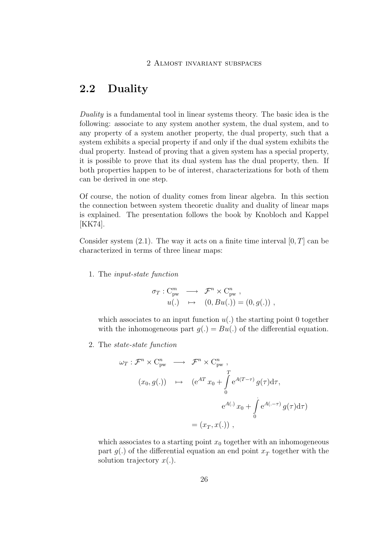### 2.2 Duality

Duality is a fundamental tool in linear systems theory. The basic idea is the following: associate to any system another system, the dual system, and to any property of a system another property, the dual property, such that a system exhibits a special property if and only if the dual system exhibits the dual property. Instead of proving that a given system has a special property, it is possible to prove that its dual system has the dual property, then. If both properties happen to be of interest, characterizations for both of them can be derived in one step.

Of course, the notion of duality comes from linear algebra. In this section the connection between system theoretic duality and duality of linear maps is explained. The presentation follows the book by Knobloch and Kappel [KK74].

Consider system  $(2.1)$ . The way it acts on a finite time interval  $[0, T]$  can be characterized in terms of three linear maps:

1. The input-state function

$$
\begin{aligned}\n\sigma_T: C^m_{pw} &\longrightarrow \mathcal{F}^n \times C^n_{pw} ,\\
u(.) &\mapsto (0, Bu(.)) = (0, g(.)) ,\n\end{aligned}
$$

which associates to an input function  $u(.)$  the starting point 0 together with the inhomogeneous part  $q(.) = Bu(.)$  of the differential equation.

2. The state-state function

$$
\omega_T : \mathcal{F}^n \times C_{pw}^n \longrightarrow \mathcal{F}^n \times C_{pw}^n ,
$$
  
\n
$$
(x_0, g(.)) \longrightarrow (e^{AT} x_0 + \int_0^T e^{A(T-\tau)} g(\tau) d\tau,
$$
  
\n
$$
e^{A(.)} x_0 + \int_0^T e^{A(-\tau)} g(\tau) d\tau
$$
  
\n
$$
= (x_T, x(.)),
$$

which associates to a starting point  $x_0$  together with an inhomogeneous part  $g(.)$  of the differential equation an end point  $x_T$  together with the solution trajectory  $x(.)$ .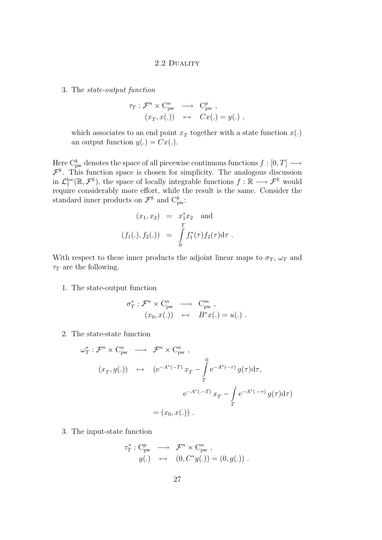#### 2.2 DUALITY

3. The state-output function

$$
\tau_T: \mathcal{F}^n \times C_{pw}^n \longrightarrow C_{pw}^p, \n(x_T, x(.)) \longrightarrow Cx(.) = y(.) ,
$$

which associates to an end point  $x_T$  together with a state function  $x(.)$ an output function  $y(.) = Cx(.)$ .

Here  $C_{\text{pw}}^k$  denotes the space of all piecewise continuous functions  $f : [0, T] \longrightarrow$  $\mathcal{F}^k$ . This function space is chosen for simplicity. The analogous discussion in  $\mathcal{L}_1^{\text{loc}}(\mathbb{R}, \mathcal{F}^k)$ , the space of locally integrable functions  $f : \mathbb{R} \longrightarrow \mathcal{F}^k$  would require considerably more effort, while the result is the same. Consider the standard inner products on  $\mathcal{F}^k$  and  $C^k_{pw}$ :

$$
(x_1, x_2) = x_1^* x_2
$$
 and  
 $(f_1(.), f_2(.)) = \int_0^T f_1^*(\tau) f_2(\tau) d\tau$ .

With respect to these inner products the adjoint linear maps to  $\sigma_T$ ,  $\omega_T$  and  $\tau_T$  are the following.

1. The state-output function

$$
\begin{array}{rcl}\n\sigma_T^* : \mathcal{F}^n \times C_{pw}^n & \longrightarrow & C_{pw}^m ,\\ \n(x_0, x(.)) & \mapsto & B^* x(.) = u(.) .\n\end{array}
$$

2. The state-state function

$$
\omega_T^* : \mathcal{F}^n \times C_{pw}^n \longrightarrow \mathcal{F}^n \times C_{pw}^n ,
$$
  
\n
$$
(x_T, g(.)) \longrightarrow (e^{-A^*(-T)} x_T - \int_T^0 e^{-A^*(-\tau)} g(\tau) d\tau,
$$
  
\n
$$
e^{-A^*(-T)} x_T - \int_T^1 e^{-A^*(-\tau)} g(\tau) d\tau
$$
  
\n
$$
= (x_0, x(.)).
$$

3. The input-state function

$$
\tau_T^* : C^p_{pw} \longrightarrow \mathcal{F}^n \times C^n_{pw} ,y(.) \longrightarrow (0, C^*y(.)) = (0, g(.)) .
$$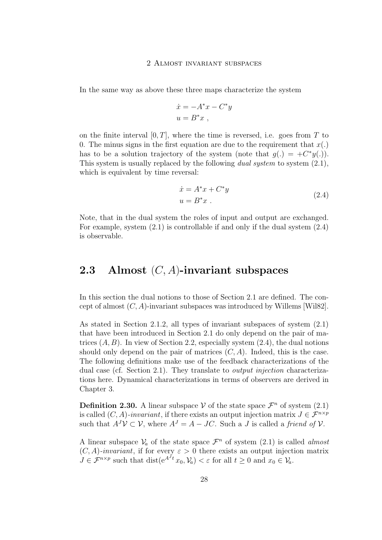In the same way as above these three maps characterize the system

$$
\dot{x} = -A^*x - C^*y
$$
  

$$
u = B^*x ,
$$

on the finite interval  $[0, T]$ , where the time is reversed, i.e. goes from T to 0. The minus signs in the first equation are due to the requirement that  $x(.)$ has to be a solution trajectory of the system (note that  $g(.) = +C^*y(.)$ ). This system is usually replaced by the following dual system to system  $(2.1)$ , which is equivalent by time reversal:

$$
\begin{aligned}\n\dot{x} &= A^*x + C^*y\\
u &= B^*x\n\end{aligned} \tag{2.4}
$$

Note, that in the dual system the roles of input and output are exchanged. For example, system (2.1) is controllable if and only if the dual system (2.4) is observable.

### 2.3 Almost  $(C, A)$ -invariant subspaces

In this section the dual notions to those of Section 2.1 are defined. The concept of almost  $(C, A)$ -invariant subspaces was introduced by Willems [Wil82].

As stated in Section 2.1.2, all types of invariant subspaces of system (2.1) that have been introduced in Section 2.1 do only depend on the pair of matrices  $(A, B)$ . In view of Section 2.2, especially system  $(2.4)$ , the dual notions should only depend on the pair of matrices  $(C, A)$ . Indeed, this is the case. The following definitions make use of the feedback characterizations of the dual case (cf. Section 2.1). They translate to output injection characterizations here. Dynamical characterizations in terms of observers are derived in Chapter 3.

**Definition 2.30.** A linear subspace V of the state space  $\mathcal{F}^n$  of system (2.1) is called  $(C, A)$ -invariant, if there exists an output injection matrix  $J \in \mathcal{F}^{n \times p}$ such that  $A^{J}\mathcal{V} \subset \mathcal{V}$ , where  $A^{J} = A - JC$ . Such a *J* is called a *friend of*  $\mathcal{V}$ .

A linear subspace  $\mathcal{V}_a$  of the state space  $\mathcal{F}^n$  of system  $(2.1)$  is called *almost*  $(C, A)$ -invariant, if for every  $\varepsilon > 0$  there exists an output injection matrix  $J \in \mathcal{F}^{n \times p}$  such that  $dist(e^{A^J t} x_0, \mathcal{V}_a) < \varepsilon$  for all  $t \geq 0$  and  $x_0 \in \mathcal{V}_a$ .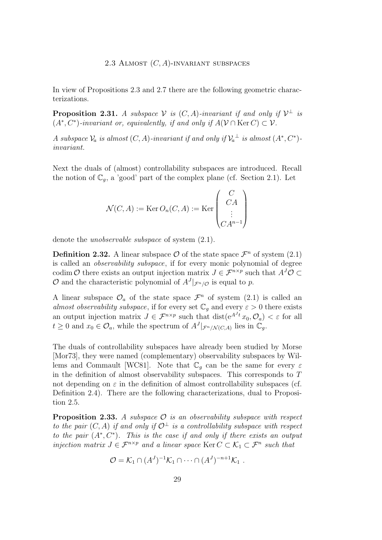#### 2.3 ALMOST  $(C, A)$ -INVARIANT SUBSPACES

In view of Propositions 2.3 and 2.7 there are the following geometric characterizations.

**Proposition 2.31.** A subspace  $V$  is  $(C, A)$ -invariant if and only if  $V^{\perp}$  is  $(A^*, C^*)$ -invariant or, equivalently, if and only if  $A(\mathcal{V} \cap \text{Ker } C) \subset \mathcal{V}$ .

A subspace  $\mathcal{V}_a$  is almost  $(C, A)$ -invariant if and only if  $\mathcal{V}_a^{\perp}$  is almost  $(A^*, C^*)$ invariant.

Next the duals of (almost) controllability subspaces are introduced. Recall the notion of  $\mathbb{C}_q$ , a 'good' part of the complex plane (cf. Section 2.1). Let

$$
\mathcal{N}(C, A) := \text{Ker } O_n(C, A) := \text{Ker}\begin{pmatrix} C \\ CA \\ \vdots \\ CA^{n-1} \end{pmatrix}
$$

denote the unobservable subspace of system (2.1).

**Definition 2.32.** A linear subspace  $\mathcal{O}$  of the state space  $\mathcal{F}^n$  of system (2.1) is called an observability subspace, if for every monic polynomial of degree codim  $\mathcal O$  there exists an output injection matrix  $J \in \mathcal{F}^{n \times p}$  such that  $A^J \mathcal O \subset$ O and the characteristic polynomial of  $A^{J}|_{\mathcal{F}^{n}/\mathcal{O}}$  is equal to p.

A linear subspace  $\mathcal{O}_a$  of the state space  $\mathcal{F}^n$  of system (2.1) is called an almost observability subspace, if for every set  $\mathbb{C}_g$  and every  $\varepsilon > 0$  there exists an output injection matrix  $J \in \mathcal{F}^{n \times p}$  such that  $dist(e^{A^J t} x_0, \mathcal{O}_a) < \varepsilon$  for all  $t \geq 0$  and  $x_0 \in \mathcal{O}_a$ , while the spectrum of  $A^J|_{\mathcal{F}^n/\mathcal{N}(C,A)}$  lies in  $\mathbb{C}_g$ .

The duals of controllability subspaces have already been studied by Morse [Mor73], they were named (complementary) observability subspaces by Willems and Commault [WC81]. Note that  $\mathbb{C}_q$  can be the same for every  $\varepsilon$ in the definition of almost observability subspaces. This corresponds to  $T$ not depending on  $\varepsilon$  in the definition of almost controllability subspaces (cf. Definition 2.4). There are the following characterizations, dual to Proposition 2.5.

**Proposition 2.33.** A subspace  $\mathcal{O}$  is an observability subspace with respect to the pair  $(C, A)$  if and only if  $\mathcal{O}^{\perp}$  is a controllability subspace with respect to the pair  $(A^*, C^*)$ . This is the case if and only if there exists an output injection matrix  $J \in \mathcal{F}^{n \times p}$  and a linear space Ker  $C \subset \mathcal{K}_1 \subset \mathcal{F}^n$  such that

$$
\mathcal{O} = \mathcal{K}_1 \cap (A^J)^{-1} \mathcal{K}_1 \cap \cdots \cap (A^J)^{-n+1} \mathcal{K}_1.
$$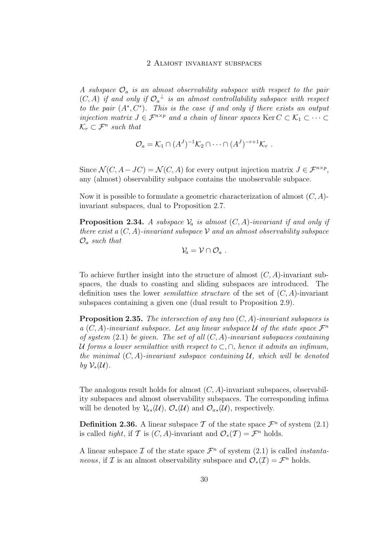A subspace  $\mathcal{O}_a$  is an almost observability subspace with respect to the pair  $(C, A)$  if and only if  $\mathcal{O}_a^{\perp}$  is an almost controllability subspace with respect to the pair  $(A^*, C^*)$ . This is the case if and only if there exists an output injection matrix  $J \in \mathcal{F}^{n \times p}$  and a chain of linear spaces  $\text{Ker } C \subset \mathcal{K}_1 \subset \cdots \subset \mathcal{K}_n$  $\mathcal{K}_r \subset \mathcal{F}^n$  such that

$$
\mathcal{O}_a = \mathcal{K}_1 \cap (A^J)^{-1} \mathcal{K}_2 \cap \cdots \cap (A^J)^{-r+1} \mathcal{K}_r.
$$

Since  $\mathcal{N}(C, A-JC) = \mathcal{N}(C, A)$  for every output injection matrix  $J \in \mathcal{F}^{n \times p}$ , any (almost) observability subpace contains the unobservable subpace.

Now it is possible to formulate a geometric characterization of almost  $(C, A)$ invariant subspaces, dual to Proposition 2.7.

**Proposition 2.34.** A subspace  $V_a$  is almost  $(C, A)$ -invariant if and only if there exist a  $(C, A)$ -invariant subspace V and an almost observability subspace  $\mathcal{O}_a$  such that

$$
\mathcal{V}_a=\mathcal{V}\cap \mathcal{O}_a\,\,.
$$

To achieve further insight into the structure of almost  $(C, A)$ -invariant subspaces, the duals to coasting and sliding subspaces are introduced. The definition uses the lower *semilattice structure* of the set of  $(C, A)$ -invariant subspaces containing a given one (dual result to Proposition 2.9).

**Proposition 2.35.** The intersection of any two  $(C, A)$ -invariant subspaces is a  $(C, A)$ -invariant subspace. Let any linear subspace U of the state space  $\mathcal{F}^n$ of system  $(2.1)$  be given. The set of all  $(C, A)$ -invariant subspaces containing U forms a lower semilattice with respect to  $\subset, \cap$ , hence it admits an infimum, the minimal  $(C, A)$ -invariant subspace containing  $U$ , which will be denoted  $by \mathcal{V}_*(\mathcal{U}).$ 

The analogous result holds for almost  $(C, A)$ -invariant subspaces, observability subspaces and almost observability subspaces. The corresponding infima will be denoted by  $\mathcal{V}_{a*}(\mathcal{U}), \mathcal{O}_{*}(\mathcal{U})$  and  $\mathcal{O}_{a*}(\mathcal{U}),$  respectively.

**Definition 2.36.** A linear subspace T of the state space  $\mathcal{F}^n$  of system (2.1) is called *tight*, if T is  $(C, A)$ -invariant and  $\mathcal{O}_*(T) = \mathcal{F}^n$  holds.

A linear subspace  $\mathcal I$  of the state space  $\mathcal F^n$  of system  $(2.1)$  is called *instanta*neous, if  $\mathcal I$  is an almost observability subspace and  $\mathcal O_*(\mathcal I) = \mathcal F^n$  holds.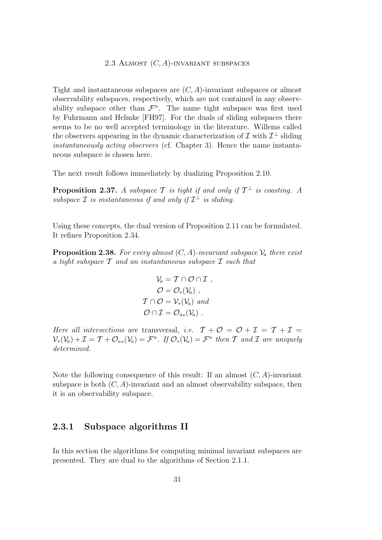#### 2.3 ALMOST  $(C, A)$ -INVARIANT SUBSPACES

Tight and instantaneous subspaces are  $(C, A)$ -invariant subspaces or almost observability subspaces, respectively, which are not contained in any observability subspace other than  $\mathcal{F}^n$ . The name tight subspace was first used by Fuhrmann and Helmke [FH97]. For the duals of sliding subspaces there seems to be no well accepted terminology in the literature. Willems called the observers appearing in the dynamic characterization of  $\mathcal I$  with  $\mathcal I^{\perp}$  sliding instantaneously acting observers (cf. Chapter 3). Hence the name instantaneous subspace is chosen here.

The next result follows immediately by dualizing Proposition 2.10.

**Proposition 2.37.** A subspace  $\mathcal T$  is tight if and only if  $\mathcal T^{\perp}$  is coasting. A subspace  $\mathcal I$  is instantaneous if and only if  $\mathcal I^{\perp}$  is sliding.

Using these concepts, the dual version of Proposition 2.11 can be formulated. It refines Proposition 2.34.

**Proposition 2.38.** For every almost  $(C, A)$ -invariant subspace  $\mathcal{V}_a$  there exist a tight subspace  $\mathcal T$  and an instantaneous subspace  $\mathcal I$  such that

$$
\mathcal{V}_a = \mathcal{T} \cap \mathcal{O} \cap \mathcal{I} ,
$$
  
\n
$$
\mathcal{O} = \mathcal{O}_*(\mathcal{V}_a) ,
$$
  
\n
$$
\mathcal{T} \cap \mathcal{O} = \mathcal{V}_*(\mathcal{V}_a) \text{ and }
$$
  
\n
$$
\mathcal{O} \cap \mathcal{I} = \mathcal{O}_{a*}(\mathcal{V}_a) .
$$

Here all intersections are transversal, i.e.  $\mathcal{T} + \mathcal{O} = \mathcal{O} + \mathcal{I} = \mathcal{T} + \mathcal{I} =$  $\mathcal{V}_*(\mathcal{V}_a) + \mathcal{I} = \mathcal{T} + \mathcal{O}_{a*}(\mathcal{V}_a) = \mathcal{F}^n$ . If  $\mathcal{O}_*(\mathcal{V}_a) = \mathcal{F}^n$  then  $\mathcal T$  and  $\mathcal I$  are uniquely determined.

Note the following consequence of this result: If an almost  $(C, A)$ -invariant subspace is both  $(C, A)$ -invariant and an almost observability subspace, then it is an observability subspace.

#### 2.3.1 Subspace algorithms II

In this section the algorithms for computing minimal invariant subspaces are presented. They are dual to the algorithms of Section 2.1.1.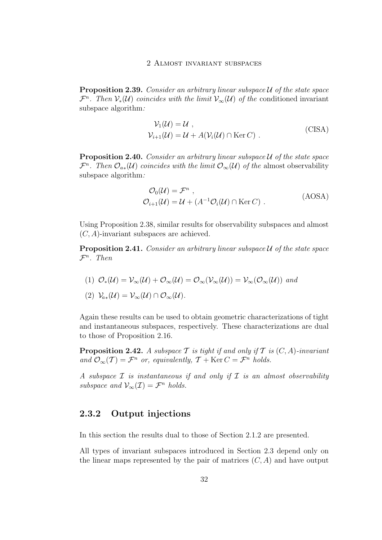**Proposition 2.39.** Consider an arbitrary linear subspace  $U$  of the state space  $\mathcal{F}^n$ . Then  $\mathcal{V}_*(\mathcal{U})$  coincides with the limit  $\mathcal{V}_\infty(\mathcal{U})$  of the conditioned invariant subspace algorithm:

$$
\mathcal{V}_1(\mathcal{U}) = \mathcal{U} ,
$$
  

$$
\mathcal{V}_{i+1}(\mathcal{U}) = \mathcal{U} + A(\mathcal{V}_i(\mathcal{U}) \cap \text{Ker } C) .
$$
 (CISA)

**Proposition 2.40.** Consider an arbitrary linear subspace  $U$  of the state space  $\mathcal{F}^n$ . Then  $\mathcal{O}_{a*}(\mathcal{U})$  coincides with the limit  $\mathcal{O}_{\infty}(\mathcal{U})$  of the almost observability subspace algorithm:

$$
\mathcal{O}_0(\mathcal{U}) = \mathcal{F}^n ,
$$
  
\n
$$
\mathcal{O}_{i+1}(\mathcal{U}) = \mathcal{U} + (A^{-1}\mathcal{O}_i(\mathcal{U}) \cap \text{Ker } C) .
$$
 (AOSA)

Using Proposition 2.38, similar results for observability subspaces and almost  $(C, A)$ -invariant subspaces are achieved.

**Proposition 2.41.** Consider an arbitrary linear subspace  $U$  of the state space  $\mathcal{F}^n$ . Then

(1) 
$$
\mathcal{O}_{*}(\mathcal{U}) = \mathcal{V}_{\infty}(\mathcal{U}) + \mathcal{O}_{\infty}(\mathcal{U}) = \mathcal{O}_{\infty}(\mathcal{V}_{\infty}(\mathcal{U})) = \mathcal{V}_{\infty}(\mathcal{O}_{\infty}(\mathcal{U}))
$$
 and

$$
(2) \ \mathcal{V}_{a*}(\mathcal{U}) = \mathcal{V}_{\infty}(\mathcal{U}) \cap \mathcal{O}_{\infty}(\mathcal{U}).
$$

Again these results can be used to obtain geometric characterizations of tight and instantaneous subspaces, respectively. These characterizations are dual to those of Proposition 2.16.

**Proposition 2.42.** A subspace  $\mathcal T$  is tight if and only if  $\mathcal T$  is  $(C, A)$ -invariant and  $\mathcal{O}_{\infty}(\mathcal{T}) = \mathcal{F}^n$  or, equivalently,  $\mathcal{T} + \text{Ker } C = \mathcal{F}^n$  holds.

A subspace  $\mathcal I$  is instantaneous if and only if  $\mathcal I$  is an almost observability subspace and  $\mathcal{V}_{\infty}(\mathcal{I}) = \mathcal{F}^n$  holds.

#### 2.3.2 Output injections

In this section the results dual to those of Section 2.1.2 are presented.

All types of invariant subspaces introduced in Section 2.3 depend only on the linear maps represented by the pair of matrices  $(C, A)$  and have output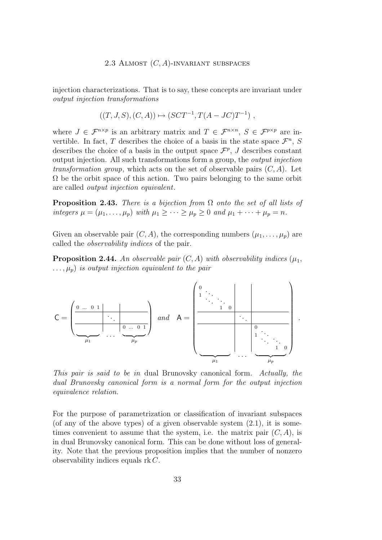#### 2.3 ALMOST  $(C, A)$ -INVARIANT SUBSPACES

injection characterizations. That is to say, these concepts are invariant under output injection transformations

$$
((T, J, S), (C, A)) \mapsto (SCT^{-1}, T(A - JC)T^{-1}),
$$

where  $J \in \mathcal{F}^{n \times p}$  is an arbitrary matrix and  $T \in \mathcal{F}^{n \times n}$ ,  $S \in \mathcal{F}^{p \times p}$  are invertible. In fact, T describes the choice of a basis in the state space  $\mathcal{F}^n$ , S describes the choice of a basis in the output space  $\mathcal{F}^p$ , J describes constant output injection. All such transformations form a group, the output injection transformation group, which acts on the set of observable pairs  $(C, A)$ . Let  $\Omega$  be the orbit space of this action. Two pairs belonging to the same orbit are called output injection equivalent.

**Proposition 2.43.** There is a bijection from  $\Omega$  onto the set of all lists of integers  $\mu = (\mu_1, \ldots, \mu_p)$  with  $\mu_1 \geq \cdots \geq \mu_p \geq 0$  and  $\mu_1 + \cdots + \mu_p = n$ .

Given an observable pair  $(C, A)$ , the corresponding numbers  $(\mu_1, \ldots, \mu_n)$  are called the observability indices of the pair.

**Proposition 2.44.** An observable pair  $(C, A)$  with observability indices  $(\mu_1,$  $\ldots, \mu_p$ ) is output injection equivalent to the pair



This pair is said to be in dual Brunovsky canonical form. Actually, the dual Brunovsky canonical form is a normal form for the output injection equivalence relation.

For the purpose of parametrization or classification of invariant subspaces (of any of the above types) of a given observable system  $(2.1)$ , it is sometimes convenient to assume that the system, i.e. the matrix pair  $(C, A)$ , is in dual Brunovsky canonical form. This can be done without loss of generality. Note that the previous proposition implies that the number of nonzero observability indices equals rk C.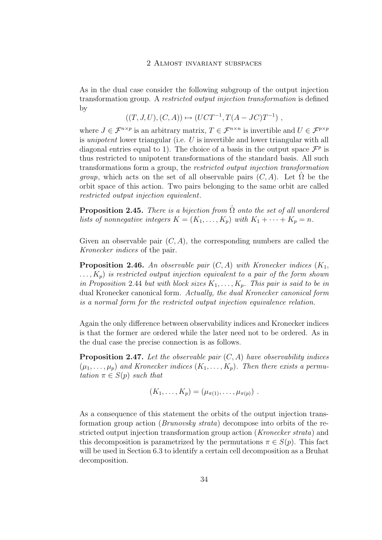As in the dual case consider the following subgroup of the output injection transformation group. A restricted output injection transformation is defined by

$$
((T, J, U), (C, A)) \mapsto (UCT^{-1}, T(A - JC)T^{-1}),
$$

where  $J \in \mathcal{F}^{n \times p}$  is an arbitrary matrix,  $T \in \mathcal{F}^{n \times n}$  is invertible and  $U \in \mathcal{F}^{p \times p}$ is unipotent lower triangular (i.e. U is invertible and lower triangular with all diagonal entries equal to 1). The choice of a basis in the output space  $\mathcal{F}^p$  is thus restricted to unipotent transformations of the standard basis. All such transformations form a group, the restricted output injection transformation *group*, which acts on the set of all observable pairs  $(C, A)$ . Let  $\Omega$  be the orbit space of this action. Two pairs belonging to the same orbit are called restricted output injection equivalent.

**Proposition 2.45.** There is a bijection from  $\hat{\Omega}$  onto the set of all unordered lists of nonnegative integers  $K = (K_1, \ldots, K_p)$  with  $K_1 + \cdots + K_p = n$ .

Given an observable pair  $(C, A)$ , the corresponding numbers are called the Kronecker indices of the pair.

**Proposition 2.46.** An observable pair  $(C, A)$  with Kronecker indices  $(K_1, A)$  $\ldots, K_p$ ) is restricted output injection equivalent to a pair of the form shown in Proposition 2.44 but with block sizes  $K_1, \ldots, K_p$ . This pair is said to be in dual Kronecker canonical form. Actually, the dual Kronecker canonical form is a normal form for the restricted output injection equivalence relation.

Again the only difference between observability indices and Kronecker indices is that the former are ordered while the later need not to be ordered. As in the dual case the precise connection is as follows.

**Proposition 2.47.** Let the observable pair  $(C, A)$  have observability indices  $(\mu_1, \ldots, \mu_p)$  and Kronecker indices  $(K_1, \ldots, K_p)$ . Then there exists a permutation  $\pi \in S(p)$  such that

$$
(K_1, \ldots, K_p) = (\mu_{\pi(1)}, \ldots, \mu_{\pi(p)}) \; .
$$

As a consequence of this statement the orbits of the output injection transformation group action (Brunovsky strata) decompose into orbits of the restricted output injection transformation group action (Kronecker strata) and this decomposition is parametrized by the permutations  $\pi \in S(p)$ . This fact will be used in Section 6.3 to identify a certain cell decomposition as a Bruhat decomposition.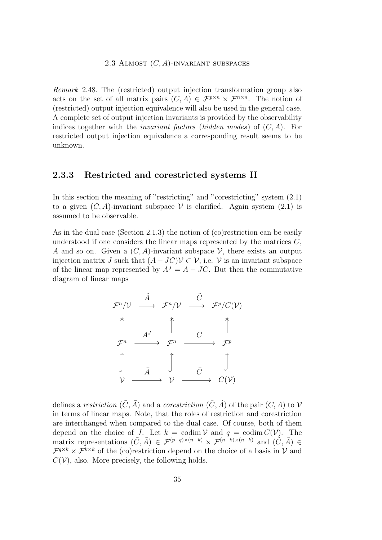#### 2.3 ALMOST  $(C, A)$ -INVARIANT SUBSPACES

Remark 2.48. The (restricted) output injection transformation group also acts on the set of all matrix pairs  $(C, A) \in \mathcal{F}^{p \times n} \times \mathcal{F}^{n \times n}$ . The notion of (restricted) output injection equivalence will also be used in the general case. A complete set of output injection invariants is provided by the observability indices together with the *invariant factors* (*hidden modes*) of  $(C, A)$ . For restricted output injection equivalence a corresponding result seems to be unknown.

#### 2.3.3 Restricted and corestricted systems II

In this section the meaning of "restricting" and "corestricting" system (2.1) to a given  $(C, A)$ -invariant subspace V is clarified. Again system  $(2.1)$  is assumed to be observable.

As in the dual case (Section 2.1.3) the notion of (co)restriction can be easily understood if one considers the linear maps represented by the matrices  $C$ , A and so on. Given a  $(C, A)$ -invariant subspace  $\mathcal V$ , there exists an output injection matrix J such that  $(A - JC)\mathcal{V} \subset \mathcal{V}$ , i.e. V is an invariant subspace of the linear map represented by  $A<sup>J</sup> = A - JC$ . But then the commutative diagram of linear maps



defines a restriction  $(\bar{C}, \bar{A})$  and a corestriction  $(\tilde{C}, \tilde{A})$  of the pair  $(C, A)$  to V in terms of linear maps. Note, that the roles of restriction and corestriction are interchanged when compared to the dual case. Of course, both of them depend on the choice of J. Let  $k = \text{codim } V$  and  $q = \text{codim } C(V)$ . The matrix representations  $(\bar{C}, \bar{A}) \in \mathcal{F}^{(p-q)\times(n-k)} \times \mathcal{F}^{(n-k)\times(n-k)}$  and  $(\tilde{C}, \tilde{A}) \in$  $\mathcal{F}^{q\times k}\times \mathcal{F}^{k\times k}$  of the (co) restriction depend on the choice of a basis in V and  $C(V)$ , also. More precisely, the following holds.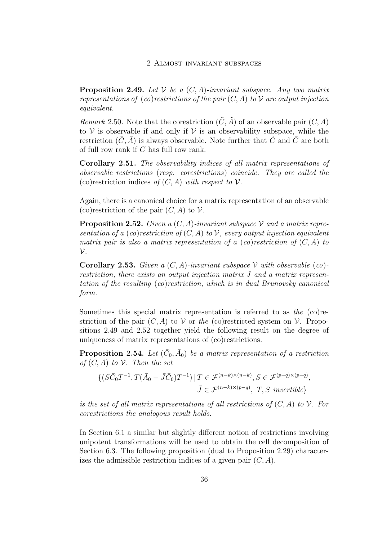**Proposition 2.49.** Let  $V$  be a  $(C, A)$ -invariant subspace. Any two matrix representations of (co) restrictions of the pair  $(C, A)$  to V are output injection equivalent.

*Remark* 2.50. Note that the corestriction  $(\tilde{C}, \tilde{A})$  of an observable pair  $(C, A)$ to  $\mathcal V$  is observable if and only if  $\mathcal V$  is an observability subspace, while the restriction  $(C, A)$  is always observable. Note further that C and C are both of full row rank if  $C$  has full row rank.

Corollary 2.51. The observability indices of all matrix representations of observable restrictions (resp. corestrictions) coincide. They are called the (co) restriction indices of  $(C, A)$  with respect to  $V$ .

Again, there is a canonical choice for a matrix representation of an observable (co) restriction of the pair  $(C, A)$  to  $\mathcal V$ .

**Proposition 2.52.** Given a  $(C, A)$ -invariant subspace V and a matrix representation of a (co) restriction of  $(C, A)$  to V, every output injection equivalent matrix pair is also a matrix representation of a  $(c)$  restriction of  $(C, A)$  to  $\mathcal{V}$ .

**Corollary 2.53.** Given a  $(C, A)$ -invariant subspace V with observable  $(co)$ restriction, there exists an output injection matrix J and a matrix representation of the resulting (co)restriction, which is in dual Brunovsky canonical form.

Sometimes this special matrix representation is referred to as the (co)restriction of the pair  $(C, A)$  to V or the (co)restricted system on V. Propositions 2.49 and 2.52 together yield the following result on the degree of uniqueness of matrix representations of (co)restrictions.

**Proposition 2.54.** Let  $(\bar{C}_0, \bar{A}_0)$  be a matrix representation of a restriction of  $(C, A)$  to  $\mathcal V$ . Then the set

$$
\{ (S\bar{C}_0 T^{-1}, T(\bar{A}_0 - \bar{J}\bar{C}_0)T^{-1}) \mid T \in \mathcal{F}^{(n-k)\times (n-k)}, S \in \mathcal{F}^{(p-q)\times (p-q)},
$$
  

$$
\bar{J} \in \mathcal{F}^{(n-k)\times (p-q)}, T, S \text{ invertible} \}
$$

is the set of all matrix representations of all restrictions of  $(C, A)$  to  $\mathcal V$ . For corestrictions the analogous result holds.

In Section 6.1 a similar but slightly different notion of restrictions involving unipotent transformations will be used to obtain the cell decomposition of Section 6.3. The following proposition (dual to Proposition 2.29) characterizes the admissible restriction indices of a given pair  $(C, A)$ .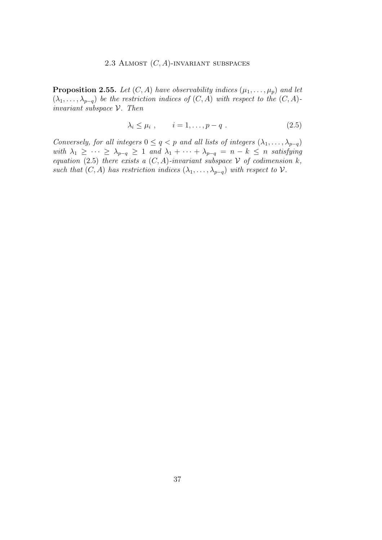### 2.3 ALMOST  $(C, A)$ -INVARIANT SUBSPACES

**Proposition 2.55.** Let  $(C, A)$  have observability indices  $(\mu_1, \ldots, \mu_p)$  and let  $(\lambda_1, \ldots, \lambda_{p-q})$  be the restriction indices of  $(C, A)$  with respect to the  $(C, A)$ invariant subspace  $\mathcal V$ . Then

$$
\lambda_i \le \mu_i \;, \qquad i = 1, \ldots, p - q \; . \tag{2.5}
$$

Conversely, for all integers  $0 \leq q < p$  and all lists of integers  $(\lambda_1, \ldots, \lambda_{p-q})$ with  $\lambda_1 \geq \cdots \geq \lambda_{p-q} \geq 1$  and  $\lambda_1 + \cdots + \lambda_{p-q} = n - k \leq n$  satisfying equation (2.5) there exists a  $(C, A)$ -invariant subspace V of codimension k, such that  $(C, A)$  has restriction indices  $(\lambda_1, \ldots, \lambda_{p-q})$  with respect to  $\mathcal V$ .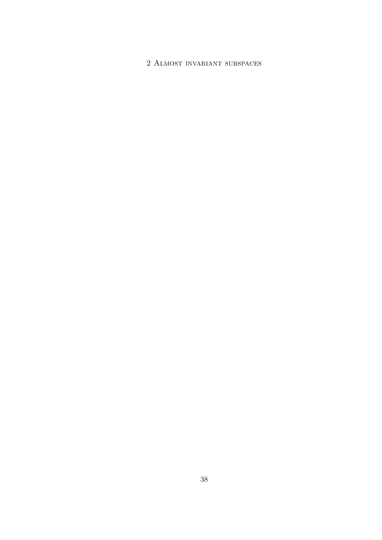# Almost invariant subspaces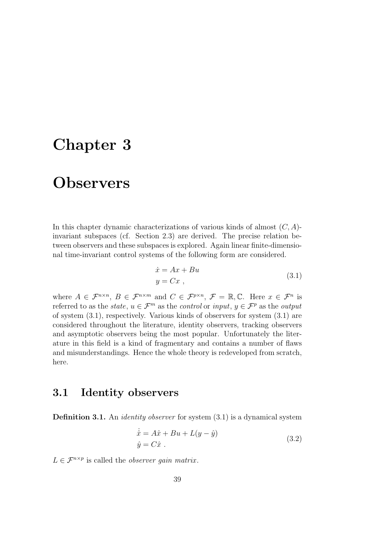# Chapter 3

# **Observers**

In this chapter dynamic characterizations of various kinds of almost  $(C, A)$ invariant subspaces (cf. Section 2.3) are derived. The precise relation between observers and these subspaces is explored. Again linear finite-dimensional time-invariant control systems of the following form are considered.

$$
\begin{aligned}\n\dot{x} &= Ax + Bu \\
y &= Cx \;,\n\end{aligned} \tag{3.1}
$$

where  $A \in \mathcal{F}^{n \times n}$ ,  $B \in \mathcal{F}^{n \times m}$  and  $C \in \mathcal{F}^{p \times n}$ ,  $\mathcal{F} = \mathbb{R}, \mathbb{C}$ . Here  $x \in \mathcal{F}^n$  is referred to as the *state*,  $u \in \mathcal{F}^m$  as the *control* or *input*,  $y \in \mathcal{F}^p$  as the *output* of system (3.1), respectively. Various kinds of observers for system (3.1) are considered throughout the literature, identity observers, tracking observers and asymptotic observers being the most popular. Unfortunately the literature in this field is a kind of fragmentary and contains a number of flaws and misunderstandings. Hence the whole theory is redeveloped from scratch, here.

# 3.1 Identity observers

Definition 3.1. An *identity observer* for system  $(3.1)$  is a dynamical system

$$
\begin{aligned}\n\dot{\hat{x}} &= A\hat{x} + Bu + L(y - \hat{y}) \\
\hat{y} &= C\hat{x} \n\end{aligned} \n\tag{3.2}
$$

 $L \in \mathcal{F}^{n \times p}$  is called the *observer gain matrix*.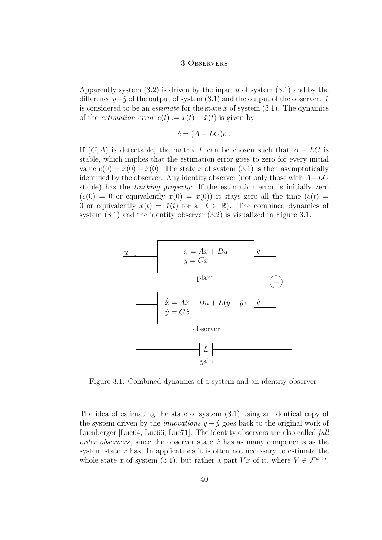Apparently system  $(3.2)$  is driven by the input u of system  $(3.1)$  and by the difference  $y-\hat{y}$  of the output of system (3.1) and the output of the observer.  $\hat{x}$ is considered to be an *estimate* for the state  $x$  of system  $(3.1)$ . The dynamics of the *estimation error*  $e(t) := x(t) - \hat{x}(t)$  is given by

$$
\dot{e} = (A - LC)e \; .
$$

If  $(C, A)$  is detectable, the matrix L can be chosen such that  $A - LC$  is stable, which implies that the estimation error goes to zero for every initial value  $e(0) = x(0) - \hat{x}(0)$ . The state x of system (3.1) is then asymptotically identified by the observer. Any identity observer (not only those with  $A-LC$ stable) has the tracking property: If the estimation error is initially zero  $(e(0) = 0$  or equivalently  $x(0) = \hat{x}(0)$  it stays zero all the time  $(e(t) = 0$ 0 or equivalently  $x(t) = \hat{x}(t)$  for all  $t \in \mathbb{R}$ . The combined dynamics of system  $(3.1)$  and the identity observer  $(3.2)$  is visualized in Figure 3.1.



Figure 3.1: Combined dynamics of a system and an identity observer

The idea of estimating the state of system (3.1) using an identical copy of the system driven by the *innovations*  $y - \hat{y}$  goes back to the original work of Luenberger [Lue64, Lue66, Lue71]. The identity observers are also called full order observers, since the observer state  $\hat{x}$  has as many components as the system state  $x$  has. In applications it is often not necessary to estimate the whole state x of system (3.1), but rather a part  $Vx$  of it, where  $V \in \mathcal{F}^{k \times n}$ .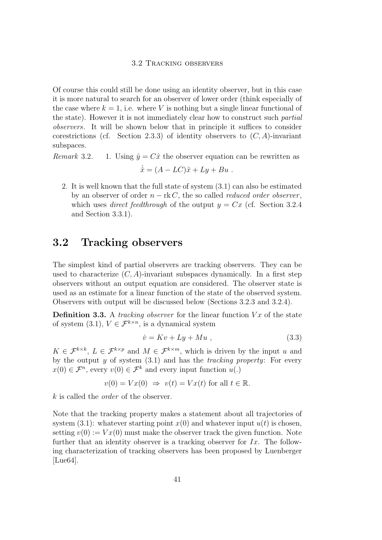Of course this could still be done using an identity observer, but in this case it is more natural to search for an observer of lower order (think especially of the case where  $k = 1$ , i.e. where V is nothing but a single linear functional of the state). However it is not immediately clear how to construct such partial observers. It will be shown below that in principle it suffices to consider corestrictions (cf. Section 2.3.3) of identity observers to  $(C, A)$ -invariant subspaces.

Remark 3.2. 1. Using  $\hat{y} = C\hat{x}$  the observer equation can be rewritten as

$$
\dot{\hat{x}} = (A - LC)\hat{x} + Ly + Bu.
$$

2. It is well known that the full state of system (3.1) can also be estimated by an observer of order  $n - \text{rk } C$ , the so called *reduced order observer*, which uses *direct feedthrough* of the output  $y = Cx$  (cf. Section 3.2.4) and Section 3.3.1).

# 3.2 Tracking observers

The simplest kind of partial observers are tracking observers. They can be used to characterize  $(C, A)$ -invariant subspaces dynamically. In a first step observers without an output equation are considered. The observer state is used as an estimate for a linear function of the state of the observed system. Observers with output will be discussed below (Sections 3.2.3 and 3.2.4).

**Definition 3.3.** A *tracking observer* for the linear function  $V_x$  of the state of system  $(3.1)$ ,  $V \in \mathcal{F}^{k \times n}$ , is a dynamical system

$$
\dot{v} = Kv + Ly + Mu , \qquad (3.3)
$$

 $K \in \mathcal{F}^{k \times k}$ ,  $L \in \mathcal{F}^{k \times p}$  and  $M \in \mathcal{F}^{k \times m}$ , which is driven by the input u and by the output  $y$  of system  $(3.1)$  and has the *tracking property*: For every  $x(0) \in \mathcal{F}^n$ , every  $v(0) \in \mathcal{F}^k$  and every input function  $u(.)$ 

$$
v(0) = Vx(0) \Rightarrow v(t) = Vx(t) \text{ for all } t \in \mathbb{R}.
$$

k is called the order of the observer.

Note that the tracking property makes a statement about all trajectories of system (3.1): whatever starting point  $x(0)$  and whatever input  $u(t)$  is chosen, setting  $v(0) := Vx(0)$  must make the observer track the given function. Note further that an identity observer is a tracking observer for  $Ix$ . The following characterization of tracking observers has been proposed by Luenberger [Lue64].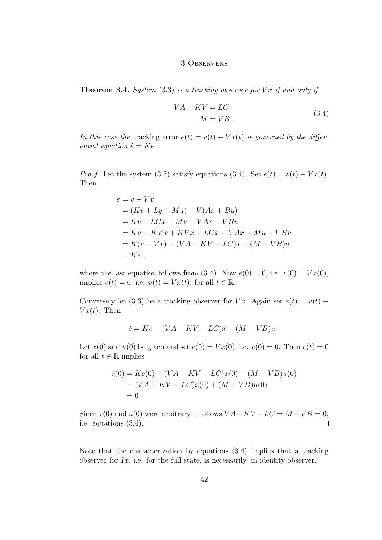**Theorem 3.4.** System  $(3.3)$  is a tracking observer for  $Vx$  if and only if

$$
VA - KV = LC
$$
  

$$
M = VB
$$
 (3.4)

In this case the tracking error  $e(t) = v(t) - Vx(t)$  is governed by the differential equation  $\dot{e} = Ke$ .

*Proof.* Let the system (3.3) satisfy equations (3.4). Set  $e(t) = v(t) - Vx(t)$ . Then

$$
\begin{aligned}\n\dot{e} &= \dot{v} - V\dot{x} \\
&= (Kv + Ly + Mu) - V(Ax + Bu) \\
&= Kv + LCx + Mu - VAx - VBu \\
&= Kv - KVx + KVx + LCx - VAx + Mu - VBu \\
&= K(v - Vx) - (VA - KV - LC)x + (M - VB)u \\
&= Ke ,\n\end{aligned}
$$

where the last equation follows from (3.4). Now  $e(0) = 0$ , i.e.  $v(0) = Vx(0)$ , implies  $e(t) = 0$ , i.e.  $v(t) = Vx(t)$ , for all  $t \in \mathbb{R}$ .

Conversely let (3.3) be a tracking observer for Vx. Again set  $e(t) = v(t)$  –  $Vx(t)$ . Then

$$
\dot{e} = Ke - (VA - KV - LC)x + (M - VB)u.
$$

Let  $x(0)$  and  $u(0)$  be given and set  $v(0) = Vx(0)$ , i.e.  $e(0) = 0$ . Then  $e(t) = 0$ for all  $t \in \mathbb{R}$  implies

$$
\dot{e}(0) = Ke(0) - (VA - KV - LC)x(0) + (M - VB)u(0)
$$
  
= (VA - KV - LC)x(0) + (M - VB)u(0)  
= 0.

Since  $x(0)$  and  $u(0)$  were arbitrary it follows  $VA - KV - LC = M - VB = 0$ , i.e. equations (3.4).  $\Box$ 

Note that the characterization by equations (3.4) implies that a tracking observer for  $Ix$ , i.e. for the full state, is necessarily an identity observer.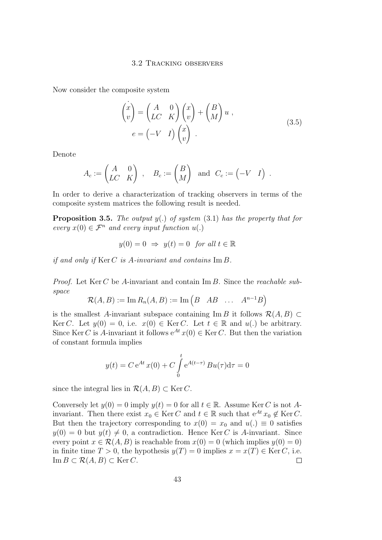Now consider the composite system

$$
\begin{pmatrix} x \ v \end{pmatrix} = \begin{pmatrix} A & 0 \ LC & K \end{pmatrix} \begin{pmatrix} x \ v \end{pmatrix} + \begin{pmatrix} B \ M \end{pmatrix} u ,
$$
  
\n
$$
e = \begin{pmatrix} -V & I \end{pmatrix} \begin{pmatrix} x \ v \end{pmatrix} .
$$
\n(3.5)

Denote

$$
A_c := \begin{pmatrix} A & 0 \\ LC & K \end{pmatrix} , B_c := \begin{pmatrix} B \\ M \end{pmatrix} \text{ and } C_c := \begin{pmatrix} -V & I \end{pmatrix} .
$$

In order to derive a characterization of tracking observers in terms of the composite system matrices the following result is needed.

**Proposition 3.5.** The output  $y(.)$  of system  $(3.1)$  has the property that for every  $x(0) \in \mathcal{F}^n$  and every input function  $u(.)$ 

$$
y(0) = 0 \Rightarrow y(t) = 0 \text{ for all } t \in \mathbb{R}
$$

if and only if  $Ker C$  is A-invariant and contains  $Im B$ .

*Proof.* Let  $\text{Ker } C$  be A-invariant and contain Im B. Since the reachable subspace

$$
\mathcal{R}(A, B) := \operatorname{Im} R_n(A, B) := \operatorname{Im} \left( B \quad AB \quad \dots \quad A^{n-1}B \right)
$$

is the smallest A-invariant subspace containing Im B it follows  $\mathcal{R}(A, B) \subset$ Ker C. Let  $y(0) = 0$ , i.e.  $x(0) \in \text{Ker } C$ . Let  $t \in \mathbb{R}$  and  $u(.)$  be arbitrary. Since Ker C is A-invariant it follows  $e^{At} x(0) \in \text{Ker } C$ . But then the variation of constant formula implies

$$
y(t) = C e^{At} x(0) + C \int_{0}^{t} e^{A(t-\tau)} B u(\tau) d\tau = 0
$$

since the integral lies in  $\mathcal{R}(A, B) \subset \text{Ker } C$ .

Conversely let  $y(0) = 0$  imply  $y(t) = 0$  for all  $t \in \mathbb{R}$ . Assume Ker C is not Ainvariant. Then there exist  $x_0 \in \text{Ker } C$  and  $t \in \mathbb{R}$  such that  $e^{At} x_0 \notin \text{Ker } C$ . But then the trajectory corresponding to  $x(0) = x_0$  and  $u(.) \equiv 0$  satisfies  $y(0) = 0$  but  $y(t) \neq 0$ , a contradiction. Hence Ker C is A-invariant. Since every point  $x \in \mathcal{R}(A, B)$  is reachable from  $x(0) = 0$  (which implies  $y(0) = 0$ ) in finite time  $T > 0$ , the hypothesis  $y(T) = 0$  implies  $x = x(T) \in \text{Ker } C$ , i.e.  $\text{Im } B \subset \mathcal{R}(A, B) \subset \text{Ker } C.$  $\Box$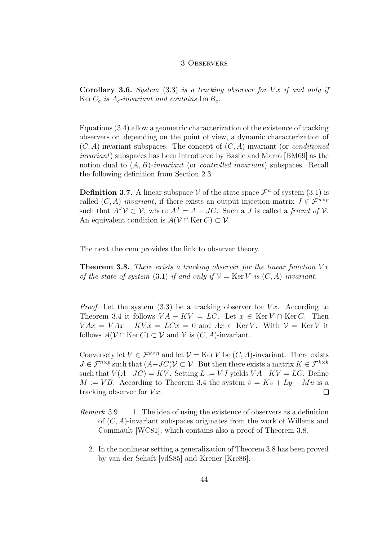**Corollary 3.6.** System  $(3.3)$  is a tracking observer for  $Vx$  if and only if Ker  $C_c$  is  $A_c$ -invariant and contains Im  $B_c$ .

Equations (3.4) allow a geometric characterization of the existence of tracking observers or, depending on the point of view, a dynamic characterization of  $(C, A)$ -invariant subspaces. The concept of  $(C, A)$ -invariant (or *conditioned* invariant) subspaces has been introduced by Basile and Marro [BM69] as the notion dual to  $(A, B)$ -invariant (or *controlled invariant*) subspaces. Recall the following definition from Section 2.3.

**Definition 3.7.** A linear subspace  $V$  of the state space  $\mathcal{F}^n$  of system (3.1) is called  $(C, A)$ -invariant, if there exists an output injection matrix  $J \in \mathcal{F}^{n \times p}$ such that  $A^{J}\mathcal{V} \subset \mathcal{V}$ , where  $A^{J} = A - JC$ . Such a *J* is called a *friend of*  $\mathcal{V}$ . An equivalent condition is  $A(V \cap \text{Ker } C) \subset V$ .

The next theorem provides the link to observer theory.

**Theorem 3.8.** There exists a tracking observer for the linear function  $Vx$ of the state of system (3.1) if and only if  $V = \text{Ker } V$  is  $(C, A)$ -invariant.

*Proof.* Let the system  $(3.3)$  be a tracking observer for  $Vx$ . According to Theorem 3.4 it follows  $VA - KV = LC$ . Let  $x \in \text{Ker } V \cap \text{Ker } C$ . Then  $V Ax = V Ax - KVx = LCx = 0$  and  $Ax \in \text{Ker }V$ . With  $V = \text{Ker }V$  it follows  $A(V \cap \text{Ker } C) \subset V$  and V is  $(C, A)$ -invariant.

Conversely let  $V \in \mathcal{F}^{k \times n}$  and let  $\mathcal{V} = \text{Ker } V$  be  $(C, A)$ -invariant. There exists  $J \in \mathcal{F}^{n \times p}$  such that  $(A-JC)\mathcal{V} \subset \mathcal{V}$ . But then there exists a matrix  $K \in \mathcal{F}^{k \times k}$ such that  $V(A-JC) = KV$ . Setting  $L := VJ$  yields  $VA - KV = LC$ . Define  $M := VB$ . According to Theorem 3.4 the system  $\dot{v} = Kv + Ly + Mu$  is a tracking observer for  $Vx$ .  $\Box$ 

- *Remark* 3.9. 1. The idea of using the existence of observers as a definition of  $(C, A)$ -invariant subspaces originates from the work of Willems and Commault [WC81], which contains also a proof of Theorem 3.8.
	- 2. In the nonlinear setting a generalization of Theorem 3.8 has been proved by van der Schaft [vdS85] and Krener [Kre86].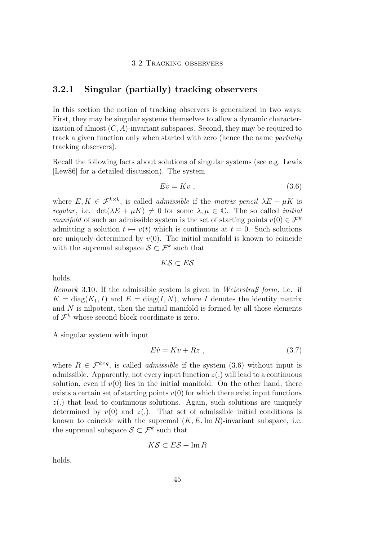# 3.2.1 Singular (partially) tracking observers

In this section the notion of tracking observers is generalized in two ways. First, they may be singular systems themselves to allow a dynamic characterization of almost  $(C, A)$ -invariant subspaces. Second, they may be required to track a given function only when started with zero (hence the name partially tracking observers).

Recall the following facts about solutions of singular systems (see e.g. Lewis [Lew86] for a detailed discussion). The system

$$
E\dot{v} = Kv , \t\t(3.6)
$$

where  $E, K \in \mathcal{F}^{k \times k}$ , is called *admissible* if the *matrix pencil*  $\lambda E + \mu K$  is regular, i.e.  $\det(\lambda E + \mu K) \neq 0$  for some  $\lambda, \mu \in \mathbb{C}$ . The so called *initial* manifold of such an admissible system is the set of starting points  $v(0) \in \mathcal{F}^k$ admitting a solution  $t \mapsto v(t)$  which is continuous at  $t = 0$ . Such solutions are uniquely determined by  $v(0)$ . The initial manifold is known to coincide with the supremal subspace  $S \subset \mathcal{F}^k$  such that

$$
K\mathcal{S}\subset E\mathcal{S}
$$

holds.

Remark 3.10. If the admissible system is given in Weierstraß form, i.e. if  $K = diag(K_1, I)$  and  $E = diag(I, N)$ , where I denotes the identity matrix and  $N$  is nilpotent, then the initial manifold is formed by all those elements of  $\mathcal{F}^k$  whose second block coordinate is zero.

A singular system with input

$$
E\dot{v} = Kv + Rz \t{3.7}
$$

where  $R \in \mathcal{F}^{k \times q}$ , is called *admissible* if the system (3.6) without input is admissible. Apparently, not every input function  $z(.)$  will lead to a continuous solution, even if  $v(0)$  lies in the initial manifold. On the other hand, there exists a certain set of starting points  $v(0)$  for which there exist input functions  $z(.)$  that lead to continuous solutions. Again, such solutions are uniquely determined by  $v(0)$  and  $z(.)$ . That set of admissible initial conditions is known to coincide with the supremal  $(K, E, \text{Im } R)$ -invariant subspace, i.e. the supremal subspace  $\mathcal{S} \subset \mathcal{F}^k$  such that

$$
K\mathcal{S} \subset E\mathcal{S} + \operatorname{Im} R
$$

holds.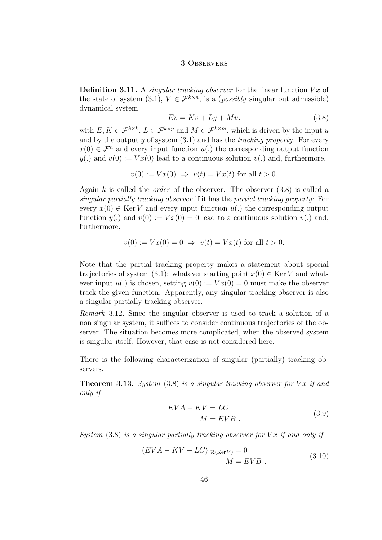**Definition 3.11.** A *singular tracking observer* for the linear function  $Vx$  of the state of system (3.1),  $V \in \mathcal{F}^{k \times n}$ , is a (*possibly* singular but admissible) dynamical system

$$
E\dot{v} = Kv + Ly + Mu,
$$
\n(3.8)

with  $E, K \in \mathcal{F}^{k \times k}$ ,  $L \in \mathcal{F}^{k \times p}$  and  $M \in \mathcal{F}^{k \times m}$ , which is driven by the input u and by the output y of system  $(3.1)$  and has the *tracking property*: For every  $x(0) \in \mathcal{F}^n$  and every input function  $u(.)$  the corresponding output function  $y(.)$  and  $y(0) := Vx(0)$  lead to a continuous solution  $v(.)$  and, furthermore,

$$
v(0) := Vx(0) \implies v(t) = Vx(t) \text{ for all } t > 0.
$$

Again k is called the *order* of the observer. The observer  $(3.8)$  is called a singular partially tracking observer if it has the partial tracking property: For every  $x(0) \in \text{Ker } V$  and every input function  $u(.)$  the corresponding output function  $y(.)$  and  $v(0) := Vx(0) = 0$  lead to a continuous solution  $v(.)$  and, furthermore,

$$
v(0) := Vx(0) = 0 \implies v(t) = Vx(t) \text{ for all } t > 0.
$$

Note that the partial tracking property makes a statement about special trajectories of system (3.1): whatever starting point  $x(0) \in \text{Ker } V$  and whatever input  $u(.)$  is chosen, setting  $v(0) := Vx(0) = 0$  must make the observer track the given function. Apparently, any singular tracking observer is also a singular partially tracking observer.

Remark 3.12. Since the singular observer is used to track a solution of a non singular system, it suffices to consider continuous trajectories of the observer. The situation becomes more complicated, when the observed system is singular itself. However, that case is not considered here.

There is the following characterization of singular (partially) tracking observers.

**Theorem 3.13.** System  $(3.8)$  is a singular tracking observer for Vx if and only if

$$
EVA - KV = LC
$$
  

$$
M = EVB .
$$
 (3.9)

System  $(3.8)$  is a singular partially tracking observer for  $Vx$  if and only if

$$
(EVA - KV - LC)|_{\mathcal{R}(Ker V)} = 0
$$
  

$$
M = EVB .
$$
 (3.10)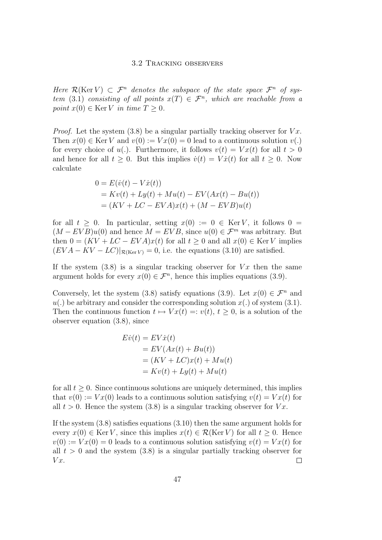Here  $\mathcal{R}(\text{Ker }V) \subset \mathcal{F}^n$  denotes the subspace of the state space  $\mathcal{F}^n$  of system (3.1) consisting of all points  $x(T) \in \mathcal{F}^n$ , which are reachable from a point  $x(0) \in \text{Ker } V$  in time  $T \geq 0$ .

*Proof.* Let the system  $(3.8)$  be a singular partially tracking observer for  $V_x$ . Then  $x(0) \in \text{Ker } V$  and  $v(0) := Vx(0) = 0$  lead to a continuous solution  $v(.)$ for every choice of  $u(.)$ . Furthermore, it follows  $v(t) = Vx(t)$  for all  $t > 0$ and hence for all  $t \geq 0$ . But this implies  $\dot{v}(t) = V \dot{x}(t)$  for all  $t \geq 0$ . Now calculate

$$
0 = E(\dot{v}(t) - V\dot{x}(t))
$$
  
=  $Kv(t) + Ly(t) + Mu(t) - EV(Ax(t) - Bu(t))$   
=  $(KV + LC - EVA)x(t) + (M - EVB)u(t)$ 

for all  $t > 0$ . In particular, setting  $x(0) := 0 \in \text{Ker } V$ , it follows  $0 =$  $(M - EVB)u(0)$  and hence  $M = EVB$ , since  $u(0) \in \mathcal{F}^m$  was arbitrary. But then  $0 = (KV + LC - EVA)x(t)$  for all  $t \ge 0$  and all  $x(0) \in \text{Ker } V$  implies  $(EVA - KV - LC)|_{\mathcal{R}(Ker V)} = 0$ , i.e. the equations (3.10) are satisfied.

If the system  $(3.8)$  is a singular tracking observer for  $Vx$  then the same argument holds for every  $x(0) \in \mathcal{F}^n$ , hence this implies equations (3.9).

Conversely, let the system (3.8) satisfy equations (3.9). Let  $x(0) \in \mathcal{F}^n$  and  $u(.)$  be arbitrary and consider the corresponding solution  $x(.)$  of system  $(3.1).$ Then the continuous function  $t \mapsto Vx(t) =: v(t), t \geq 0$ , is a solution of the observer equation (3.8), since

$$
E\dot{v}(t) = EV\dot{x}(t)
$$
  
= 
$$
EV(Ax(t) + Bu(t))
$$
  
= 
$$
(KV + LC)x(t) + Mu(t)
$$
  
= 
$$
Kv(t) + Ly(t) + Mu(t)
$$

for all  $t > 0$ . Since continuous solutions are uniquely determined, this implies that  $v(0) := Vx(0)$  leads to a continuous solution satisfying  $v(t) = Vx(t)$  for all  $t > 0$ . Hence the system (3.8) is a singular tracking observer for  $Vx$ .

If the system (3.8) satisfies equations (3.10) then the same argument holds for every  $x(0) \in \text{Ker } V$ , since this implies  $x(t) \in \mathcal{R}(\text{Ker } V)$  for all  $t \geq 0$ . Hence  $v(0) := Vx(0) = 0$  leads to a continuous solution satisfying  $v(t) = Vx(t)$  for all  $t > 0$  and the system (3.8) is a singular partially tracking observer for  $Vx$ .  $\Box$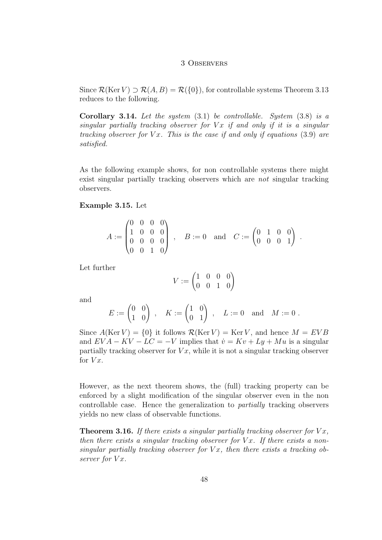Since  $\mathcal{R}(\text{Ker }V) \supset \mathcal{R}(A, B) = \mathcal{R}(\{0\})$ , for controllable systems Theorem 3.13 reduces to the following.

Corollary 3.14. Let the system  $(3.1)$  be controllable. System  $(3.8)$  is a singular partially tracking observer for  $Vx$  if and only if it is a singular tracking observer for  $Vx$ . This is the case if and only if equations (3.9) are satisfied.

As the following example shows, for non controllable systems there might exist singular partially tracking observers which are not singular tracking observers.

### Example 3.15. Let

$$
A := \begin{pmatrix} 0 & 0 & 0 & 0 \\ 1 & 0 & 0 & 0 \\ 0 & 0 & 0 & 0 \\ 0 & 0 & 1 & 0 \end{pmatrix} , \quad B := 0 \text{ and } C := \begin{pmatrix} 0 & 1 & 0 & 0 \\ 0 & 0 & 0 & 1 \end{pmatrix} .
$$

Let further

$$
V := \begin{pmatrix} 1 & 0 & 0 & 0 \\ 0 & 0 & 1 & 0 \end{pmatrix}
$$

and

$$
E := \begin{pmatrix} 0 & 0 \\ 1 & 0 \end{pmatrix} , \quad K := \begin{pmatrix} 1 & 0 \\ 0 & 1 \end{pmatrix} , \quad L := 0 \text{ and } M := 0 .
$$

Since  $A(\text{Ker }V) = \{0\}$  it follows  $\mathcal{R}(\text{Ker }V) = \text{Ker }V$ , and hence  $M = EVB$ and  $EVA - KV - LC = -V$  implies that  $\dot{v} = Kv + Ly + Mu$  is a singular partially tracking observer for  $V_x$ , while it is not a singular tracking observer for  $Vx$ .

However, as the next theorem shows, the (full) tracking property can be enforced by a slight modification of the singular observer even in the non controllable case. Hence the generalization to partially tracking observers yields no new class of observable functions.

**Theorem 3.16.** If there exists a singular partially tracking observer for  $Vx$ , then there exists a singular tracking observer for  $Vx$ . If there exists a nonsingular partially tracking observer for  $Vx$ , then there exists a tracking observer for  $Vx$ .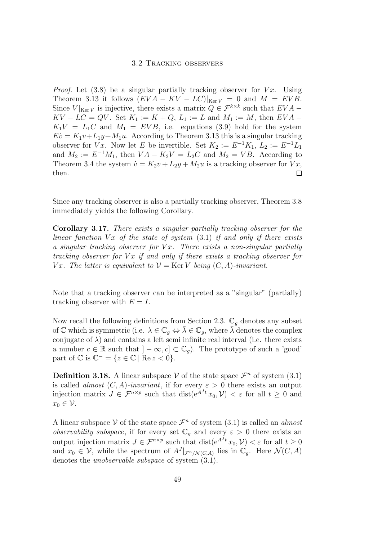*Proof.* Let  $(3.8)$  be a singular partially tracking observer for  $Vx$ . Using Theorem 3.13 it follows  $(EVA - KV - LC)|_{Ker V} = 0$  and  $M = EVB$ . Since  $V|_{\text{Ker }V}$  is injective, there exists a matrix  $Q \in \mathcal{F}^{k \times k}$  such that  $EVA$  –  $KV - LC = QV$ . Set  $K_1 := K + Q$ ,  $L_1 := L$  and  $M_1 := M$ , then  $EVA K_1V = L_1C$  and  $M_1 = EVB$ , i.e. equations (3.9) hold for the system  $E\dot{v} = K_1v + L_1y + M_1u$ . According to Theorem 3.13 this is a singular tracking observer for *Vx*. Now let *E* be invertible. Set  $K_2 := E^{-1}K_1$ ,  $L_2 := E^{-1}L_1$ and  $M_2 := E^{-1}M_1$ , then  $VA - K_2V = L_2C$  and  $M_2 = VB$ . According to Theorem 3.4 the system  $\dot{v} = K_2v + L_2y + M_2u$  is a tracking observer for  $Vx$ , then.  $\Box$ 

Since any tracking observer is also a partially tracking observer, Theorem 3.8 immediately yields the following Corollary.

Corollary 3.17. There exists a singular partially tracking observer for the linear function  $Vx$  of the state of system  $(3.1)$  if and only if there exists a singular tracking observer for  $Vx$ . There exists a non-singular partially tracking observer for  $Vx$  if and only if there exists a tracking observer for Vx. The latter is equivalent to  $V = \text{Ker }V$  being  $(C, A)$ -invariant.

Note that a tracking observer can be interpreted as a "singular" (partially) tracking observer with  $E = I$ .

Now recall the following definitions from Section 2.3.  $\mathbb{C}_q$  denotes any subset of C which is symmetric (i.e.  $\lambda \in \mathbb{C}_g \Leftrightarrow \bar{\lambda} \in \mathbb{C}_g$ , where  $\bar{\lambda}$  denotes the complex conjugate of  $\lambda$ ) and contains a left semi infinite real interval (i.e. there exists a number  $c \in \mathbb{R}$  such that  $]-\infty, c] \subset \mathbb{C}_q$ . The prototype of such a 'good' part of  $\mathbb{C}$  is  $\mathbb{C}^- = \{z \in \mathbb{C} \mid \text{Re } z < 0\}.$ 

**Definition 3.18.** A linear subspace V of the state space  $\mathcal{F}^n$  of system (3.1) is called *almost*  $(C, A)$ -*invariant*, if for every  $\varepsilon > 0$  there exists an output injection matrix  $J \in \mathcal{F}^{n \times p}$  such that  $dist(e^{A^J t} x_0, \mathcal{V}) < \varepsilon$  for all  $t \geq 0$  and  $x_0 \in \mathcal{V}$ .

A linear subspace V of the state space  $\mathcal{F}^n$  of system  $(3.1)$  is called an *almost* observability subspace, if for every set  $\mathbb{C}_q$  and every  $\varepsilon > 0$  there exists an output injection matrix  $J \in \mathcal{F}^{n \times p}$  such that  $dist(e^{A^J t} x_0, \mathcal{V}) < \varepsilon$  for all  $t \geq 0$ and  $x_0 \in V$ , while the spectrum of  $A^J|_{\mathcal{F}^n/\mathcal{N}(C,A)}$  lies in  $\mathbb{C}_g$ . Here  $\mathcal{N}(C,A)$ denotes the unobservable subspace of system (3.1).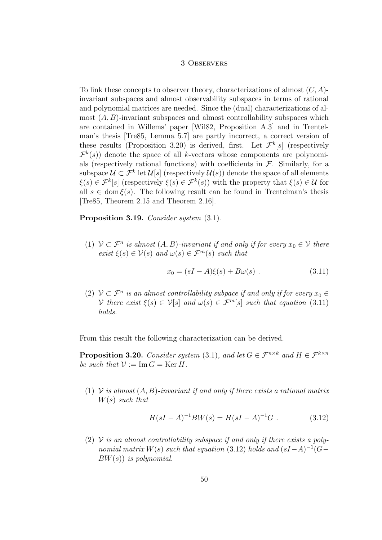To link these concepts to observer theory, characterizations of almost  $(C, A)$ invariant subspaces and almost observability subspaces in terms of rational and polynomial matrices are needed. Since the (dual) characterizations of almost  $(A, B)$ -invariant subspaces and almost controllability subspaces which are contained in Willems' paper [Wil82, Proposition A.3] and in Trentelman's thesis [Tre85, Lemma 5.7] are partly incorrect, a correct version of these results (Proposition 3.20) is derived, first. Let  $\mathcal{F}^k[s]$  (respectively  $\mathcal{F}^k(s)$  denote the space of all k-vectors whose components are polynomials (respectively rational functions) with coefficients in  $\mathcal{F}$ . Similarly, for a subspace  $\mathcal{U} \subset \mathcal{F}^k$  let  $\mathcal{U}[s]$  (respectively  $\mathcal{U}(s)$ ) denote the space of all elements  $\xi(s) \in \mathcal{F}^k[s]$  (respectively  $\xi(s) \in \mathcal{F}^k(s)$ ) with the property that  $\xi(s) \in \mathcal{U}$  for all  $s \in \text{dom} \xi(s)$ . The following result can be found in Trentelman's thesis [Tre85, Theorem 2.15 and Theorem 2.16].

Proposition 3.19. Consider system  $(3.1)$ .

(1)  $V \subset \mathcal{F}^n$  is almost  $(A, B)$ -invariant if and only if for every  $x_0 \in V$  there exist  $\xi(s) \in \mathcal{V}(s)$  and  $\omega(s) \in \mathcal{F}^m(s)$  such that

$$
x_0 = (sI - A)\xi(s) + B\omega(s) .
$$
 (3.11)

(2)  $\mathcal{V} \subset \mathcal{F}^n$  is an almost controllability subpace if and only if for every  $x_0 \in$ V there exist  $\xi(s) \in V[s]$  and  $\omega(s) \in \mathcal{F}^m[s]$  such that equation (3.11) holds.

From this result the following characterization can be derived.

**Proposition 3.20.** Consider system (3.1), and let  $G \in \mathcal{F}^{n \times k}$  and  $H \in \mathcal{F}^{k \times n}$ be such that  $\mathcal{V} := \text{Im } G = \text{Ker } H$ .

(1) V is almost  $(A, B)$ -invariant if and only if there exists a rational matrix  $W(s)$  such that

$$
H(sI - A)^{-1}BW(s) = H(sI - A)^{-1}G . \qquad (3.12)
$$

(2)  $V$  is an almost controllability subspace if and only if there exists a polynomial matrix  $W(s)$  such that equation (3.12) holds and  $(sI-A)^{-1}(G BW(s)$  is polynomial.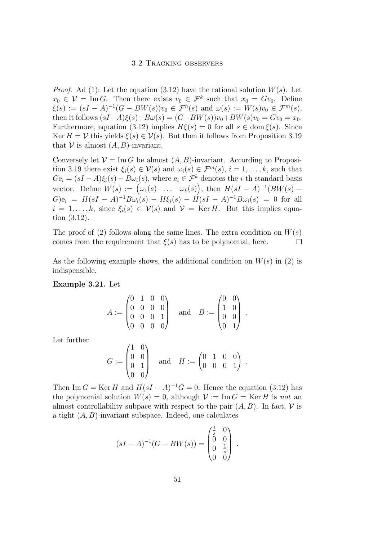*Proof.* Ad (1): Let the equation (3.12) have the rational solution  $W(s)$ . Let  $x_0 \in \mathcal{V} = \text{Im } G$ . Then there exists  $v_0 \in \mathcal{F}^k$  such that  $x_0 = Gv_0$ . Define  $\xi(s) := (sI - A)^{-1}(G - BW(s))v_0 \in \mathcal{F}^n(s)$  and  $\omega(s) := W(s)v_0 \in \mathcal{F}^m(s)$ , then it follows  $(sI-A)\xi(s)+B\omega(s) = (G-BW(s))v_0+BW(s)v_0 = Gv_0 = x_0$ . Furthermore, equation (3.12) implies  $H\xi(s) = 0$  for all  $s \in \text{dom } \xi(s)$ . Since Ker  $H = V$  this yields  $\xi(s) \in V(s)$ . But then it follows from Proposition 3.19 that  $V$  is almost  $(A, B)$ -invariant.

Conversely let  $\mathcal{V} = \text{Im } G$  be almost  $(A, B)$ -invariant. According to Proposition 3.19 there exist  $\xi_i(s) \in \mathcal{V}(s)$  and  $\omega_i(s) \in \mathcal{F}^m(s)$ ,  $i = 1, \ldots, k$ , such that  $Ge_i = (sI - A)\xi_i(s) - B\omega_i(s)$ , where  $e_i \in \mathcal{F}^k$  denotes the *i*-th standard basis vector. Define  $W(s) := (\omega_1(s) \dots \omega_k(s)),$  then  $H(sI - A)^{-1}(BW(s) G$ ) $e_i = H(sI - A)^{-1}B\omega_i(s) - H\xi_i(s) - H(sI - A)^{-1}B\omega_i(s) = 0$  for all  $i = 1, \ldots, k$ , since  $\xi_i(s) \in V(s)$  and  $V = \text{Ker } H$ . But this implies equation (3.12).

The proof of (2) follows along the same lines. The extra condition on  $W(s)$ comes from the requirement that  $\xi(s)$  has to be polynomial, here.  $\Box$ 

As the following example shows, the additional condition on  $W(s)$  in (2) is indispensible.

### Example 3.21. Let

$$
A := \begin{pmatrix} 0 & 1 & 0 & 0 \\ 0 & 0 & 0 & 0 \\ 0 & 0 & 0 & 1 \\ 0 & 0 & 0 & 0 \end{pmatrix} \quad \text{and} \quad B := \begin{pmatrix} 0 & 0 \\ 1 & 0 \\ 0 & 0 \\ 0 & 1 \end{pmatrix}.
$$

Let further

$$
G := \begin{pmatrix} 1 & 0 \\ 0 & 0 \\ 0 & 1 \\ 0 & 0 \end{pmatrix} \quad \text{and} \quad H := \begin{pmatrix} 0 & 1 & 0 & 0 \\ 0 & 0 & 0 & 1 \end{pmatrix} \; .
$$

Then Im  $G = \text{Ker } H$  and  $H(sI - A)^{-1}G = 0$ . Hence the equation (3.12) has the polynomial solution  $W(s) = 0$ , although  $\mathcal{V} := \text{Im } G = \text{Ker } H$  is not an almost controllability subpace with respect to the pair  $(A, B)$ . In fact,  $V$  is a tight  $(A, B)$ -invariant subspace. Indeed, one calculates

$$
(sI - A)^{-1}(G - BW(s)) = \begin{pmatrix} \frac{1}{s} & 0 \\ 0 & 0 \\ 0 & \frac{1}{s} \\ 0 & 0 \end{pmatrix} .
$$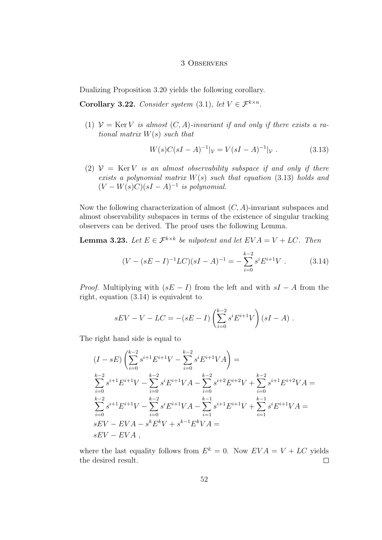Dualizing Proposition 3.20 yields the following corollary.

Corollary 3.22. Consider system (3.1), let  $V \in \mathcal{F}^{k \times n}$ .

(1)  $\mathcal{V} = \text{Ker } V$  is almost  $(C, A)$ -invariant if and only if there exists a rational matrix  $W(s)$  such that

$$
W(s)C(sI - A)^{-1}|_{\mathcal{V}} = V(sI - A)^{-1}|_{\mathcal{V}}.
$$
 (3.13)

(2)  $\mathcal{V} = \text{Ker } V$  is an almost observability subspace if and only if there exists a polynomial matrix  $W(s)$  such that equation (3.13) holds and  $(V - W(s)C)(sI - A)^{-1}$  is polynomial.

Now the following characterization of almost  $(C, A)$ -invariant subspaces and almost observability subspaces in terms of the existence of singular tracking observers can be derived. The proof uses the following Lemma.

**Lemma 3.23.** Let  $E \in \mathcal{F}^{k \times k}$  be nilpotent and let  $EVA = V + LC$ . Then

$$
(V - (sE - I)^{-1}LC)(sI - A)^{-1} = -\sum_{i=0}^{k-2} s^i E^{i+1} V .
$$
 (3.14)

*Proof.* Multiplying with  $(sE - I)$  from the left and with  $sI - A$  from the right, equation (3.14) is equivalent to

$$
sEV - V - LC = -(sE - I) \left( \sum_{i=0}^{k-2} s^i E^{i+1} V \right) (sI - A) .
$$

The right hand side is equal to

$$
(I - sE) \left( \sum_{i=0}^{k-2} s^{i+1} E^{i+1} V - \sum_{i=0}^{k-2} s^i E^{i+1} V A \right) =
$$
  
\n
$$
\sum_{i=0}^{k-2} s^{i+1} E^{i+1} V - \sum_{i=0}^{k-2} s^i E^{i+1} V A - \sum_{i=0}^{k-2} s^{i+2} E^{i+2} V + \sum_{i=0}^{k-2} s^{i+1} E^{i+2} V A =
$$
  
\n
$$
\sum_{i=0}^{k-2} s^{i+1} E^{i+1} V - \sum_{i=0}^{k-2} s^i E^{i+1} V A - \sum_{i=1}^{k-1} s^{i+1} E^{i+1} V + \sum_{i=1}^{k-1} s^i E^{i+1} V A =
$$
  
\n
$$
sEV - EVA - s^k E^k V + s^{k-1} E^k VA =
$$
  
\n
$$
sEV - EVA ,
$$

where the last equality follows from  $E^k = 0$ . Now  $EVA = V + LC$  yields the desired result.  $\Box$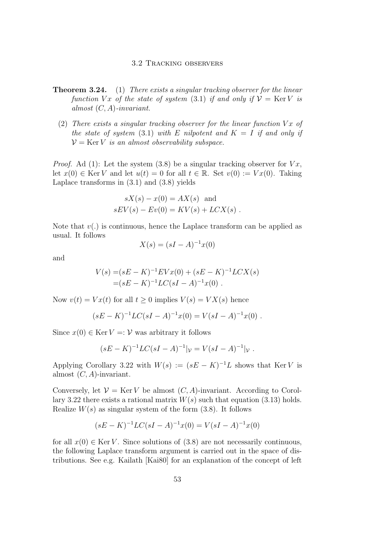- **Theorem 3.24.** (1) There exists a singular tracking observer for the linear function Vx of the state of system (3.1) if and only if  $V = \text{Ker }V$  is almost  $(C, A)$ -invariant.
	- (2) There exists a singular tracking observer for the linear function  $Vx$  of the state of system (3.1) with E nilpotent and  $K = I$  if and only if  $V = \text{Ker } V$  is an almost observability subspace.

*Proof.* Ad (1): Let the system (3.8) be a singular tracking observer for  $Vx$ , let  $x(0) \in \text{Ker } V$  and let  $u(t) = 0$  for all  $t \in \mathbb{R}$ . Set  $v(0) := Vx(0)$ . Taking Laplace transforms in (3.1) and (3.8) yields

$$
sX(s) - x(0) = AX(s) \text{ and}
$$
  

$$
sEV(s) - Ev(0) = KV(s) + LCX(s) .
$$

Note that  $v(.)$  is continuous, hence the Laplace transform can be applied as usual. It follows

$$
X(s) = (sI - A)^{-1}x(0)
$$

and

$$
V(s) = (sE - K)^{-1}EVx(0) + (sE - K)^{-1}LCX(s)
$$
  
=  $(sE - K)^{-1}LC(sI - A)^{-1}x(0)$ .

Now  $v(t) = Vx(t)$  for all  $t > 0$  implies  $V(s) = VX(s)$  hence

$$
(sE - K)^{-1}LC(sI - A)^{-1}x(0) = V(sI - A)^{-1}x(0) .
$$

Since  $x(0) \in \text{Ker } V =: V$  was arbitrary it follows

$$
(sE - K)^{-1}LC(sI - A)^{-1}|_{\mathcal{V}} = V(sI - A)^{-1}|_{\mathcal{V}}.
$$

Applying Corollary 3.22 with  $W(s) := (sE - K)^{-1}L$  shows that Ker V is almost  $(C, A)$ -invariant.

Conversely, let  $V = \text{Ker } V$  be almost  $(C, A)$ -invariant. According to Corollary 3.22 there exists a rational matrix  $W(s)$  such that equation (3.13) holds. Realize  $W(s)$  as singular system of the form  $(3.8)$ . It follows

$$
(sE - K)^{-1}LC(sI - A)^{-1}x(0) = V(sI - A)^{-1}x(0)
$$

for all  $x(0) \in \text{Ker } V$ . Since solutions of (3.8) are not necessarily continuous, the following Laplace transform argument is carried out in the space of distributions. See e.g. Kailath [Kai80] for an explanation of the concept of left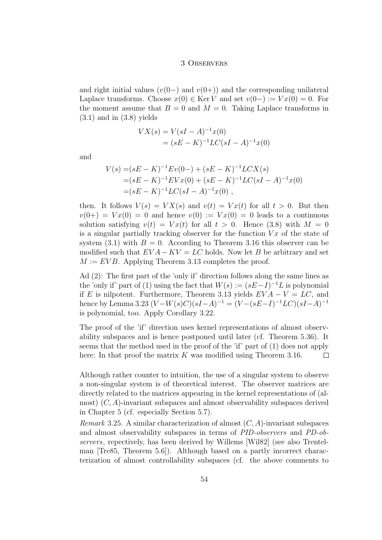and right initial values  $(v(0-)$  and  $v(0+)$  and the corresponding unilateral Laplace transforms. Choose  $x(0) \in \text{Ker } V$  and set  $v(0-) := Vx(0) = 0$ . For the moment assume that  $B = 0$  and  $M = 0$ . Taking Laplace transforms in  $(3.1)$  and in  $(3.8)$  yields

$$
V X(s) = V(sI - A)^{-1} x(0)
$$
  
=  $(sE - K)^{-1} LC(sI - A)^{-1} x(0)$ 

and

$$
V(s) = (sE - K)^{-1}Ev(0-) + (sE - K)^{-1}LCX(s)
$$
  
=  $(sE - K)^{-1}EVx(0) + (sE - K)^{-1}LC(sI - A)^{-1}x(0)$   
=  $(sE - K)^{-1}LC(sI - A)^{-1}x(0)$ ,

then. It follows  $V(s) = V X(s)$  and  $v(t) = V x(t)$  for all  $t > 0$ . But then  $v(0+) = Vx(0) = 0$  and hence  $v(0) := Vx(0) = 0$  leads to a continuous solution satisfying  $v(t) = Vx(t)$  for all  $t > 0$ . Hence (3.8) with  $M = 0$ is a singular partially tracking observer for the function  $Vx$  of the state of system (3.1) with  $B = 0$ . According to Theorem 3.16 this observer can be modified such that  $EVA - KV = LC$  holds. Now let B be arbitrary and set  $M := EVB$ . Applying Theorem 3.13 completes the proof.

Ad (2): The first part of the 'only if' direction follows along the same lines as the 'only if' part of (1) using the fact that  $W(s) := (sE-I)^{-1}L$  is polynomial if E is nilpotent. Furthermore, Theorem 3.13 yields  $EVA - V = LC$ , and hence by Lemma 3.23  $(V-W(s)C)(sI-A)^{-1} = (V-(sE-I)^{-1}LC)(sI-A)^{-1}$ is polynomial, too. Apply Corollary 3.22.

The proof of the 'if' direction uses kernel representations of almost observability subspaces and is hence postponed until later (cf. Theorem 5.36). It seems that the method used in the proof of the 'if' part of (1) does not apply here: In that proof the matrix  $K$  was modified using Theorem 3.16.  $\Box$ 

Although rather counter to intuition, the use of a singular system to observe a non-singular system is of theoretical interest. The observer matrices are directly related to the matrices appearing in the kernel representations of (almost)  $(C, A)$ -invariant subspaces and almost observability subspaces derived in Chapter 5 (cf. especially Section 5.7).

*Remark* 3.25. A similar characterization of almost  $(C, A)$ -invariant subspaces and almost observability subspaces in terms of PID-observers and PD-observers, repectively, has been derived by Willems [Wil82] (see also Trentelman [Tre85, Theorem 5.6]). Although based on a partly incorrect characterization of almost controllability subspaces (cf. the above comments to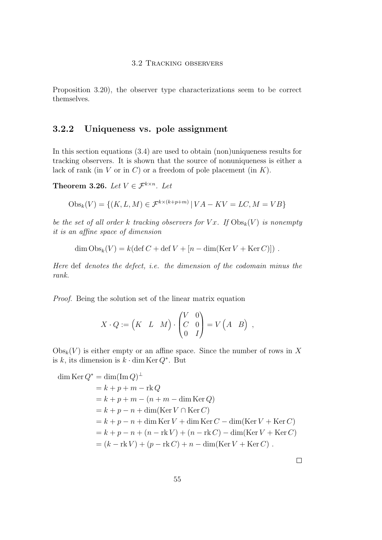Proposition 3.20), the observer type characterizations seem to be correct themselves.

# 3.2.2 Uniqueness vs. pole assignment

In this section equations (3.4) are used to obtain (non)uniqueness results for tracking observers. It is shown that the source of nonuniqueness is either a lack of rank (in  $V$  or in  $C$ ) or a freedom of pole placement (in  $K$ ).

Theorem 3.26. Let  $V \in \mathcal{F}^{k \times n}$ . Let

$$
Obs_k(V) = \{(K, L, M) \in \mathcal{F}^{k \times (k+p+m)} \mid VA - KV = LC, M = VB\}
$$

be the set of all order k tracking observers for  $Vx$ . If  $\mathrm{Obs}_k(V)$  is nonempty it is an affine space of dimension

$$
\dim \mathrm{Obs}_k(V) = k(\mathrm{def } C + \mathrm{def } V + [n - \dim(\mathrm{Ker } V + \mathrm{Ker } C)]) .
$$

Here def denotes the defect, i.e. the dimension of the codomain minus the rank.

Proof. Being the solution set of the linear matrix equation

$$
X \cdot Q := \begin{pmatrix} K & L & M \end{pmatrix} \cdot \begin{pmatrix} V & 0 \\ C & 0 \\ 0 & I \end{pmatrix} = V \begin{pmatrix} A & B \end{pmatrix} ,
$$

 $\mathrm{Obs}_k(V)$  is either empty or an affine space. Since the number of rows in X is k, its dimension is  $k \cdot \dim \text{Ker } Q^*$ . But

$$
\dim \operatorname{Ker} Q^* = \dim (\operatorname{Im} Q)^{\perp}
$$
\n
$$
= k + p + m - \operatorname{rk} Q
$$
\n
$$
= k + p + m - (n + m - \dim \operatorname{Ker} Q)
$$
\n
$$
= k + p - n + \dim (\operatorname{Ker} V \cap \operatorname{Ker} C)
$$
\n
$$
= k + p - n + \dim \operatorname{Ker} V + \dim \operatorname{Ker} C - \dim (\operatorname{Ker} V + \operatorname{Ker} C)
$$
\n
$$
= k + p - n + (n - \operatorname{rk} V) + (n - \operatorname{rk} C) - \dim (\operatorname{Ker} V + \operatorname{Ker} C)
$$
\n
$$
= (k - \operatorname{rk} V) + (p - \operatorname{rk} C) + n - \dim (\operatorname{Ker} V + \operatorname{Ker} C).
$$

 $\Box$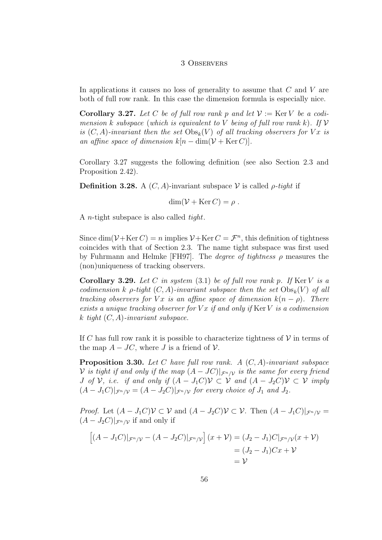In applications it causes no loss of generality to assume that  $C$  and  $V$  are both of full row rank. In this case the dimension formula is especially nice.

**Corollary 3.27.** Let C be of full row rank p and let  $V := \text{Ker } V$  be a codimension k subspace (which is equivalent to V being of full row rank k). If V is  $(C, A)$ -invariant then the set  $Obs_k(V)$  of all tracking observers for Vx is an affine space of dimension  $k[n - \dim(V + \text{Ker } C)].$ 

Corollary 3.27 suggests the following definition (see also Section 2.3 and Proposition 2.42).

**Definition 3.28.** A  $(C, A)$ -invariant subspace V is called  $\rho$ -tight if

$$
\dim(\mathcal{V} + \text{Ker } C) = \rho.
$$

A n-tight subspace is also called tight.

Since  $\dim(V + \text{Ker } C) = n$  implies  $V + \text{Ker } C = \mathcal{F}^n$ , this definition of tightness coincides with that of Section 2.3. The name tight subspace was first used by Fuhrmann and Helmke [FH97]. The *degree of tightness*  $\rho$  measures the (non)uniqueness of tracking observers.

**Corollary 3.29.** Let C in system  $(3.1)$  be of full row rank p. If Ker V is a codimension k  $\rho$ -tight  $(C, A)$ -invariant subspace then the set  $Obs_k(V)$  of all tracking observers for Vx is an affine space of dimension  $k(n - \rho)$ . There exists a unique tracking observer for  $Vx$  if and only if  $\text{Ker }V$  is a codimension k tight  $(C, A)$ -invariant subspace.

If C has full row rank it is possible to characterize tightness of  $\mathcal V$  in terms of the map  $A - JC$ , where J is a friend of  $\mathcal V$ .

**Proposition 3.30.** Let C have full row rank. A  $(C, A)$ -invariant subspace V is tight if and only if the map  $(A - JC)|_{\mathcal{F}^n/\mathcal{V}}$  is the same for every friend *J* of  $V$ , *i.e.* if and only if  $(A - J_1C)V \subset V$  and  $(A - J_2C)V \subset V$  imply  $(A - J_1C)|_{\mathcal{F}^n/\mathcal{V}} = (A - J_2C)|_{\mathcal{F}^n/\mathcal{V}}$  for every choice of  $J_1$  and  $J_2$ .

*Proof.* Let  $(A - J_1C)\mathcal{V} \subset \mathcal{V}$  and  $(A - J_2C)\mathcal{V} \subset \mathcal{V}$ . Then  $(A - J_1C)|_{\mathcal{F}^n/\mathcal{V}} =$  $(A - J_2C)|_{\mathcal{F}^n/\mathcal{V}}$  if and only if

$$
[(A-J_1C)|_{\mathcal{F}^n/\mathcal{V}} - (A-J_2C)|_{\mathcal{F}^n/\mathcal{V}}] (x+\mathcal{V}) = (J_2-J_1)C|_{\mathcal{F}^n/\mathcal{V}}(x+\mathcal{V})
$$
  
=  $(J_2-J_1)Cx+\mathcal{V}$   
=  $\mathcal{V}$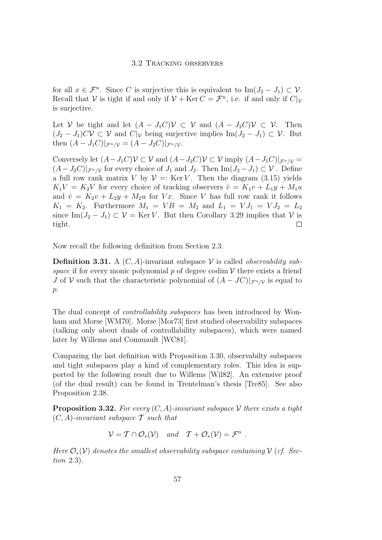for all  $x \in \mathcal{F}^n$ . Since C is surjective this is equivalent to  $\text{Im}(J_2 - J_1) \subset \mathcal{V}$ . Recall that V is tight if and only if  $V + \text{Ker } C = \mathcal{F}^n$ , i.e. if and only if  $C|_{\mathcal{V}}$ is surjective.

Let V be tight and let  $(A - J_1C)\mathcal{V} \subset \mathcal{V}$  and  $(A - J_2C)\mathcal{V} \subset \mathcal{V}$ . Then  $(J_2 - J_1)C\mathcal{V} \subset \mathcal{V}$  and  $C|_{\mathcal{V}}$  being surjective implies Im $(J_2 - J_1) \subset \mathcal{V}$ . But then  $(A - J_1C)|_{\mathcal{F}^n/\mathcal{V}} = (A - J_2C)|_{\mathcal{F}^n/\mathcal{V}}$ .

Conversely let  $(A-J_1C)\mathcal{V} \subset \mathcal{V}$  and  $(A-J_2C)\mathcal{V} \subset \mathcal{V}$  imply  $(A-J_1C)|_{\mathcal{F}^n/\mathcal{V}} =$  $(A-J_2C)|_{\mathcal{F}^n/\mathcal{V}}$  for every choice of  $J_1$  and  $J_2$ . Then Im $(J_2-J_1) \subset \mathcal{V}$ . Define a full row rank matrix V by  $\mathcal{V} =: \text{Ker } V$ . Then the diagram (3.15) yields  $K_1V = K_2V$  for every choice of tracking observers  $\dot{v} = K_1v + L_1y + M_1u$ and  $\dot{v} = K_2v + L_2y + M_2u$  for Vx. Since V has full row rank it follows  $K_1 = K_2$ . Furthermore  $M_1 = VB = M_2$  and  $L_1 = VJ_1 = VJ_2 = L_2$ since Im( $J_2 - J_1$ )  $\subset \mathcal{V} = \text{Ker }V$ . But then Corollary 3.29 implies that  $\mathcal{V}$  is tight.  $\Box$ 

Now recall the following definition from Section 2.3.

**Definition 3.31.** A  $(C, A)$ -invariant subspace V is called *observability sub*space if for every monic polynomial  $p$  of degree codim  $\mathcal V$  there exists a friend J of V such that the characteristic polynomial of  $(A - JC)|_{\mathcal{F}^n/\mathcal{V}}$  is equal to  $p$ .

The dual concept of controllability subspaces has been introduced by Wonham and Morse [WM70]. Morse [Mor73] first studied observability subspaces (talking only about duals of controllability subspaces), which were named later by Willems and Commault [WC81].

Comparing the last definition with Proposition 3.30, observabilty subspaces and tight subspaces play a kind of complementary roles. This idea is supported by the following result due to Willems [Wil82]. An extensive proof (of the dual result) can be found in Trentelman's thesis [Tre85]. See also Proposition 2.38.

**Proposition 3.32.** For every  $(C, A)$ -invariant subspace V there exists a tight  $(C, A)$ -invariant subspace  $\mathcal T$  such that

$$
\mathcal{V} = \mathcal{T} \cap \mathcal{O}_*(\mathcal{V}) \quad and \quad \mathcal{T} + \mathcal{O}_*(\mathcal{V}) = \mathcal{F}^n \ .
$$

Here  $\mathcal{O}_*(\mathcal{V})$  denotes the smallest observability subspace containing  $\mathcal{V}$  (cf. Section 2.3).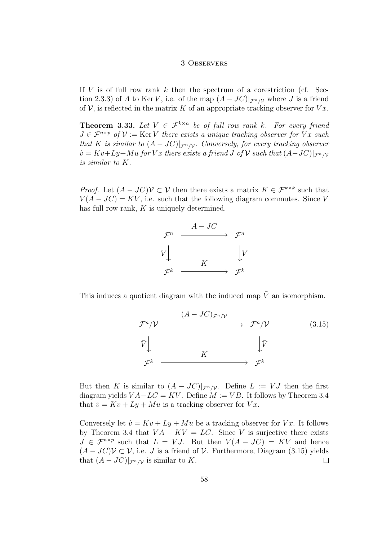If V is of full row rank k then the spectrum of a corestriction (cf. Section 2.3.3) of A to Ker V, i.e. of the map  $(A-JC)|_{\mathcal{F}^n/\mathcal{V}}$  where J is a friend of  $V$ , is reflected in the matrix K of an appropriate tracking observer for  $Vx$ .

**Theorem 3.33.** Let  $V \in \mathcal{F}^{k \times n}$  be of full row rank k. For every friend  $J \in \mathcal{F}^{n \times p}$  of  $\mathcal{V} := \text{Ker } V$  there exists a unique tracking observer for  $Vx$  such that K is similar to  $(A - JC)|_{T^n/\mathcal{V}}$ . Conversely, for every tracking observer  $\dot{v} = Kv + Ly + Mu$  for Vx there exists a friend J of V such that  $(A-JC)|_{\mathcal{F}^{n}}/v$ is similar to K.

*Proof.* Let  $(A - JC)\mathcal{V} \subset \mathcal{V}$  then there exists a matrix  $K \in \mathcal{F}^{k \times k}$  such that  $V(A-JC) = KV$ , i.e. such that the following diagram commutes. Since V has full row rank,  $K$  is uniquely determined.



This induces a quotient diagram with the induced map  $\bar{V}$  an isomorphism.



But then K is similar to  $(A - JC)|_{\mathcal{F}^n/\mathcal{V}}$ . Define  $L := VJ$  then the first diagram yields  $VA - LC = KV$ . Define  $M := VB$ . It follows by Theorem 3.4 that  $\dot{v} = Kv + Ly + Mu$  is a tracking observer for Vx.

Conversely let  $\dot{v} = Kv + Ly + Mu$  be a tracking observer for Vx. It follows by Theorem 3.4 that  $VA - KV = LC$ . Since V is surjective there exists  $J \in \mathcal{F}^{n \times p}$  such that  $L = VJ$ . But then  $V(A - JC) = KV$  and hence  $(A - JC)\mathcal{V} \subset \mathcal{V}$ , i.e. J is a friend of  $\mathcal{V}$ . Furthermore, Diagram (3.15) yields that  $(A - JC)|_{\mathcal{F}^n/\mathcal{V}}$  is similar to K.  $\Box$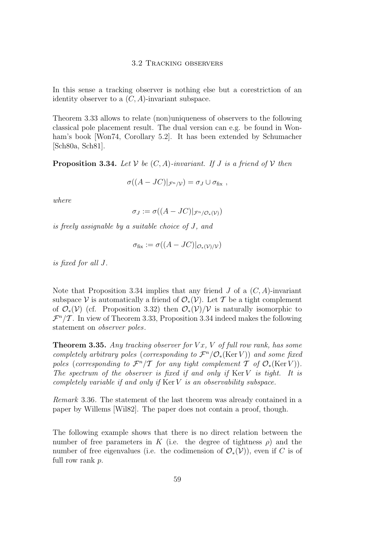In this sense a tracking observer is nothing else but a corestriction of an identity observer to a  $(C, A)$ -invariant subspace.

Theorem 3.33 allows to relate (non)uniqueness of observers to the following classical pole placement result. The dual version can e.g. be found in Wonham's book [Won74, Corollary 5.2]. It has been extended by Schumacher [Sch80a, Sch81].

**Proposition 3.34.** Let  $V$  be  $(C, A)$ -invariant. If J is a friend of  $V$  then

$$
\sigma((A-JC)|_{\mathcal{F}^n/\mathcal{V}})=\sigma_J\cup\sigma_{fix} ,
$$

where

$$
\sigma_J := \sigma((A-JC)|_{\mathcal{F}^n/\mathcal{O}_*(\mathcal{V})})
$$

is freely assignable by a suitable choice of J, and

$$
\sigma_{\text{fix}} := \sigma((A-JC)|_{\mathcal{O}_*(\mathcal{V})/\mathcal{V}})
$$

is fixed for all J.

Note that Proposition 3.34 implies that any friend  $J$  of a  $(C, A)$ -invariant subspace V is automatically a friend of  $\mathcal{O}_*(\mathcal{V})$ . Let T be a tight complement of  $\mathcal{O}_*(\mathcal{V})$  (cf. Proposition 3.32) then  $\mathcal{O}_*(\mathcal{V})/\mathcal{V}$  is naturally isomorphic to  $\mathcal{F}^n/\mathcal{T}$ . In view of Theorem 3.33, Proposition 3.34 indeed makes the following statement on observer poles.

**Theorem 3.35.** Any tracking observer for  $Vx$ , V of full row rank, has some completely arbitrary poles (corresponding to  $\mathcal{F}^n/\mathcal{O}_*(\mathrm{Ker}\,V)$ ) and some fixed poles (corresponding to  $\mathcal{F}^n/\mathcal{T}$  for any tight complement  $\mathcal{T}$  of  $\mathcal{O}_*(\mathrm{Ker}\,V)$ ). The spectrum of the observer is fixed if and only if  $\text{Ker }V$  is tight. It is completely variable if and only if  $\text{Ker }V$  is an observability subspace.

Remark 3.36. The statement of the last theorem was already contained in a paper by Willems [Wil82]. The paper does not contain a proof, though.

The following example shows that there is no direct relation between the number of free parameters in K (i.e. the degree of tightness  $\rho$ ) and the number of free eigenvalues (i.e. the codimension of  $\mathcal{O}_*(\mathcal{V})$ ), even if C is of full row rank p.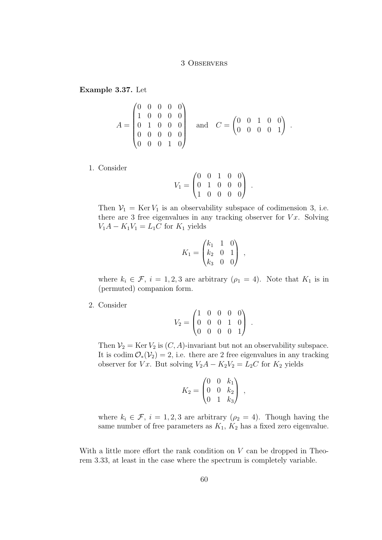Example 3.37. Let

$$
A = \begin{pmatrix} 0 & 0 & 0 & 0 & 0 \\ 1 & 0 & 0 & 0 & 0 \\ 0 & 1 & 0 & 0 & 0 \\ 0 & 0 & 0 & 0 & 0 \\ 0 & 0 & 0 & 1 & 0 \end{pmatrix} \text{ and } C = \begin{pmatrix} 0 & 0 & 1 & 0 & 0 \\ 0 & 0 & 0 & 0 & 1 \end{pmatrix}.
$$

1. Consider

$$
V_1 = \begin{pmatrix} 0 & 0 & 1 & 0 & 0 \\ 0 & 1 & 0 & 0 & 0 \\ 1 & 0 & 0 & 0 & 0 \end{pmatrix} .
$$

Then  $V_1 = \text{Ker } V_1$  is an observability subspace of codimension 3, i.e. there are 3 free eigenvalues in any tracking observer for  $Vx$ . Solving  $V_1A - K_1V_1 = L_1C$  for  $K_1$  yields

$$
K_1 = \begin{pmatrix} k_1 & 1 & 0 \\ k_2 & 0 & 1 \\ k_3 & 0 & 0 \end{pmatrix} ,
$$

where  $k_i \in \mathcal{F}$ ,  $i = 1, 2, 3$  are arbitrary  $(\rho_1 = 4)$ . Note that  $K_1$  is in (permuted) companion form.

2. Consider

$$
V_2 = \begin{pmatrix} 1 & 0 & 0 & 0 & 0 \\ 0 & 0 & 0 & 1 & 0 \\ 0 & 0 & 0 & 0 & 1 \end{pmatrix} .
$$

Then  $V_2$  = Ker  $V_2$  is  $(C, A)$ -invariant but not an observability subspace. It is codim  $\mathcal{O}_*(\mathcal{V}_2) = 2$ , i.e. there are 2 free eigenvalues in any tracking observer for Vx. But solving  $V_2A - K_2V_2 = L_2C$  for  $K_2$  yields

$$
K_2 = \begin{pmatrix} 0 & 0 & k_1 \\ 0 & 0 & k_2 \\ 0 & 1 & k_3 \end{pmatrix} ,
$$

where  $k_i \in \mathcal{F}$ ,  $i = 1, 2, 3$  are arbitrary  $(\rho_2 = 4)$ . Though having the same number of free parameters as  $K_1$ ,  $K_2$  has a fixed zero eigenvalue.

With a little more effort the rank condition on  $V$  can be dropped in Theorem 3.33, at least in the case where the spectrum is completely variable.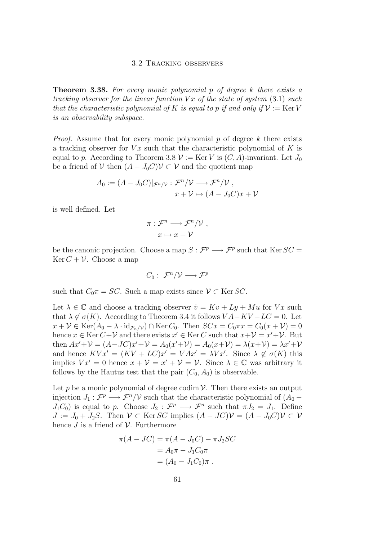**Theorem 3.38.** For every monic polynomial p of degree k there exists a tracking observer for the linear function  $Vx$  of the state of system (3.1) such that the characteristic polynomial of K is equal to p if and only if  $\mathcal{V} := \text{Ker } V$ is an observability subspace.

*Proof.* Assume that for every monic polynomial p of degree k there exists a tracking observer for  $Vx$  such that the characteristic polynomial of K is equal to p. According to Theorem 3.8  $\mathcal{V} := \text{Ker } V$  is  $(C, A)$ -invariant. Let  $J_0$ be a friend of V then  $(A - J_0 C) V \subset V$  and the quotient map

$$
A_0 := (A - J_0 C)|_{\mathcal{F}^n/\mathcal{V}} : \mathcal{F}^n/\mathcal{V} \longrightarrow \mathcal{F}^n/\mathcal{V},
$$
  

$$
x + \mathcal{V} \mapsto (A - J_0 C)x + \mathcal{V}
$$

is well defined. Let

$$
\pi: \mathcal{F}^n \longrightarrow \mathcal{F}^n/\mathcal{V} ,
$$

$$
x \mapsto x + \mathcal{V}
$$

be the canonic projection. Choose a map  $S: \mathcal{F}^p \longrightarrow \mathcal{F}^p$  such that Ker  $SC =$  $\text{Ker } C + \mathcal{V}$ . Choose a map

$$
C_0: \ \mathcal{F}^n/\mathcal{V} \longrightarrow \mathcal{F}^p
$$

such that  $C_0\pi = SC$ . Such a map exists since  $\mathcal{V} \subset \text{Ker }SC$ .

Let  $\lambda \in \mathbb{C}$  and choose a tracking observer  $\dot{v} = Kv + Ly + Mu$  for  $Vx$  such that  $\lambda \notin \sigma(K)$ . According to Theorem 3.4 it follows  $VA - KV - LC = 0$ . Let  $x + V \in \text{Ker}(A_0 - \lambda \cdot id_{\mathcal{F}_n/\mathcal{V}}) \cap \text{Ker } C_0$ . Then  $SCx = C_0 \pi x = C_0(x + V) = 0$ hence  $x \in \text{Ker } C + \mathcal{V}$  and there exists  $x' \in \text{Ker } C$  such that  $x + \mathcal{V} = x' + \mathcal{V}$ . But then  $Ax'+V = (A-JC)x'+V = A_0(x'+V) = A_0(x+V) = \lambda(x+V) = \lambda x'+V$ and hence  $K V x' = (K V + L C) x' = V A x' = \lambda V x'$ . Since  $\lambda \notin \sigma(K)$  this implies  $Vx' = 0$  hence  $x + V = x' + V = V$ . Since  $\lambda \in \mathbb{C}$  was arbitrary it follows by the Hautus test that the pair  $(C_0, A_0)$  is observable.

Let p be a monic polynomial of degree codim  $\mathcal V$ . Then there exists an output injection  $J_1: \mathcal{F}^p \longrightarrow \mathcal{F}^n/\mathcal{V}$  such that the characteristic polynomial of  $(A_0 J_1C_0$ ) is equal to p. Choose  $J_2: \mathcal{F}^p \longrightarrow \mathcal{F}^n$  such that  $\pi J_2 = J_1$ . Define  $J := J_0 + J_2S$ . Then  $\mathcal{V} \subset \text{Ker }SC$  implies  $(A - JC)\mathcal{V} = (A - J_0C)\mathcal{V} \subset \mathcal{V}$ hence  $J$  is a friend of  $\mathcal V$ . Furthermore

$$
\pi(A - JC) = \pi(A - J_0C) - \pi J_2SC
$$
  
=  $A_0\pi - J_1C_0\pi$   
=  $(A_0 - J_1C_0)\pi$ .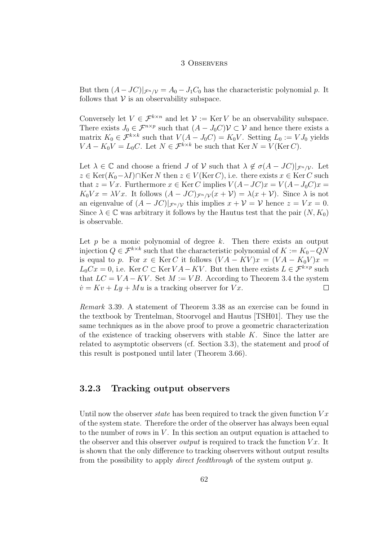But then  $(A - JC)|_{\mathcal{F}^n/\mathcal{V}} = A_0 - J_1C_0$  has the characteristic polynomial p. It follows that  $V$  is an observability subspace.

Conversely let  $V \in \mathcal{F}^{k \times n}$  and let  $\mathcal{V} := \text{Ker } V$  be an observability subspace. There exists  $J_0 \in \mathcal{F}^{n \times p}$  such that  $(A - J_0 C)\mathcal{V} \subset \mathcal{V}$  and hence there exists a matrix  $K_0 \in \mathcal{F}^{k \times k}$  such that  $V(A - J_0 C) = K_0 V$ . Setting  $L_0 := V J_0$  yields  $VA - K_0V = L_0C$ . Let  $N \in \mathcal{F}^{k \times k}$  be such that  $\text{Ker } N = V(\text{Ker } C)$ .

Let  $\lambda \in \mathbb{C}$  and choose a friend J of V such that  $\lambda \notin \sigma(A - JC)|_{\mathcal{F}^n/\mathcal{V}}$ . Let  $z \in \text{Ker}(K_0-\lambda I) \cap \text{Ker } N$  then  $z \in V(\text{Ker } C)$ , i.e. there exists  $x \in \text{Ker } C$  such that  $z = Vx$ . Furthermore  $x \in \text{Ker } C$  implies  $V(A - JC)x = V(A - J_0C)x =$  $K_0 V x = \lambda V x$ . It follows  $(A - JC)_{\mathcal{F}^n/\mathcal{V}} (x + \mathcal{V}) = \lambda (x + \mathcal{V})$ . Since  $\lambda$  is not an eigenvalue of  $(A - JC)|_{\mathcal{F}^n/\mathcal{V}}$  this implies  $x + \mathcal{V} = \mathcal{V}$  hence  $z = Vx = 0$ . Since  $\lambda \in \mathbb{C}$  was arbitrary it follows by the Hautus test that the pair  $(N, K_0)$ is observable.

Let  $p$  be a monic polynomial of degree  $k$ . Then there exists an output injection  $Q \in \mathcal{F}^{k \times k}$  such that the characteristic polynomial of  $K := K_0 - QN$ is equal to p. For  $x \in \text{Ker } C$  it follows  $(VA - KV)x = (VA - K_0V)x =$  $L_0Cx = 0$ , i.e. Ker  $C \subset \text{Ker } VA - KV$ . But then there exists  $L \in \mathcal{F}^{k \times p}$  such that  $LC = VA - KV$ . Set  $M := VB$ . According to Theorem 3.4 the system  $\dot{v} = Kv + Ly + Mu$  is a tracking observer for Vx.  $\Box$ 

Remark 3.39. A statement of Theorem 3.38 as an exercise can be found in the textbook by Trentelman, Stoorvogel and Hautus [TSH01]. They use the same techniques as in the above proof to prove a geometric characterization of the existence of tracking observers with stable  $K$ . Since the latter are related to asymptotic observers (cf. Section 3.3), the statement and proof of this result is postponed until later (Theorem 3.66).

# 3.2.3 Tracking output observers

Until now the observer state has been required to track the given function  $V_x$ of the system state. Therefore the order of the observer has always been equal to the number of rows in  $V$ . In this section an output equation is attached to the observer and this observer *output* is required to track the function  $Vx$ . It is shown that the only difference to tracking observers without output results from the possibility to apply *direct feedthrough* of the system output  $y$ .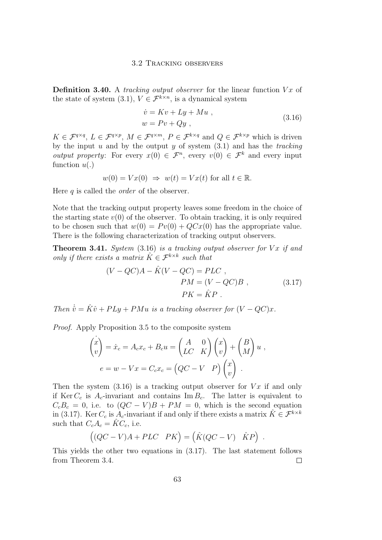**Definition 3.40.** A *tracking output observer* for the linear function  $Vx$  of the state of system  $(3.1), V \in \mathcal{F}^{k \times n}$ , is a dynamical system

$$
\begin{aligned}\n\dot{v} &= Kv + Ly + Mu, \\
w &= Pv + Qy,\n\end{aligned} \tag{3.16}
$$

 $K \in \mathcal{F}^{q \times q}, L \in \mathcal{F}^{q \times p}, M \in \mathcal{F}^{q \times m}, P \in \mathcal{F}^{k \times q}$  and  $Q \in \mathcal{F}^{k \times p}$  which is driven by the input u and by the output y of system  $(3.1)$  and has the tracking *output property:* For every  $x(0) \in \mathcal{F}^n$ , every  $v(0) \in \mathcal{F}^k$  and every input function  $u(.)$ 

$$
w(0) = Vx(0) \Rightarrow w(t) = Vx(t)
$$
 for all  $t \in \mathbb{R}$ .

Here  $q$  is called the *order* of the observer.

Note that the tracking output property leaves some freedom in the choice of the starting state  $v(0)$  of the observer. To obtain tracking, it is only required to be chosen such that  $w(0) = Pv(0) + QCx(0)$  has the appropriate value. There is the following characterization of tracking output observers.

**Theorem 3.41.** System  $(3.16)$  is a tracking output observer for  $Vx$  if and only if there exists a matrix  $\hat{K} \in \mathcal{F}^{k \times k}$  such that

$$
(V - QC)A - \hat{K}(V - QC) = PLC ,
$$
  
\n
$$
PM = (V - QC)B ,
$$
  
\n
$$
PK = \hat{K}P .
$$
\n(3.17)

Then  $\dot{\hat{v}} = \hat{K}\hat{v} + PLy + PMu$  is a tracking observer for  $(V - QC)x$ .

Proof. Apply Proposition 3.5 to the composite system

$$
\begin{pmatrix} x \\ v \end{pmatrix} = \dot{x}_c = A_c x_c + B_c u = \begin{pmatrix} A & 0 \\ LC & K \end{pmatrix} \begin{pmatrix} x \\ v \end{pmatrix} + \begin{pmatrix} B \\ M \end{pmatrix} u ,
$$
  

$$
e = w - Vx = C_c x_c = \begin{pmatrix} QC - V & P \end{pmatrix} \begin{pmatrix} x \\ v \end{pmatrix} .
$$

Then the system  $(3.16)$  is a tracking output observer for  $Vx$  if and only if Ker  $C_c$  is  $A_c$ -invariant and contains Im  $B_c$ . The latter is equivalent to  $C_cB_c = 0$ , i.e. to  $(QC - V)B + PM = 0$ , which is the second equation in (3.17). Ker  $C_c$  is  $A_c$ -invariant if and only if there exists a matrix  $\hat{K} \in \mathcal{F}^{k \times k}$ such that  $C_cA_c = KC_c$ , i.e.

$$
((QC - V)A + PLC \, PK) = (\hat{K}(QC - V) \, \hat{K}P)
$$

.

This yields the other two equations in (3.17). The last statement follows from Theorem 3.4.  $\Box$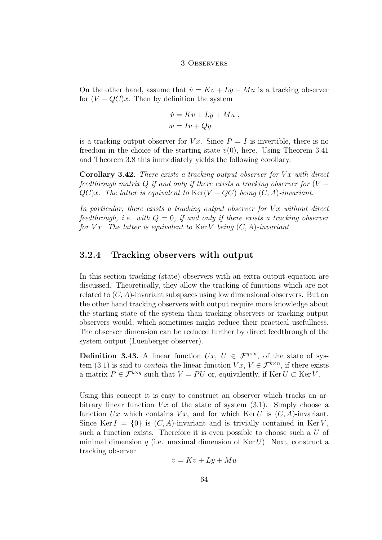On the other hand, assume that  $\dot{v} = Kv + Ly + Mu$  is a tracking observer for  $(V - QC)x$ . Then by definition the system

$$
\dot{v} = Kv + Ly + Mu,
$$
  

$$
w = Iv + Qy
$$

is a tracking output observer for  $Vx$ . Since  $P = I$  is invertible, there is no freedom in the choice of the starting state  $v(0)$ , here. Using Theorem 3.41 and Theorem 3.8 this immediately yields the following corollary.

Corollary 3.42. There exists a tracking output observer for  $Vx$  with direct feedthrough matrix Q if and only if there exists a tracking observer for  $(V QC)x$ . The latter is equivalent to  $\text{Ker}(V - QC)$  being  $(C, A)$ -invariant.

In particular, there exists a tracking output observer for  $Vx$  without direct feedthrough, i.e. with  $Q = 0$ , if and only if there exists a tracking observer for  $Vx$ . The latter is equivalent to  $\text{Ker }V$  being  $(C, A)$ -invariant.

# 3.2.4 Tracking observers with output

In this section tracking (state) observers with an extra output equation are discussed. Theoretically, they allow the tracking of functions which are not related to  $(C, A)$ -invariant subspaces using low dimensional observers. But on the other hand tracking observers with output require more knowledge about the starting state of the system than tracking observers or tracking output observers would, which sometimes might reduce their practical usefullness. The observer dimension can be reduced further by direct feedthrough of the system output (Luenberger observer).

**Definition 3.43.** A linear function  $Ux$ ,  $U \in \mathcal{F}^{q \times n}$ , of the state of system (3.1) is said to *contain* the linear function  $Vx, V \in \mathcal{F}^{k \times n}$ , if there exists a matrix  $P \in \mathcal{F}^{k \times q}$  such that  $V = PU$  or, equivalently, if Ker  $U \subset \text{Ker } V$ .

Using this concept it is easy to construct an observer which tracks an arbitrary linear function  $Vx$  of the state of system (3.1). Simply choose a function Ux which contains Vx, and for which Ker U is  $(C, A)$ -invariant. Since Ker  $I = \{0\}$  is  $(C, A)$ -invariant and is trivially contained in Ker V, such a function exists. Therefore it is even possible to choose such a U of minimal dimension q (i.e. maximal dimension of  $\text{Ker }U$ ). Next, construct a tracking observer

$$
\dot{v} = Kv + Ly + Mu
$$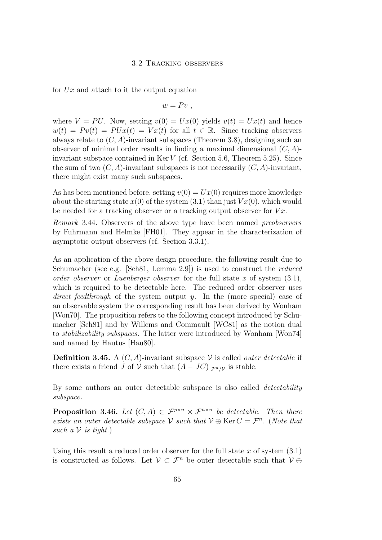for  $Ux$  and attach to it the output equation

$$
w = Pv ,
$$

where  $V = PU$ . Now, setting  $v(0) = Ux(0)$  yields  $v(t) = Ux(t)$  and hence  $w(t) = Pv(t) = PUx(t) = Vx(t)$  for all  $t \in \mathbb{R}$ . Since tracking observers always relate to  $(C, A)$ -invariant subspaces (Theorem 3.8), designing such an observer of minimal order results in finding a maximal dimensional  $(C, A)$ invariant subspace contained in Ker  $V$  (cf. Section 5.6, Theorem 5.25). Since the sum of two  $(C, A)$ -invariant subspaces is not necessarily  $(C, A)$ -invariant, there might exist many such subspaces.

As has been mentioned before, setting  $v(0) = Ux(0)$  requires more knowledge about the starting state  $x(0)$  of the system (3.1) than just  $Vx(0)$ , which would be needed for a tracking observer or a tracking output observer for  $Vx$ .

Remark 3.44. Observers of the above type have been named preobservers by Fuhrmann and Helmke [FH01]. They appear in the characterization of asymptotic output observers (cf. Section 3.3.1).

As an application of the above design procedure, the following result due to Schumacher (see e.g. [Sch81, Lemma 2.9]) is used to construct the reduced order observer or Luenberger observer for the full state x of system  $(3.1)$ , which is required to be detectable here. The reduced order observer uses direct feedthrough of the system output y. In the (more special) case of an observable system the corresponding result has been derived by Wonham [Won70]. The proposition refers to the following concept introduced by Schumacher [Sch81] and by Willems and Commault [WC81] as the notion dual to stabilizability subspaces. The latter were introduced by Wonham [Won74] and named by Hautus [Hau80].

**Definition 3.45.** A  $(C, A)$ -invariant subspace V is called *outer detectable* if there exists a friend J of V such that  $(A - JC)|_{\mathcal{F}^n/\mathcal{V}}$  is stable.

By some authors an outer detectable subspace is also called *detectability* subspace.

**Proposition 3.46.** Let  $(C, A) \in \mathcal{F}^{p \times n} \times \mathcal{F}^{n \times n}$  be detectable. Then there exists an outer detectable subspace  $\mathcal V$  such that  $\mathcal V \oplus \text{Ker } C = \mathcal F^n$ . (Note that such a  $V$  is tight.)

Using this result a reduced order observer for the full state  $x$  of system  $(3.1)$ is constructed as follows. Let  $\mathcal{V} \subset \mathcal{F}^n$  be outer detectable such that  $\mathcal{V} \oplus$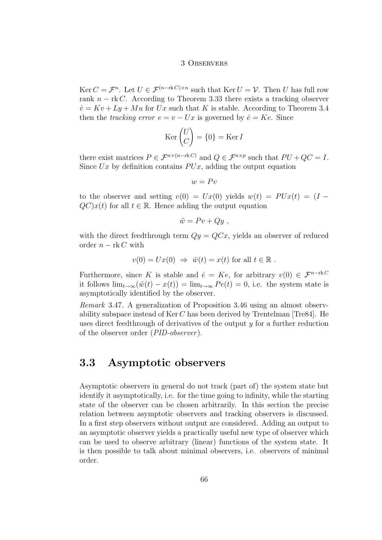Ker  $C = \mathcal{F}^n$ . Let  $U \in \mathcal{F}^{(n-\text{rk }C)\times n}$  such that Ker  $U = \mathcal{V}$ . Then U has full row rank  $n - \text{rk } C$ . According to Theorem 3.33 there exists a tracking observer  $\dot{v} = Kv + Ly + Mu$  for Ux such that K is stable. According to Theorem 3.4 then the tracking error  $e = v - Ux$  is governed by  $\dot{e} = Ke$ . Since

$$
\mathrm{Ker}\begin{pmatrix} U \\ C \end{pmatrix} = \{0\} = \mathrm{Ker}\,I
$$

there exist matrices  $P \in \mathcal{F}^{n \times (n-\text{rk } C)}$  and  $Q \in \mathcal{F}^{n \times p}$  such that  $PU + QC = I$ . Since  $Ux$  by definition contains  $PUx$ , adding the output equation

$$
w = Pv
$$

to the observer and setting  $v(0) = Ux(0)$  yields  $w(t) = PUx(t) = (I QC)x(t)$  for all  $t \in \mathbb{R}$ . Hence adding the output equation

$$
\tilde{w} = Pv + Qy ,
$$

with the direct feedthrough term  $Qy = QCx$ , yields an observer of reduced order  $n - \text{rk } C$  with

$$
v(0) = Ux(0) \Rightarrow \tilde{w}(t) = x(t)
$$
 for all  $t \in \mathbb{R}$ .

Furthermore, since K is stable and  $\dot{e} = Ke$ , for arbitrary  $v(0) \in \mathcal{F}^{n-\text{rk }C}$ it follows  $\lim_{t\to\infty} (\tilde{w}(t) - x(t)) = \lim_{t\to\infty} Pe(t) = 0$ , i.e. the system state is asymptotically identified by the observer.

Remark 3.47. A generalization of Proposition 3.46 using an almost observability subspace instead of Ker C has been derived by Trentelman [Tre84]. He uses direct feedthrough of derivatives of the output  $y$  for a further reduction of the observer order (PID-observer ).

# 3.3 Asymptotic observers

Asymptotic observers in general do not track (part of) the system state but identify it asymptotically, i.e. for the time going to infinity, while the starting state of the observer can be chosen arbitrarily. In this section the precise relation between asymptotic observers and tracking observers is discussed. In a first step observers without output are considered. Adding an output to an asymptotic observer yields a practically useful new type of observer which can be used to observe arbitrary (linear) functions of the system state. It is then possible to talk about minimal observers, i.e. observers of minimal order.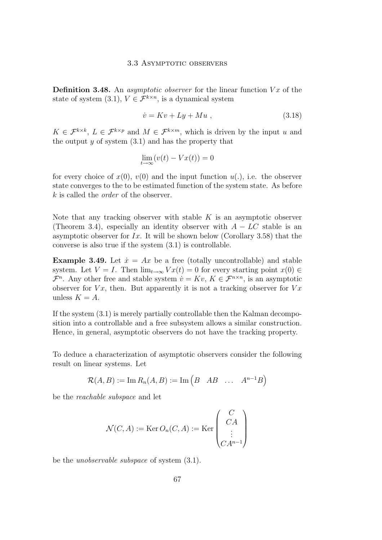#### 3.3 ASYMPTOTIC OBSERVERS

**Definition 3.48.** An *asymptotic observer* for the linear function  $Vx$  of the state of system  $(3.1), V \in \mathcal{F}^{k \times n}$ , is a dynamical system

$$
\dot{v} = Kv + Ly + Mu , \qquad (3.18)
$$

 $K \in \mathcal{F}^{k \times k}$ ,  $L \in \mathcal{F}^{k \times p}$  and  $M \in \mathcal{F}^{k \times m}$ , which is driven by the input u and the output  $y$  of system  $(3.1)$  and has the property that

$$
\lim_{t \to \infty} (v(t) - Vx(t)) = 0
$$

for every choice of  $x(0), v(0)$  and the input function  $u(.)$ , i.e. the observer state converges to the to be estimated function of the system state. As before k is called the order of the observer.

Note that any tracking observer with stable  $K$  is an asymptotic observer (Theorem 3.4), especially an identity observer with  $A - LC$  stable is an asymptotic observer for  $Ix$ . It will be shown below (Corollary 3.58) that the converse is also true if the system (3.1) is controllable.

**Example 3.49.** Let  $\dot{x} = Ax$  be a free (totally uncontrollable) and stable system. Let  $V = I$ . Then  $\lim_{t\to\infty} Vx(t) = 0$  for every starting point  $x(0) \in$  $\mathcal{F}^n$ . Any other free and stable system  $\dot{v} = Kv, K \in \mathcal{F}^{n \times n}$ , is an asymptotic observer for  $Vx$ , then. But apparently it is not a tracking observer for  $Vx$ unless  $K = A$ .

If the system  $(3.1)$  is merely partially controllable then the Kalman decomposition into a controllable and a free subsystem allows a similar construction. Hence, in general, asymptotic observers do not have the tracking property.

To deduce a characterization of asymptotic observers consider the following result on linear systems. Let

$$
\mathcal{R}(A, B) := \operatorname{Im} R_n(A, B) := \operatorname{Im} \left( B \quad AB \quad \dots \quad A^{n-1}B \right)
$$

be the reachable subspace and let

$$
\mathcal{N}(C, A) := \text{Ker } O_n(C, A) := \text{Ker}\begin{pmatrix} C \\ CA \\ \vdots \\ CA^{n-1} \end{pmatrix}
$$

be the unobservable subspace of system (3.1).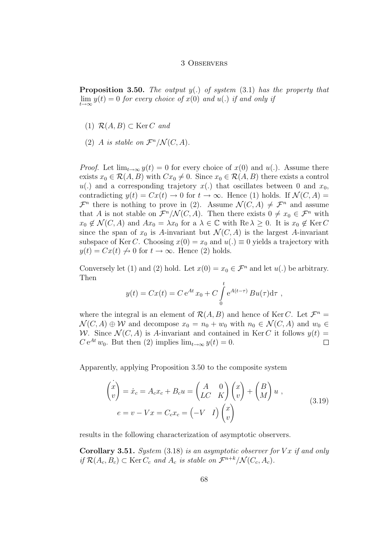**Proposition 3.50.** The output  $y(.)$  of system  $(3.1)$  has the property that  $\lim_{t\to\infty} y(t) = 0$  for every choice of  $x(0)$  and  $u(.)$  if and only if

- (1)  $\mathcal{R}(A, B) \subset \text{Ker } C$  and
- (2) A is stable on  $\mathcal{F}^n/\mathcal{N}(C, A)$ .

*Proof.* Let  $\lim_{t\to\infty} y(t) = 0$  for every choice of  $x(0)$  and  $u(.)$ . Assume there exists  $x_0 \in \mathcal{R}(A, B)$  with  $Cx_0 \neq 0$ . Since  $x_0 \in \mathcal{R}(A, B)$  there exists a control  $u(.)$  and a corresponding trajetory  $x(.)$  that oscillates between 0 and  $x_0$ , contradicting  $y(t) = Cx(t) \rightarrow 0$  for  $t \rightarrow \infty$ . Hence (1) holds. If  $\mathcal{N}(C, A) =$  $\mathcal{F}^n$  there is nothing to prove in (2). Assume  $\mathcal{N}(C, A) \neq \mathcal{F}^n$  and assume that A is not stable on  $\mathcal{F}^n/\mathcal{N}(C, A)$ . Then there exists  $0 \neq x_0 \in \mathcal{F}^n$  with  $x_0 \notin \mathcal{N}(C, A)$  and  $Ax_0 = \lambda x_0$  for a  $\lambda \in \mathbb{C}$  with  $\text{Re }\lambda \geq 0$ . It is  $x_0 \notin \text{Ker }C$ since the span of  $x_0$  is A-invariant but  $\mathcal{N}(C, A)$  is the largest A-invariant subspace of Ker C. Choosing  $x(0) = x_0$  and  $u(.) \equiv 0$  yields a trajectory with  $y(t) = Cx(t) \nrightarrow 0$  for  $t \rightarrow \infty$ . Hence (2) holds.

Conversely let (1) and (2) hold. Let  $x(0) = x_0 \in \mathcal{F}^n$  and let  $u(.)$  be arbitrary. Then

$$
y(t) = Cx(t) = C e^{At} x_0 + C \int_0^t e^{A(t-\tau)} Bu(\tau) d\tau
$$
,

where the integral is an element of  $\mathcal{R}(A, B)$  and hence of Ker C. Let  $\mathcal{F}^n =$  $\mathcal{N}(C, A) \oplus \mathcal{W}$  and decompose  $x_0 = n_0 + w_0$  with  $n_0 \in \mathcal{N}(C, A)$  and  $w_0 \in$ W. Since  $\mathcal{N}(C, A)$  is A-invariant and contained in Ker C it follows  $y(t) =$  $C e^{At} w_0$ . But then (2) implies  $\lim_{t\to\infty} y(t) = 0$ .  $\Box$ 

Apparently, applying Proposition 3.50 to the composite system

$$
\begin{pmatrix} \n\dot{x} \\
v \n\end{pmatrix} = \dot{x}_c = A_c x_c + B_c u = \begin{pmatrix} A & 0 \\
LC & K \n\end{pmatrix} \begin{pmatrix} x \\
v \n\end{pmatrix} + \begin{pmatrix} B \\
M \n\end{pmatrix} u ,
$$
\n
$$
e = v - Vx = C_c x_c = \begin{pmatrix} -V & I \end{pmatrix} \begin{pmatrix} x \\
v \n\end{pmatrix}
$$
\n(3.19)

results in the following characterization of asymptotic observers.

**Corollary 3.51.** System  $(3.18)$  is an asymptotic observer for Vx if and only if  $\mathcal{R}(A_c, B_c) \subset \text{Ker } C_c$  and  $A_c$  is stable on  $\mathcal{F}^{n+k}/\mathcal{N}(C_c, A_c)$ .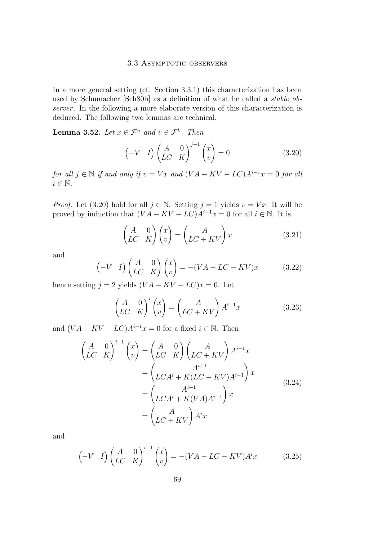### 3.3 ASYMPTOTIC OBSERVERS

In a more general setting (cf. Section 3.3.1) this characterization has been used by Schumacher [Sch80b] as a definition of what he called a stable observer. In the following a more elaborate version of this characterization is deduced. The following two lemmas are technical.

**Lemma 3.52.** Let  $x \in \mathcal{F}^n$  and  $v \in \mathcal{F}^k$ . Then

$$
\begin{pmatrix} -V & I \end{pmatrix} \begin{pmatrix} A & 0 \\ LC & K \end{pmatrix}^{j-1} \begin{pmatrix} x \\ v \end{pmatrix} = 0 \tag{3.20}
$$

for all  $j \in \mathbb{N}$  if and only if  $v = Vx$  and  $(VA - KV - LC)A^{i-1}x = 0$  for all  $i \in \mathbb{N}$ .

*Proof.* Let (3.20) hold for all  $j \in \mathbb{N}$ . Setting  $j = 1$  yields  $v = Vx$ . It will be proved by induction that  $(V\dot{A} - KV - LC)\dot{A}^{i-1}x = 0$  for all  $i \in \mathbb{N}$ . It is

$$
\begin{pmatrix} A & 0 \ LC & K \end{pmatrix} \begin{pmatrix} x \\ v \end{pmatrix} = \begin{pmatrix} A \\ LC + KV \end{pmatrix} x \tag{3.21}
$$

and

$$
\begin{pmatrix} -V & I \end{pmatrix} \begin{pmatrix} A & 0 \\ LC & K \end{pmatrix} \begin{pmatrix} x \\ v \end{pmatrix} = -(VA - LC - KV)x \tag{3.22}
$$

hence setting  $j = 2$  yields  $(VA - KV - LC)x = 0$ . Let

$$
\begin{pmatrix} A & 0 \ LC & K \end{pmatrix}^{i} \begin{pmatrix} x \\ v \end{pmatrix} = \begin{pmatrix} A \\ LC + KV \end{pmatrix} A^{i-1}x \tag{3.23}
$$

and  $(VA - KV - LC)A^{i-1}x = 0$  for a fixed  $i \in \mathbb{N}$ . Then

$$
\begin{aligned}\n\begin{pmatrix}\nA & 0 \\
LC & K\n\end{pmatrix}^{i+1} \begin{pmatrix}\nx \\
v\n\end{pmatrix} &= \begin{pmatrix}\nA & 0 \\
LC & K\n\end{pmatrix} \begin{pmatrix}\nA \\
LC + KV\n\end{pmatrix} A^{i-1}x \\
&= \begin{pmatrix}\nA^{i+1} \\
LCA^i + K(LC + KV)A^{i-1}\n\end{pmatrix} x \\
&= \begin{pmatrix}\nA^{i+1} \\
LCA^i + K(VA)A^{i-1}\n\end{pmatrix} x \\
&= \begin{pmatrix}\nA \\
LC + KV\n\end{pmatrix} A^i x\n\end{aligned} (3.24)
$$

and

$$
\begin{pmatrix} -V & I \end{pmatrix} \begin{pmatrix} A & 0 \\ LC & K \end{pmatrix}^{i+1} \begin{pmatrix} x \\ v \end{pmatrix} = -(VA - LC - KV)A^i x \tag{3.25}
$$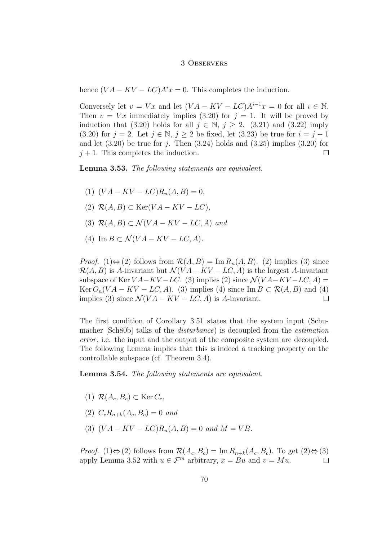hence  $(VA - KV - LC)A^i x = 0$ . This completes the induction.

Conversely let  $v = Vx$  and let  $(VA - KV - LC)A^{i-1}x = 0$  for all  $i \in \mathbb{N}$ . Then  $v = Vx$  immediately implies (3.20) for  $j = 1$ . It will be proved by induction that (3.20) holds for all  $j \in \mathbb{N}$ ,  $j \geq 2$ . (3.21) and (3.22) imply (3.20) for  $j = 2$ . Let  $j \in \mathbb{N}$ ,  $j \ge 2$  be fixed, let (3.23) be true for  $i = j - 1$ and let  $(3.20)$  be true for j. Then  $(3.24)$  holds and  $(3.25)$  implies  $(3.20)$  for  $j + 1$ . This completes the induction.  $\Box$ 

Lemma 3.53. The following statements are equivalent.

- (1)  $(VA KV LC)R_n(A, B) = 0$ ,
- (2)  $\mathcal{R}(A, B) \subset \text{Ker}(VA KV LC)$ .
- (3)  $\mathcal{R}(A, B) \subset \mathcal{N}(VA KV LC, A)$  and
- (4) Im  $B \subset \mathcal{N}(VA KV LC, A)$ .

*Proof.* (1) $\Leftrightarrow$  (2) follows from  $\mathcal{R}(A, B) = \text{Im } R_n(A, B)$ . (2) implies (3) since  $\mathcal{R}(A, B)$  is A-invariant but  $\mathcal{N}(VA - KV - LC, A)$  is the largest A-invariant subspace of Ker  $VA-KV-LC$ . (3) implies (2) since  $\mathcal{N}(VA-KV-LC, A)$  = Ker  $O_n(VA - KV - LC, A)$ . (3) implies (4) since Im  $B \subset \mathcal{R}(A, B)$  and (4) implies (3) since  $\mathcal{N}(VA - KV - LC, A)$  is A-invariant.  $\Box$ 

The first condition of Corollary 3.51 states that the system input (Schumacher [Sch80b] talks of the disturbance) is decoupled from the estimation error, i.e. the input and the output of the composite system are decoupled. The following Lemma implies that this is indeed a tracking property on the controllable subspace (cf. Theorem 3.4).

Lemma 3.54. The following statements are equivalent.

- (1)  $\mathcal{R}(A_c, B_c) \subset \text{Ker } C_c$
- (2)  $C_c R_{n+k}(A_c, B_c) = 0$  and
- (3)  $(VA KV LC)R_n(A, B) = 0$  and  $M = VB$ .

*Proof.* (1) $\Leftrightarrow$  (2) follows from  $\mathcal{R}(A_c, B_c) = \text{Im } R_{n+k}(A_c, B_c)$ . To get  $(2) \Leftrightarrow$  (3) apply Lemma 3.52 with  $u \in \mathcal{F}^m$  arbitrary,  $x = Bu$  and  $v = Mu$ .  $\Box$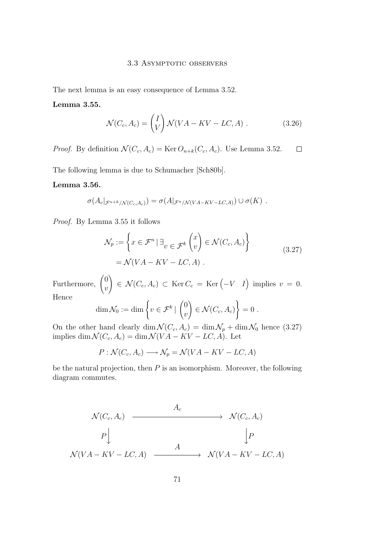### 3.3 Asymptotic observers

The next lemma is an easy consequence of Lemma 3.52.

### Lemma 3.55.

$$
\mathcal{N}(C_c, A_c) = \binom{I}{V} \mathcal{N}(VA - KV - LC, A) \tag{3.26}
$$

*Proof.* By definition  $\mathcal{N}(C_c, A_c) = \text{Ker } O_{n+k}(C_c, A_c)$ . Use Lemma 3.52.  $\Box$ 

The following lemma is due to Schumacher [Sch80b].

### Lemma 3.56.

$$
\sigma(A_c|_{\mathcal{F}^{n+k}/\mathcal{N}(C_c, A_c)}) = \sigma(A|_{\mathcal{F}^n/\mathcal{N}(VA-KV-LC,A)}) \cup \sigma(K) .
$$

Proof. By Lemma 3.55 it follows

$$
\mathcal{N}_p := \left\{ x \in \mathcal{F}^n \mid \exists_v \in \mathcal{F}^k \begin{pmatrix} x \\ v \end{pmatrix} \in \mathcal{N}(C_c, A_c) \right\}
$$
  
=  $\mathcal{N}(VA - KV - LC, A)$ . (3.27)

Furthermore,  $\begin{pmatrix} 0 \\ 0 \end{pmatrix}$  $\overline{v}$  $\Big) \in \mathcal{N}(C_c, A_c) \subset \text{Ker } C_c = \text{Ker } (-V \mid I) \text{ implies } v = 0.$ 

Hence

$$
\dim \mathcal{N}_0 := \dim \left\{ v \in \mathcal{F}^k \mid \begin{pmatrix} 0 \\ v \end{pmatrix} \in \mathcal{N}(C_c, A_c) \right\} = 0.
$$

On the other hand clearly  $\dim \mathcal{N}(C_c, A_c) = \dim \mathcal{N}_p + \dim \mathcal{N}_0$  hence (3.27) implies dim  $\mathcal{N}(C_c, A_c) = \dim \mathcal{N}(VA - KV - LC, A)$ . Let

$$
P: \mathcal{N}(C_c, A_c) \longrightarrow \mathcal{N}_p = \mathcal{N}(VA - KV - LC, A)
$$

be the natural projection, then  $P$  is an isomorphism. Moreover, the following diagram commutes.

$$
\mathcal{N}(C_c, A_c) \xrightarrow{\begin{array}{c}\nA_c \\
\downarrow P \downarrow \\
\mathcal{N}(VA - KV - LC, A) \xrightarrow{\begin{array}{c}\nA \\
\downarrow P\n\end{array}} \mathcal{N}(VA - KV - LC, A)
$$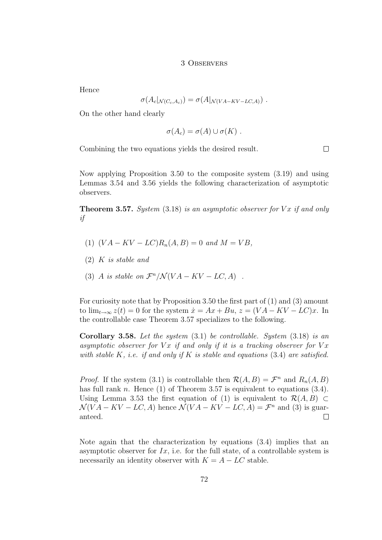Hence

$$
\sigma(A_c|_{\mathcal{N}(C_c, A_c)}) = \sigma(A|_{\mathcal{N}(VA - KV - LC, A)}) \ .
$$

On the other hand clearly

$$
\sigma(A_c) = \sigma(A) \cup \sigma(K) .
$$

Combining the two equations yields the desired result.

 $\Box$ 

Now applying Proposition 3.50 to the composite system (3.19) and using Lemmas 3.54 and 3.56 yields the following characterization of asymptotic observers.

**Theorem 3.57.** System  $(3.18)$  is an asymptotic observer for  $Vx$  if and only if

- (1)  $(VA KV LC)R_n(A, B) = 0$  and  $M = VB$ .
- $(2)$  K is stable and
- (3) A is stable on  $\mathcal{F}^n/\mathcal{N}(VA KV LC, A)$ .

For curiosity note that by Proposition 3.50 the first part of (1) and (3) amount to  $\lim_{t\to\infty}z(t)=0$  for the system  $\dot{x}=Ax+Bu, z=(VA-KV-LC)x$ . In the controllable case Theorem 3.57 specializes to the following.

**Corollary 3.58.** Let the system  $(3.1)$  be controllable. System  $(3.18)$  is an asymptotic observer for  $Vx$  if and only if it is a tracking observer for  $Vx$ with stable K, i.e. if and only if K is stable and equations  $(3.4)$  are satisfied.

*Proof.* If the system (3.1) is controllable then  $\mathcal{R}(A, B) = \mathcal{F}^n$  and  $R_n(A, B)$ has full rank n. Hence  $(1)$  of Theorem 3.57 is equivalent to equations  $(3.4)$ . Using Lemma 3.53 the first equation of (1) is equivalent to  $\mathcal{R}(A, B) \subset$  $\mathcal{N}(VA - KV - LC, A)$  hence  $\mathcal{N}(VA - KV - LC, A) = \mathcal{F}^n$  and (3) is guaranteed.  $\Box$ 

Note again that the characterization by equations (3.4) implies that an asymptotic observer for  $Ix$ , i.e. for the full state, of a controllable system is necessarily an identity observer with  $K = A - LC$  stable.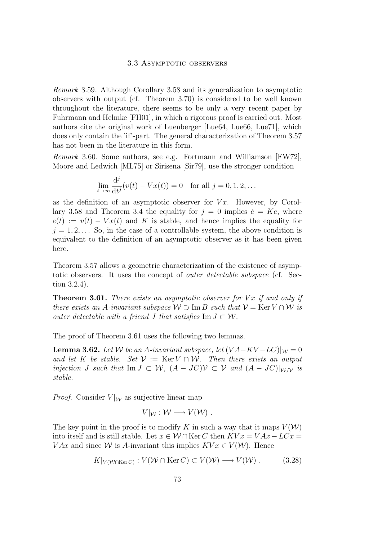### 3.3 Asymptotic observers

Remark 3.59. Although Corollary 3.58 and its generalization to asymptotic observers with output (cf. Theorem 3.70) is considered to be well known throughout the literature, there seems to be only a very recent paper by Fuhrmann and Helmke [FH01], in which a rigorous proof is carried out. Most authors cite the original work of Luenberger [Lue64, Lue66, Lue71], which does only contain the 'if'-part. The general characterization of Theorem 3.57 has not been in the literature in this form.

Remark 3.60. Some authors, see e.g. Fortmann and Williamson [FW72], Moore and Ledwich [ML75] or Sirisena [Sir79], use the stronger condition

$$
\lim_{t \to \infty} \frac{\mathrm{d}^j}{\mathrm{d}t^j}(v(t) - Vx(t)) = 0 \quad \text{for all } j = 0, 1, 2, \dots
$$

as the definition of an asymptotic observer for  $Vx$ . However, by Corollary 3.58 and Theorem 3.4 the equality for  $j = 0$  implies  $\dot{e} = Ke$ , where  $e(t) := v(t) - Vx(t)$  and K is stable, and hence implies the equality for  $j = 1, 2, \ldots$  So, in the case of a controllable system, the above condition is equivalent to the definition of an asymptotic observer as it has been given here.

Theorem 3.57 allows a geometric characterization of the existence of asymptotic observers. It uses the concept of outer detectable subspace (cf. Section 3.2.4).

**Theorem 3.61.** There exists an asymptotic observer for  $Vx$  if and only if there exists an A-invariant subspace  $W \supset$  Im B such that  $V = \text{Ker } V \cap W$  is outer detectable with a friend J that satisfies Im  $J \subset \mathcal{W}$ .

The proof of Theorem 3.61 uses the following two lemmas.

**Lemma 3.62.** Let W be an A-invariant subspace, let  $(VA - KV - LC)|_W = 0$ and let K be stable. Set  $V := \text{Ker } V \cap W$ . Then there exists an output injection J such that Im  $J \subset W$ ,  $(A - JC)\mathcal{V} \subset V$  and  $(A - JC)|_{\mathcal{W}/\mathcal{V}}$  is stable.

*Proof.* Consider  $V|_{\mathcal{W}}$  as surjective linear map

$$
V|_{\mathcal{W}}:\mathcal{W}\longrightarrow V(\mathcal{W})\ .
$$

The key point in the proof is to modify K in such a way that it maps  $V(W)$ into itself and is still stable. Let  $x \in \mathcal{W} \cap \text{Ker } C$  then  $K V x = V Ax - LCx =$ VAx and since W is A-invariant this implies  $KVx \in V(W)$ . Hence

$$
K|_{V(\mathcal{W}\cap\text{Ker }C)} : V(\mathcal{W}\cap\text{Ker }C) \subset V(\mathcal{W}) \longrightarrow V(\mathcal{W}) . \tag{3.28}
$$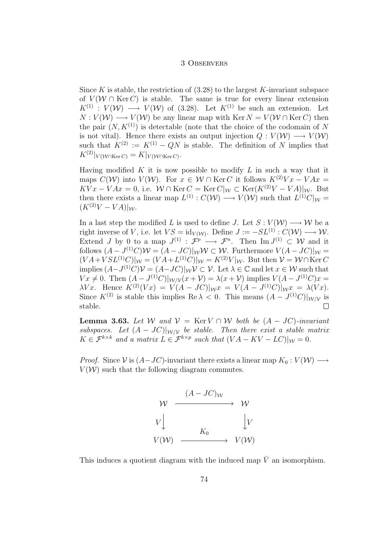Since  $K$  is stable, the restriction of  $(3.28)$  to the largest  $K$ -invariant subspace of  $V(W \cap \text{Ker } C)$  is stable. The same is true for every linear extension  $K^{(1)}: V(\mathcal{W}) \longrightarrow V(\mathcal{W})$  of (3.28). Let  $K^{(1)}$  be such an extension. Let  $N: V(\mathcal{W}) \longrightarrow V(\mathcal{W})$  be any linear map with Ker  $N = V(\mathcal{W} \cap \text{Ker } C)$  then the pair  $(N, K^{(1)})$  is detectable (note that the choice of the codomain of N is not vital). Hence there exists an output injection  $Q: V(\mathcal{W}) \longrightarrow V(\mathcal{W})$ such that  $K^{(2)} := K^{(1)} - QN$  is stable. The definition of N implies that  $K^{(2)}|_{V(\mathcal{W}\cap \text{Ker }C)}=K|_{V(\mathcal{W}\cap \text{Ker }C)}.$ 

Having modified  $K$  it is now possible to modify  $L$  in such a way that it maps  $C(W)$  into  $V(W)$ . For  $x \in W \cap \text{Ker } C$  it follows  $K^{(2)}V x - V Ax =$  $\overline{KVx} - \overline{VAx} = 0$ , i.e.  $\mathcal{W} \cap \text{Ker } C = \text{Ker } C|_{\mathcal{W}} \subset \text{Ker}(K^{(2)}V - VA)|_{\mathcal{W}}$ . But then there exists a linear map  $L^{(1)}$  :  $C(\mathcal{W}) \longrightarrow V(\mathcal{W})$  such that  $L^{(1)}C|_{\mathcal{W}} =$  $(K^{(2)}V - VA)|_{W}$ .

In a last step the modified L is used to define J. Let  $S: V(\mathcal{W}) \longrightarrow \mathcal{W}$  be a right inverse of V, i.e. let  $VS = id_{V(W)}$ . Define  $J := -SL^{(1)} : C(W) \longrightarrow W$ . Extend J by 0 to a map  $J^{(1)} : \mathcal{F}^p \longrightarrow \mathcal{F}^n$ . Then Im  $J^{(1)} \subset \mathcal{W}$  and it follows  $(A - J^{(1)}C)\mathcal{W} = (A - JC)|_{\mathcal{W}}\mathcal{W} \subset \mathcal{W}$ . Furthermore  $V(A - JC)|_{\mathcal{W}} =$  $(VA+VSL<sup>(1)</sup>C)|_W = (VA+L<sup>(1)</sup>C)|_W = K<sup>(2)</sup>V|_W$ . But then  $V = W \cap \text{Ker } C$ implies  $(A-J^{(1)}C)\mathcal{V} = (A-JC)|_{\mathcal{W}}\mathcal{V} \subset \mathcal{V}$ . Let  $\lambda \in \mathbb{C}$  and let  $x \in \mathcal{W}$  such that  $Vx \neq 0$ . Then  $(A - J^{(1)}C)|_{W/V}(x + V) = \lambda(x + V)$  implies  $V(A - J^{(1)}C)x =$  $\lambda Vx$ . Hence  $K^{(2)}(Vx) = V(A - JC)|_{\mathcal{W}}x = V(A - J^{(1)}C)|_{\mathcal{W}}x = \lambda(Vx)$ . Since  $K^{(2)}$  is stable this implies Re  $\lambda < 0$ . This means  $(A - J^{(1)}C)|_{W/V}$  is stable.  $\Box$ 

**Lemma 3.63.** Let W and  $V = \text{Ker } V \cap W$  both be  $(A - JC)\text{-}invariant$ subspaces. Let  $(A - JC)|_{W/V}$  be stable. Then there exist a stable matrix  $K \in \mathcal{F}^{k \times k}$  and a matrix  $L \in \mathcal{F}^{k \times p}$  such that  $(VA - KV - LC)|_{\mathcal{W}} = 0$ .

*Proof.* Since V is  $(A-JC)$ -invariant there exists a linear map  $K_0: V(W) \longrightarrow$  $V(W)$  such that the following diagram commutes.



This induces a quotient diagram with the induced map  $\bar{V}$  an isomorphism.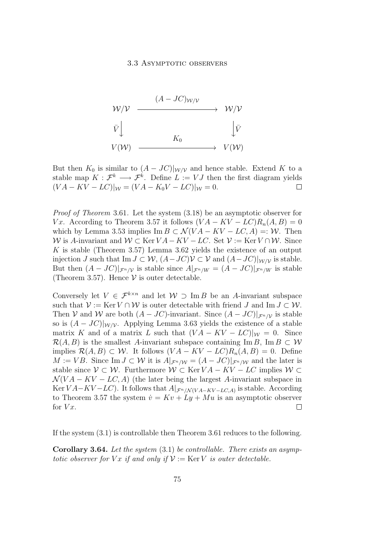### 3.3 ASYMPTOTIC OBSERVERS



But then  $K_0$  is similar to  $(A - JC)|_{W/Y}$  and hence stable. Extend K to a stable map  $K: \mathcal{F}^k \longrightarrow \mathcal{F}^k$ . Define  $L := VJ$  then the first diagram yields  $(VA - KV - LC)|_W = (VA - K_0V - LC)|_W = 0.$  $\Box$ 

Proof of Theorem 3.61. Let the system  $(3.18)$  be an asymptotic observer for Vx. According to Theorem 3.57 it follows  $(VA - KV - LC)R_n(A, B) = 0$ which by Lemma 3.53 implies Im  $B \subset \mathcal{N}(VA - KV - LC, A) =: \mathcal{W}$ . Then W is A-invariant and  $W \subset \text{Ker } VA - KV - LC$ . Set  $V := \text{Ker } V \cap W$ . Since  $K$  is stable (Theorem 3.57) Lemma 3.62 yields the existence of an output injection J such that Im  $J \subset \mathcal{W}$ ,  $(A-JC)\mathcal{V} \subset \mathcal{V}$  and  $(A-JC)|_{\mathcal{W}/\mathcal{V}}$  is stable. But then  $(A - JC)|_{\mathcal{F}^n/\mathcal{V}}$  is stable since  $A|_{\mathcal{F}^n/W} = (A - JC)|_{\mathcal{F}^n/W}$  is stable (Theorem 3.57). Hence  $V$  is outer detectable.

Conversely let  $V \in \mathcal{F}^{k \times n}$  and let  $W \supset \text{Im } B$  be an A-invariant subspace such that  $\mathcal{V} := \text{Ker } V \cap \mathcal{W}$  is outer detectable with friend J and Im  $J \subset \mathcal{W}$ . Then V and W are both  $(A - JC)$ -invariant. Since  $(A - JC)|_{\mathcal{F}^n/\mathcal{V}}$  is stable so is  $(A - JC)|_{W/V}$ . Applying Lemma 3.63 yields the existence of a stable matrix K and of a matrix L such that  $(VA - KV - LC)|_W = 0$ . Since  $\mathcal{R}(A, B)$  is the smallest A-invariant subspace containing Im B, Im  $B \subset \mathcal{W}$ implies  $\mathcal{R}(A, B) \subset \mathcal{W}$ . It follows  $(VA - KV - LC)R_n(A, B) = 0$ . Define  $M := VB$ . Since Im  $J \subset \mathcal{W}$  it is  $A|_{\mathcal{F}^n/\mathcal{W}} = (A - JC)|_{\mathcal{F}^n/\mathcal{W}}$  and the later is stable since  $V \subset W$ . Furthermore  $W \subset \text{Ker } VA - KV - LC$  implies  $W \subset$  $\mathcal{N}(VA - KV - LC, A)$  (the later being the largest A-invariant subspace in Ker  $VA - KV - LC$ ). It follows that  $A|_{\mathcal{F}^n/ \mathcal{N}(VA - KV - LC,A)}$  is stable. According to Theorem 3.57 the system  $\dot{v} = Kv + Ly + Mu$  is an asymptotic observer for  $Vx$ .  $\Box$ 

If the system (3.1) is controllable then Theorem 3.61 reduces to the following.

**Corollary 3.64.** Let the system  $(3.1)$  be controllable. There exists an asymptotic observer for Vx if and only if  $\mathcal{V} := \text{Ker } V$  is outer detectable.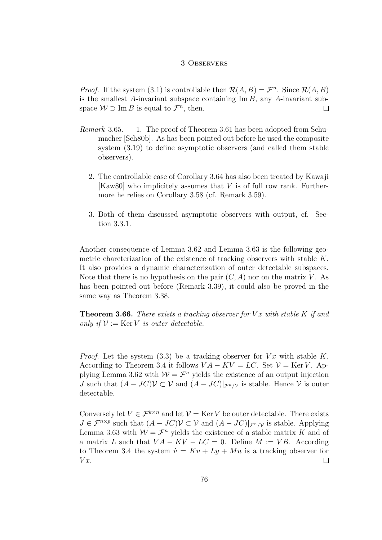*Proof.* If the system (3.1) is controllable then  $\mathcal{R}(A, B) = \mathcal{F}^n$ . Since  $\mathcal{R}(A, B)$ is the smallest A-invariant subspace containing  $\text{Im } B$ , any A-invariant subspace  $W \supset \text{Im } B$  is equal to  $\mathcal{F}^n$ , then. П

- Remark 3.65. 1. The proof of Theorem 3.61 has been adopted from Schumacher [Sch80b]. As has been pointed out before he used the composite system (3.19) to define asymptotic observers (and called them stable observers).
	- 2. The controllable case of Corollary 3.64 has also been treated by Kawaji [Kaw80] who implicitely assumes that V is of full row rank. Furthermore he relies on Corollary 3.58 (cf. Remark 3.59).
	- 3. Both of them discussed asymptotic observers with output, cf. Section 3.3.1.

Another consequence of Lemma 3.62 and Lemma 3.63 is the following geometric charcterization of the existence of tracking observers with stable K. It also provides a dynamic characterization of outer detectable subspaces. Note that there is no hypothesis on the pair  $(C, A)$  nor on the matrix V. As has been pointed out before (Remark 3.39), it could also be proved in the same way as Theorem 3.38.

**Theorem 3.66.** There exists a tracking observer for  $Vx$  with stable K if and only if  $V := \text{Ker } V$  is outer detectable.

*Proof.* Let the system  $(3.3)$  be a tracking observer for  $Vx$  with stable K. According to Theorem 3.4 it follows  $VA - KV = LC$ . Set  $V = \text{Ker }V$ . Applying Lemma 3.62 with  $W = \mathcal{F}^n$  yields the existence of an output injection J such that  $(A - JC)\mathcal{V} \subset \mathcal{V}$  and  $(A - JC)|_{\mathcal{F}^n/\mathcal{V}}$  is stable. Hence  $\mathcal{V}$  is outer detectable.

Conversely let  $V \in \mathcal{F}^{k \times n}$  and let  $\mathcal{V} = \text{Ker } V$  be outer detectable. There exists  $J \in \mathcal{F}^{n \times p}$  such that  $(A - JC)\mathcal{V} \subset \mathcal{V}$  and  $(A - JC)|_{\mathcal{F}^{n}/\mathcal{V}}$  is stable. Applying Lemma 3.63 with  $W = \mathcal{F}^n$  yields the existence of a stable matrix K and of a matrix L such that  $VA - KV - LC = 0$ . Define  $M := VB$ . According to Theorem 3.4 the system  $\dot{v} = Kv + Ly + Mu$  is a tracking observer for  $Vx$ .  $\Box$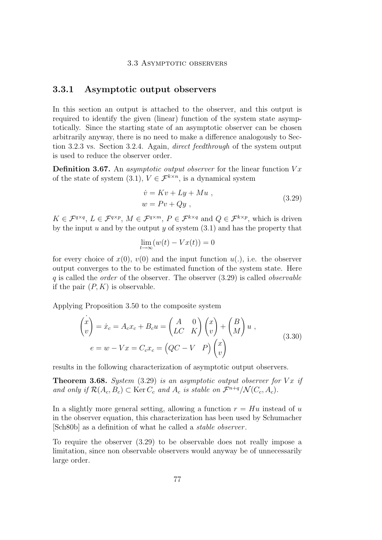### 3.3 ASYMPTOTIC OBSERVERS

### 3.3.1 Asymptotic output observers

In this section an output is attached to the observer, and this output is required to identify the given (linear) function of the system state asymptotically. Since the starting state of an asymptotic observer can be chosen arbitrarily anyway, there is no need to make a difference analogously to Section 3.2.3 vs. Section 3.2.4. Again, direct feedthrough of the system output is used to reduce the observer order.

**Definition 3.67.** An *asymptotic output observer* for the linear function  $V_x$ of the state of system  $(3.1), V \in \mathcal{F}^{k \times n}$ , is a dynamical system

$$
\dot{v} = Kv + Ly + Mu ,
$$
  
\n
$$
w = Pv + Qy ,
$$
\n(3.29)

 $K \in \mathcal{F}^{q \times q}, L \in \mathcal{F}^{q \times p}, M \in \mathcal{F}^{q \times m}, P \in \mathcal{F}^{k \times q}$  and  $Q \in \mathcal{F}^{k \times p}$ , which is driven by the input u and by the output y of system  $(3.1)$  and has the property that

$$
\lim_{t \to \infty} (w(t) - Vx(t)) = 0
$$

for every choice of  $x(0), v(0)$  and the input function  $u(.)$ , i.e. the observer output converges to the to be estimated function of the system state. Here q is called the *order* of the observer. The observer  $(3.29)$  is called *observable* if the pair  $(P, K)$  is observable.

Applying Proposition 3.50 to the composite system

$$
\begin{pmatrix} \n\dot{x} \\
v \n\end{pmatrix} = \dot{x}_c = A_c x_c + B_c u = \begin{pmatrix} A & 0 \\
LC & K \n\end{pmatrix} \begin{pmatrix} x \\
v \n\end{pmatrix} + \begin{pmatrix} B \\
M \n\end{pmatrix} u ,
$$
\n
$$
e = w - Vx = C_c x_c = \begin{pmatrix} QC - V & P \end{pmatrix} \begin{pmatrix} x \\
v \n\end{pmatrix}
$$
\n(3.30)

results in the following characterization of asymptotic output observers.

**Theorem 3.68.** System  $(3.29)$  is an asymptotic output observer for Vx if and only if  $\mathcal{R}(A_c, B_c) \subset \text{Ker } C_c$  and  $A_c$  is stable on  $\mathcal{F}^{n+q}/\mathcal{N}(C_c, A_c)$ .

In a slightly more general setting, allowing a function  $r = Hu$  instead of u in the observer equation, this characterization has been used by Schumacher [Sch80b] as a definition of what he called a stable observer .

To require the observer (3.29) to be observable does not really impose a limitation, since non observable observers would anyway be of unnecessarily large order.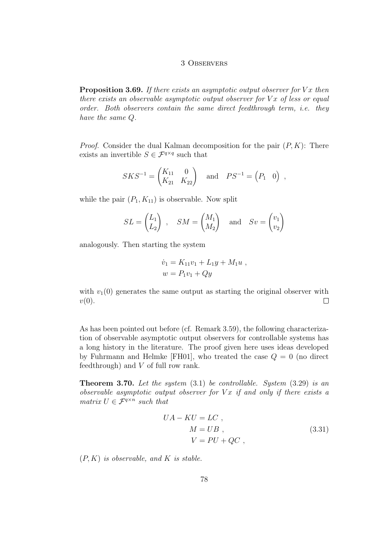**Proposition 3.69.** If there exists an asymptotic output observer for  $Vx$  then there exists an observable asymptotic output observer for  $Vx$  of less or equal order. Both observers contain the same direct feedthrough term, i.e. they have the same Q.

*Proof.* Consider the dual Kalman decomposition for the pair  $(P, K)$ : There exists an invertible  $S \in \mathcal{F}^{q \times q}$  such that

$$
S K S^{-1} = \begin{pmatrix} K_{11} & 0 \\ K_{21} & K_{22} \end{pmatrix} \text{ and } PS^{-1} = \begin{pmatrix} P_1 & 0 \end{pmatrix} ,
$$

while the pair  $(P_1, K_{11})$  is observable. Now split

$$
SL = \begin{pmatrix} L_1 \\ L_2 \end{pmatrix} , \quad SM = \begin{pmatrix} M_1 \\ M_2 \end{pmatrix} \quad \text{and} \quad Sv = \begin{pmatrix} v_1 \\ v_2 \end{pmatrix}
$$

analogously. Then starting the system

$$
\dot{v}_1 = K_{11}v_1 + L_1y + M_1u ,
$$
  

$$
w = P_1v_1 + Qy
$$

with  $v_1(0)$  generates the same output as starting the original observer with  $v(0)$ .  $\Box$ 

As has been pointed out before (cf. Remark 3.59), the following characterization of observable asymptotic output observers for controllable systems has a long history in the literature. The proof given here uses ideas developed by Fuhrmann and Helmke [FH01], who treated the case  $Q = 0$  (no direct feedthrough) and  $V$  of full row rank.

**Theorem 3.70.** Let the system  $(3.1)$  be controllable. System  $(3.29)$  is an observable asymptotic output observer for  $Vx$  if and only if there exists a matrix  $U \in \mathcal{F}^{q \times n}$  such that

$$
UA - KU = LC ,\nM = UB ,\nV = PU + QC ,
$$
\n(3.31)

 $(P, K)$  is observable, and K is stable.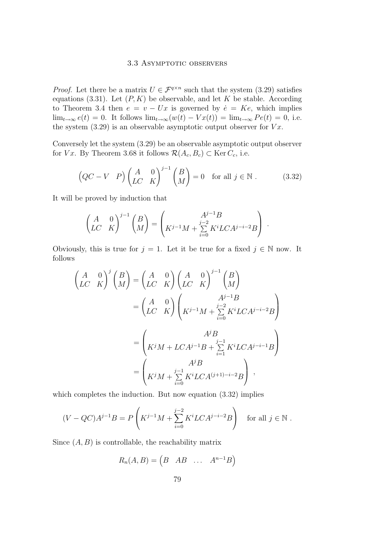### 3.3 Asymptotic observers

*Proof.* Let there be a matrix  $U \in \mathcal{F}^{q \times n}$  such that the system (3.29) satisfies equations (3.31). Let  $(P, K)$  be observable, and let K be stable. According to Theorem 3.4 then  $e = v - Ux$  is governed by  $\dot{e} = Ke$ , which implies  $\lim_{t\to\infty}e(t)=0$ . It follows  $\lim_{t\to\infty}(w(t)-Vx(t))=\lim_{t\to\infty}Pe(t)=0$ , i.e. the system  $(3.29)$  is an observable asymptotic output observer for  $Vx$ .

Conversely let the system (3.29) be an observable asymptotic output observer for Vx. By Theorem 3.68 it follows  $\mathcal{R}(A_c, B_c) \subset \text{Ker } C_c$ , i.e.

$$
\left(QC - V \quad P\right) \begin{pmatrix} A & 0 \\ LC & K \end{pmatrix}^{j-1} \begin{pmatrix} B \\ M \end{pmatrix} = 0 \quad \text{for all } j \in \mathbb{N} . \tag{3.32}
$$

It will be proved by induction that

$$
\begin{pmatrix} A & 0 \\ LC & K \end{pmatrix}^{j-1} \begin{pmatrix} B \\ M \end{pmatrix} = \begin{pmatrix} A^{j-1}B \\ K^{j-1}M + \sum_{i=0}^{j-2} K^i LCA^{j-i-2}B \end{pmatrix}.
$$

Obviously, this is true for  $j = 1$ . Let it be true for a fixed  $j \in \mathbb{N}$  now. It follows

$$
\begin{aligned}\n\begin{pmatrix}\nA & 0 \\
LC & K\n\end{pmatrix}^j \begin{pmatrix}\nB \\
M\n\end{pmatrix} &= \begin{pmatrix}\nA & 0 \\
LC & K\n\end{pmatrix} \begin{pmatrix}\nA & 0 \\
LC & K\n\end{pmatrix}^{j-1} \begin{pmatrix}\nB \\
M\n\end{pmatrix} \\
&= \begin{pmatrix}\nA & 0 \\
LC & K\n\end{pmatrix} \begin{pmatrix}\nA^{j-1}B \\
K^{j-1}M + \sum_{i=0}^{j-2} K^i LCA^{j-i-2}B\n\end{pmatrix} \\
&= \begin{pmatrix}\nA^jB \\
K^jM + LCA^{j-1}B + \sum_{i=1}^{j-1} K^i LCA^{j-i-1}B\n\end{pmatrix} \\
&= \begin{pmatrix}\nA^jB \\
K^jM + \sum_{i=0}^{j-1} K^i LCA^{(j+1)-i-2}B\n\end{pmatrix}\n\end{aligned}
$$

which completes the induction. But now equation  $(3.32)$  implies

$$
(V - QC)A^{j-1}B = P\left(K^{j-1}M + \sum_{i=0}^{j-2} K^i LCA^{j-i-2}B\right) \text{ for all } j \in \mathbb{N}.
$$

Since  $(A, B)$  is controllable, the reachability matrix

$$
R_n(A, B) = \begin{pmatrix} B & AB & \dots & A^{n-1}B \end{pmatrix}
$$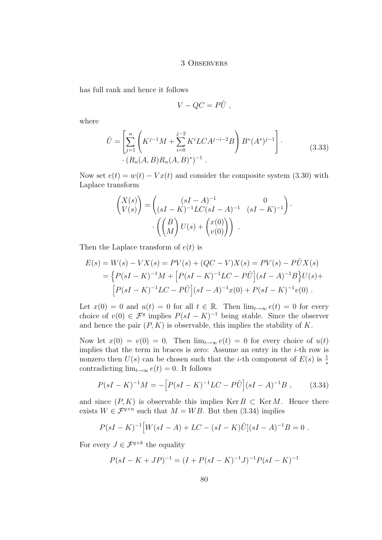has full rank and hence it follows

$$
V - QC = P\tilde{U} ,
$$

where

$$
\tilde{U} = \left[ \sum_{j=1}^{n} \left( K^{j-1} M + \sum_{i=0}^{j-2} K^i L C A^{j-i-2} B \right) B^*(A^*)^{j-1} \right].
$$
\n
$$
\cdot (R_n(A, B) R_n(A, B)^*)^{-1} .
$$
\n(3.33)

Now set  $e(t) = w(t) - Vx(t)$  and consider the composite system (3.30) with Laplace transform

$$
\begin{pmatrix} X(s) \\ V(s) \end{pmatrix} = \begin{pmatrix} (sI - A)^{-1} & 0 \\ (sI - K)^{-1}LC(sI - A)^{-1} & (sI - K)^{-1} \end{pmatrix}.
$$

$$
\cdot \left( \begin{pmatrix} B \\ M \end{pmatrix} U(s) + \begin{pmatrix} x(0) \\ v(0) \end{pmatrix} \right).
$$

Then the Laplace transform of  $e(t)$  is

$$
E(s) = W(s) - VX(s) = PV(s) + (QC - V)X(s) = PV(s) - P\tilde{U}X(s)
$$
  
=  $\{P(sI - K)^{-1}M + [P(sI - K)^{-1}LC - P\tilde{U}](sI - A)^{-1}B\}U(s) +$   

$$
[P(sI - K)^{-1}LC - P\tilde{U}](sI - A)^{-1}x(0) + P(sI - K)^{-1}v(0).
$$

Let  $x(0) = 0$  and  $u(t) = 0$  for all  $t \in \mathbb{R}$ . Then  $\lim_{t \to \infty} e(t) = 0$  for every choice of  $v(0) \in \mathcal{F}^q$  implies  $P(sI - K)^{-1}$  being stable. Since the observer and hence the pair  $(P, K)$  is observable, this implies the stability of K.

Now let  $x(0) = v(0) = 0$ . Then  $\lim_{t\to\infty} e(t) = 0$  for every choice of  $u(t)$ implies that the term in braces is zero: Assume an entry in the  $i$ -th row is nonzero then  $U(s)$  can be chosen such that the *i*-th component of  $E(s)$  is  $\frac{1}{s}$ contradicting  $\lim_{t\to\infty} e(t) = 0$ . It follows

$$
P(sI - K)^{-1}M = -\left[P(sI - K)^{-1}LC - P\tilde{U}\right](sI - A)^{-1}B\,,\qquad(3.34)
$$

and since  $(P, K)$  is observable this implies Ker  $B \subset \text{Ker } M$ . Hence there exists  $W \in \mathcal{F}^{q \times n}$  such that  $M = WB$ . But then (3.34) implies

$$
P(sI - K)^{-1} \Big[ W(sI - A) + LC - (sI - K)\tilde{U} \Big] (sI - A)^{-1} B = 0.
$$

For every  $J \in \mathcal{F}^{q \times k}$  the equality

$$
P(sI - K + JP)^{-1} = (I + P(sI - K)^{-1}J)^{-1}P(sI - K)^{-1}
$$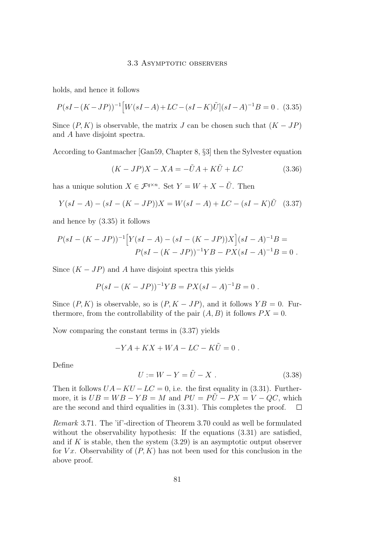### 3.3 Asymptotic observers

holds, and hence it follows

$$
P(sI - (K - JP))^{-1} \Big[ W(sI - A) + LC - (sI - K)\tilde{U} \Big] (sI - A)^{-1}B = 0 \quad (3.35)
$$

Since  $(P, K)$  is observable, the matrix J can be chosen such that  $(K - JP)$ and A have disjoint spectra.

According to Gantmacher [Gan59, Chapter 8, §3] then the Sylvester equation

$$
(K - JP)X - XA = -\tilde{U}A + K\tilde{U} + LC \qquad (3.36)
$$

has a unique solution  $X \in \mathcal{F}^{q \times n}$ . Set  $Y = W + X - \tilde{U}$ . Then

$$
Y(sI - A) - (sI - (K - JP))X = W(sI - A) + LC - (sI - K)\tilde{U}
$$
 (3.37)

and hence by (3.35) it follows

$$
P(sI - (K - JP))^{-1} \Big[ Y(sI - A) - (sI - (K - JP))X \Big] (sI - A)^{-1}B =
$$
  

$$
P(sI - (K - JP))^{-1}YB - PX(sI - A)^{-1}B = 0.
$$

Since  $(K - JP)$  and A have disjoint spectra this yields

$$
P(sI - (K - JP))^{-1}YB = PX(sI - A)^{-1}B = 0.
$$

Since  $(P, K)$  is observable, so is  $(P, K - JP)$ , and it follows  $YB = 0$ . Furthermore, from the controllability of the pair  $(A, B)$  it follows  $PX = 0$ .

Now comparing the constant terms in (3.37) yields

$$
-YA + KX + WA - LC - K\tilde{U} = 0.
$$

Define

$$
U := W - Y = \tilde{U} - X \tag{3.38}
$$

Then it follows  $UA - KU - LC = 0$ , i.e. the first equality in (3.31). Furthermore, it is  $UB = WB - YB = M$  and  $PU = P\ddot{U} - PX = V - QC$ , which are the second and third equalities in (3.31). This completes the proof.  $\Box$ 

Remark 3.71. The 'if'-direction of Theorem 3.70 could as well be formulated without the observability hypothesis: If the equations  $(3.31)$  are satisfied, and if K is stable, then the system  $(3.29)$  is an asymptotic output observer for Vx. Observability of  $(P, K)$  has not been used for this conclusion in the above proof.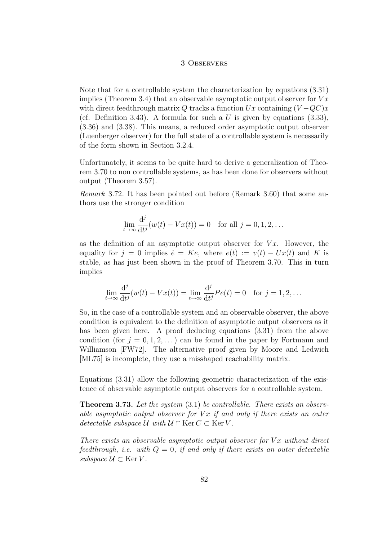Note that for a controllable system the characterization by equations (3.31) implies (Theorem 3.4) that an observable asymptotic output observer for  $V_x$ with direct feedthrough matrix Q tracks a function  $Ux$  containing  $(V - QC)x$ (cf. Definition 3.43). A formula for such a U is given by equations  $(3.33)$ , (3.36) and (3.38). This means, a reduced order asymptotic output observer (Luenberger observer) for the full state of a controllable system is necessarily of the form shown in Section 3.2.4.

Unfortunately, it seems to be quite hard to derive a generalization of Theorem 3.70 to non controllable systems, as has been done for observers without output (Theorem 3.57).

Remark 3.72. It has been pointed out before (Remark 3.60) that some authors use the stronger condition

$$
\lim_{t \to \infty} \frac{\mathrm{d}^j}{\mathrm{d}t^j}(w(t) - Vx(t)) = 0 \quad \text{for all } j = 0, 1, 2, \dots
$$

as the definition of an asymptotic output observer for  $Vx$ . However, the equality for  $j = 0$  implies  $\dot{e} = Ke$ , where  $e(t) := v(t) - Ux(t)$  and K is stable, as has just been shown in the proof of Theorem 3.70. This in turn implies

$$
\lim_{t \to \infty} \frac{\mathrm{d}^j}{\mathrm{d}t^j}(w(t) - Vx(t)) = \lim_{t \to \infty} \frac{\mathrm{d}^j}{\mathrm{d}t^j} Pe(t) = 0 \quad \text{for } j = 1, 2, \dots
$$

So, in the case of a controllable system and an observable observer, the above condition is equivalent to the definition of asymptotic output observers as it has been given here. A proof deducing equations (3.31) from the above condition (for  $j = 0, 1, 2, \ldots$ ) can be found in the paper by Fortmann and Williamson [FW72]. The alternative proof given by Moore and Ledwich [ML75] is incomplete, they use a misshaped reachability matrix.

Equations (3.31) allow the following geometric characterization of the existence of observable asymptotic output observers for a controllable system.

**Theorem 3.73.** Let the system  $(3.1)$  be controllable. There exists an observable asymptotic output observer for  $Vx$  if and only if there exists an outer detectable subspace  $U$  with  $U \cap \text{Ker } C \subset \text{Ker } V$ .

There exists an observable asymptotic output observer for  $Vx$  without direct feedthrough, i.e. with  $Q = 0$ , if and only if there exists an outer detectable subspace  $\mathcal{U} \subset \text{Ker } V$ .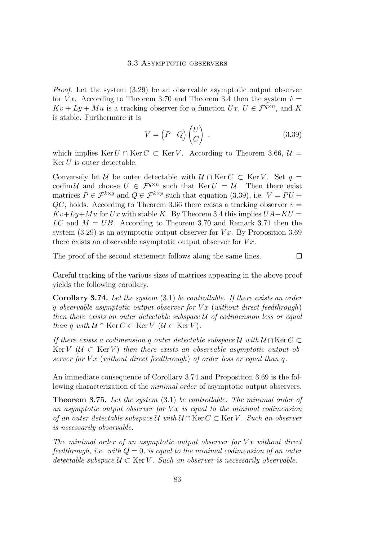### 3.3 ASYMPTOTIC OBSERVERS

Proof. Let the system (3.29) be an observable asymptotic output observer for Vx. According to Theorem 3.70 and Theorem 3.4 then the system  $\dot{v} =$  $Kv + Ly + Mu$  is a tracking observer for a function  $Ux, U \in \mathcal{F}^{q \times n}$ , and K is stable. Furthermore it is

$$
V = \begin{pmatrix} P & Q \end{pmatrix} \begin{pmatrix} U \\ C \end{pmatrix} , \qquad (3.39)
$$

which implies Ker  $U \cap \text{Ker } C \subset \text{Ker } V$ . According to Theorem 3.66,  $\mathcal{U} =$  $Ker U$  is outer detectable.

Conversely let U be outer detectable with  $U \cap \text{Ker } C \subset \text{Ker } V$ . Set  $q =$ codim U and choose  $U \in \mathcal{F}^{q \times n}$  such that  $\text{Ker } U = \mathcal{U}$ . Then there exist matrices  $P \in \mathcal{F}^{k \times q}$  and  $Q \in \mathcal{F}^{k \times p}$  such that equation (3.39), i.e.  $V = PU +$  $QC$ , holds. According to Theorem 3.66 there exists a tracking observer  $\dot{v} =$  $Kv+Ly+Mu$  for Ux with stable K. By Theorem 3.4 this implies  $UA-KU =$  $LC$  and  $M = UB$ . According to Theorem 3.70 and Remark 3.71 then the system  $(3.29)$  is an asymptotic output observer for  $Vx$ . By Proposition 3.69 there exists an observable asymptotic output observer for  $Vx$ .

The proof of the second statement follows along the same lines.  $\Box$ 

Careful tracking of the various sizes of matrices appearing in the above proof yields the following corollary.

Corollary 3.74. Let the system (3.1) be controllable. If there exists an order q observable asymptotic output observer for  $Vx$  (without direct feedthrough) then there exists an outer detectable subspace  $U$  of codimension less or equal than q with  $\mathcal{U} \cap \text{Ker } C \subset \text{Ker } V$   $(\mathcal{U} \subset \text{Ker } V)$ .

If there exists a codimension q outer detectable subspace U with  $\mathcal{U} \cap \text{Ker } C \subset$ Ker  $V$  ( $U \subset \text{Ker } V$ ) then there exists an observable asymptotic output observer for  $Vx$  (without direct feedthrough) of order less or equal than q.

An immediate consequence of Corollary 3.74 and Proposition 3.69 is the following characterization of the *minimal order* of asymptotic output observers.

Theorem 3.75. Let the system (3.1) be controllable. The minimal order of an asymptotic output observer for  $Vx$  is equal to the minimal codimension of an outer detectable subspace  $\mathcal U$  with  $\mathcal U \cap \mathrm{Ker}\, C \subset \mathrm{Ker}\, V$ . Such an observer is necessarily observable.

The minimal order of an asymptotic output observer for  $Vx$  without direct feedthrough, i.e. with  $Q = 0$ , is equal to the minimal codimension of an outer detectable subspace  $\mathcal{U} \subset \text{Ker } V$ . Such an observer is necessarily observable.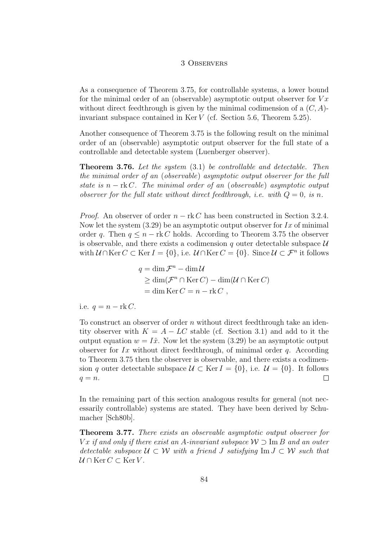As a consequence of Theorem 3.75, for controllable systems, a lower bound for the minimal order of an (observable) asymptotic output observer for  $V_x$ without direct feedthrough is given by the minimal codimension of a  $(C, A)$ invariant subspace contained in Ker V (cf. Section 5.6, Theorem 5.25).

Another consequence of Theorem 3.75 is the following result on the minimal order of an (observable) asymptotic output observer for the full state of a controllable and detectable system (Luenberger observer).

Theorem 3.76. Let the system (3.1) be controllable and detectable. Then the minimal order of an (observable) asymptotic output observer for the full state is  $n - \text{rk } C$ . The minimal order of an (observable) asymptotic output observer for the full state without direct feedthrough, i.e. with  $Q = 0$ , is n.

*Proof.* An observer of order  $n - \text{rk } C$  has been constructed in Section 3.2.4. Now let the system  $(3.29)$  be an asymptotic output observer for Ix of minimal order q. Then  $q \leq n - \text{rk } C$  holds. According to Theorem 3.75 the observer is observable, and there exists a codimension q outer detectable subspace  $\mathcal{U}$ with  $\mathcal{U} \cap \text{Ker } C \subset \text{Ker } I = \{0\}, \text{ i.e. } \mathcal{U} \cap \text{Ker } C = \{0\}. \text{ Since } \mathcal{U} \subset \mathcal{F}^n \text{ it follows}$ 

$$
q = \dim \mathcal{F}^n - \dim \mathcal{U}
$$
  
\n
$$
\geq \dim(\mathcal{F}^n \cap \text{Ker } C) - \dim(\mathcal{U} \cap \text{Ker } C)
$$
  
\n
$$
= \dim \text{Ker } C = n - \text{rk } C ,
$$

i.e.  $q = n - \text{rk } C$ .

To construct an observer of order n without direct feedthrough take an identity observer with  $K = A - LC$  stable (cf. Section 3.1) and add to it the output equation  $w = I\hat{x}$ . Now let the system (3.29) be an asymptotic output observer for  $Ix$  without direct feedthrough, of minimal order q. According to Theorem 3.75 then the observer is observable, and there exists a codimension q outer detectable subspace  $\mathcal{U} \subset \text{Ker } I = \{0\}$ , i.e.  $\mathcal{U} = \{0\}$ . It follows  $\Box$  $q = n$ .

In the remaining part of this section analogous results for general (not necessarily controllable) systems are stated. They have been derived by Schumacher [Sch80b].

Theorem 3.77. There exists an observable asymptotic output observer for Vx if and only if there exist an A-invariant subspace  $W \supset$  Im B and an outer detectable subspace  $U \subset \mathcal{W}$  with a friend J satisfying Im  $J \subset \mathcal{W}$  such that  $U \cap \text{Ker } C \subset \text{Ker } V$ .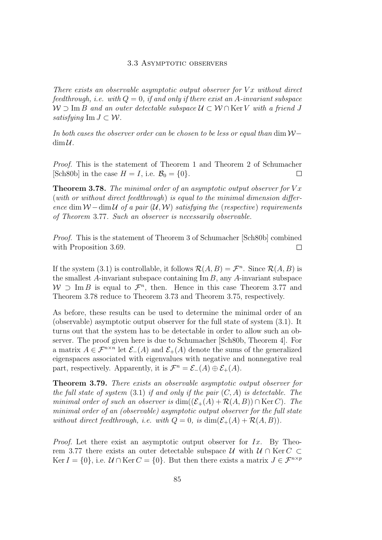### 3.3 Asymptotic observers

There exists an observable asymptotic output observer for  $Vx$  without direct feedthrough, i.e. with  $Q = 0$ , if and only if there exist an A-invariant subspace  $W \supset$  Im B and an outer detectable subspace  $U \subset W \cap \text{Ker } V$  with a friend J satisfying Im  $J \subset \mathcal{W}$ .

In both cases the observer order can be chosen to be less or equal than dim  $W \dim \mathcal{U}$ .

Proof. This is the statement of Theorem 1 and Theorem 2 of Schumacher [Sch80b] in the case  $H = I$ , i.e.  $\mathcal{B}_0 = \{0\}$ .  $\Box$ 

**Theorem 3.78.** The minimal order of an asymptotic output observer for  $Vx$ (with or without direct feedthrough) is equal to the minimal dimension difference dim  $W$  – dim  $U$  of a pair  $(U, W)$  satisfying the (respective) requirements of Theorem 3.77. Such an observer is necessarily observable.

Proof. This is the statement of Theorem 3 of Schumacher [Sch80b] combined with Proposition 3.69.  $\Box$ 

If the system (3.1) is controllable, it follows  $\mathcal{R}(A, B) = \mathcal{F}^n$ . Since  $\mathcal{R}(A, B)$  is the smallest  $A$ -invariant subspace containing Im  $B$ , any  $A$ -invariant subspace  $W \supset \operatorname{Im} B$  is equal to  $\mathcal{F}^n$ , then. Hence in this case Theorem 3.77 and Theorem 3.78 reduce to Theorem 3.73 and Theorem 3.75, respectively.

As before, these results can be used to determine the minimal order of an (observable) asymptotic output observer for the full state of system (3.1). It turns out that the system has to be detectable in order to allow such an observer. The proof given here is due to Schumacher [Sch80b, Theorem 4]. For a matrix  $A \in \mathcal{F}^{n \times n}$  let  $\mathcal{E}_-(A)$  and  $\mathcal{E}_+(A)$  denote the sums of the generalized eigenspaces associated with eigenvalues with negative and nonnegative real part, respectively. Apparently, it is  $\mathcal{F}^n = \mathcal{E}_-(A) \oplus \mathcal{E}_+(A)$ .

Theorem 3.79. There exists an observable asymptotic output observer for the full state of system  $(3.1)$  if and only if the pair  $(C, A)$  is detectable. The minimal order of such an observer is  $\dim((\mathcal{E}_+(A) + \mathcal{R}(A, B)) \cap \text{Ker } C)$ . The minimal order of an (observable) asymptotic output observer for the full state without direct feedthrough, i.e. with  $Q = 0$ , is  $\dim(\mathcal{E}_+(A) + \mathcal{R}(A, B)).$ 

*Proof.* Let there exist an asymptotic output observer for  $Ix$ . By Theorem 3.77 there exists an outer detectable subspace U with  $U \cap \text{Ker } C \subset$ Ker  $I = \{0\}$ , i.e.  $\mathcal{U} \cap \text{Ker } C = \{0\}$ . But then there exists a matrix  $J \in \mathcal{F}^{n \times p}$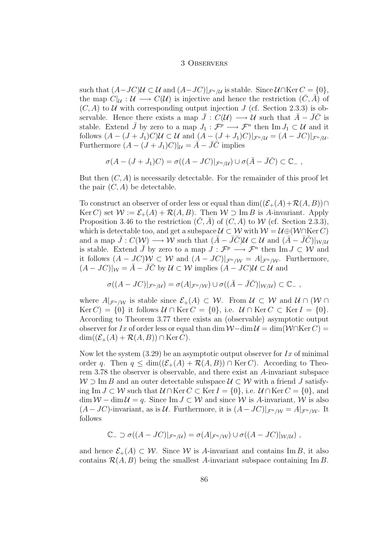such that  $(A-JC)\mathcal{U} \subset \mathcal{U}$  and  $(A-JC)|_{\mathcal{F}^n/\mathcal{U}}$  is stable. Since  $\mathcal{U} \cap \text{Ker } C = \{0\},$ the map  $C|_{\mathcal{U}} : \mathcal{U} \longrightarrow C(\mathcal{U})$  is injective and hence the restriction  $(C, A)$  of  $(C, A)$  to U with corresponding output injection J (cf. Section 2.3.3) is observable. Hence there exists a map  $\bar{J}: C(\mathcal{U}) \longrightarrow \mathcal{U}$  such that  $\bar{A}-\bar{J}\bar{C}$  is stable. Extend  $\bar{J}$  by zero to a map  $J_1 : \mathcal{F}^p \longrightarrow \mathcal{F}^n$  then  $\text{Im } J_1 \subset \mathcal{U}$  and it follows  $(A - (J + J_1)C)\mathcal{U} \subset \mathcal{U}$  and  $(A - (J + J_1)C)|_{\mathcal{F}^n/\mathcal{U}} = (A - JC)|_{\mathcal{F}^n/\mathcal{U}}$ . Furthermore  $(A - (J + J_1)C)|_{\mathcal{U}} = \overline{A} - \overline{J}\overline{C}$  implies

$$
\sigma(A - (J + J_1)C) = \sigma((A - JC)|_{\mathcal{F}^n/U}) \cup \sigma(\bar{A} - \bar{J}\bar{C}) \subset \mathbb{C}_-,
$$

But then  $(C, A)$  is necessarily detectable. For the remainder of this proof let the pair  $(C, A)$  be detectable.

To construct an observer of order less or equal than  $dim((\mathcal{E}_+(A)+\mathcal{R}(A, B)) \cap$ Ker C) set  $W := \mathcal{E}_+(A) + \mathcal{R}(A, B)$ . Then  $W \supset \text{Im } B$  is A-invariant. Apply Proposition 3.46 to the restriction  $(\bar{C}, \bar{A})$  of  $(C, A)$  to W (cf. Section 2.3.3), which is detectable too, and get a subspace  $\mathcal{U} \subset \mathcal{W}$  with  $\mathcal{W} = \mathcal{U} \oplus (\mathcal{W} \cap \text{Ker } C)$ and a map  $\bar{J}: C(\mathcal{W}) \longrightarrow \mathcal{W}$  such that  $(\bar{A}-\bar{J}\bar{C})\mathcal{U} \subset \mathcal{U}$  and  $(\bar{A}-\bar{J}\bar{C})|_{\mathcal{W}/\mathcal{U}}$ is stable. Extend  $\bar{J}$  by zero to a map  $J : \mathcal{F}^p \longrightarrow \mathcal{F}^n$  then  $\text{Im } J \subset \mathcal{W}$  and it follows  $(A - JC)\mathcal{W} \subset \mathcal{W}$  and  $(A - JC)|_{\mathcal{F}^n/\mathcal{W}} = A|_{\mathcal{F}^n/\mathcal{W}}$ . Furthermore,  $(A - JC)|_{\mathcal{W}} = \overline{A} - \overline{J}\overline{C}$  by  $\mathcal{U} \subset \mathcal{W}$  implies  $(A - JC)\mathcal{U} \subset \mathcal{U}$  and

$$
\sigma((A-JC)|_{\mathcal{F}^n/\mathcal{U}}) = \sigma(A|_{\mathcal{F}^n/\mathcal{W}}) \cup \sigma((\bar{A}-\bar{J}\bar{C})|_{\mathcal{W}/\mathcal{U}}) \subset \mathbb{C}_-\ ,
$$

where  $A|_{\mathcal{F}^n\setminus\mathcal{W}}$  is stable since  $\mathcal{E}_+(A)\subset\mathcal{W}$ . From  $\mathcal{U}\subset\mathcal{W}$  and  $\mathcal{U}\cap(\mathcal{W}\cap\mathcal{W})$  $Ker C = \{0\}$  it follows  $U \cap \text{Ker } C = \{0\}$ , i.e.  $U \cap \text{Ker } C \subset \text{Ker } I = \{0\}.$ According to Theorem 3.77 there exists an (observable) asymptotic output observer for Ix of order less or equal than dim  $W-\dim U = \dim(W\cap \text{Ker }C)$  $\dim((\mathcal{E}_+(A) + \mathcal{R}(A, B)) \cap \text{Ker } C).$ 

Now let the system  $(3.29)$  be an asymptotic output observer for Ix of minimal order q. Then  $q \leq \dim((\mathcal{E}_+(A) + \mathcal{R}(A, B)) \cap \text{Ker } C)$ . According to Theorem 3.78 the observer is observable, and there exist an A-invariant subspace  $W \supset$  Im B and an outer detectable subspace  $U \subset W$  with a friend J satisfying Im  $J \subset \mathcal{W}$  such that  $\mathcal{U} \cap \text{Ker } C \subset \text{Ker } I = \{0\}$ , i.e.  $\mathcal{U} \cap \text{Ker } C = \{0\}$ , and  $\dim W - \dim \mathcal{U} = q$ . Since Im  $J \subset \mathcal{W}$  and since W is A-invariant, W is also  $(A-JC)$ -invariant, as is U. Furthermore, it is  $(A-JC)|_{\mathcal{F}^n/\mathcal{W}}=A|_{\mathcal{F}^n/\mathcal{W}}$ . It follows

$$
\mathbb{C}_{-} \supset \sigma((A-JC)|_{\mathcal{F}^{n}/\mathcal{U}}) = \sigma(A|_{\mathcal{F}^{n}/\mathcal{W}}) \cup \sigma((A-JC)|_{\mathcal{W}/\mathcal{U}}),
$$

and hence  $\mathcal{E}_+(A) \subset \mathcal{W}$ . Since W is A-invariant and contains Im B, it also contains  $\mathcal{R}(A, B)$  being the smallest A-invariant subspace containing Im B.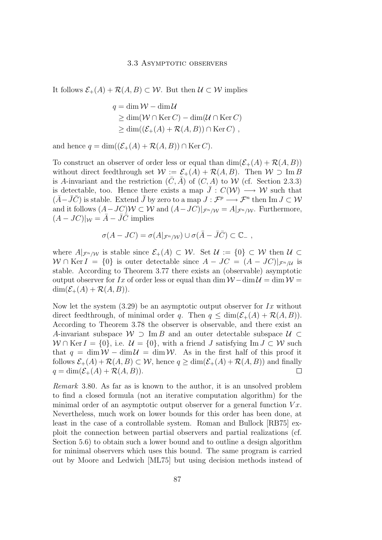It follows  $\mathcal{E}_+(A) + \mathcal{R}(A, B) \subset \mathcal{W}$ . But then  $\mathcal{U} \subset \mathcal{W}$  implies

$$
q = \dim \mathcal{W} - \dim \mathcal{U}
$$
  
\n
$$
\geq \dim(\mathcal{W} \cap \text{Ker } C) - \dim(\mathcal{U} \cap \text{Ker } C)
$$
  
\n
$$
\geq \dim((\mathcal{E}_+(A) + \mathcal{R}(A, B)) \cap \text{Ker } C),
$$

and hence  $q = \dim((\mathcal{E}_+(A) + \mathcal{R}(A, B)) \cap \text{Ker } C).$ 

To construct an observer of order less or equal than  $dim(\mathcal{E}_+(A) + \mathcal{R}(A, B))$ without direct feedthrough set  $W := \mathcal{E}_+(A) + \mathcal{R}(A, B)$ . Then  $W \supset \text{Im } B$ is A-invariant and the restriction  $(\bar{C}, \bar{A})$  of  $(C, A)$  to W (cf. Section 2.3.3) is detectable, too. Hence there exists a map  $\overline{J}: C(\mathcal{W}) \longrightarrow \mathcal{W}$  such that  $(\bar{A}-\bar{J}\bar{C})$  is stable. Extend  $\bar{J}$  by zero to a map  $J: \mathcal{F}^p \longrightarrow \mathcal{F}^n$  then Im  $J \subset \mathcal{W}$ and it follows  $(A-JC)W \subset W$  and  $(A-JC)|_{\mathcal{F}^n/W} = A|_{\mathcal{F}^n/W}$ . Furthermore,  $(A - JC)|_{\mathcal{W}} = \overline{A} - \overline{J}\overline{C}$  implies

$$
\sigma(A-JC)=\sigma(A|_{\mathcal{F}^n/\mathcal{W}})\cup \sigma(\bar{A}-\bar{J}\bar{C})\subset\mathbb{C}_-\ ,
$$

where  $A|_{\mathcal{F}^{n}/\mathcal{W}}$  is stable since  $\mathcal{E}_{+}(A) \subset \mathcal{W}$ . Set  $\mathcal{U} := \{0\} \subset \mathcal{W}$  then  $\mathcal{U} \subset$  $W \cap \text{Ker } I = \{0\}$  is outer detectable since  $A - JC = (A - JC)|_{\mathcal{F}^n/U}$  is stable. According to Theorem 3.77 there exists an (observable) asymptotic output observer for Ix of order less or equal than dim  $\mathcal{W}$  – dim  $\mathcal{W}$  = dim  $\mathcal{W}$  =  $\dim(\mathcal{E}_+(A) + \mathcal{R}(A, B)).$ 

Now let the system  $(3.29)$  be an asymptotic output observer for Ix without direct feedthrough, of minimal order q. Then  $q \leq \dim(\mathcal{E}_+(A) + \mathcal{R}(A, B)).$ According to Theorem 3.78 the observer is observable, and there exist an A-invariant subspace  $W \supset \text{Im } B$  and an outer detectable subspace  $U \subset$  $W \cap \text{Ker } I = \{0\}, \text{ i.e. } \mathcal{U} = \{0\}, \text{ with a friend } J \text{ satisfying } \text{Im } J \subset \mathcal{W} \text{ such}$ that  $q = \dim W - \dim U = \dim W$ . As in the first half of this proof it follows  $\mathcal{E}_+(A) + \mathcal{R}(A, B) \subset \mathcal{W}$ , hence  $q \ge \dim(\mathcal{E}_+(A) + \mathcal{R}(A, B))$  and finally  $q = \dim(\mathcal{E}_+(A) + \mathcal{R}(A, B)).$  $\Box$ 

Remark 3.80. As far as is known to the author, it is an unsolved problem to find a closed formula (not an iterative computation algorithm) for the minimal order of an asymptotic output observer for a general function  $V_x$ . Nevertheless, much work on lower bounds for this order has been done, at least in the case of a controllable system. Roman and Bullock [RB75] exploit the connection between partial observers and partial realizations (cf. Section 5.6) to obtain such a lower bound and to outline a design algorithm for minimal observers which uses this bound. The same program is carried out by Moore and Ledwich [ML75] but using decision methods instead of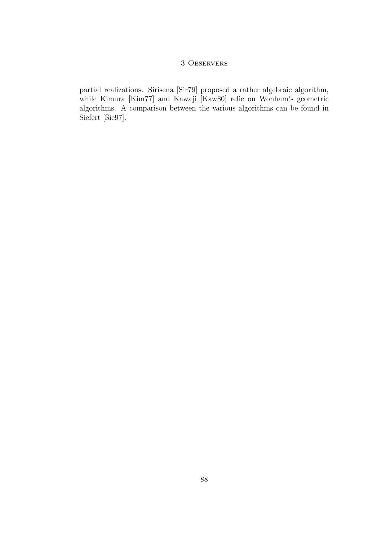partial realizations. Sirisena [Sir79] proposed a rather algebraic algorithm, while Kimura [Kim77] and Kawaji [Kaw80] relie on Wonham's geometric algorithms. A comparison between the various algorithms can be found in Siefert [Sie97].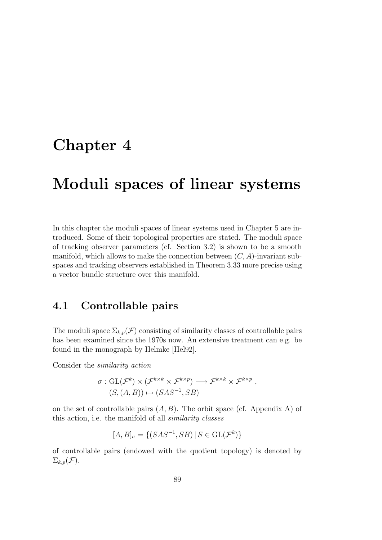# Chapter 4

# Moduli spaces of linear systems

In this chapter the moduli spaces of linear systems used in Chapter 5 are introduced. Some of their topological properties are stated. The moduli space of tracking observer parameters (cf. Section 3.2) is shown to be a smooth manifold, which allows to make the connection between  $(C, A)$ -invariant subspaces and tracking observers established in Theorem 3.33 more precise using a vector bundle structure over this manifold.

## 4.1 Controllable pairs

The moduli space  $\Sigma_{k,p}(\mathcal{F})$  consisting of similarity classes of controllable pairs has been examined since the 1970s now. An extensive treatment can e.g. be found in the monograph by Helmke [Hel92].

Consider the similarity action

$$
\sigma: GL(\mathcal{F}^k) \times (\mathcal{F}^{k \times k} \times \mathcal{F}^{k \times p}) \longrightarrow \mathcal{F}^{k \times k} \times \mathcal{F}^{k \times p} ,
$$
  

$$
(S, (A, B)) \mapsto (SAS^{-1}, SB)
$$

on the set of controllable pairs  $(A, B)$ . The orbit space (cf. Appendix A) of this action, i.e. the manifold of all similarity classes

$$
[A,B]_{\sigma} = \{ (SAS^{-1}, SB) \mid S \in \mathrm{GL}(\mathcal{F}^k) \}
$$

of controllable pairs (endowed with the quotient topology) is denoted by  $\Sigma_{k,p}(\mathcal{F}).$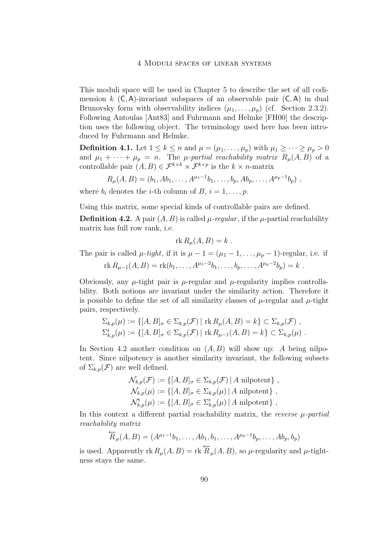#### 4 Moduli spaces of linear systems

This moduli space will be used in Chapter 5 to describe the set of all codimension k  $(C, A)$ -invariant subspaces of an observable pair  $(C, A)$  in dual Brunovsky form with observability indices  $(\mu_1, \ldots, \mu_n)$  (cf. Section 2.3.2). Following Antoulas [Ant83] and Fuhrmann and Helmke [FH00] the description uses the following object. The terminology used here has been introduced by Fuhrmann and Helmke.

**Definition 4.1.** Let  $1 \leq k \leq n$  and  $\mu = (\mu_1, \dots, \mu_p)$  with  $\mu_1 \geq \dots \geq \mu_p > 0$ and  $\mu_1 + \cdots + \mu_p = n$ . The *µ*-partial reachability matrix  $R_\mu(A, B)$  of a controllable pair  $(A, B) \in \mathcal{F}^{k \times k} \times \mathcal{F}^{k \times p}$  is the  $k \times n$ -matrix

$$
R_{\mu}(A, B) = (b_1, Ab_1, \ldots, A^{\mu_1-1}b_1, \ldots, b_p, Ab_p, \ldots, A^{\mu_p-1}b_p) ,
$$

where  $b_i$  denotes the *i*-th column of B,  $i = 1, \ldots, p$ .

Using this matrix, some special kinds of controllable pairs are defined.

**Definition 4.2.** A pair  $(A, B)$  is called  $\mu$ -regular, if the  $\mu$ -partial reachability matrix has full row rank, i.e.

$$
rk R_{\mu}(A, B) = k .
$$

The pair is called  $\mu$ -tight, if it is  $\mu - 1 = (\mu_1 - 1, \dots, \mu_p - 1)$ -regular, i.e. if

 $\text{rk } R_{\mu-1}(A, B) = \text{rk}(b_1, \ldots, A^{\mu_1-2}b_1, \ldots, b_p, \ldots, A^{\mu_p-2}b_p) = k$ .

Obviously, any  $\mu$ -tight pair is  $\mu$ -regular and  $\mu$ -regularity implies controllability. Both notions are invariant under the similarity action. Therefore it is possible to define the set of all similarity classes of  $\mu$ -regular and  $\mu$ -tight pairs, respectively.

$$
\Sigma_{k,p}(\mu) := \{ [A, B]_{\sigma} \in \Sigma_{k,p}(\mathcal{F}) \mid \text{rk } R_{\mu}(A, B) = k \} \subset \Sigma_{k,p}(\mathcal{F}) ,
$$
  

$$
\Sigma_{k,p}^{\mathsf{t}}(\mu) := \{ [A, B]_{\sigma} \in \Sigma_{k,p}(\mathcal{F}) \mid \text{rk } R_{\mu-1}(A, B) = k \} \subset \Sigma_{k,p}(\mu) .
$$

In Section 4.2 another condition on  $(A, B)$  will show up: A being nilpotent. Since nilpotency is another similarity invariant, the following subsets of  $\Sigma_{k,p}(\mathcal{F})$  are well defined.

$$
\mathcal{N}_{k,p}(\mathcal{F}) := \{ [A, B]_{\sigma} \in \Sigma_{k,p}(\mathcal{F}) \mid A \text{ nilpotent} \},\
$$

$$
\mathcal{N}_{k,p}(\mu) := \{ [A, B]_{\sigma} \in \Sigma_{k,p}(\mu) \mid A \text{ nilpotent} \},\
$$

$$
\mathcal{N}_{k,p}^{\text{t}}(\mu) := \{ [A, B]_{\sigma} \in \Sigma_{k,p}^{\text{t}}(\mu) \mid A \text{ nilpotent} \},\
$$

In this context a different partial reachability matrix, the *reverse*  $\mu$ -partial reachability matrix

$$
\overleftarrow{R}_{\mu}(A,B)=(A^{\mu_1-1}b_1,\ldots,Ab_1,b_1,\ldots,A^{\mu_p-1}b_p,\ldots,Ab_p,b_p)
$$

is used. Apparently  $\text{rk } R_\mu(A, B) = \text{rk } \overleftarrow{R}_\mu(A, B)$ , so  $\mu$ -regularity and  $\mu$ -tightness stays the same.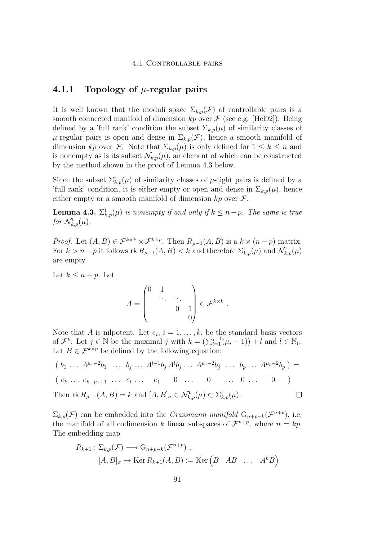### 4.1 Controllable pairs

### 4.1.1 Topology of  $\mu$ -regular pairs

It is well known that the moduli space  $\Sigma_{k,p}(\mathcal{F})$  of controllable pairs is a smooth connected manifold of dimension  $kp$  over  $\mathcal F$  (see e.g. [Hel92]). Being defined by a 'full rank' condition the subset  $\Sigma_{k,p}(\mu)$  of similarity classes of  $\mu$ -regular pairs is open and dense in  $\Sigma_{k,p}(\mathcal{F})$ , hence a smooth manifold of dimension kp over F. Note that  $\Sigma_{k,p}(\mu)$  is only defined for  $1 \leq k \leq n$  and is nonempty as is its subset  $\mathcal{N}_{k,p}(\mu)$ , an element of which can be constructed by the method shown in the proof of Lemma 4.3 below.

Since the subset  $\Sigma^{\text{t}}_{k,p}(\mu)$  of similarity classes of  $\mu$ -tight pairs is defined by a 'full rank' condition, it is either empty or open and dense in  $\Sigma_{k,p}(\mu)$ , hence either empty or a smooth manifold of dimension  $kp$  over  $\mathcal{F}$ .

**Lemma 4.3.**  $\Sigma^{\text{t}}_{k,p}(\mu)$  is nonempty if and only if  $k \leq n-p$ . The same is true for  $\mathcal{N}_{k,p}^{\mathbf{t}}(\mu)$ .

*Proof.* Let  $(A, B) \in \mathcal{F}^{k \times k} \times \mathcal{F}^{k \times p}$ . Then  $R_{\mu-1}(A, B)$  is a  $k \times (n-p)$ -matrix. For  $k > n - p$  it follows  $\text{rk } R_{\mu-1}(A, B) < k$  and therefore  $\sum_{k,p}^{\text{t}}(\mu)$  and  $\mathcal{N}_{k,p}^{\text{t}}(\mu)$ are empty.

Let  $k \leq n - p$ . Let

$$
A = \begin{pmatrix} 0 & 1 & & \\ & \ddots & \ddots & \\ & & 0 & 1 \\ & & & 0 \end{pmatrix} \in \mathcal{F}^{k \times k}
$$

.

Note that A is nilpotent. Let  $e_i$ ,  $i = 1, \ldots, k$ , be the standard basis vectors of  $\mathcal{F}^k$ . Let  $j \in \mathbb{N}$  be the maximal j with  $k = \left(\sum_{i=1}^{j-1} (\mu_i - 1)\right) + l$  and  $l \in \mathbb{N}_0$ . Let  $B \in \mathcal{F}^{k \times p}$  be defined by the following equation:

$$
(b_1 \ldots A^{\mu_1-2}b_1 \ldots b_j \ldots A^{l-1}b_j A^l b_j \ldots A^{\mu_j-2}b_j \ldots b_p \ldots A^{\mu_p-2}b_p) =
$$
  

$$
(e_k \ldots e_{k-\mu_1+1} \ldots e_l \ldots e_1 \ldots 0 \ldots 0 \ldots 0 \ldots 0)
$$

Then  $\text{rk } R_{\mu-1}(A, B) = k$  and  $[A, B]_{\sigma} \in \mathcal{N}_{k,p}^{\mathsf{t}}(\mu) \subset \Sigma_{k,p}^{\mathsf{t}}(\mu)$ .  $\Box$ 

 $\Sigma_{k,p}(\mathcal{F})$  can be embedded into the *Grassmann manifold*  $G_{n+p-k}(\mathcal{F}^{n+p})$ , i.e. the manifold of all codimension k linear subspaces of  $\mathcal{F}^{n+p}$ , where  $n = kp$ . The embedding map

$$
R_{k+1}: \Sigma_{k,p}(\mathcal{F}) \longrightarrow G_{n+p-k}(\mathcal{F}^{n+p}),
$$
  
\n
$$
[A, B]_{\sigma} \mapsto \text{Ker } R_{k+1}(A, B) := \text{Ker } (B \ AB \ \dots \ A^k B)
$$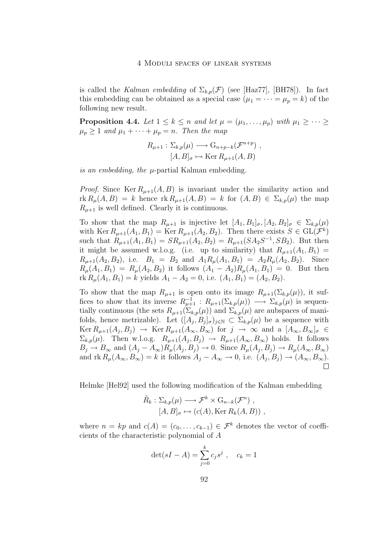is called the Kalman embedding of  $\Sigma_{k,p}(\mathcal{F})$  (see [Haz77], [BH78]). In fact this embedding can be obtained as a special case  $(\mu_1 = \cdots = \mu_p = k)$  of the following new result.

**Proposition 4.4.** Let  $1 \leq k \leq n$  and let  $\mu = (\mu_1, \ldots, \mu_p)$  with  $\mu_1 \geq \cdots \geq$  $\mu_p \geq 1$  and  $\mu_1 + \cdots + \mu_p = n$ . Then the map

$$
R_{\mu+1} : \Sigma_{k,p}(\mu) \longrightarrow G_{n+p-k}(\mathcal{F}^{n+p}) ,
$$

$$
[A, B]_{\sigma} \mapsto \text{Ker } R_{\mu+1}(A, B)
$$

is an embedding, the  $\mu$ -partial Kalman embedding.

*Proof.* Since  $\text{Ker } R_{\mu+1}(A, B)$  is invariant under the similarity action and rk  $R_\mu(A, B) = k$  hence rk  $R_{\mu+1}(A, B) = k$  for  $(A, B) \in \Sigma_{k,p}(\mu)$  the map  $R_{\mu+1}$  is well defined. Clearly it is continuous.

To show that the map  $R_{\mu+1}$  is injective let  $[A_1, B_1]_{\sigma}$ ,  $[A_2, B_2]_{\sigma} \in \Sigma_{k,p}(\mu)$ with  $\text{Ker } R_{\mu+1}(A_1, B_1) = \text{Ker } R_{\mu+1}(A_2, B_2)$ . Then there exists  $S \in \text{GL}(\mathcal{F}^k)$ such that  $R_{\mu+1}(A_1, B_1) = SR_{\mu+1}(A_2, B_2) = R_{\mu+1}(SA_2S^{-1}, SB_2)$ . But then it might be assumed w.l.o.g. (i.e. up to similarity) that  $R_{\mu+1}(A_1, B_1) =$  $R_{\mu+1}(A_2, B_2)$ , i.e.  $B_1 = B_2$  and  $A_1 R_{\mu}(A_1, B_1) = A_2 R_{\mu}(A_2, B_2)$ . Since  $R_{\mu}(A_1, B_1) = R_{\mu}(A_2, B_2)$  it follows  $(A_1 - A_2)R_{\mu}(A_1, B_1) = 0$ . But then  $r k R_u(A_1, B_1) = k$  yields  $A_1 - A_2 = 0$ , i.e.  $(A_1, B_1) = (A_2, B_2)$ .

To show that the map  $R_{\mu+1}$  is open onto its image  $R_{\mu+1}(\Sigma_{k,p}(\mu))$ , it suffices to show that its inverse  $R_{\mu+1}^{-1}: R_{\mu+1}(\Sigma_{k,p}(\mu)) \longrightarrow \Sigma_{k,p}(\mu)$  is sequentially continuous (the sets  $R_{\mu+1}(\Sigma_{k,p}(\mu))$  and  $\Sigma_{k,p}(\mu)$  are aubspaces of manifolds, hence metrizable). Let  $([A_j, B_j]_{\sigma})_{j \in \mathbb{N}} \subset \Sigma_{k,p}(\mu)$  be a sequence with  $\text{Ker } R_{\mu+1}(A_j, B_j) \rightarrow \text{Ker } R_{\mu+1}(A_{\infty}, B_{\infty}) \text{ for } j \rightarrow \infty \text{ and a } [A_{\infty}, B_{\infty}]_{\sigma} \in$  $\Sigma_{k,p}(\mu)$ . Then w.l.o.g.  $R_{\mu+1}(A_j, B_j) \to R_{\mu+1}(A_{\infty}, B_{\infty})$  holds. It follows  $B_j \to B_{\infty}$  and  $(A_j - A_{\infty})R_{\mu}(A_j, B_j) \to 0$ . Since  $R_{\mu}(A_j, B_j) \to R_{\mu}(A_{\infty}, B_{\infty})$ and  $\text{rk } R_\mu(A_\infty, B_\infty) = k$  it follows  $A_j - A_\infty \to 0$ , i.e.  $(A_j, B_j) \to (A_\infty, B_\infty)$ .  $\Box$ 

Helmke [Hel92] used the following modification of the Kalman embedding

$$
\tilde{R}_k: \Sigma_{k,p}(\mu) \longrightarrow \mathcal{F}^k \times \mathrm{G}_{n-k}(\mathcal{F}^n) ,
$$
  

$$
[A, B]_{\sigma} \mapsto (c(A), \mathrm{Ker} R_k(A, B)) ,
$$

where  $n = kp$  and  $c(A) = (c_0, \ldots, c_{k-1}) \in \mathcal{F}^k$  denotes the vector of coefficients of the characteristic polynomial of A

$$
\det(sI - A) = \sum_{j=0}^{k} c_j s^j , \quad c_k = 1
$$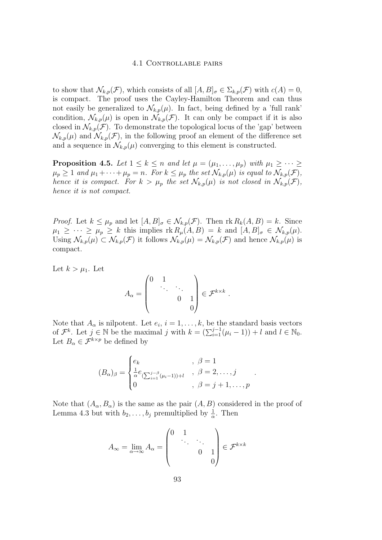### 4.1 Controllable pairs

to show that  $\mathcal{N}_{k,p}(\mathcal{F})$ , which consists of all  $[A, B]_{\sigma} \in \Sigma_{k,p}(\mathcal{F})$  with  $c(A) = 0$ , is compact. The proof uses the Cayley-Hamilton Theorem and can thus not easily be generalized to  $\mathcal{N}_{k,p}(\mu)$ . In fact, being defined by a 'full rank' condition,  $\mathcal{N}_{k,p}(\mu)$  is open in  $\mathcal{N}_{k,p}(\mathcal{F})$ . It can only be compact if it is also closed in  $\mathcal{N}_{k,p}(\mathcal{F})$ . To demonstrate the topological locus of the 'gap' between  $\mathcal{N}_{k,p}(\mu)$  and  $\mathcal{N}_{k,p}(\mathcal{F})$ , in the following proof an element of the difference set and a sequence in  $\mathcal{N}_{k,p}(\mu)$  converging to this element is constructed.

**Proposition 4.5.** Let  $1 \leq k \leq n$  and let  $\mu = (\mu_1, \ldots, \mu_p)$  with  $\mu_1 \geq \cdots \geq$  $\mu_p \geq 1$  and  $\mu_1 + \cdots + \mu_p = n$ . For  $k \leq \mu_p$  the set  $\mathcal{N}_{k,p}(\mu)$  is equal to  $\mathcal{N}_{k,p}(\mathcal{F})$ , hence it is compact. For  $k > \mu_p$  the set  $\mathcal{N}_{k,p}(\mu)$  is not closed in  $\mathcal{N}_{k,p}(\mathcal{F})$ , hence it is not compact.

*Proof.* Let  $k \leq \mu_p$  and let  $[A, B]_{\sigma} \in \mathcal{N}_{k,p}(\mathcal{F})$ . Then  $\text{rk } R_k(A, B) = k$ . Since  $\mu_1 \geq \cdots \geq \mu_p \geq k$  this implies  $\text{rk } R_\mu(A, B) = k$  and  $[A, B]_\sigma \in \mathcal{N}_{k,p}(\mu)$ . Using  $\mathcal{N}_{k,p}(\mu) \subset \mathcal{N}_{k,p}(\mathcal{F})$  it follows  $\mathcal{N}_{k,p}(\mu) = \mathcal{N}_{k,p}(\mathcal{F})$  and hence  $\mathcal{N}_{k,p}(\mu)$  is compact.

Let  $k > \mu_1$ . Let

$$
A_{\alpha} = \begin{pmatrix} 0 & 1 & & \\ & \ddots & \ddots & \\ & & 0 & 1 \\ & & & 0 \end{pmatrix} \in \mathcal{F}^{k \times k} .
$$

Note that  $A_{\alpha}$  is nilpotent. Let  $e_i$ ,  $i = 1, \ldots, k$ , be the standard basis vectors of  $\mathcal{F}^k$ . Let  $j \in \mathbb{N}$  be the maximal j with  $k = \left(\sum_{i=1}^{j-1} (\mu_i - 1)\right) + l$  and  $l \in \mathbb{N}_0$ . Let  $B_{\alpha} \in \mathcal{F}^{k \times p}$  be defined by

$$
(B_{\alpha})_{\beta} = \begin{cases} e_k & , \ \beta = 1 \\ \frac{1}{\alpha} e_{(\sum_{i=1}^{j-\beta} (\mu_i - 1)) + l} & , \ \beta = 2, ..., j \\ 0 & , \ \beta = j + 1, ..., p \end{cases}.
$$

Note that  $(A_{\alpha}, B_{\alpha})$  is the same as the pair  $(A, B)$  considered in the proof of Lemma 4.3 but with  $b_2, \ldots, b_j$  premultiplied by  $\frac{1}{\alpha}$  $\frac{1}{\alpha}$ . Then

$$
A_{\infty} = \lim_{\alpha \to \infty} A_{\alpha} = \begin{pmatrix} 0 & 1 & & \\ & \ddots & \ddots & \\ & & 0 & 1 \\ & & & 0 \end{pmatrix} \in \mathcal{F}^{k \times k}
$$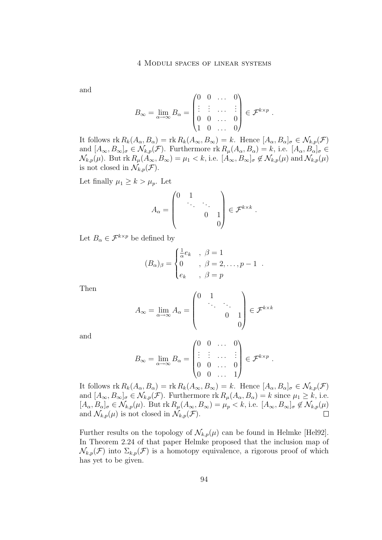and

$$
B_{\infty} = \lim_{\alpha \to \infty} B_{\alpha} = \begin{pmatrix} 0 & 0 & \dots & 0 \\ \vdots & \vdots & \dots & \vdots \\ 0 & 0 & \dots & 0 \\ 1 & 0 & \dots & 0 \end{pmatrix} \in \mathcal{F}^{k \times p} .
$$

It follows  $\text{rk } R_k(A_\alpha, B_\alpha) = \text{rk } R_k(A_\infty, B_\infty) = k$ . Hence  $[A_\alpha, B_\alpha]_\sigma \in \mathcal{N}_{k,p}(\mathcal{F})$ and  $[A_{\infty}, B_{\infty}]_{\sigma} \in \mathcal{N}_{k,p}(\mathcal{F})$ . Furthermore rk  $R_{\mu}(A_{\alpha}, B_{\alpha}) = k$ , i.e.  $[A_{\alpha}, B_{\alpha}]_{\sigma} \in$  $\mathcal{N}_{k,p}(\mu)$ . But  $\text{rk } R_{\mu}(A_{\infty}, B_{\infty}) = \mu_1 < k$ , i.e.  $[A_{\infty}, B_{\infty}]_{\sigma} \notin \mathcal{N}_{k,p}(\mu)$  and  $\mathcal{N}_{k,p}(\mu)$ is not closed in  $\mathcal{N}_{k,p}(\mathcal{F})$ .

Let finally  $\mu_1 \geq k > \mu_p$ . Let

$$
A_{\alpha} = \begin{pmatrix} 0 & 1 & & \\ & \ddots & \ddots & \\ & & 0 & 1 \\ & & & 0 \end{pmatrix} \in \mathcal{F}^{k \times k} .
$$

Let  $B_{\alpha} \in \mathcal{F}^{k \times p}$  be defined by

$$
(B_{\alpha})_{\beta} = \begin{cases} \frac{1}{\alpha}e_k & , \ \beta = 1 \\ 0 & , \ \beta = 2, \dots, p - 1 \\ e_k & , \ \beta = p \end{cases}.
$$

Then

$$
A_{\infty} = \lim_{\alpha \to \infty} A_{\alpha} = \begin{pmatrix} 0 & 1 & & \\ & \ddots & \ddots & \\ & & 0 & 1 \\ & & & 0 \end{pmatrix} \in \mathcal{F}^{k \times k}
$$

and

$$
B_{\infty} = \lim_{\alpha \to \infty} B_{\alpha} = \begin{pmatrix} 0 & 0 & \dots & 0 \\ \vdots & \vdots & \dots & \vdots \\ 0 & 0 & \dots & 0 \\ 0 & 0 & \dots & 1 \end{pmatrix} \in \mathcal{F}^{k \times p}.
$$

It follows  $\text{rk } R_k(A_\alpha, B_\alpha) = \text{rk } R_k(A_\infty, B_\infty) = k$ . Hence  $[A_\alpha, B_\alpha]_\sigma \in \mathcal{N}_{k,p}(\mathcal{F})$ and  $[A_{\infty}, B_{\infty}]_{\sigma} \in \mathcal{N}_{k,p}(\mathcal{F})$ . Furthermore rk  $R_{\mu}(A_{\alpha}, B_{\alpha}) = k$  since  $\mu_1 \geq k$ , i.e.  $[A_{\alpha}, B_{\alpha}]_{\sigma} \in \mathcal{N}_{k,p}(\mu)$ . But rk  $R_{\mu}(A_{\infty}, B_{\infty}) = \mu_p < k$ , i.e.  $[A_{\infty}, B_{\infty}]_{\sigma} \notin \mathcal{N}_{k,p}(\mu)$ and  $\mathcal{N}_{k,p}(\mu)$  is not closed in  $\mathcal{N}_{k,p}(\mathcal{F})$ .  $\Box$ 

Further results on the topology of  $\mathcal{N}_{k,p}(\mu)$  can be found in Helmke [Hel92]. In Theorem 2.24 of that paper Helmke proposed that the inclusion map of  $\mathcal{N}_{k,p}(\mathcal{F})$  into  $\Sigma_{k,p}(\mathcal{F})$  is a homotopy equivalence, a rigorous proof of which has yet to be given.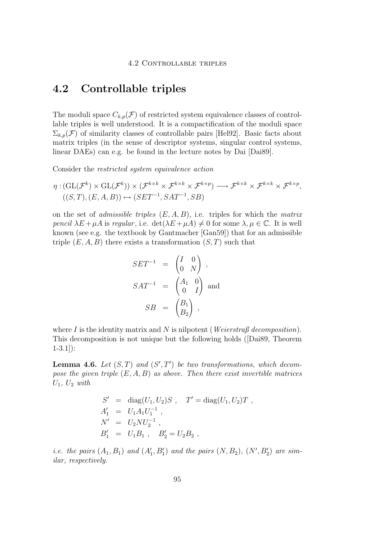## 4.2 Controllable triples

The moduli space  $C_{k,p}(\mathcal{F})$  of restricted system equivalence classes of controllable triples is well understood. It is a compactification of the moduli space  $\Sigma_{k,p}(\mathcal{F})$  of similarity classes of controllable pairs [Hel92]. Basic facts about matrix triples (in the sense of descriptor systems, singular control systems, linear DAEs) can e.g. be found in the lecture notes by Dai [Dai89].

Consider the restricted system equivalence action

$$
\eta: (\mathrm{GL}(\mathcal{F}^k) \times \mathrm{GL}(\mathcal{F}^k)) \times (\mathcal{F}^{k \times k} \times \mathcal{F}^{k \times k} \times \mathcal{F}^{k \times p}) \longrightarrow \mathcal{F}^{k \times k} \times \mathcal{F}^{k \times k} \times \mathcal{F}^{k \times p},
$$
  

$$
((S,T),(E,A,B)) \mapsto (SET^{-1}, SAT^{-1}, SB)
$$

on the set of *admissible triples*  $(E, A, B)$ , i.e. triples for which the *matrix* pencil  $\lambda E + \mu A$  is regular, i.e.  $\det(\lambda E + \mu A) \neq 0$  for some  $\lambda, \mu \in \mathbb{C}$ . It is well known (see e.g. the textbook by Gantmacher [Gan59]) that for an admissible triple  $(E, A, B)$  there exists a transformation  $(S, T)$  such that

$$
SET^{-1} = \begin{pmatrix} I & 0 \\ 0 & N \end{pmatrix},
$$
  
\n
$$
SAT^{-1} = \begin{pmatrix} A_1 & 0 \\ 0 & I \end{pmatrix}
$$
 and  
\n
$$
SB = \begin{pmatrix} B_1 \\ B_2 \end{pmatrix},
$$

where  $I$  is the identity matrix and  $N$  is nilpotent (*Weierstraß decomposition*). This decomposition is not unique but the following holds ([Dai89, Theorem 1-3.1]):

**Lemma 4.6.** Let  $(S, T)$  and  $(S', T')$  be two transformations, which decompose the given triple  $(E, A, B)$  as above. Then there exist invertible matrices  $U_1$ ,  $U_2$  with

$$
S' = \text{diag}(U_1, U_2)S, \quad T' = \text{diag}(U_1, U_2)T,
$$
  
\n
$$
A'_1 = U_1 A_1 U_1^{-1},
$$
  
\n
$$
N' = U_2 N U_2^{-1},
$$
  
\n
$$
B'_1 = U_1 B_1, \quad B'_2 = U_2 B_2,
$$

*i.e.* the pairs  $(A_1, B_1)$  and  $(A'_1, B'_1)$  and the pairs  $(N, B_2)$ ,  $(N', B'_2)$  are similar, respectively.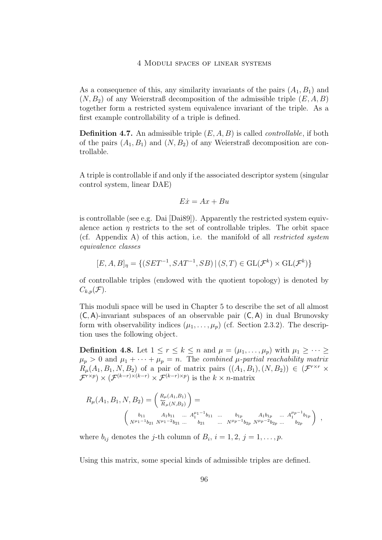#### 4 Moduli spaces of linear systems

As a consequence of this, any similarity invariants of the pairs  $(A_1, B_1)$  and  $(N, B_2)$  of any Weierstraß decomposition of the admissible triple  $(E, A, B)$ together form a restricted system equivalence invariant of the triple. As a first example controllability of a triple is defined.

**Definition 4.7.** An admissible triple  $(E, A, B)$  is called *controllable*, if both of the pairs  $(A_1, B_1)$  and  $(N, B_2)$  of any Weierstraß decomposition are controllable.

A triple is controllable if and only if the associated descriptor system (singular control system, linear DAE)

$$
E\dot{x} = Ax + Bu
$$

is controllable (see e.g. Dai [Dai89]). Apparently the restricted system equivalence action  $\eta$  restricts to the set of controllable triples. The orbit space (cf. Appendix A) of this action, i.e. the manifold of all *restricted system* equivalence classes

$$
[E, A, B]_{\eta} = \{ (SET^{-1}, SAT^{-1}, SB) | (S, T) \in GL(\mathcal{F}^k) \times GL(\mathcal{F}^k) \}
$$

of controllable triples (endowed with the quotient topology) is denoted by  $C_{k,p}(\mathcal{F}).$ 

This moduli space will be used in Chapter 5 to describe the set of all almost  $(C, A)$ -invariant subspaces of an observable pair  $(C, A)$  in dual Brunovsky form with observability indices  $(\mu_1, \ldots, \mu_p)$  (cf. Section 2.3.2). The description uses the following object.

**Definition 4.8.** Let  $1 \leq r \leq k \leq n$  and  $\mu = (\mu_1, \ldots, \mu_p)$  with  $\mu_1 \geq \cdots \geq$  $\mu_p > 0$  and  $\mu_1 + \cdots + \mu_p = n$ . The combined  $\mu$ -partial reachability matrix  $R_\mu(A_1, B_1, N, B_2)$  of a pair of matrix pairs  $((A_1, B_1), (N, B_2)) \in (\mathcal{F}^{r \times r} \times$  $\mathcal{F}^{r \times p}$   $\times$   $(\mathcal{F}^{(k-r)\times(k-r)} \times \mathcal{F}^{(k-r)\times p})$  is the  $k \times n$ -matrix

$$
R_{\mu}(A_1, B_1, N, B_2) = \begin{pmatrix} R_{\mu}(A_1, B_1) \\ \overline{R}_{\mu}(N, B_2) \end{pmatrix} = \begin{pmatrix} b_{11} & b_{11} & \cdots & b_{1p} & b_{1p} & \cdots & b_{1p} \\ \vdots & \vdots & \ddots & \vdots & \vdots & \vdots \\ b_{p+1} & b_{p+1} & b_{p+1} & \cdots & b_{p+1} & \cdots & b_{1p} & b_{1p} & \cdots & b_{1p} \\ b_{p+1} & b_{p+1} & b_{p+1} & b_{p+1} & \cdots & b_{p+1} & b_{p+1} \end{pmatrix} ,
$$

where  $b_{ij}$  denotes the *j*-th column of  $B_i$ ,  $i = 1, 2, j = 1, ..., p$ .

Using this matrix, some special kinds of admissible triples are defined.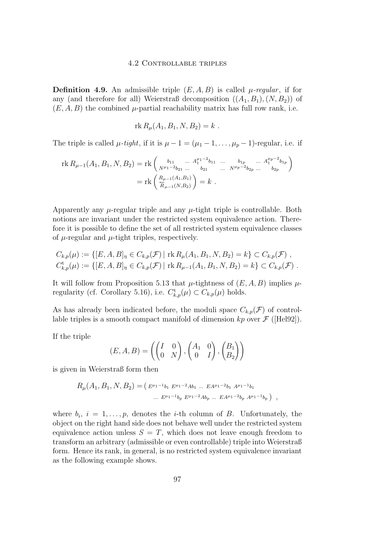### 4.2 Controllable triples

**Definition 4.9.** An admissible triple  $(E, A, B)$  is called  $\mu$ -regular, if for any (and therefore for all) Weierstraß decomposition  $((A_1, B_1), (N, B_2))$  of  $(E, A, B)$  the combined  $\mu$ -partial reachability matrix has full row rank, i.e.

rk 
$$
R_{\mu}(A_1, B_1, N, B_2) = k
$$
.

The triple is called  $\mu$ -tight, if it is  $\mu - 1 = (\mu_1 - 1, \ldots, \mu_p - 1)$ -regular, i.e. if

$$
\operatorname{rk} R_{\mu-1}(A_1, B_1, N, B_2) = \operatorname{rk} \begin{pmatrix} b_{11} & \dots & A_1^{\mu_1-2} b_{11} & \dots & b_{1p} & \dots & A_1^{\mu_p-2} b_{1p} \\ N^{\mu_1-2} b_{21} & \dots & b_{21} & \dots & N^{\mu_p-2} b_{2p} & \dots & b_{2p} \end{pmatrix}
$$
  
=  $\operatorname{rk} \begin{pmatrix} R_{\mu-1}(A_1, B_1) \\ \overline{R}_{\mu-1}(N, B_2) \end{pmatrix} = k$ .

Apparently any  $\mu$ -regular triple and any  $\mu$ -tight triple is controllable. Both notions are invariant under the restricted system equivalence action. Therefore it is possible to define the set of all restricted system equivalence classes of  $\mu$ -regular and  $\mu$ -tight triples, respectively.

$$
C_{k,p}(\mu) := \{ [E, A, B]_{\eta} \in C_{k,p}(\mathcal{F}) \mid \text{rk } R_{\mu}(A_1, B_1, N, B_2) = k \} \subset C_{k,p}(\mathcal{F}),
$$
  
\n
$$
C_{k,p}^{\text{t}}(\mu) := \{ [E, A, B]_{\eta} \in C_{k,p}(\mathcal{F}) \mid \text{rk } R_{\mu-1}(A_1, B_1, N, B_2) = k \} \subset C_{k,p}(\mathcal{F}).
$$

It will follow from Proposition 5.13 that  $\mu$ -tightness of  $(E, A, B)$  implies  $\mu$ regularity (cf. Corollary 5.16), i.e.  $C_{k,p}^{t}(\mu) \subset C_{k,p}(\mu)$  holds.

As has already been indicated before, the moduli space  $C_{k,p}(\mathcal{F})$  of controllable triples is a smooth compact manifold of dimension  $kp$  over  $\mathcal{F}$  ([Hel92]).

If the triple

$$
(E, A, B) = \left( \begin{pmatrix} I & 0 \\ 0 & N \end{pmatrix}, \begin{pmatrix} A_1 & 0 \\ 0 & I \end{pmatrix}, \begin{pmatrix} B_1 \\ B_2 \end{pmatrix} \right)
$$

is given in Weierstraß form then

$$
R_{\mu}(A_1, B_1, N, B_2) = (E^{\mu_1 - 1}b_1 E^{\mu_1 - 2}Ab_1 \dots E^{A^{\mu_1 - 2}b_1 A^{\mu_1 - 1}b_1}
$$
  
...  $E^{\mu_1 - 1}b_p E^{\mu_1 - 2}Ab_p \dots E^{A^{\mu_1 - 2}b_p A^{\mu_1 - 1}b_p}$ 

where  $b_i$ ,  $i = 1, \ldots, p$ , denotes the *i*-th column of *B*. Unfortunately, the object on the right hand side does not behave well under the restricted system equivalence action unless  $S = T$ , which does not leave enough freedom to transform an arbitrary (admissible or even controllable) triple into Weierstraß form. Hence its rank, in general, is no restricted system equivalence invariant as the following example shows.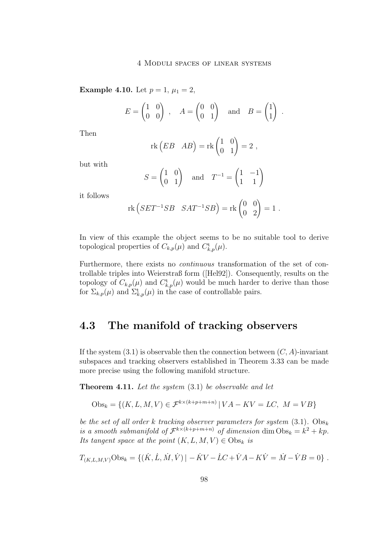**Example 4.10.** Let  $p = 1$ ,  $\mu_1 = 2$ ,

$$
E = \begin{pmatrix} 1 & 0 \\ 0 & 0 \end{pmatrix} , \quad A = \begin{pmatrix} 0 & 0 \\ 0 & 1 \end{pmatrix} \quad \text{and} \quad B = \begin{pmatrix} 1 \\ 1 \end{pmatrix} .
$$

Then

$$
\operatorname{rk}\left( EB \quad AB\right) = \operatorname{rk}\begin{pmatrix} 1 & 0 \\ 0 & 1 \end{pmatrix} = 2 ,
$$

but with

$$
S = \begin{pmatrix} 1 & 0 \\ 0 & 1 \end{pmatrix} \quad \text{and} \quad T^{-1} = \begin{pmatrix} 1 & -1 \\ 1 & 1 \end{pmatrix}
$$

it follows

$$
\text{rk}\left( SET^{-1}SB \quad SAT^{-1}SB\right) = \text{rk}\begin{pmatrix} 0 & 0 \\ 0 & 2 \end{pmatrix} = 1.
$$

In view of this example the object seems to be no suitable tool to derive topological properties of  $C_{k,p}(\mu)$  and  $C_{k,p}^{\text{t}}(\mu)$ .

Furthermore, there exists no continuous transformation of the set of controllable triples into Weierstraß form ([Hel92]). Consequently, results on the topology of  $C_{k,p}(\mu)$  and  $C_{k,p}^{\dagger}(\mu)$  would be much harder to derive than those for  $\Sigma_{k,p}(\mu)$  and  $\Sigma_{k,p}^{\mathrm{t}}(\mu)$  in the case of controllable pairs.

### 4.3 The manifold of tracking observers

If the system  $(3.1)$  is observable then the connection between  $(C, A)$ -invariant subspaces and tracking observers established in Theorem 3.33 can be made more precise using the following manifold structure.

**Theorem 4.11.** Let the system  $(3.1)$  be observable and let

$$
Obs_k = \{(K, L, M, V) \in \mathcal{F}^{k \times (k+p+m+n)} \mid VA - KV = LC, M = VB\}
$$

be the set of all order k tracking observer parameters for system  $(3.1)$ .  $Obs_k$ is a smooth submanifold of  $\mathcal{F}^{k\times(k+p+m+n)}$  of dimension dim  $\text{Obs}_k = k^2 + kp$ . Its tangent space at the point  $(K, L, M, V) \in \mathrm{Obs}_k$  is

$$
T_{(K,L,M,V)} \text{Obs}_k = \{ (\dot{K}, \dot{L}, \dot{M}, \dot{V}) \mid -\dot{K}V - \dot{L}C + \dot{V}A - K\dot{V} = \dot{M} - \dot{V}B = 0 \} .
$$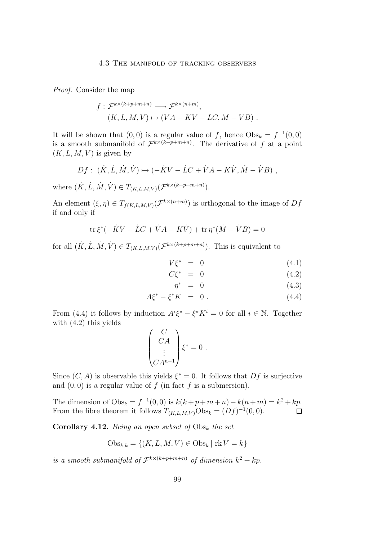### 4.3 The manifold of tracking observers

Proof. Consider the map

$$
f: \mathcal{F}^{k \times (k+p+m+n)} \longrightarrow \mathcal{F}^{k \times (n+m)},
$$
  

$$
(K, L, M, V) \mapsto (VA - KV - LC, M - VB) .
$$

It will be shown that  $(0,0)$  is a regular value of f, hence  $\text{Obs}_k = f^{-1}(0,0)$ is a smooth submanifold of  $\mathcal{F}^{k\times (k+p+m+n)}$ . The derivative of f at a point  $(K, L, M, V)$  is given by

$$
Df: (\dot{K}, \dot{L}, \dot{M}, \dot{V}) \mapsto (-\dot{K}V - \dot{L}C + \dot{V}A - K\dot{V}, \dot{M} - \dot{V}B) ,
$$

where  $(\dot{K}, \dot{L}, \dot{M}, \dot{V}) \in T_{(K, L, M, V)}(\mathcal{F}^{k \times (k+p+m+n)})$ .

An element  $(\xi, \eta) \in T_{f(K,L,M,V)}(\mathcal{F}^{k \times (n+m)})$  is orthogonal to the image of  $Df$ if and only if

$$
\text{tr}\,\xi^*(-\dot{K}V - \dot{L}C + \dot{V}A - K\dot{V}) + \text{tr}\,\eta^*(\dot{M} - \dot{V}B) = 0
$$

for all  $(\dot{K}, \dot{L}, \dot{M}, \dot{V}) \in T_{(K,L,M,V)}(\mathcal{F}^{k \times (k+p+m+n)})$ . This is equivalent to

$$
V\xi^* = 0 \tag{4.1}
$$

$$
C\xi^* = 0 \tag{4.2}
$$

$$
\eta^* = 0 \tag{4.3}
$$

$$
A\xi^* - \xi^* K = 0. \qquad (4.4)
$$

From (4.4) it follows by induction  $A^{i}\xi^* - \xi^*K^{i} = 0$  for all  $i \in \mathbb{N}$ . Together with (4.2) this yields

$$
\begin{pmatrix} C \\ CA \\ \vdots \\ CA^{n-1} \end{pmatrix} \xi^* = 0.
$$

Since  $(C, A)$  is observable this yields  $\xi^* = 0$ . It follows that  $Df$  is surjective and  $(0, 0)$  is a regular value of f (in fact f is a submersion).

The dimension of  $Obs_k = f^{-1}(0,0)$  is  $k(k+p+m+n) - k(n+m) = k^2 + kp$ . From the fibre theorem it follows  $T_{(K,L,M,V)} \text{Obs}_k = (Df)^{-1}(0,0)$ .  $\Box$ 

Corollary 4.12. Being an open subset of  $\mathrm{Obs}_k$  the set

$$
Obs_{k,k} = \{(K, L, M, V) \in Obs_k | \text{ rk } V = k\}
$$

is a smooth submanifold of  $\mathcal{F}^{k\times (k+p+m+n)}$  of dimension  $k^2 + kp$ .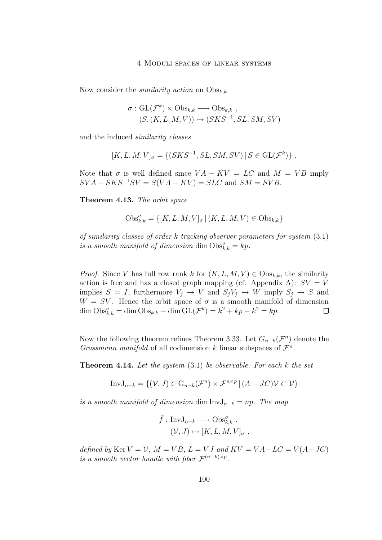Now consider the *similarity action* on  $\text{Obs}_{k,k}$ 

$$
\sigma: GL(\mathcal{F}^k) \times \text{Obs}_{k,k} \longrightarrow \text{Obs}_{k,k} ,
$$
  

$$
(S, (K, L, M, V)) \mapsto (SKS^{-1}, SL, SM, SV)
$$

and the induced similarity classes

$$
[K, L, M, V]_{\sigma} = \{ (SKS^{-1}, SL, SM, SV) \mid S \in GL(\mathcal{F}^k) \} .
$$

Note that  $\sigma$  is well defined since  $VA - KV = LC$  and  $M = VB$  imply  $SVA - SKS^{-1}SV = S(VA - KV) = SLC$  and  $SM = SVB$ .

Theorem 4.13. The orbit space

$$
\mathrm{Obs}_{k,k}^{\sigma} = \{ [K, L, M, V]_{\sigma} \, | \, (K, L, M, V) \in \mathrm{Obs}_{k,k} \}
$$

of similarity classes of order k tracking observer parameters for system (3.1) is a smooth manifold of dimension dim  $\text{Obs}_{k,k}^{\sigma} = kp$ .

*Proof.* Since V has full row rank k for  $(K, L, M, V) \in \mathrm{Obs}_{k,k}$ , the similarity action is free and has a closed graph mapping (cf. Appendix A):  $SV = V$ implies  $S = I$ , furthermore  $V_i \rightarrow V$  and  $S_i V_j \rightarrow W$  imply  $S_i \rightarrow S$  and  $W = SV$ . Hence the orbit space of  $\sigma$  is a smooth manifold of dimension dim  $\text{Obs}_{k,k}^{\sigma} = \dim \text{Obs}_{k,k} - \dim \text{GL}(\mathcal{F}^k) = k^2 + kp - k^2 = kp.$  $\Box$ 

Now the following theorem refines Theorem 3.33. Let  $G_{n-k}(\mathcal{F}^n)$  denote the Grassmann manifold of all codimension k linear subspaces of  $\mathcal{F}^n$ .

**Theorem 4.14.** Let the system  $(3.1)$  be observable. For each k the set

$$
\text{InvJ}_{n-k} = \{ (\mathcal{V}, J) \in G_{n-k}(\mathcal{F}^n) \times \mathcal{F}^{n \times p} \mid (A - JC)\mathcal{V} \subset \mathcal{V} \}
$$

is a smooth manifold of dimension dim InvJ<sub>n−k</sub> = np. The map

$$
\bar{f}: \text{InvJ}_{n-k} \longrightarrow \text{Obs}_{k,k}^{\sigma} ,(\mathcal{V}, J) \mapsto [K, L, M, V]_{\sigma} ,
$$

defined by Ker  $V = V$ ,  $M = VB$ ,  $L = VJ$  and  $KV = VA - LC = V(A - JC)$ is a smooth vector bundle with fiber  $\mathcal{F}^{(n-k)\times p}$ .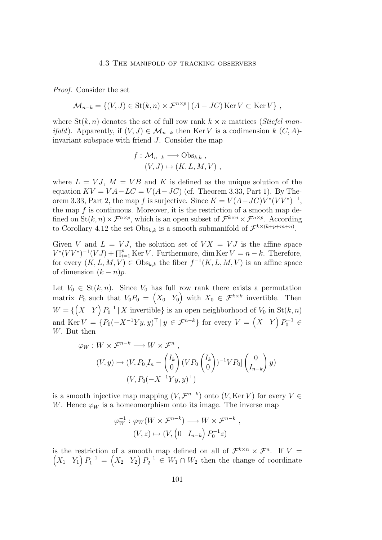### 4.3 The manifold of tracking observers

Proof. Consider the set

$$
\mathcal{M}_{n-k} = \{ (V, J) \in \text{St}(k, n) \times \mathcal{F}^{n \times p} \mid (A - JC) \text{Ker } V \subset \text{Ker } V \},
$$

where  $St(k, n)$  denotes the set of full row rank  $k \times n$  matrices (*Stiefel manifold*). Apparently, if  $(V, J) \in \mathcal{M}_{n-k}$  then Ker V is a codimension k  $(C, A)$ invariant subspace with friend J. Consider the map

$$
f: \mathcal{M}_{n-k} \longrightarrow \text{Obs}_{k,k},
$$
  
\n $(V, J) \mapsto (K, L, M, V)$ ,

where  $L = VJ$ ,  $M = VB$  and K is defined as the unique solution of the equation  $KV = VA - LC = V(A - JC)$  (cf. Theorem 3.33, Part 1). By Theorem 3.33, Part 2, the map f is surjective. Since  $K = V(A - JC)V^*(VV^*)^{-1}$ , the map  $f$  is continuous. Moreover, it is the restriction of a smooth map defined on  $\text{St}(k,n) \times \mathcal{F}^{n \times p}$ , which is an open subset of  $\mathcal{F}^{k \times n} \times \mathcal{F}^{n \times p}$ . According to Corollary 4.12 the set  $\text{Obs}_{k,k}$  is a smooth submanifold of  $\mathcal{F}^{k\times (k+p+m+n)}$ .

Given V and  $L = VJ$ , the solution set of  $V X = VJ$  is the affine space  $V^*(VV^*)^{-1}(VJ) + \prod_{i=1}^p \text{Ker } V$ . Furthermore, dim  $\text{Ker } V = n - k$ . Therefore, for every  $(K, L, M, V) \in \text{Obs}_{k,k}$  the fiber  $f^{-1}(K, L, M, V)$  is an affine space of dimension  $(k - n)p$ .

Let  $V_0 \in St(k,n)$ . Since  $V_0$  has full row rank there exists a permutation matrix  $P_0$  such that  $V_0 P_0 = (X_0 Y_0)$  with  $X_0 \in \mathcal{F}^{k \times k}$  invertible. Then  $W = \left\{ \begin{pmatrix} X & Y \end{pmatrix} P_0^{-1} \middle| X \text{ invertible} \right\}$  is an open neighborhood of  $V_0$  in  $\text{St}(k, n)$ and Ker  $V = \{P_0(-X^{-1}Yy, y)^\top \, | \, y \in \mathcal{F}^{n-k}\}\$  for every  $V = \left(X \mid Y\right)P_0^{-1} \in$ W. But then

$$
\varphi_W : W \times \mathcal{F}^{n-k} \longrightarrow W \times \mathcal{F}^n ,
$$
  
\n
$$
(V, y) \mapsto (V, P_0[I_n - \begin{pmatrix} I_k \\ 0 \end{pmatrix} (VP_0 \begin{pmatrix} I_k \\ 0 \end{pmatrix})^{-1} VP_0] \begin{pmatrix} 0 \\ I_{n-k} \end{pmatrix} y)
$$
  
\n
$$
(V, P_0(-X^{-1}Yy, y)^\top)
$$

is a smooth injective map mapping  $(V, \mathcal{F}^{n-k})$  onto  $(V, \text{Ker } V)$  for every  $V \in$ W. Hence  $\varphi_W$  is a homeomorphism onto its image. The inverse map

$$
\varphi_W^{-1} : \varphi_W(W \times \mathcal{F}^{n-k}) \longrightarrow W \times \mathcal{F}^{n-k} ,
$$
  

$$
(V, z) \mapsto (V, \begin{pmatrix} 0 & I_{n-k} \end{pmatrix} P_0^{-1} z)
$$

is the restriction of a smooth map defined on all of  $\mathcal{F}^{k \times n} \times \mathcal{F}^n$ . If  $V =$ <br> $(X, Y) P^{-1} = (X, Y) P^{-1} \in W$ .  $\cap W_2$  then the change of coordinate  $(X_1 \ Y_1) P_1^{-1} = (X_2 \ Y_2) P_2^{-1} \in W_1 \cap W_2$  then the change of coordinate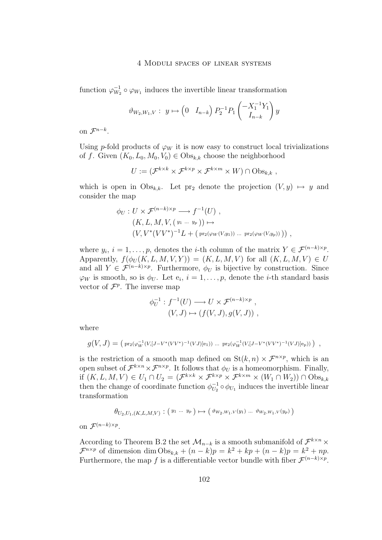function  $\varphi_{W_2}^{-1}$  $\frac{-1}{W_2} \circ \varphi_{W_1}$  induces the invertible linear transformation

$$
\vartheta_{W_2,W_1,V}: y \mapsto (0 \quad I_{n-k}) P_2^{-1} P_1 \begin{pmatrix} -X_1^{-1} Y_1 \\ I_{n-k} \end{pmatrix} y
$$

on  $\mathcal{F}^{n-k}$ .

Using p-fold products of  $\varphi_W$  it is now easy to construct local trivializations of f. Given  $(K_0, L_0, M_0, V_0) \in \text{Obs}_{k,k}$  choose the neighborhood

$$
U := (\mathcal{F}^{k \times k} \times \mathcal{F}^{k \times p} \times \mathcal{F}^{k \times m} \times W) \cap \text{Obs}_{k,k},
$$

which is open in  $Obs_{k,k}$ . Let pr<sub>2</sub> denote the projection  $(V, y) \mapsto y$  and consider the map

$$
\begin{aligned}\n\phi_U: U \times \mathcal{F}^{(n-k)\times p} &\longrightarrow f^{-1}(U) , \\
(K, L, M, V, (y_1 \cdots y_p)) &\mapsto \\
(V, V^*(VV^*)^{-1}L + (\text{pr}_2(\varphi_W(V,y_1)) \cdots \text{pr}_2(\varphi_W(V,y_p))) \n\end{aligned}
$$

where  $y_i$ ,  $i = 1, \ldots, p$ , denotes the *i*-th column of the matrix  $Y \in \mathcal{F}^{(n-k)\times p}$ . Apparently,  $f(\phi_U(K, L, M, V, Y)) = (K, L, M, V)$  for all  $(K, L, M, V) \in U$ and all  $Y \in \mathcal{F}^{(n-k)\times p}$ . Furthermore,  $\phi_U$  is bijective by construction. Since  $\varphi_W$  is smooth, so is  $\phi_U$ . Let  $e_i$ ,  $i=1,\ldots,p$ , denote the *i*-th standard basis vector of  $\mathcal{F}^p$ . The inverse map

$$
\phi_U^{-1}: f^{-1}(U) \longrightarrow U \times \mathcal{F}^{(n-k) \times p} ,
$$
  

$$
(V, J) \mapsto (f(V, J), g(V, J)),
$$

where

$$
g(V,J) = (pr_2(\varphi_W^{-1}(V, [J - V^*(VV^*)^{-1}(VJ)]e_1)) \dots pr_2(\varphi_W^{-1}(V, [J - V^*(VV^*)^{-1}(VJ)]e_p)) ) ,
$$

is the restriction of a smooth map defined on  $St(k, n) \times \mathcal{F}^{n \times p}$ , which is an open subset of  $\mathcal{F}^{k \times n} \times \mathcal{F}^{n \times p}$ . It follows that  $\phi_U$  is a homeomorphism. Finally, if  $(K, L, M, V) \in U_1 \cap U_2 = (\mathcal{F}^{k \times k} \times \mathcal{F}^{k \times p} \times \mathcal{F}^{k \times m} \times (W_1 \cap W_2)) \cap \text{Obs}_{k,k}$ then the change of coordinate function  $\phi_{U_2}^{-1}$  $U_2^{-1} \circ \phi_{U_1}$  induces the invertible linear transformation

θ<sup>U</sup>2,U1,(K,L,M,V ) : ( <sup>y</sup><sup>1</sup> ... <sup>y</sup><sup>p</sup> ) 7→ ( <sup>ϑ</sup>W2,W1,V (y1) ... <sup>ϑ</sup>W2,W1,V (yp) )

on  $\mathcal{F}^{(n-k)\times p}$ .

According to Theorem B.2 the set  $\mathcal{M}_{n-k}$  is a smooth submanifold of  $\mathcal{F}^{k \times n} \times$  $\mathcal{F}^{n \times p}$  of dimension dim  $\text{Obs}_{k,k} + (n-k)p = k^2 + kp + (n-k)p = k^2 + np.$ Furthermore, the map f is a differentiable vector bundle with fiber  $\mathcal{F}^{(n-k)\times p}$ .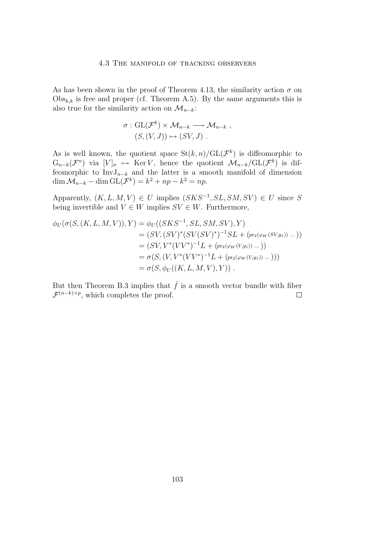### 4.3 The manifold of tracking observers

As has been shown in the proof of Theorem 4.13, the similarity action  $\sigma$  on  $Obs_{k,k}$  is free and proper (cf. Theorem A.5). By the same arguments this is also true for the similarity action on  $\mathcal{M}_{n-k}$ :

$$
\sigma: GL(\mathcal{F}^k) \times \mathcal{M}_{n-k} \longrightarrow \mathcal{M}_{n-k} ,
$$
  

$$
(S,(V,J)) \mapsto (SV,J) .
$$

As is well known, the quotient space  $St(k, n)/GL(\mathcal{F}^k)$  is diffeomorphic to  $G_{n-k}(\mathcal{F}^n)$  via  $[V]_{\sigma} \mapsto \text{Ker } V$ , hence the quotient  $\mathcal{M}_{n-k}/\text{GL}(\mathcal{F}^k)$  is diffeomorphic to InvJ<sub>n−k</sub> and the latter is a smooth manifold of dimension  $\dim \mathcal{M}_{n-k} - \dim \mathrm{GL}(\mathcal{F}^k) = k^2 + np - k^2 = np.$ 

Apparently,  $(K, L, M, V) \in U$  implies  $(SKS^{-1}, SL, SM, SV) \in U$  since S being invertible and  $V \in W$  implies  $SV \in W$ . Furthermore,

$$
\phi_U(\sigma(S,(K,L,M,V)),Y) = \phi_U((SKS^{-1}, SL, SM, SV), Y)
$$
  
=  $(SV, (SV)^*(SV(SV)^*)^{-1}SL + (\text{pr}_2(\varphi_W(SV,y_1)) ...))$   
=  $(SV, V^*(VV^*)^{-1}L + (\text{pr}_2(\varphi_W(V,y_1)) ...))$   
=  $\sigma(S, (V, V^*(VV^*)^{-1}L + (\text{pr}_2(\varphi_W(V,y_1)) ...)))$   
=  $\sigma(S, \phi_U((K, L, M, V), Y)).$ 

But then Theorem B.3 implies that  $\bar{f}$  is a smooth vector bundle with fiber  $\mathcal{F}^{(n-k)\times p}$ , which completes the proof.  $\Box$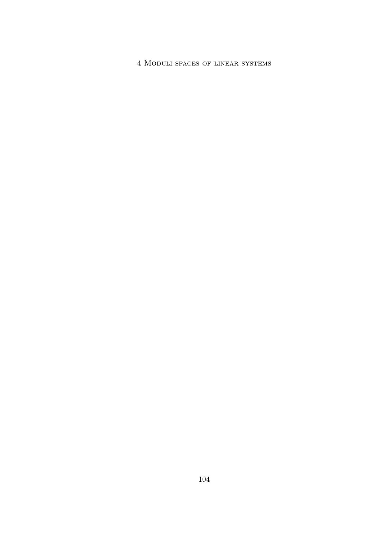Moduli spaces of linear systems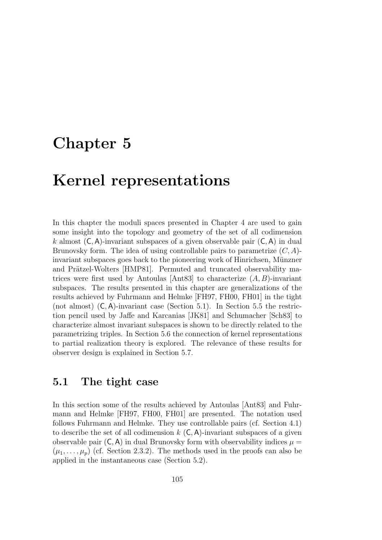# Chapter 5

# Kernel representations

In this chapter the moduli spaces presented in Chapter 4 are used to gain some insight into the topology and geometry of the set of all codimension k almost  $(C, A)$ -invariant subspaces of a given observable pair  $(C, A)$  in dual Brunovsky form. The idea of using controllable pairs to parametrize  $(C, A)$ invariant subspaces goes back to the pioneering work of Hinrichsen, Münzner and Prätzel-Wolters [HMP81]. Permuted and truncated observability matrices were first used by Antoulas [Ant83] to characterize  $(A, B)$ -invariant subspaces. The results presented in this chapter are generalizations of the results achieved by Fuhrmann and Helmke [FH97, FH00, FH01] in the tight (not almost)  $(C, A)$ -invariant case (Section 5.1). In Section 5.5 the restriction pencil used by Jaffe and Karcanias [JK81] and Schumacher [Sch83] to characterize almost invariant subspaces is shown to be directly related to the parametrizing triples. In Section 5.6 the connection of kernel representations to partial realization theory is explored. The relevance of these results for observer design is explained in Section 5.7.

## 5.1 The tight case

In this section some of the results achieved by Antoulas [Ant83] and Fuhrmann and Helmke [FH97, FH00, FH01] are presented. The notation used follows Fuhrmann and Helmke. They use controllable pairs (cf. Section 4.1) to describe the set of all codimension  $k$  (C, A)-invariant subspaces of a given observable pair  $(C, A)$  in dual Brunovsky form with observability indices  $\mu =$  $(\mu_1, \ldots, \mu_p)$  (cf. Section 2.3.2). The methods used in the proofs can also be applied in the instantaneous case (Section 5.2).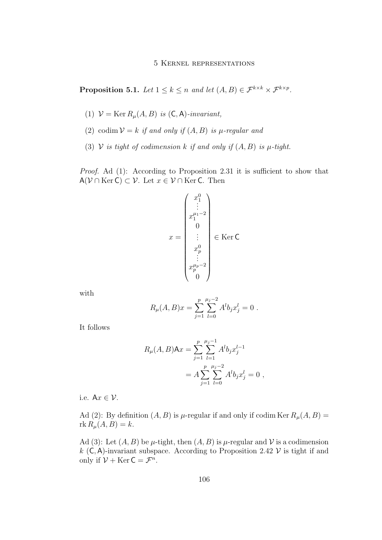### 5 Kernel representations

**Proposition 5.1.** Let  $1 \leq k \leq n$  and let  $(A, B) \in \mathcal{F}^{k \times k} \times \mathcal{F}^{k \times p}$ .

- (1)  $\mathcal{V} = \text{Ker } R_{\mu}(A, B)$  is  $(C, A)$ -invariant,
- (2) codim  $V = k$  if and only if  $(A, B)$  is  $\mu$ -regular and
- (3) V is tight of codimension k if and only if  $(A, B)$  is  $\mu$ -tight.

Proof. Ad (1): According to Proposition 2.31 it is sufficient to show that  $A(V \cap \text{Ker } C) \subset V$ . Let  $x \in V \cap \text{Ker } C$ . Then

$$
x = \begin{pmatrix} x_1^0 \\ \vdots \\ x_1^{\mu_1 - 2} \\ 0 \\ \vdots \\ x_p^0 \\ \vdots \\ x_p^{\mu_p - 2} \\ 0 \end{pmatrix} \in \text{Ker } \mathsf{C}
$$

with

$$
R_{\mu}(A, B)x = \sum_{j=1}^{p} \sum_{l=0}^{\mu_j - 2} A^l b_j x_j^l = 0.
$$

It follows

$$
R_{\mu}(A, B)Ax = \sum_{j=1}^{p} \sum_{l=1}^{\mu_{j}-1} A^{l}b_{j}x_{j}^{l-1}
$$
  
=  $A \sum_{j=1}^{p} \sum_{l=0}^{\mu_{j}-2} A^{l}b_{j}x_{j}^{l} = 0$ ,

i.e.  $Ax \in \mathcal{V}$ .

Ad (2): By definition  $(A, B)$  is  $\mu$ -regular if and only if codim Ker  $R_{\mu}(A, B) =$ rk  $R_\mu(A, B) = k$ .

Ad (3): Let  $(A, B)$  be  $\mu$ -tight, then  $(A, B)$  is  $\mu$ -regular and  $\mathcal V$  is a codimension k  $(C, A)$ -invariant subspace. According to Proposition 2.42 V is tight if and only if  $V + \text{Ker } \mathsf{C} = \mathcal{F}^n$ .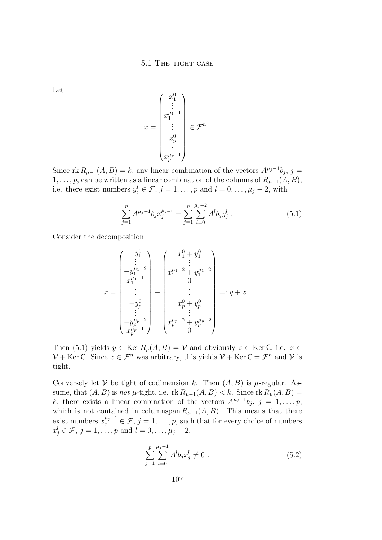Let

$$
x = \begin{pmatrix} x_1^0 \\ \vdots \\ x_1^{\mu_1 - 1} \\ \vdots \\ x_p^0 \\ \vdots \\ x_p^{\mu_p - 1} \end{pmatrix} \in \mathcal{F}^n.
$$

Since  $\text{rk } R_{\mu-1}(A, B) = k$ , any linear combination of the vectors  $A^{\mu_j-1}b_j$ ,  $j =$ 1, ..., p, can be written as a linear combination of the columns of  $R_{\mu-1}(A, B)$ , i.e. there exist numbers  $y_j^l \in \mathcal{F}, j = 1, \ldots, p$  and  $l = 0, \ldots, \mu_j - 2$ , with

$$
\sum_{j=1}^{p} A^{\mu_j - 1} b_j x_j^{\mu_{j-1}} = \sum_{j=1}^{p} \sum_{l=0}^{\mu_j - 2} A^l b_j y_j^l . \qquad (5.1)
$$

Consider the decomposition

$$
x = \begin{pmatrix} -y_1^0 \\ \vdots \\ -y_1^{\mu_1-2} \\ x_1^{\mu_1-1} \\ \vdots \\ -y_p^0 \\ \vdots \\ -y_p^{\mu_p-2} \\ x_p^{\mu_p-1} \end{pmatrix} + \begin{pmatrix} x_1^0 + y_1^0 \\ \vdots \\ x_1^{\mu_1-2} + y_1^{\mu_1-2} \\ 0 \\ \vdots \\ x_p^0 + y_p^0 \\ \vdots \\ x_p^{\mu_p-2} + y_p^{\mu_p-2} \\ 0 \end{pmatrix} =: y + z.
$$

Then (5.1) yields  $y \in \text{Ker } R_\mu(A, B) = \mathcal{V}$  and obviously  $z \in \text{Ker } C$ , i.e.  $x \in$  $V + \text{Ker } C$ . Since  $x \in \mathcal{F}^n$  was arbitrary, this yields  $V + \text{Ker } C = \mathcal{F}^n$  and V is tight.

Conversely let V be tight of codimension k. Then  $(A, B)$  is  $\mu$ -regular. Assume, that  $(A, B)$  is not  $\mu$ -tight, i.e.  $\text{rk } R_{\mu-1}(A, B) < k$ . Since  $\text{rk } R_{\mu}(A, B) =$ k, there exists a linear combination of the vectors  $A^{\mu_j-1}b_j$ ,  $j = 1, \ldots, p$ , which is not contained in columnspan  $R_{\mu-1}(A, B)$ . This means that there exist numbers  $x_j^{\mu_j-1} \in \mathcal{F}, j = 1, \ldots, p$ , such that for every choice of numbers  $x_j^l \in \mathcal{F}, j = 1, \ldots, p$  and  $l = 0, \ldots, \mu_j - 2$ ,

$$
\sum_{j=1}^{p} \sum_{l=0}^{\mu_j - 1} A^l b_j x_j^l \neq 0 \tag{5.2}
$$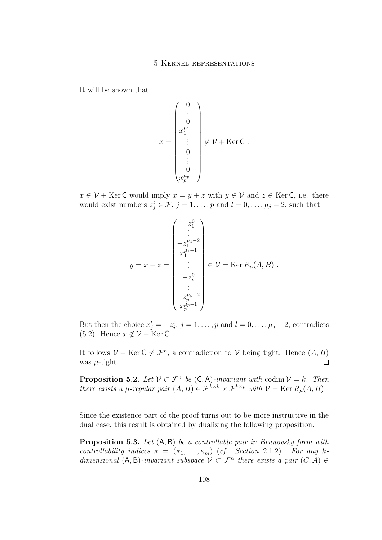It will be shown that

$$
x = \begin{pmatrix} 0 \\ \vdots \\ 0 \\ x_1^{\mu_1 - 1} \\ \vdots \\ 0 \\ 0 \\ \vdots \\ x_p^{\mu_p - 1} \end{pmatrix} \notin \mathcal{V} + \text{Ker } \mathsf{C} .
$$

 $x \in \mathcal{V}$  + Ker C would imply  $x = y + z$  with  $y \in \mathcal{V}$  and  $z \in \text{Ker } \mathsf{C}$ , i.e. there would exist numbers  $z_j^l \in \mathcal{F}, j = 1, \ldots, p$  and  $l = 0, \ldots, \mu_j - 2$ , such that

$$
y = x - z = \begin{pmatrix} -z_1^0 \\ \vdots \\ -z_1^{\mu_1 - 2} \\ x_1^{\mu_1 - 1} \\ \vdots \\ -z_p^0 \\ \vdots \\ -z_p^{\mu_p - 2} \\ x_p^{\mu_p - 1} \end{pmatrix} \in \mathcal{V} = \text{Ker } R_{\mu}(A, B) .
$$

But then the choice  $x_j^l = -z_j^l$ ,  $j = 1, \ldots, p$  and  $l = 0, \ldots, \mu_j - 2$ , contradicts (5.2). Hence  $x \notin \mathcal{V} + \text{Ker } C$ .

It follows  $V + \text{Ker } \mathsf{C} \neq \mathcal{F}^n$ , a contradiction to V being tight. Hence  $(A, B)$ was  $\mu$ -tight.  $\Box$ 

**Proposition 5.2.** Let  $V \subset \mathcal{F}^n$  be  $(C, A)$ -invariant with codim  $V = k$ . Then there exists a  $\mu$ -regular pair  $(A, B) \in \mathcal{F}^{k \times k} \times \mathcal{F}^{k \times p}$  with  $\mathcal{V} = \text{Ker } R_{\mu}(A, B)$ .

Since the existence part of the proof turns out to be more instructive in the dual case, this result is obtained by dualizing the following proposition.

**Proposition 5.3.** Let  $(A, B)$  be a controllable pair in Brunovsky form with controllability indices  $\kappa = (\kappa_1, \ldots, \kappa_m)$  (cf. Section 2.1.2). For any kdimensional  $(A, B)$ -invariant subspace  $V \subset \mathcal{F}^n$  there exists a pair  $(C, A) \in$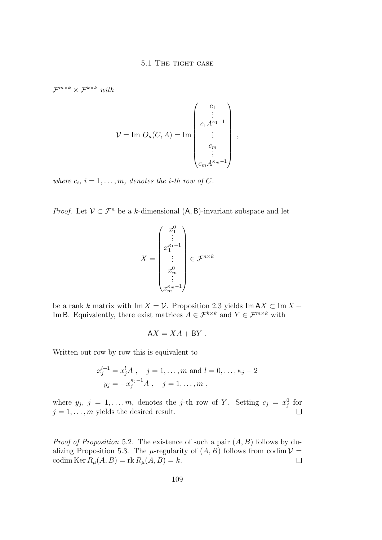# 5.1 THE TIGHT CASE

 $\mathcal{F}^{m\times k}\times \mathcal{F}^{k\times k}$  with

$$
\mathcal{V} = \text{Im } O_{\kappa}(C, A) = \text{Im} \begin{pmatrix} c_1 \\ \vdots \\ c_1 A^{\kappa_1 - 1} \\ \vdots \\ c_m \\ c_m A^{\kappa_m - 1} \end{pmatrix} ,
$$

where  $c_i$ ,  $i = 1, \ldots, m$ , denotes the *i*-th row of C.

*Proof.* Let  $V \subset \mathcal{F}^n$  be a k-dimensional  $(A, B)$ -invariant subspace and let

$$
X = \begin{pmatrix} x_1^0 \\ \vdots \\ x_1^{\kappa_1 - 1} \\ \vdots \\ x_m^0 \\ \vdots \\ x_m^{\kappa_m - 1} \end{pmatrix} \in \mathcal{F}^{n \times k}
$$

be a rank k matrix with  $\text{Im } X = \mathcal{V}$ . Proposition 2.3 yields  $\text{Im } AX \subset \text{Im } X + \mathcal{V}$ Im B. Equivalently, there exist matrices  $A \in \mathcal{F}^{k \times k}$  and  $Y \in \mathcal{F}^{m \times k}$  with

$$
AX = XA + BY.
$$

Written out row by row this is equivalent to

$$
x_j^{l+1} = x_j^l A
$$
,  $j = 1,..., m$  and  $l = 0,..., \kappa_j - 2$   
 $y_j = -x_j^{\kappa_j-1} A$ ,  $j = 1,..., m$ ,

where  $y_j$ ,  $j = 1, \ldots, m$ , denotes the j-th row of Y. Setting  $c_j = x_j^0$  for  $j = 1, \ldots, m$  yields the desired result.  $\Box$ 

*Proof of Proposition* 5.2. The existence of such a pair  $(A, B)$  follows by dualizing Proposition 5.3. The  $\mu$ -regularity of  $(A, B)$  follows from codim  $\mathcal{V} =$ codim Ker  $R_{\mu}(A, B) = \text{rk } R_{\mu}(A, B) = k.$  $\Box$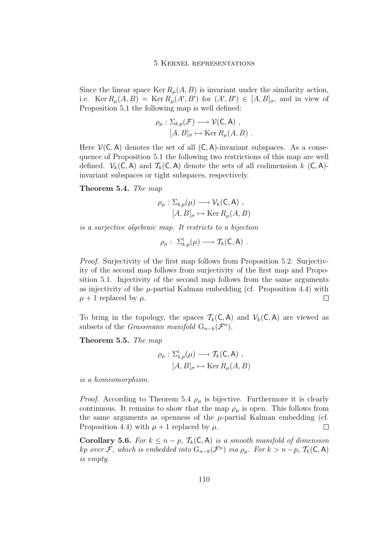Since the linear space Ker  $R_{\mu}(A, B)$  is invariant under the similarity action, i.e. Ker  $R_{\mu}(A, B) = \text{Ker } R_{\mu}(A', B')$  for  $(A', B') \in [A, B]_{\sigma}$ , and in view of Proposition 5.1 the following map is well defined:

$$
\rho_{\mu}: \Sigma_{k,p}(\mathcal{F}) \longrightarrow \mathcal{V}(\mathsf{C},\mathsf{A}),
$$

$$
[A,B]_{\sigma} \mapsto \text{Ker } R_{\mu}(A,B) .
$$

Here  $V(C, A)$  denotes the set of all  $(C, A)$ -invariant subspaces. As a consequence of Proposition 5.1 the following two restrictions of this map are well defined.  $V_k(C, A)$  and  $\mathcal{T}_k(C, A)$  denote the sets of all codimension k  $(C, A)$ invariant subspaces or tight subspaces, respectively.

Theorem 5.4. The map

$$
\rho_{\mu}: \Sigma_{k,p}(\mu) \longrightarrow \mathcal{V}_k(\mathsf{C}, \mathsf{A}),
$$

$$
[A, B]_{\sigma} \mapsto \text{Ker } R_{\mu}(A, B)
$$

is a surjective algebraic map. It restricts to a bijection

$$
\rho_{\mu}: \ \Sigma^{\rm t}_{k,p}(\mu) \longrightarrow T_k(\mathsf{C},\mathsf{A}) \ .
$$

Proof. Surjectivity of the first map follows from Proposition 5.2. Surjectivity of the second map follows from surjectivity of the first map and Proposition 5.1. Injectivity of the second map follows from the same arguments as injectivity of the  $\mu$ -partial Kalman embedding (cf. Proposition 4.4) with  $\mu + 1$  replaced by  $\mu$ .  $\Box$ 

To bring in the topology, the spaces  $\mathcal{T}_k(C, A)$  and  $\mathcal{V}_k(C, A)$  are viewed as subsets of the *Grassmann manifold*  $G_{n-k}(\mathcal{F}^n)$ .

Theorem 5.5. The map

$$
\rho_{\mu}: \Sigma_{k,p}^{\mathfrak{t}}(\mu) \longrightarrow \mathcal{T}_{k}(\mathsf{C}, \mathsf{A}) ,
$$

$$
[A, B]_{\sigma} \mapsto \text{Ker } R_{\mu}(A, B)
$$

is a homeomorphism.

*Proof.* According to Theorem 5.4  $\rho_{\mu}$  is bijective. Furthermore it is clearly continuous. It remains to show that the map  $\rho_{\mu}$  is open. This follows from the same arguments as openness of the  $\mu$ -partial Kalman embedding (cf. Proposition 4.4) with  $\mu + 1$  replaced by  $\mu$ .  $\Box$ 

Corollary 5.6. For  $k \leq n - p$ ,  $\mathcal{T}_k(C, A)$  is a smooth manifold of dimension kp over F, which is embedded into  $G_{n-k}(\mathcal{F}^n)$  via  $\rho_\mu$ . For  $k > n-p$ ,  $\mathcal{T}_k(\mathsf{C},\mathsf{A})$ is empty.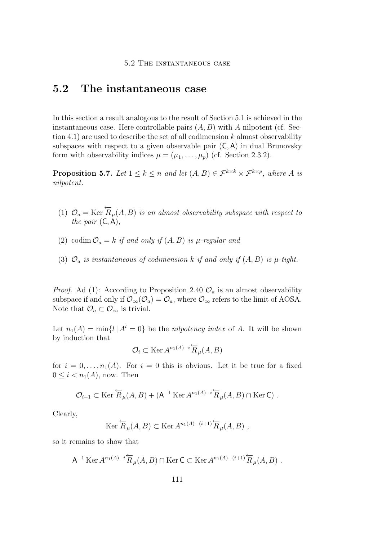# 5.2 The instantaneous case

# 5.2 The instantaneous case

In this section a result analogous to the result of Section 5.1 is achieved in the instantaneous case. Here controllable pairs  $(A, B)$  with A nilpotent (cf. Section 4.1) are used to describe the set of all codimension  $k$  almost observability subspaces with respect to a given observable pair  $(C, A)$  in dual Brunovsky form with observability indices  $\mu = (\mu_1, \ldots, \mu_p)$  (cf. Section 2.3.2).

**Proposition 5.7.** Let  $1 \leq k \leq n$  and let  $(A, B) \in \mathcal{F}^{k \times k} \times \mathcal{F}^{k \times p}$ , where A is nilpotent.

- $(1)$   $\mathcal{O}_a = \text{Ker}$ ←−  $R_\mu(A, B)$  is an almost observability subspace with respect to the pair  $(C, A)$ .
- (2) codim  $\mathcal{O}_a = k$  if and only if  $(A, B)$  is  $\mu$ -regular and
- (3)  $\mathcal{O}_a$  is instantaneous of codimension k if and only if  $(A, B)$  is  $\mu$ -tight.

*Proof.* Ad (1): According to Proposition 2.40  $\mathcal{O}_a$  is an almost observability subspace if and only if  $\mathcal{O}_{\infty}(\mathcal{O}_a) = \mathcal{O}_a$ , where  $\mathcal{O}_{\infty}$  refers to the limit of AOSA. Note that  $\mathcal{O}_a \subset \mathcal{O}_\infty$  is trivial.

Let  $n_1(A) = \min\{l \mid A^l = 0\}$  be the *nilpotency index* of A. It will be shown by induction that

$$
\mathcal{O}_i \subset \text{Ker } A^{n_1(A) - i} \overleftarrow{R}_{\mu}(A, B)
$$

for  $i = 0, \ldots, n_1(A)$ . For  $i = 0$  this is obvious. Let it be true for a fixed  $0 \leq i \leq n_1(A)$ , now. Then

$$
\mathcal{O}_{i+1} \subset \text{Ker } \overleftarrow{R}_{\mu}(A, B) + (\mathsf{A}^{-1} \text{Ker } A^{n_1(A)-i} \overleftarrow{R}_{\mu}(A, B) \cap \text{Ker } \mathsf{C})
$$
.

Clearly,

$$
\operatorname{Ker} \overleftarrow{R}_{\mu}(A,B) \subset \operatorname{Ker} A^{n_1(A)-(i+1)} \overleftarrow{R}_{\mu}(A,B) ,
$$

so it remains to show that

$$
\mathsf{A}^{-1}\operatorname{Ker} A^{n_1(A)-i}\overleftarrow{R}_{\mu}(A,B)\cap \operatorname{Ker} \mathsf{C} \subset \operatorname{Ker} A^{n_1(A)-\left(i+1\right)}\overleftarrow{R}_{\mu}(A,B) .
$$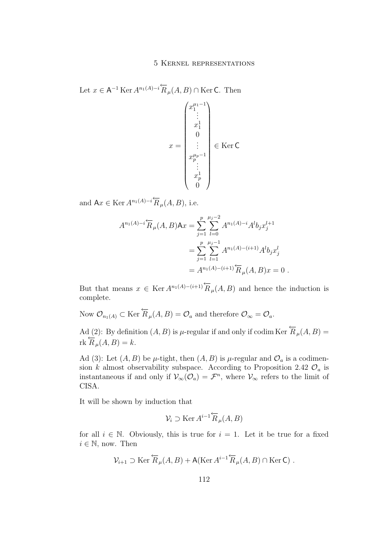Let  $x \in A^{-1}$  Ker  $A^{n_1(A)-i} \overleftarrow{R}_{\mu}(A, B) \cap$  Ker C. Then

$$
x = \begin{pmatrix} x_1^{\mu_1 - 1} \\ \vdots \\ x_1^1 \\ 0 \\ \vdots \\ x_p^{\mu_p - 1} \\ \vdots \\ x_p^1 \\ 0 \end{pmatrix} \in \text{Ker } \mathsf{C}
$$

and  $Ax \in \text{Ker } A^{n_1(A)-i} \overleftarrow{R}_{\mu}(A, B)$ , i.e.

$$
A^{n_1(A)-i} \overleftarrow{R}_{\mu}(A,B)Ax = \sum_{j=1}^{p} \sum_{l=0}^{\mu_j-2} A^{n_1(A)-i} A^l b_j x_j^{l+1}
$$
  
= 
$$
\sum_{j=1}^{p} \sum_{l=1}^{\mu_j-1} A^{n_1(A)- (i+1)} A^l b_j x_j^l
$$
  
= 
$$
A^{n_1(A)- (i+1)} \overleftarrow{R}_{\mu}(A,B) x = 0.
$$

But that means  $x \in \text{Ker } A^{n_1(A)-(i+1)} \overleftarrow{R}_{\mu}(A, B)$  and hence the induction is complete.

Now  $\mathcal{O}_{n_1(A)} \subset \text{Ker}$  $\overleftarrow{D}$  $R_{\mu}(A, B) = \mathcal{O}_{a}$  and therefore  $\mathcal{O}_{\infty} = \mathcal{O}_{a}$ .

Ad (2): By definition  $(A, B)$  is  $\mu$ -regular if and only if codim Ker  $\overleftarrow{R}_{\mu}(A, B) =$ rk  $R_\mu(A, B) = k.$ 

Ad (3): Let  $(A, B)$  be  $\mu$ -tight, then  $(A, B)$  is  $\mu$ -regular and  $\mathcal{O}_a$  is a codimension k almost observability subspace. According to Proposition 2.42  $\mathcal{O}_a$  is instantaneous if and only if  $\mathcal{V}_{\infty}(\mathcal{O}_a) = \mathcal{F}^n$ , where  $\mathcal{V}_{\infty}$  refers to the limit of CISA.

It will be shown by induction that

$$
\mathcal{V}_i \supset \text{Ker } A^{i-1} \overleftarrow{R}_{\mu}(A, B)
$$

for all  $i \in \mathbb{N}$ . Obviously, this is true for  $i = 1$ . Let it be true for a fixed  $i \in \mathbb{N}$ , now. Then

$$
\mathcal{V}_{i+1} \supset \text{Ker }\overleftarrow{R}_{\mu}(A,B) + \mathsf{A}(\text{Ker } A^{i-1} \overleftarrow{R}_{\mu}(A,B) \cap \text{Ker } \mathsf{C}) \ .
$$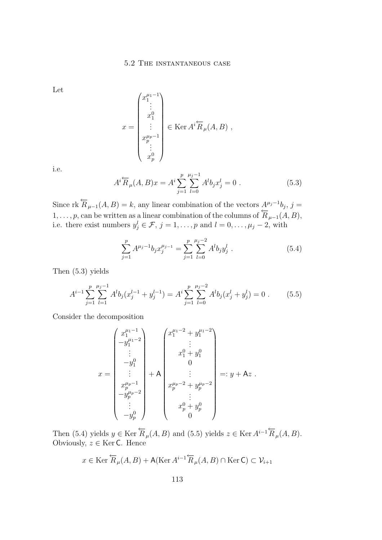Let

$$
x = \begin{pmatrix} x_1^{\mu_1 - 1} \\ \vdots \\ x_1^0 \\ \vdots \\ x_p^{\mu_p - 1} \\ \vdots \\ x_p^0 \end{pmatrix} \in \text{Ker } A^i \overleftarrow{R}_{\mu}(A, B) ,
$$

i.e.

$$
A^{i}\overleftarrow{R}_{\mu}(A,B)x = A^{i}\sum_{j=1}^{p}\sum_{l=0}^{\mu_{j}-1}A^{l}b_{j}x_{j}^{l} = 0.
$$
 (5.3)

Since rk  $\overleftarrow{R}_{\mu-1}(A, B) = k$ , any linear combination of the vectors  $A^{\mu_j-1}b_j$ ,  $j =$ 1, . . . , p, can be written as a linear combination of the columns of  $R_{\mu-1}(A, B)$ , i.e. there exist numbers  $y_j^l \in \mathcal{F}, j = 1, \ldots, p$  and  $l = 0, \ldots, \mu_j - 2$ , with

$$
\sum_{j=1}^{p} A^{\mu_j - 1} b_j x_j^{\mu_{j-1}} = \sum_{j=1}^{p} \sum_{l=0}^{\mu_j - 2} A^l b_j y_j^l . \tag{5.4}
$$

Then (5.3) yields

$$
A^{i-1} \sum_{j=1}^{p} \sum_{l=1}^{\mu_j - 1} A^l b_j (x_j^{l-1} + y_j^{l-1}) = A^i \sum_{j=1}^{p} \sum_{l=0}^{\mu_j - 2} A^l b_j (x_j^l + y_j^l) = 0.
$$
 (5.5)

Consider the decomposition

$$
x = \begin{pmatrix} x_1^{\mu_1 - 1} \\ -y_1^{\mu_1 - 2} \\ \vdots \\ -y_1^0 \\ x_p^{\mu_p - 1} \\ -y_p^{\mu_p - 2} \\ \vdots \\ -y_p^0 \end{pmatrix} + A \begin{pmatrix} x_1^{\mu_1 - 2} + y_1^{\mu_1 - 2} \\ \vdots \\ x_1^0 + y_1^0 \\ 0 \\ \vdots \\ x_p^{\mu_p - 2} + y_p^{\mu_p - 2} \\ \vdots \\ x_p^0 + y_p^0 \\ 0 \end{pmatrix} =: y + Az.
$$

Then (5.4) yields  $y \in \text{Ker}$  $\overleftarrow{R}_{\mu}(A, B)$  and (5.5) yields  $z \in \text{Ker } A^{i-1} \overleftarrow{R}_{\mu}(A, B)$ . Obviously,  $z \in \text{Ker } C$ . Hence

$$
x \in \text{Ker} \overleftarrow{R}_{\mu}(A, B) + \mathsf{A}(\text{Ker} A^{i-1} \overleftarrow{R}_{\mu}(A, B) \cap \text{Ker} \mathsf{C}) \subset \mathcal{V}_{i+1}
$$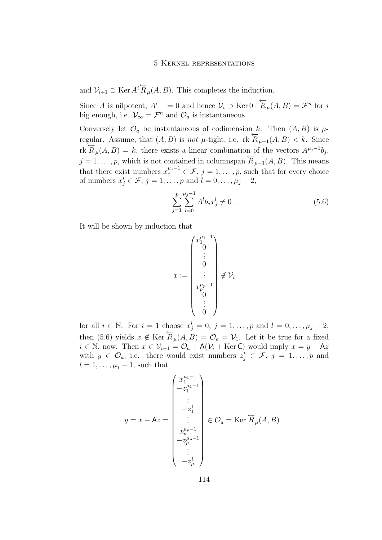and  $\mathcal{V}_{i+1} \supset \text{Ker } A^i \overleftarrow{R}_{\mu}(A, B)$ . This completes the induction.

Since A is nilpotent,  $A^{i-1} = 0$  and hence  $\mathcal{V}_i \supset \text{Ker } 0 \cdot \overleftarrow{R}$  $R_\mu(A, B) = \mathcal{F}^n$  for i big enough, i.e.  $\mathcal{V}_{\infty} = \mathcal{F}^n$  and  $\mathcal{O}_a$  is instantaneous.

Conversely let  $\mathcal{O}_a$  be instantaneous of codimension k. Then  $(A, B)$  is  $\mu$ regular. Assume, that  $(A, B)$  is not  $\mu$ -tight, i.e. rk  $\overline{R}_{\mu-1}(A, B) < k$ . Since regularities and  $(1-i) = j$  and  $r_i$  regular, the vector  $\mu_{i-1}(1-i) = j$  is the vectors  $A^{\mu_j-1}b_j$ ,  $j = 1, \ldots, p$ , which is not contained in columnspan  $\overline{R}_{\mu-1}(A, B)$ . This means that there exist numbers  $x_j^{\mu_j-1} \in \mathcal{F}, j = 1, \ldots, p$ , such that for every choice of numbers  $x_j^l \in \mathcal{F}, j = 1, \ldots, p$  and  $l = 0, \ldots, \mu_j - 2$ ,

$$
\sum_{j=1}^{p} \sum_{l=0}^{\mu_j - 1} A^l b_j x_j^l \neq 0 \tag{5.6}
$$

It will be shown by induction that

$$
x := \begin{pmatrix} x_1^{\mu_1 - 1} \\ 0 \\ \vdots \\ 0 \\ x_p^{\mu_p - 1} \\ 0 \\ \vdots \\ 0 \end{pmatrix} \not\in \mathcal{V}_i
$$

for all  $i \in \mathbb{N}$ . For  $i = 1$  choose  $x_j^l = 0$ ,  $j = 1, \ldots, p$  and  $l = 0, \ldots, \mu_j - 2$ , then (5.6) yields  $x \notin \text{Ker}$  $\overleftarrow{D}$  $R_\mu(A, B) = \mathcal{O}_a = \mathcal{V}_1$ . Let it be true for a fixed  $i \in \mathbb{N}$ , now. Then  $x \in \mathcal{V}_{i+1} = \mathcal{O}_a + \mathsf{A}(\mathcal{V}_i + \text{Ker } \mathsf{C})$  would imply  $x = y + \mathsf{A}z$ with  $y \in \mathcal{O}_a$ , i.e. there would exist numbers  $z_j^l \in \mathcal{F}, j = 1, \ldots, p$  and  $l = 1, \ldots, \mu_j - 1$ , such that

$$
y = x - Az = \begin{pmatrix} x_1^{\mu_1 - 1} \\ -z_1^{\mu_1 - 1} \\ \vdots \\ -z_1^1 \\ x_p^{\mu_p - 1} \\ -z_p^{\mu_p - 1} \\ \vdots \\ -z_p^1 \end{pmatrix} \in \mathcal{O}_a = \text{Ker} \overleftarrow{R}_{\mu}(A, B) .
$$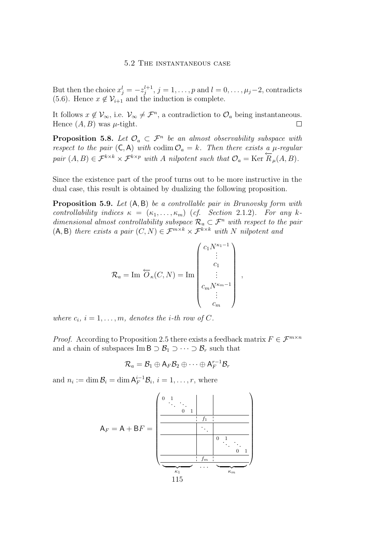## 5.2 The instantaneous case

But then the choice  $x_j^l = -z_j^{l+1}, \, j=1,\ldots,p$  and  $l=0,\ldots,\mu_j-2,$  contradicts (5.6). Hence  $x \notin V_{i+1}$  and the induction is complete.

It follows  $x \notin V_\infty$ , i.e.  $V_\infty \neq \mathcal{F}^n$ , a contradiction to  $\mathcal{O}_a$  being instantaneous. Hence  $(A, B)$  was  $\mu$ -tight.

**Proposition 5.8.** Let  $\mathcal{O}_a \subset \mathcal{F}^n$  be an almost observability subspace with respect to the pair  $(C, A)$  with codim  $\mathcal{O}_a = k$ . Then there exists a  $\mu$ -regular pair  $(A, B) \in \mathcal{F}^{k \times k} \times \mathcal{F}^{k \times p}$  with A nilpotent such that  $\mathcal{O}_a = \text{Ker } \overline{R}_{\mu}(A, B)$ .

Since the existence part of the proof turns out to be more instructive in the dual case, this result is obtained by dualizing the following proposition.

Proposition 5.9. Let (A, B) be a controllable pair in Brunovsky form with controllability indices  $\kappa = (\kappa_1, \ldots, \kappa_m)$  (cf. Section 2.1.2). For any kdimensional almost controllability subspace  $\mathcal{R}_a \subset \mathcal{F}^n$  with respect to the pair  $(A, B)$  there exists a pair  $(C, N) \in \mathcal{F}^{m \times k} \times \mathcal{F}^{k \times k}$  with N nilpotent and

$$
\mathcal{R}_a = \text{Im }\overleftarrow{O}_{\kappa}(C, N) = \text{Im}\begin{pmatrix} c_1 N^{\kappa_1 - 1} \\ \vdots \\ c_1 \\ \vdots \\ c_m N^{\kappa_m - 1} \\ \vdots \\ c_m \end{pmatrix},
$$

where  $c_i$ ,  $i = 1, \ldots, m$ , denotes the *i*-th row of C.

*Proof.* According to Proposition 2.5 there exists a feedback matrix  $F \in \mathcal{F}^{m \times n}$ and a chain of subspaces Im B  $\supset \mathcal{B}_1 \supset \cdots \supset \mathcal{B}_r$  such that

$$
\mathcal{R}_a = \mathcal{B}_1 \oplus \mathsf{A}_F \mathcal{B}_2 \oplus \cdots \oplus \mathsf{A}_F^{r-1} \mathcal{B}_r
$$

and  $n_i := \dim \mathcal{B}_i = \dim \mathsf{A}_F^{i-1} \mathcal{B}_i, i = 1, \ldots, r$ , where

$$
A_{F} = A + BF = \begin{pmatrix} 0 & 1 & & & & \\ \cdot & \cdot & \cdot & & & \\ \hline & & & 0 & 1 & \\ \hline & & & & \cdot & \\ \hline & & & & & \cdot \\ \hline & & & & & 0 & 1 \\ \hline & & & & & & \cdot \\ \hline & & & & & & \cdot \\ \hline & & & & & & \cdot \\ \hline & & & & & & \cdot \\ \hline & & & & & & \cdot \\ \hline & & & & & & \cdot \\ \hline & & & & & & \cdot \\ \hline & & & & & & \cdot \\ \hline & & & & & & \cdot \\ \hline & & & & & & \cdot \\ \hline & & & & & & \cdot \\ \hline & & & & & & \cdot \\ \hline & & & & & & \cdot \\ \hline & & & & & & \cdot \\ \hline & & & & & & \cdot \\ \hline & & & & & & \cdot \\ \hline & & & & & & \cdot \\ \hline & & & & & & \cdot \\ \hline & & & & & & \cdot \\ \hline & & & & & & \cdot \\ \hline & & & & & & \cdot \\ \hline & & & & & & \cdot \\ \hline & & & & & & \cdot \\ \hline & & & & & & \cdot \\ \hline & & & & & & \cdot \\ \hline & & & & & & \cdot \\ \hline & & & & & & \cdot \\ \hline & & & & & & \cdot \\ \hline & & & & & & \cdot \\ \hline & & & & & & \cdot \\ \hline & & & & & & \cdot \\ \hline & & & & & & \cdot \\ \hline & & & & & & \cdot \\ \hline & & & & & & \cdot \\ \hline & & & & & & \cdot \\ \hline & & & & & & \cdot \\ \hline & & & & & & \cdot \\ \hline & & & & & & \cdot \\ \hline & & & & & & \cdot \\ \hline & & & & & & \cdot \\ \hline & & & & & & \cdot \\ \hline & & & & & & \cdot \\ \hline & & & & & & \cdot \\ \hline & & & & & & \cdot \\ \hline & & & & & & \cdot \\ \hline & & & & & & \cdot \\ \hline & & & & & & \cdot \\ \hline & & & & & & \cdot \\ \hline & & & & & & \cdot \\ \hline & & & & & & \cdot \\ \hline & & & & & & \cdot \\ \hline & & & & & & \cdot \\ \hline & & & & & & \cdot \\ \hline & & & & & & \cdot \\ \hline & & & & & & \cdot \\ \hline & & & & & & \cdot \\ \
$$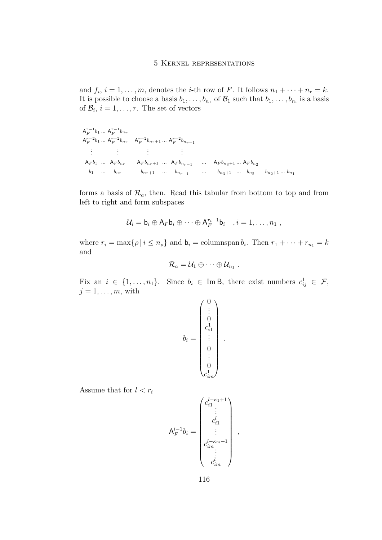and  $f_i$ ,  $i = 1, \ldots, m$ , denotes the *i*-th row of *F*. It follows  $n_1 + \cdots + n_r = k$ . It is possible to choose a basis  $b_1, \ldots, b_{n_1}$  of  $\mathcal{B}_1$  such that  $b_1, \ldots, b_{n_i}$  is a basis of  $\mathcal{B}_i$ ,  $i = 1, \ldots, r$ . The set of vectors

 $\mathsf{A}_F^{r-1}b_1\ ...\ \mathsf{A}_F^{r-1}b_{n_r}$  $F \quad {}^{0}1 \cdots {}^{n}F$  $A_F^{r-2}b_1 ... A_F^{r-2}b_{n_r}$   $A_F^{r-2}b_{n_r+1} ... A_F^{r-2}b_{n_{r-1}}$ . . . . . . . . . . . .  $A_F b_1$  ...  $A_F b_{n_r}$   $A_F b_{n_r+1}$  ...  $A_F b_{n_{r-1}}$  ...  $A_F b_{n_3+1}$  ...  $A_F b_{n_2}$  $b_1$  ...  $b_{n_r}$   $b_{n_r+1}$  ...  $b_{n_{r-1}}$  ...  $b_{n_3+1}$  ...  $b_{n_2}$   $b_{n_2+1}$  ...  $b_{n_1}$ 

forms a basis of  $\mathcal{R}_a$ , then. Read this tabular from bottom to top and from left to right and form subspaces

$$
\mathcal{U}_i = \mathsf{b}_i \oplus \mathsf{A}_F \mathsf{b}_i \oplus \cdots \oplus \mathsf{A}_F^{r_i-1} \mathsf{b}_i \quad , i = 1, \ldots, n_1 \ ,
$$

where  $r_i = \max\{\rho \mid i \leq n_\rho\}$  and  $\mathbf{b}_i = \text{columnspan } b_i$ . Then  $r_1 + \cdots + r_{n_1} = k$ and

$$
\mathcal{R}_a = \mathcal{U}_1 \oplus \cdots \oplus \mathcal{U}_{n_1} .
$$

Fix an  $i \in \{1, \ldots, n_1\}$ . Since  $b_i \in \text{Im } B$ , there exist numbers  $c_{ij}^1 \in \mathcal{F}$ ,  $j = 1, \ldots, m$ , with

$$
b_i = \begin{pmatrix} 0 \\ \vdots \\ 0 \\ c_{i1}^1 \\ \vdots \\ 0 \\ \vdots \\ c_{im}^1 \end{pmatrix}.
$$

Assume that for  $l < r_i$ 

$$
\mathsf{A}_{F}^{l-1}b_i = \begin{pmatrix} c_{i1}^{l-\kappa_1+1} \\ \vdots \\ c_{i1}^{l} \\ \vdots \\ c_{im}^{l-\kappa_m+1} \\ \vdots \\ c_{im}^{l} \end{pmatrix} \,,
$$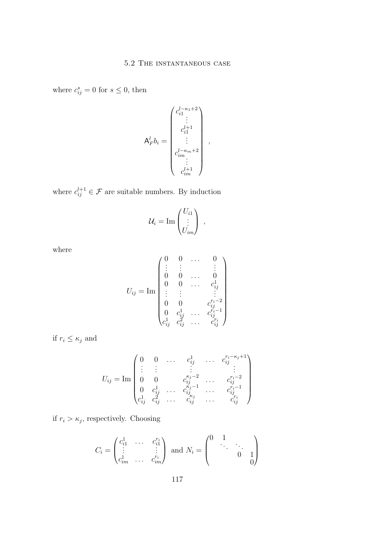where  $c_{ij}^s = 0$  for  $s \leq 0$ , then

$$
\mathsf{A}_{F}^{l}b_{i} = \begin{pmatrix} c_{i1}^{l-\kappa_{1}+2} \\ \vdots \\ c_{i1}^{l+1} \\ \vdots \\ c_{im}^{l-\kappa_{m}+2} \\ \vdots \\ c_{im}^{l+1} \end{pmatrix} ,
$$

where  $c_{ij}^{l+1} \in \mathcal{F}$  are suitable numbers. By induction

$$
\mathcal{U}_i = \mathrm{Im} \begin{pmatrix} U_{i1} \\ \vdots \\ U_{im} \end{pmatrix} ,
$$

where

$$
U_{ij} = \text{Im} \begin{pmatrix} 0 & 0 & \dots & 0 \\ \vdots & \vdots & & \vdots \\ 0 & 0 & \dots & 0 \\ 0 & 0 & \dots & c_{ij}^1 \\ \vdots & \vdots & & \vdots \\ 0 & 0 & c_{ij}^r & \vdots \\ 0 & c_{ij}^1 & \dots & c_{ij}^{r_i-1} \\ c_{ij}^1 & c_{ij}^2 & \dots & c_{ij}^{r_i} \end{pmatrix}
$$

if  $r_i \leq \kappa_j$  and

$$
U_{ij} = \text{Im} \begin{pmatrix} 0 & 0 & \dots & c_{ij}^{1} & \dots & c_{ij}^{r_i - \kappa_j + 1} \\ \vdots & \vdots & & \vdots & & \vdots \\ 0 & 0 & & c_{ij}^{\kappa_j - 2} & \dots & c_{ij}^{r_i - 2} \\ 0 & c_{ij}^{1} & \dots & c_{ij}^{\kappa_j - 1} & \dots & c_{ij}^{r_i - 1} \\ c_{ij}^{1} & c_{ij}^{2} & \dots & c_{ij}^{r_i} & \dots & c_{ij}^{r_i} \end{pmatrix}
$$

if  $r_i > \kappa_j$ , respectively. Choosing

$$
C_i = \begin{pmatrix} c_{i1}^1 & \cdots & c_{i1}^{r_i} \\ \vdots & & \vdots \\ c_{im}^1 & \cdots & c_{im}^{r_i} \end{pmatrix} \text{ and } N_i = \begin{pmatrix} 0 & 1 & & \\ & \ddots & \ddots & \\ & & 0 & 1 \\ & & & 0 \end{pmatrix}
$$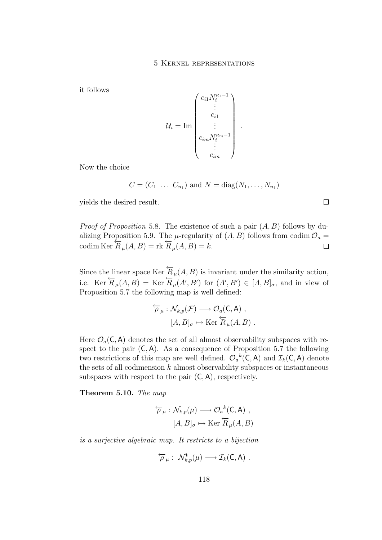it follows

$$
\mathcal{U}_{i} = \text{Im} \begin{pmatrix} c_{i1} N_{i}^{k_{1}-1} \\ \vdots \\ c_{i1} \\ \vdots \\ c_{im} N_{i}^{k_{m}-1} \\ \vdots \\ c_{im} \end{pmatrix} .
$$

Now the choice

$$
C = (C_1 \ldots C_{n_1})
$$
 and  $N = diag(N_1, \ldots, N_{n_1})$ 

yields the desired result.

*Proof of Proposition* 5.8. The existence of such a pair  $(A, B)$  follows by dualizing Proposition 5.9. The  $\mu$ -regularity of  $(A, B)$  follows from codim  $\mathcal{O}_a$  = codim Ker  $\overline{R}_{\mu}(A, B) = \text{rk } \overline{R}_{\mu}(A, B) = k.$  $\Box$ 

Since the linear space Ker  $\overleftarrow{R}_{\mu}(A, B)$  is invariant under the similarity action, i.e. Ker  $\overline{R}_{\mu}(A, B) =$  Ker  $\overline{R}_{\mu}(A', B')$  for  $(A', B') \in [A, B]_{\sigma}$ , and in view of Proposition 5.7 the following map is well defined:

$$
\overleftarrow{\rho}_{\mu}: \mathcal{N}_{k,p}(\mathcal{F}) \longrightarrow \mathcal{O}_a(\mathsf{C}, \mathsf{A}),
$$

$$
[A, B]_{\sigma} \mapsto \text{Ker} \overleftarrow{R}_{\mu}(A, B).
$$

Here  $\mathcal{O}_a(\mathsf{C},\mathsf{A})$  denotes the set of all almost observability subspaces with respect to the pair  $(C, A)$ . As a consequence of Proposition 5.7 the following two restrictions of this map are well defined.  $\mathcal{O}_a^k(\mathsf{C}, \mathsf{A})$  and  $\mathcal{I}_k(\mathsf{C}, \mathsf{A})$  denote the sets of all codimension  $k$  almost observability subspaces or instantaneous subspaces with respect to the pair  $(C, A)$ , respectively.

Theorem 5.10. The map

$$
\overleftarrow{\rho}_{\mu}: \mathcal{N}_{k,p}(\mu) \longrightarrow \mathcal{O}_a^k(\mathsf{C}, \mathsf{A}),
$$

$$
[A, B]_{\sigma} \mapsto \text{Ker} \stackrel{\leftarrow}{R}_{\mu}(A, B)
$$

is a surjective algebraic map. It restricts to a bijection

$$
\overleftarrow{\rho}_{\mu}: \ \mathcal{N}_{k,p}^{\mathrm{t}}(\mu) \longrightarrow \mathcal{I}_{k}(\mathsf{C},\mathsf{A}) \ .
$$

 $\Box$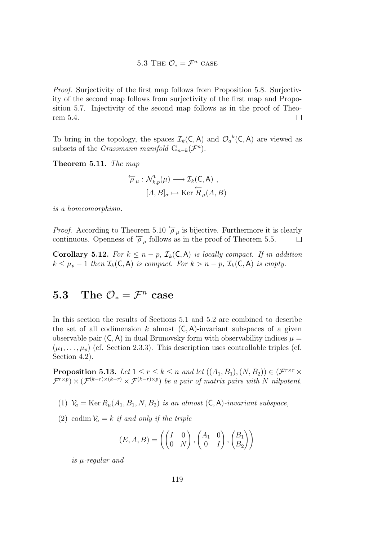Proof. Surjectivity of the first map follows from Proposition 5.8. Surjectivity of the second map follows from surjectivity of the first map and Proposition 5.7. Injectivity of the second map follows as in the proof of Theorem 5.4.  $\Box$ 

To bring in the topology, the spaces  $\mathcal{I}_k(\mathsf{C},\mathsf{A})$  and  $\mathcal{O}_a^k(\mathsf{C},\mathsf{A})$  are viewed as subsets of the *Grassmann manifold*  $G_{n-k}(\mathcal{F}^n)$ .

Theorem 5.11. The map

$$
\overleftarrow{\rho}_{\mu}: \mathcal{N}_{k,p}^{\mathrm{t}}(\mu) \longrightarrow \mathcal{I}_{k}(\mathsf{C}, \mathsf{A}),
$$

$$
[A, B]_{\sigma} \mapsto \mathrm{Ker} \overleftarrow{R}_{\mu}(A, B)
$$

is a homeomorphism.

*Proof.* According to Theorem 5.10  $\overleftarrow{\rho}_{\mu}$  is bijective. Furthermore it is clearly continuous. Openness of  $\overleftarrow{\rho}_{\mu}$  follows as in the proof of Theorem 5.5.

Corollary 5.12. For  $k \leq n - p$ ,  $\mathcal{I}_k(C, A)$  is locally compact. If in addition  $k \leq \mu_p - 1$  then  $\mathcal{I}_k(C, A)$  is compact. For  $k > n - p$ ,  $\mathcal{I}_k(C, A)$  is empty.

# 5.3 The  $\mathcal{O}_* = \mathcal{F}^n$  case

In this section the results of Sections 5.1 and 5.2 are combined to describe the set of all codimension k almost  $(C, A)$ -invariant subspaces of a given observable pair  $(C, A)$  in dual Brunovsky form with observability indices  $\mu =$  $(\mu_1, \ldots, \mu_p)$  (cf. Section 2.3.3). This description uses controllable triples (cf. Section 4.2).

**Proposition 5.13.** Let  $1 \le r \le k \le n$  and let  $((A_1, B_1), (N, B_2)) \in (\mathcal{F}^{r \times r} \times$  $\mathcal{F}^{r \times p} \times (\mathcal{F}^{(k-r) \times (k-r)} \times \mathcal{F}^{(k-r) \times p})$  be a pair of matrix pairs with N nilpotent.

(1)  $V_a = \text{Ker } R_u(A_1, B_1, N, B_2)$  is an almost  $(C, A)$ -invariant subspace,

(2) codim  $\mathcal{V}_a = k$  if and only if the triple

$$
(E, A, B) = \left( \begin{pmatrix} I & 0 \\ 0 & N \end{pmatrix}, \begin{pmatrix} A_1 & 0 \\ 0 & I \end{pmatrix}, \begin{pmatrix} B_1 \\ B_2 \end{pmatrix} \right)
$$

is µ-regular and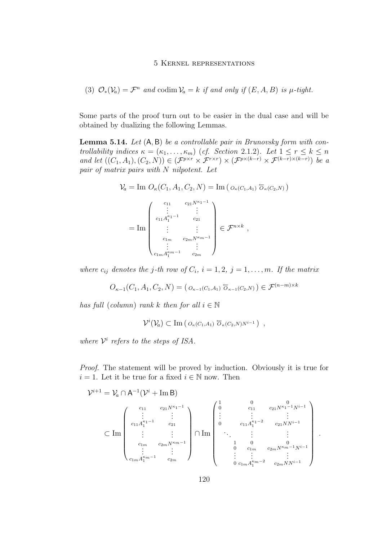(3) 
$$
\mathcal{O}_{*}(\mathcal{V}_{a}) = \mathcal{F}^{n}
$$
 and codim  $\mathcal{V}_{a} = k$  if and only if  $(E, A, B)$  is  $\mu$ -tight.

Some parts of the proof turn out to be easier in the dual case and will be obtained by dualizing the following Lemmas.

**Lemma 5.14.** Let  $(A, B)$  be a controllable pair in Brunovsky form with controllability indices  $\kappa = (\kappa_1, \ldots, \kappa_m)$  (cf. Section 2.1.2). Let  $1 \le r \le k \le n$ and let  $((C_1, A_1), (C_2, N)) \in (\mathcal{F}^{p \times r} \times \mathcal{F}^{r \times r}) \times (\mathcal{F}^{p \times (k-r)} \times \mathcal{F}^{(k-r) \times (k-r)})$  be a pair of matrix pairs with N nilpotent. Let

$$
\mathcal{V}_a = \text{Im } O_{\kappa}(C_1, A_1, C_2, N) = \text{Im } (O_{\kappa}(C_1, A_1) \overleftarrow{O}_{\kappa}(C_2, N))
$$

$$
= \mathrm{Im} \left( \begin{array}{ccc} c_{11} & c_{21}N^{\kappa_1-1} & \\ \vdots & \vdots & \\ c_{11}A_1^{\kappa_1-1} & c_{21} \\ \vdots & \vdots & \\ c_{1m} & c_{2m}N^{\kappa_{m-1}} \\ \vdots & \vdots & \\ c_{1m}A_1^{\kappa_{m-1}} & c_{2m} \end{array} \right) \in \mathcal{F}^{n \times k} ,
$$

where  $c_{ij}$  denotes the j-th row of  $C_i$ ,  $i = 1, 2, j = 1, \ldots, m$ . If the matrix

$$
O_{\kappa-1}(C_1, A_1, C_2, N) = (o_{\kappa-1}(C_1, A_1) \ \overleftarrow{o}_{\kappa-1}(C_2, N)) \in \mathcal{F}^{(n-m)\times k}
$$

has full (column) rank k then for all  $i \in \mathbb{N}$ 

$$
\mathcal{V}^i(\mathcal{V}_a) \subset \text{Im}\left( \, O_{\kappa}(C_1, A_1) \, \overleftarrow{O}_{\kappa}(C_2, N) N^{i-1} \, \right) \; ,
$$

where  $\mathcal{V}^i$  refers to the steps of ISA.

Proof. The statement will be proved by induction. Obviously it is true for  $i = 1$ . Let it be true for a fixed  $i \in \mathbb{N}$  now. Then

$$
\mathcal{V}^{i+1} = \mathcal{V}_a \cap \mathsf{A}^{-1}(\mathcal{V}^i + \text{Im }\mathsf{B})
$$
\n
$$
\subset \text{Im}\left(\begin{array}{cccc} c_{11} & c_{21}N^{\kappa_1-1} & & 0 & 0 & 0\\ \vdots & \vdots & \vdots & \vdots & \vdots & \vdots & \vdots\\ c_{11}A_1^{\kappa_1-1} & c_{21} & & 0 & c_{11}A_1^{\kappa_1-2} & c_{21}N^{\kappa_1-1} \\ \vdots & \vdots & \vdots & \ddots & \vdots & \vdots & \vdots\\ c_{1m} & c_{2m}N^{\kappa_m-1} & c_{2m} & & 0 & c_{1m} & c_{2m}N^{\kappa_m-1}N^{i-1} \\ \vdots & \vdots & \vdots & \vdots & \vdots & \vdots & \vdots\\ 0 & c_{1m}A_1^{\kappa_m-2} & c_{2m}N^{N^{i-1}} & & 0 \end{array}\right)
$$

.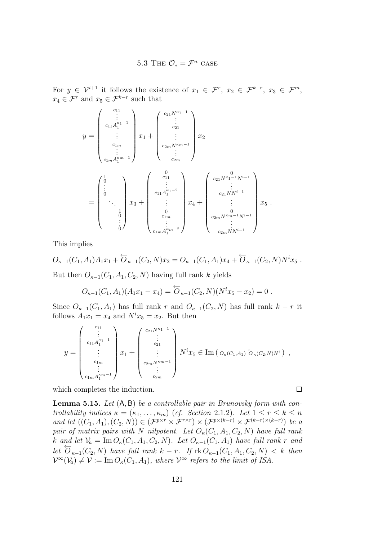For  $y \in \mathcal{V}^{i+1}$  it follows the existence of  $x_1 \in \mathcal{F}^r$ ,  $x_2 \in \mathcal{F}^{k-r}$ ,  $x_3 \in \mathcal{F}^m$ ,  $x_4 \in \mathcal{F}^r$  and  $x_5 \in \mathcal{F}^{k-r}$  such that

$$
y = \begin{pmatrix} c_{11} \\ \vdots \\ c_{11}A_1^{\kappa_1 - 1} \\ \vdots \\ c_{1m} \\ \vdots \\ c_{1m}A_1^{\kappa_{m-1}} \end{pmatrix} x_1 + \begin{pmatrix} c_{21}N^{\kappa_1 - 1} \\ \vdots \\ c_{21} \\ \vdots \\ c_{2m}N^{\kappa_{m-1}} \\ \vdots \\ c_{2m} \end{pmatrix} x_2
$$
  
= 
$$
\begin{pmatrix} 1 \\ 0 \\ \vdots \\ 0 \\ \vdots \\ 0 \\ \vdots \\ 0 \\ 0 \\ \vdots \\ 0 \\ c_{1m} \end{pmatrix} x_3 + \begin{pmatrix} 0 \\ c_{11} \\ \vdots \\ c_{11}A_1^{\kappa_1 - 2} \\ \vdots \\ c_{11}A_1^{\kappa_1 - 2} \\ \vdots \\ c_{1m} \end{pmatrix} x_4 + \begin{pmatrix} 0 \\ c_{21}N^{\kappa_1 - 1}N^{i-1} \\ \vdots \\ c_{21}N^{\kappa_1 - 1}N^{i-1} \\ \vdots \\ c_{2m}N^{\kappa_m - 1}N^{i-1} \\ \vdots \\ c_{2m}N^{\kappa_{m-1}}N^{i-1} \end{pmatrix} x_5.
$$

This implies

$$
O_{\kappa-1}(C_1, A_1)A_1x_1 + \overleftarrow{O}_{\kappa-1}(C_2, N)x_2 = O_{\kappa-1}(C_1, A_1)x_4 + \overleftarrow{O}_{\kappa-1}(C_2, N)N^i x_5.
$$

But then  $O_{\kappa-1}(C_1, A_1, C_2, N)$  having full rank k yields

$$
O_{\kappa-1}(C_1, A_1)(A_1x_1 - x_4) = \overleftarrow{O}_{\kappa-1}(C_2, N)(N^i x_5 - x_2) = 0.
$$

Since  $O_{\kappa-1}(C_1, A_1)$  has full rank r and  $O_{\kappa-1}(C_2, N)$  has full rank  $k - r$  it follows  $A_1x_1 = x_4$  and  $N^ix_5 = x_2$ . But then

$$
y = \begin{pmatrix} c_{11} & & & & \\ \vdots & & & & \\ c_{11}A_1^{k_1-1} & & & \\ \vdots & & & & \\ c_{1m} & & & \\ c_{1m}A_1^{k_1-1} & & & \\ \vdots & & & & \\ c_{1m}A_1^{k_1-1} & & & \\ \end{pmatrix} x_1 + \begin{pmatrix} c_{21}N^{k_1-1} & & & \\ \vdots & & & \\ c_{21} & & & \\ \vdots & & & \\ c_{2m} & & & \\ c_{2m} & & & \\ \end{pmatrix} N^i x_5 \in \text{Im} \left( O_{\kappa}(C_1, A_1) \overleftarrow{O}_{\kappa}(C_2, N) N^i \right) ,
$$

which completes the induction.

**Lemma 5.15.** Let  $(A, B)$  be a controllable pair in Brunovsky form with controllability indices  $\kappa = (\kappa_1, \ldots, \kappa_m)$  (cf. Section 2.1.2). Let  $1 \le r \le k \le n$ and let  $((C_1, A_1), (C_2, N)) \in (\mathcal{F}^{p \times r} \times \mathcal{F}^{r \times r}) \times (\mathcal{F}^{p \times (k-r)} \times \mathcal{F}^{(k-r) \times (k-r)})$  be a pair of matrix pairs with N nilpotent. Let  $O_{\kappa}(C_1, A_1, C_2, N)$  have full rank k and let  $V_a = \text{Im}\,O_\kappa(C_1, A_1, C_2, N)$ . Let  $O_{\kappa-1}(C_1, A_1)$  have full rank r and let  $\overline{O}_{\kappa-1}(C_2, N)$  have full rank  $k - r$ . If  $\text{rk } O_{\kappa-1}(C_1, A_1, C_2, N) < k$  then  $\mathcal{V}^{\infty}(\mathcal{V}_{a}) \neq \mathcal{V} := \text{Im}\,O_{\kappa}(C_1, A_1),$  where  $\mathcal{V}^{\infty}$  refers to the limit of ISA.

 $\Box$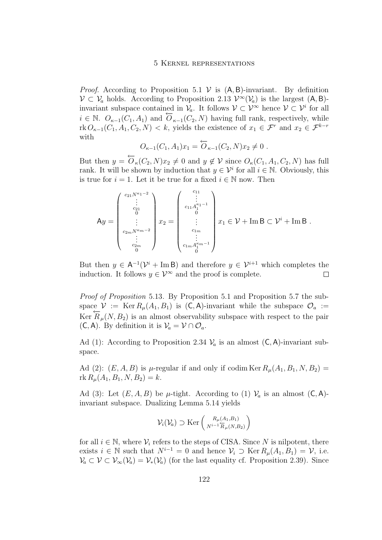*Proof.* According to Proposition 5.1  $V$  is  $(A, B)$ -invariant. By definition  $V \subset V_a$  holds. According to Proposition 2.13  $V^{\infty}(V_a)$  is the largest  $(A, B)$ invariant subspace contained in  $\mathcal{V}_a$ . It follows  $\mathcal{V} \subset \mathcal{V}^{\infty}$  hence  $\mathcal{V} \subset \mathcal{V}^i$  for all i ∈ N.  $O_{\kappa-1}(C_1, A_1)$  and  $\overline{O}_{\kappa-1}(C_2, N)$  having full rank, respectively, while rk  $O_{\kappa-1}(C_1, A_1, C_2, N) < k$ , yields the existence of  $x_1 \in \mathcal{F}^r$  and  $x_2 \in \mathcal{F}^{k-r}$ with

$$
O_{\kappa-1}(C_1, A_1)x_1 = \overleftarrow{O}_{\kappa-1}(C_2, N)x_2 \neq 0.
$$

But then  $y =$ ←−  $O_{\kappa}(C_2, N)x_2 \neq 0$  and  $y \notin V$  since  $O_{\kappa}(C_1, A_1, C_2, N)$  has full rank. It will be shown by induction that  $y \in \mathcal{V}^i$  for all  $i \in \mathbb{N}$ . Obviously, this is true for  $i = 1$ . Let it be true for a fixed  $i \in \mathbb{N}$  now. Then

$$
Ay = \begin{pmatrix} c_{21}N^{\kappa_1-2} \\ \vdots \\ c_{21} \\ c_{2m}N^{\kappa_m-2} \\ \vdots \\ c_{2m} \\ 0 \end{pmatrix} x_2 = \begin{pmatrix} c_{11} \\ \vdots \\ c_{11}A_1^{\kappa_1-1} \\ 0 \\ \vdots \\ c_{1m} \\ c_{1m}A_1^{\kappa_m-1} \\ 0 \end{pmatrix} x_1 \in \mathcal{V} + \text{Im }B \subset \mathcal{V}^i + \text{Im }B.
$$

But then  $y \in A^{-1}(\mathcal{V}^i + \text{Im }B)$  and therefore  $y \in \mathcal{V}^{i+1}$  which completes the induction. It follows  $y \in \mathcal{V}^{\infty}$  and the proof is complete. □

Proof of Proposition 5.13. By Proposition 5.1 and Proposition 5.7 the subspace  $\mathcal{V} := \text{Ker } R_u(A_1, B_1)$  is  $(C, A)$ -invariant while the subspace  $\mathcal{O}_a :=$ Ker ←−  $R<sub>\mu</sub>(N, B<sub>2</sub>)$  is an almost observability subspace with respect to the pair  $(C, A)$ . By definition it is  $\mathcal{V}_a = \mathcal{V} \cap \mathcal{O}_a$ .

Ad (1): According to Proposition 2.34  $\mathcal{V}_a$  is an almost  $(C, A)$ -invariant subspace.

Ad (2):  $(E, A, B)$  is  $\mu$ -regular if and only if codim Ker  $R_{\mu}(A_1, B_1, N, B_2)$  =  $R_{\mu}(A_1, B_1, N, B_2) = k.$ 

Ad (3): Let  $(E, A, B)$  be  $\mu$ -tight. According to (1)  $\mathcal{V}_a$  is an almost  $(C, A)$ invariant subspace. Dualizing Lemma 5.14 yields

$$
\mathcal{V}_i(\mathcal{V}_a) \supset \text{Ker}\left(\begin{smallmatrix} R_\mu(A_1,B_1) \\ N^{i-1}R_{\mu}(N,B_2) \end{smallmatrix}\right)
$$

for all  $i \in \mathbb{N}$ , where  $\mathcal{V}_i$  refers to the steps of CISA. Since N is nilpotent, there exists  $i \in \mathbb{N}$  such that  $N^{i-1} = 0$  and hence  $\mathcal{V}_i \supset \text{Ker } R_\mu(A_1, B_1) = \mathcal{V}$ , i.e.  $V_a \subset V \subset V_{\infty}(V_a) = V_*(V_a)$  (for the last equality cf. Proposition 2.39). Since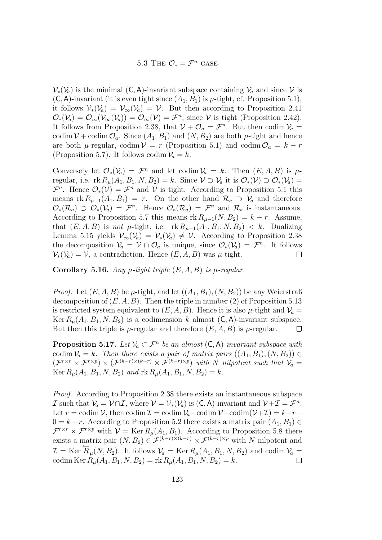5.3 The  $\mathcal{O}_* = \mathcal{F}^n$  case

 $\mathcal{V}_*(\mathcal{V}_a)$  is the minimal  $(C, A)$ -invariant subspace containing  $\mathcal{V}_a$  and since  $\mathcal V$  is  $(C, A)$ -invariant (it is even tight since  $(A_1, B_1)$  is  $\mu$ -tight, cf. Proposition 5.1), it follows  $V_*(V_a) = V_\infty(V_a) = V$ . But then according to Proposition 2.41  $\mathcal{O}_{*}(\mathcal{V}_{a}) = \mathcal{O}_{\infty}(\mathcal{V}_{\infty}(\mathcal{V}_{a})) = \mathcal{O}_{\infty}(\mathcal{V}) = \mathcal{F}^{n}$ , since  $\mathcal{V}$  is tight (Proposition 2.42). It follows from Proposition 2.38, that  $V + \mathcal{O}_a = \mathcal{F}^n$ . But then codim  $V_a =$ codim  $V$  + codim  $\mathcal{O}_a$ . Since  $(A_1, B_1)$  and  $(N, B_2)$  are both  $\mu$ -tight and hence are both  $\mu$ -regular, codim  $\mathcal{V} = r$  (Proposition 5.1) and codim  $\mathcal{O}_a = k - r$ (Proposition 5.7). It follows codim  $V_a = k$ .

Conversely let  $\mathcal{O}_{*}(\mathcal{V}_{a}) = \mathcal{F}^{n}$  and let codim  $\mathcal{V}_{a} = k$ . Then  $(E, A, B)$  is  $\mu$ regular, i.e. rk  $R_u(A_1, B_1, N, B_2) = k$ . Since  $V \supset V_a$  it is  $\mathcal{O}_*(V) \supset \mathcal{O}_*(V_a) =$  $\mathcal{F}^n$ . Hence  $\mathcal{O}_*(\mathcal{V}) = \mathcal{F}^n$  and  $\mathcal{V}$  is tight. According to Proposition 5.1 this means  $rk R_{\mu-1}(A_1, B_1) = r$ . On the other hand  $\mathcal{R}_a \supset \mathcal{V}_a$  and therefore  $\mathcal{O}_{*}(\mathcal{R}_{a}) \supset \mathcal{O}_{*}(\mathcal{V}_{a}) = \mathcal{F}^{n}$ . Hence  $\mathcal{O}_{*}(\mathcal{R}_{a}) = \mathcal{F}^{n}$  and  $\mathcal{R}_{a}$  is instantaneous. According to Proposition 5.7 this means  $rk R_{u-1}(N, B_2) = k - r$ . Assume, that  $(E, A, B)$  is not  $\mu$ -tight, i.e.  $\text{rk } R_{\mu-1}(A_1, B_1, N, B_2) < k$ . Dualizing Lemma 5.15 yields  $\mathcal{V}_{\infty}(\mathcal{V}_{a}) = \mathcal{V}_{*}(\mathcal{V}_{a}) \neq \mathcal{V}$ . According to Proposition 2.38 the decomposition  $\mathcal{V}_a = \mathcal{V} \cap \mathcal{O}_a$  is unique, since  $\mathcal{O}_*(\mathcal{V}_a) = \mathcal{F}^n$ . It follows  $\mathcal{V}_*(\mathcal{V}_a) = \mathcal{V}$ , a contradiction. Hence  $(E, A, B)$  was  $\mu$ -tight.  $\Box$ 

Corollary 5.16. Any  $\mu$ -tight triple  $(E, A, B)$  is  $\mu$ -regular.

*Proof.* Let  $(E, A, B)$  be  $\mu$ -tight, and let  $((A_1, B_1), (N, B_2))$  be any Weierstraß decomposition of  $(E, A, B)$ . Then the triple in number (2) of Proposition 5.13 is restricted system equivalent to  $(E, A, B)$ . Hence it is also  $\mu$ -tight and  $\mathcal{V}_a$ Ker  $R_u(A_1, B_1, N, B_2)$  is a codimension k almost  $(C, A)$ -invariant subspace. But then this triple is  $\mu$ -regular and therefore  $(E, A, B)$  is  $\mu$ -regular.  $\Box$ 

**Proposition 5.17.** Let  $V_a \subset \mathcal{F}^n$  be an almost  $(C, A)$ -invariant subspace with codim  $V_a = k$ . Then there exists a pair of matrix pairs  $((A_1, B_1), (N, B_2)) \in$  $(\mathcal{F}^{r\times r}\times \mathcal{F}^{r\times p})\times (\mathcal{F}^{(k-r)\times (k-r)}\times \mathcal{F}^{(k-r)\times p})$  with N nilpotent such that  $\mathcal{V}_a =$ Ker  $R_u(A_1, B_1, N, B_2)$  and  $\text{rk } R_u(A_1, B_1, N, B_2) = k$ .

Proof. According to Proposition 2.38 there exists an instantaneous subspace I such that  $V_a = \mathcal{V} \cap \mathcal{I}$ , where  $\mathcal{V} = \mathcal{V}_*(\mathcal{V}_a)$  is  $(\mathsf{C}, \mathsf{A})$ -invariant and  $\mathcal{V} + \mathcal{I} = \mathcal{F}^n$ . Let  $r = \text{codim }\mathcal{V}$ , then  $\text{codim }\mathcal{I} = \text{codim }\mathcal{V}_a - \text{codim }\mathcal{V} + \text{codim}(\mathcal{V}+\mathcal{I}) = k-r+$  $0 = k - r$ . According to Proposition 5.2 there exists a matrix pair  $(A_1, B_1) \in$  $\mathcal{F}^{r\times r}\times \mathcal{F}^{r\times p}$  with  $\mathcal{V}=\text{Ker }R_{\mu}(A_1,B_1)$ . According to Proposition 5.8 there exists a matrix pair  $(N, B_2) \in \mathcal{F}^{(k-r)\times (k-r)} \times \mathcal{F}^{(k-r)\times p}$  with N nilpotent and  $\frac{1}{\sqrt{D}}$  $\mathcal{I} = \mathrm{Ker}$  $R_\mu(N, B_2)$ . It follows  $\mathcal{V}_a = \text{Ker } R_\mu(A_1, B_1, N, B_2)$  and codim  $\mathcal{V}_a =$ codim Ker  $R_{\mu}(A_1, B_1, N, B_2) =$ rk  $R_{\mu}(A_1, B_1, N, B_2) = k$ .  $\Box$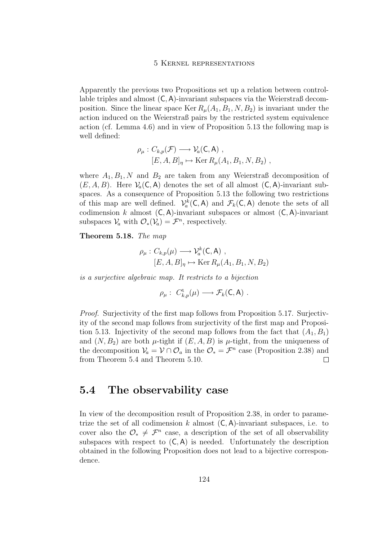Apparently the previous two Propositions set up a relation between controllable triples and almost  $(C, A)$ -invariant subspaces via the Weierstraß decomposition. Since the linear space  $\text{Ker } R_u(A_1, B_1, N, B_2)$  is invariant under the action induced on the Weierstraß pairs by the restricted system equivalence action (cf. Lemma 4.6) and in view of Proposition 5.13 the following map is well defined:

$$
\rho_{\mu}: C_{k,p}(\mathcal{F}) \longrightarrow \mathcal{V}_a(\mathsf{C}, \mathsf{A}),
$$
  
[*E*, *A*, *B*]<sub>*n*</sub>  $\mapsto$  Ker  $R_{\mu}(A_1, B_1, N, B_2)$ ,

where  $A_1, B_1, N$  and  $B_2$  are taken from any Weierstraß decomposition of  $(E, A, B)$ . Here  $V_a(\mathsf{C}, \mathsf{A})$  denotes the set of all almost  $(\mathsf{C}, \mathsf{A})$ -invariant subspaces. As a consequence of Proposition 5.13 the following two restrictions of this map are well defined.  $\mathcal{V}_a^k(\mathsf{C},\mathsf{A})$  and  $\mathcal{F}_k(\mathsf{C},\mathsf{A})$  denote the sets of all codimension k almost  $(C, A)$ -invariant subspaces or almost  $(C, A)$ -invariant subspaces  $\mathcal{V}_a$  with  $\mathcal{O}_*(\mathcal{V}_a) = \mathcal{F}^n$ , respectively.

Theorem 5.18. The map

$$
\rho_{\mu}: C_{k,p}(\mu) \longrightarrow \mathcal{V}_a^k(\mathsf{C}, \mathsf{A}),
$$
  
[*E*, *A*, *B*] <sub>$\eta$</sub>   $\mapsto$  Ker  $R_{\mu}(A_1, B_1, N, B_2)$ 

is a surjective algebraic map. It restricts to a bijection

$$
\rho_{\mu}: C^{\rm t}_{k,p}(\mu) \longrightarrow \mathcal{F}_k(\mathsf{C},\mathsf{A}) \ .
$$

Proof. Surjectivity of the first map follows from Proposition 5.17. Surjectivity of the second map follows from surjectivity of the first map and Proposition 5.13. Injectivity of the second map follows from the fact that  $(A_1, B_1)$ and  $(N, B_2)$  are both  $\mu$ -tight if  $(E, A, B)$  is  $\mu$ -tight, from the uniqueness of the decomposition  $\mathcal{V}_a = \mathcal{V} \cap \mathcal{O}_a$  in the  $\mathcal{O}_* = \mathcal{F}^n$  case (Proposition 2.38) and from Theorem 5.4 and Theorem 5.10.  $\Box$ 

# 5.4 The observability case

In view of the decomposition result of Proposition 2.38, in order to parametrize the set of all codimension k almost  $(C, A)$ -invariant subspaces, i.e. to cover also the  $\mathcal{O}_* \neq \mathcal{F}^n$  case, a description of the set of all observability subspaces with respect to  $(C, A)$  is needed. Unfortunately the description obtained in the following Proposition does not lead to a bijective correspondence.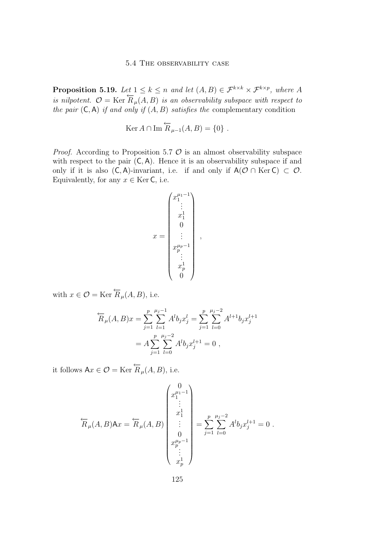# 5.4 The observability case

**Proposition 5.19.** Let  $1 \leq k \leq n$  and let  $(A, B) \in \mathcal{F}^{k \times k} \times \mathcal{F}^{k \times p}$ , where A is nilpotent.  $\mathcal{O} = \text{Ker}$  $\frac{5}{5}$  $R_\mu(A, B)$  is an observability subspace with respect to the pair  $(C, A)$  if and only if  $(A, B)$  satisfies the complementary condition

$$
Ker A \cap Im \overleftarrow{R}_{\mu-1}(A, B) = \{0\} .
$$

*Proof.* According to Proposition 5.7  $\mathcal{O}$  is an almost observability subspace with respect to the pair  $(C, A)$ . Hence it is an observability subspace if and only if it is also  $(C, A)$ -invariant, i.e. if and only if  $A(\mathcal{O} \cap \text{Ker } C) \subset \mathcal{O}$ . Equivalently, for any  $x \in \text{Ker } C$ , i.e.

$$
x = \begin{pmatrix} x_1^{\mu_1 - 1} \\ \vdots \\ x_1^1 \\ 0 \\ \vdots \\ x_p^{\mu_p - 1} \\ \vdots \\ x_p^1 \\ 0 \end{pmatrix},
$$

with  $x \in \mathcal{O} = \text{Ker}$ ←−  $R_\mu(A,B)$ , i.e.

$$
\overleftarrow{R}_{\mu}(A,B)x = \sum_{j=1}^{p} \sum_{l=1}^{\mu_{j}-1} A^{l}b_{j}x_{j}^{l} = \sum_{j=1}^{p} \sum_{l=0}^{\mu_{j}-2} A^{l+1}b_{j}x_{j}^{l+1}
$$

$$
= A \sum_{j=1}^{p} \sum_{l=0}^{\mu_{j}-2} A^{l}b_{j}x_{j}^{l+1} = 0 ,
$$

it follows  $Ax \in \mathcal{O} = \text{Ker} \overleftarrow{R}$  $R_\mu(A, B)$ , i.e.

$$
\overleftarrow{R}_{\mu}(A,B)Ax = \overleftarrow{R}_{\mu}(A,B) \begin{pmatrix} 0 \\ x_1^{\mu_1-1} \\ \vdots \\ x_1^1 \\ \vdots \\ x_p^{\mu_p-1} \\ \vdots \\ x_p^1 \end{pmatrix} = \sum_{j=1}^p \sum_{l=0}^{\mu_j-2} A^l b_j x_j^{l+1} = 0.
$$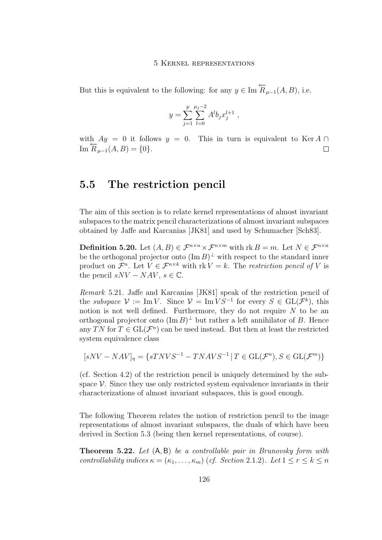But this is equivalent to the following: for any  $y \in \text{Im}$ ←−  $R_{\mu-1}(A, B)$ , i.e.

$$
y = \sum_{j=1}^{p} \sum_{l=0}^{\mu_j - 2} A^l b_j x_j^{l+1} ,
$$

with  $Ay = 0$  it follows  $y = 0$ . This in turn is equivalent to Ker A ∩  $\frac{11}{5}$ Im  $R_{\mu-1}(A, B) = \{0\}.$  $\Box$ 

# 5.5 The restriction pencil

The aim of this section is to relate kernel representations of almost invariant subspaces to the matrix pencil characterizations of almost invariant subspaces obtained by Jaffe and Karcanias [JK81] and used by Schumacher [Sch83].

**Definition 5.20.** Let  $(A, B) \in \mathcal{F}^{n \times n} \times \mathcal{F}^{n \times m}$  with  $\text{rk } B = m$ . Let  $N \in \mathcal{F}^{n \times n}$ be the orthogonal projector onto  $(\text{Im }B)^{\perp}$  with respect to the standard inner product on  $\mathcal{F}^n$ . Let  $V \in \mathcal{F}^{n \times k}$  with  $rk V = k$ . The restriction pencil of V is the pencil  $sNV - NAV$ ,  $s \in \mathbb{C}$ .

Remark 5.21. Jaffe and Karcanias [JK81] speak of the restriction pencil of the subspace  $\mathcal{V} := \text{Im } V$ . Since  $\mathcal{V} = \text{Im } VS^{-1}$  for every  $S \in GL(\mathcal{F}^k)$ , this notion is not well defined. Furthermore, they do not require  $N$  to be an orthogonal projector onto  $(\text{Im } B)^{\perp}$  but rather a left annihilator of B. Hence any TN for  $T \in GL(\mathcal{F}^n)$  can be used instead. But then at least the restricted system equivalence class

$$
[sNV-NAV]_{\eta} = \{sTNVS^{-1} - TNAVS^{-1} | T \in GL(\mathcal{F}^n), S \in GL(\mathcal{F}^m)\}\
$$

(cf. Section 4.2) of the restriction pencil is uniquely determined by the subspace  $\mathcal V$ . Since they use only restricted system equivalence invariants in their characterizations of almost invariant subspaces, this is good enough.

The following Theorem relates the notion of restriction pencil to the image representations of almost invariant subspaces, the duals of which have been derived in Section 5.3 (being then kernel representations, of course).

**Theorem 5.22.** Let  $(A, B)$  be a controllable pair in Brunovsky form with controllability indices  $\kappa = (\kappa_1, \ldots, \kappa_m)$  (cf. Section 2.1.2). Let  $1 \le r \le k \le n$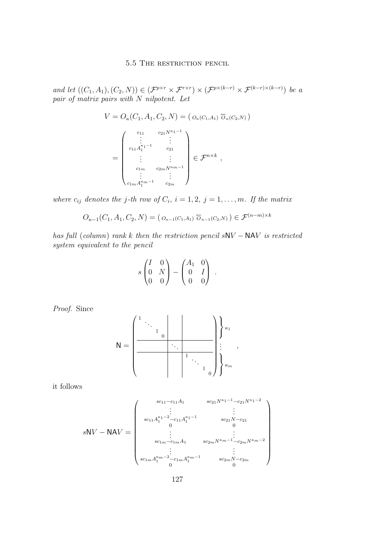# 5.5 The restriction pencil

and let  $((C_1, A_1), (C_2, N)) \in (\mathcal{F}^{p \times r} \times \mathcal{F}^{r \times r}) \times (\mathcal{F}^{p \times (k-r)} \times \mathcal{F}^{(k-r) \times (k-r)})$  be a pair of matrix pairs with N nilpotent. Let

$$
V = O_{\kappa}(C_1, A_1, C_2, N) = (o_{\kappa}(C_1, A_1) \overline{o}_{\kappa}(C_2, N))
$$

$$
= \begin{pmatrix} c_{11} & c_{21}N^{\kappa_1-1} \\ \vdots & \vdots \\ c_{11}A_1^{\kappa_1-1} & c_{21} \\ \vdots & \vdots \\ c_{1m} & c_{2m}N^{\kappa_m-1} \\ \vdots & \vdots \\ c_{1m}A_1^{\kappa_m-1} & c_{2m} \end{pmatrix} \in \mathcal{F}^{n \times k} ,
$$

where  $c_{ij}$  denotes the j-th row of  $C_i$ ,  $i = 1, 2, j = 1, \ldots, m$ . If the matrix

$$
O_{\kappa-1}(C_1, A_1, C_2, N) = (O_{\kappa-1}(C_1, A_1) \overleftarrow{O}_{\kappa-1}(C_2, N)) \in \mathcal{F}^{(n-m)\times k}
$$

has full (column) rank k then the restriction pencil  $s$ NV – NAV is restricted system equivalent to the pencil

$$
s \begin{pmatrix} I & 0 \\ 0 & N \\ 0 & 0 \end{pmatrix} - \begin{pmatrix} A_1 & 0 \\ 0 & I \\ 0 & 0 \end{pmatrix} .
$$

Proof. Since

$$
N = \left(\begin{array}{cccccc} 1 & & & & & & \\ & \ddots & & & & & \\ & & 1 & & & & \\ & & & \ddots & & & \\ & & & & 1 & & \\ & & & & & 1 & \\ & & & & & & 1 \\ \end{array}\right) \begin{matrix} \kappa_1 \\ \kappa_2 \\ \vdots \\ \kappa_m \end{matrix},
$$

it follows

$$
sNV - NAV = \begin{pmatrix} sc_{11} - c_{11}A_1 & sc_{21}N^{\kappa_1 - 1} - c_{21}N^{\kappa_1 - 2} \\ \vdots & \vdots \\ sc_{11}A_1^{\kappa_1 - 2} - c_{11}A_1^{\kappa_1 - 1} & sc_{21}N - c_{21} \\ 0 & \vdots & \vdots \\ sc_{1m} - c_{1m}A_1 & sc_{2m}N^{\kappa m - 1} - c_{2m}N^{\kappa m - 2} \\ \vdots & \vdots \\ sc_{1m}A_1^{\kappa m - 2} - c_{1m}A_1^{\kappa m - 1} & sc_{2m}N - c_{2m} \\ 0 & 0 \end{pmatrix}
$$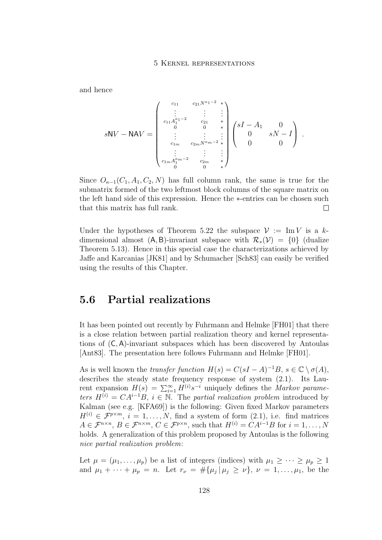and hence

$$
sN V - N A V = \begin{pmatrix} c_{11} & c_{21} N^{\kappa_1 - 2} & * \\ \vdots & \vdots & \vdots \\ c_{11} A_1^{\kappa_1 - 2} & c_{21} & * \\ 0 & 0 & * \\ \vdots & \vdots & \vdots \\ c_{1m} & c_{2m} N^{\kappa m - 2} & * \\ \vdots & \vdots & \vdots \\ c_{1m} A_1^{\kappa m - 2} & c_{2m} & * \end{pmatrix} {sI - A_1 \atop 0} {0 \atop 0} \quad sN - I \atop 0
$$

Since  $O_{\kappa-1}(C_1, A_1, C_2, N)$  has full column rank, the same is true for the submatrix formed of the two leftmost block columns of the square matrix on the left hand side of this expression. Hence the ∗-entries can be chosen such that this matrix has full rank.  $\Box$ 

Under the hypotheses of Theorem 5.22 the subspace  $\mathcal{V} := \text{Im } V$  is a kdimensional almost  $(A, B)$ -invariant subspace with  $\mathcal{R}_*(\mathcal{V}) = \{0\}$  (dualize Theorem 5.13). Hence in this special case the characterizations achieved by Jaffe and Karcanias [JK81] and by Schumacher [Sch83] can easily be verified using the results of this Chapter.

# 5.6 Partial realizations

It has been pointed out recently by Fuhrmann and Helmke [FH01] that there is a close relation between partial realization theory and kernel representations of (C, A)-invariant subspaces which has been discovered by Antoulas [Ant83]. The presentation here follows Fuhrmann and Helmke [FH01].

As is well known the *transfer function*  $H(s) = C(sI - A)^{-1}B$ ,  $s \in \mathbb{C} \setminus \sigma(A)$ , describes the steady state frequency response of system (2.1). Its Laurent expansion  $H(s) = \sum_{i=1}^{\infty} H^{(i)} s^{-i}$  uniquely defines the *Markov parame*ters  $H^{(i)} = CA^{i-1}B$ ,  $i \in \mathbb{N}$ . The partial realization problem introduced by Kalman (see e.g. [KFA69]) is the following: Given fixed Markov parameters  $H^{(i)} \in \mathcal{F}^{p \times m}$ ,  $i = 1, \ldots, N$ , find a system of form  $(2.1)$ , i.e. find matrices  $A \in \mathcal{F}^{n \times n}$ ,  $B \in \mathcal{F}^{n \times m}$ ,  $C \in \mathcal{F}^{p \times n}$ , such that  $H^{(i)} = CA^{i-1}B$  for  $i = 1, ..., N$ holds. A generalization of this problem proposed by Antoulas is the following nice partial realization problem:

Let  $\mu = (\mu_1, \ldots, \mu_p)$  be a list of integers (indices) with  $\mu_1 \geq \cdots \geq \mu_p \geq 1$ and  $\mu_1 + \cdots + \mu_p = n$ . Let  $r_{\nu} = #\{\mu_j | \mu_j \geq \nu\}, \nu = 1, \ldots, \mu_1$ , be the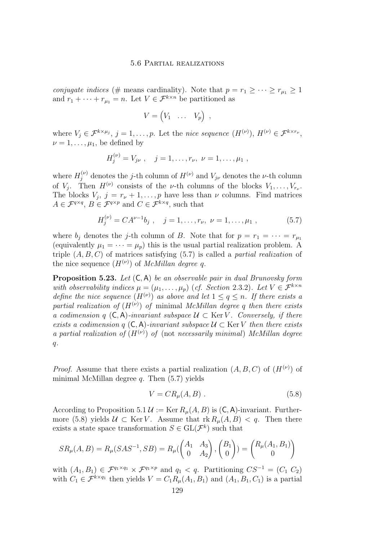conjugate indices (# means cardinality). Note that  $p = r_1 \geq \cdots \geq r_{\mu_1} \geq 1$ and  $r_1 + \cdots + r_{\mu_1} = n$ . Let  $V \in \mathcal{F}^{k \times n}$  be partitioned as

$$
V = \begin{pmatrix} V_1 & \dots & V_p \end{pmatrix} ,
$$

where  $V_j \in \mathcal{F}^{k \times \mu_j}$ ,  $j = 1, \ldots, p$ . Let the nice sequence  $(H^{(\nu)}), H^{(\nu)} \in \mathcal{F}^{k \times r_{\nu}}$ ,  $\nu = 1, \ldots, \mu_1$ , be defined by

$$
H_j^{(\nu)} = V_{j\nu} , \quad j = 1, \dots, r_{\nu}, \ \nu = 1, \dots, \mu_1 ,
$$

where  $H_j^{(\nu)}$  denotes the *j*-th column of  $H^{(\nu)}$  and  $V_{j\nu}$  denotes the *v*-th column of  $V_j$ . Then  $H^{(\nu)}$  consists of the *v*-th columns of the blocks  $V_1, \ldots, V_{r_{\nu}}$ . The blocks  $V_j$ ,  $j = r_{\nu} + 1, \ldots, p$  have less than  $\nu$  columns. Find matrices  $A \in \mathcal{F}^{q \times q}, B \in \mathcal{F}^{q \times p}$  and  $C \in \mathcal{F}^{k \times q}$ , such that

$$
H_j^{(\nu)} = CA^{\nu-1}b_j \ , \quad j = 1, \dots, r_{\nu}, \ \nu = 1, \dots, \mu_1 \ , \tag{5.7}
$$

where  $b_i$  denotes the j-th column of B. Note that for  $p = r_1 = \cdots = r_{\mu_1}$ (equivalently  $\mu_1 = \cdots = \mu_p$ ) this is the usual partial realization problem. A triple  $(A, B, C)$  of matrices satisfying  $(5.7)$  is called a *partial realization* of the nice sequence  $(H^{(\nu)})$  of *McMillan degree q*.

**Proposition 5.23.** Let  $(C, A)$  be an observable pair in dual Brunovsky form with observability indices  $\mu = (\mu_1, \ldots, \mu_p)$  (cf. Section 2.3.2). Let  $V \in \mathcal{F}^{k \times n}$ define the nice sequence  $(H^{(\nu)})$  as above and let  $1 \leq q \leq n$ . If there exists a partial realization of  $(H^{(\nu)})$  of minimal McMillan degree q then there exists a codimension q  $(C, A)$ -invariant subspace  $U \subset \text{Ker } V$ . Conversely, if there exists a codimension q  $(C, A)$ -invariant subspace  $U \subset \text{Ker } V$  then there exists a partial realization of  $(H^{(\nu)})$  of (not necessarily minimal) McMillan degree  $q$ .

*Proof.* Assume that there exists a partial realization  $(A, B, C)$  of  $(H^{(\nu)})$  of minimal McMillan degree  $q$ . Then  $(5.7)$  yields

$$
V = CR_{\mu}(A, B) . \tag{5.8}
$$

According to Proposition 5.1  $\mathcal{U} := \text{Ker } R_{\mu}(A, B)$  is  $(C, A)$ -invariant. Furthermore (5.8) yields  $\mathcal{U} \subset \text{Ker } V$ . Assume that  $\text{rk } R_\mu(A, B) < q$ . Then there exists a state space transformation  $S \in GL(\mathcal{F}^k)$  such that

$$
SR_{\mu}(A, B) = R_{\mu}(SAS^{-1}, SB) = R_{\mu}(\begin{pmatrix} A_1 & A_3 \ 0 & A_2 \end{pmatrix}, \begin{pmatrix} B_1 \ 0 \end{pmatrix}) = \begin{pmatrix} R_{\mu}(A_1, B_1) \\ 0 \end{pmatrix}
$$

with  $(A_1, B_1) \in \mathcal{F}^{q_1 \times q_1} \times \mathcal{F}^{q_1 \times p}$  and  $q_1 < q$ . Partitioning  $CS^{-1} = (C_1 \ C_2)$ with  $C_1 \in \mathcal{F}^{k \times q_1}$  then yields  $V = C_1 R_\mu(A_1, B_1)$  and  $(A_1, B_1, C_1)$  is a partial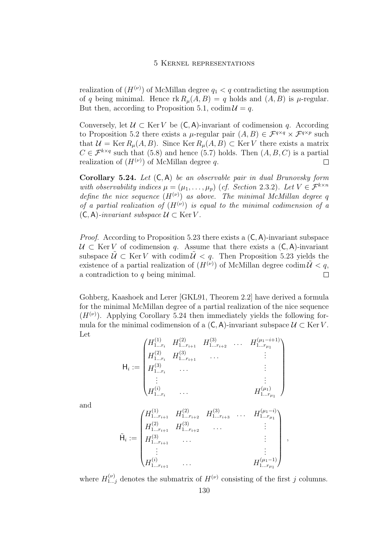realization of  $(H^{(\nu)})$  of McMillan degree  $q_1 < q$  contradicting the assumption of q being minimal. Hence  $\text{rk } R_u(A, B) = q$  holds and  $(A, B)$  is  $\mu$ -regular. But then, according to Proposition 5.1,  $\text{codim } \mathcal{U} = q$ .

Conversely, let  $U \subset \text{Ker } V$  be  $(C, A)$ -invariant of codimension q. According to Proposition 5.2 there exists a  $\mu$ -regular pair  $(A, B) \in \mathcal{F}^{q \times q} \times \mathcal{F}^{q \times p}$  such that  $\mathcal{U} = \text{Ker } R_{\mu}(A, B)$ . Since  $\text{Ker } R_{\mu}(A, B) \subset \text{Ker } V$  there exists a matrix  $C \in \mathcal{F}^{k \times q}$  such that (5.8) and hence (5.7) holds. Then  $(A, B, C)$  is a partial realization of  $(H^{(\nu)})$  of McMillan degree q.  $\Box$ 

**Corollary 5.24.** Let  $(C, A)$  be an observable pair in dual Brunovsky form with observability indices  $\mu = (\mu_1, \dots, \mu_p)$  (cf. Section 2.3.2). Let  $V \in \mathcal{F}^{k \times n}$ define the nice sequence  $(H^{(\nu)})$  as above. The minimal McMillan degree q of a partial realization of  $(H^{(\nu)})$  is equal to the minimal codimension of a  $(C, A)$ -invariant subspace  $U \subset \text{Ker } V$ .

*Proof.* According to Proposition 5.23 there exists a  $(C, A)$ -invariant subspace  $U \subset \text{Ker } V$  of codimension q. Assume that there exists a  $(C, A)$ -invariant subspace  $\mathcal{U} \subset \text{Ker } V$  with codim  $\mathcal{U} \langle q \rangle$ . Then Proposition 5.23 yields the existence of a partial realization of  $(H^{(\nu)})$  of McMillan degree codim  $\tilde{\mathcal{U}} < q$ , a contradiction to  $q$  being minimal.  $\Box$ 

Gohberg, Kaashoek and Lerer [GKL91, Theorem 2.2] have derived a formula for the minimal McMillan degree of a partial realization of the nice sequence  $(H^{(\nu)})$ . Applying Corollary 5.24 then immediately yields the following formula for the minimal codimension of a  $(C, A)$ -invariant subspace  $U \subset \text{Ker } V$ . Let  $\mathcal{L}$  $\langle \rangle$  $\sim$ 

$$
\mathsf{H}_{i} := \begin{pmatrix} H_{1...r_{i}}^{(1)} & H_{1...r_{i+1}}^{(2)} & H_{1...r_{i+2}}^{(3)} & \dots & H_{1...r_{\mu_{1}}}^{(\mu_{1}-i+1)} \\ H_{1...r_{i}}^{(2)} & H_{1...r_{i+1}}^{(3)} & \dots & \vdots \\ H_{1...r_{i}}^{(3)} & \dots & \vdots \\ \vdots & \vdots & \vdots \\ H_{1...r_{i}}^{(i)} & \dots & H_{1...r_{\mu_{1}}}^{(\mu_{1})} \end{pmatrix}
$$

and

$$
\tilde{\mathbf{H}}_{i} := \begin{pmatrix} H_{1...r_{i+1}}^{(1)} & H_{1...r_{i+2}}^{(2)} & H_{1...r_{i+3}}^{(3)} & \dots & H_{1...r_{\mu_1}}^{(\mu_1 - i)} \\ H_{1...r_{i+1}}^{(2)} & H_{1...r_{i+2}}^{(3)} & \dots & & \vdots \\ H_{1...r_{i+1}}^{(3)} & \dots & & & \vdots \\ \vdots & & & & \vdots \\ H_{1...r_{i+1}}^{(i)} & \dots & & H_{1...r_{\mu_1}}^{(\mu_1 - 1)} \end{pmatrix}
$$

,

where  $H_{1...j}^{(\nu)}$  denotes the submatrix of  $H^{(\nu)}$  consisting of the first j columns.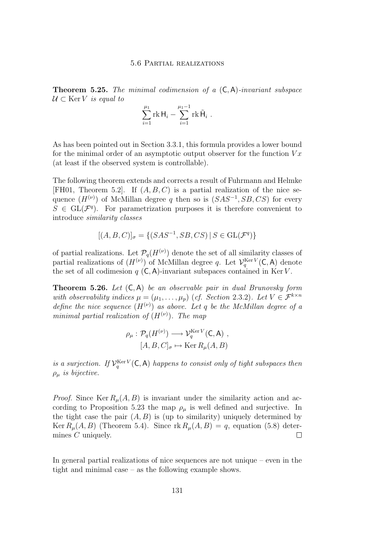#### 5.6 Partial realizations

**Theorem 5.25.** The minimal codimension of a  $(C, A)$ -invariant subspace  $U \subset \text{Ker } V$  is equal to

$$
\sum_{i=1}^{\mu_1} \operatorname{rk} H_i - \sum_{i=1}^{\mu_1 - 1} \operatorname{rk} \tilde{H}_i
$$

.

As has been pointed out in Section 3.3.1, this formula provides a lower bound for the minimal order of an asymptotic output observer for the function  $V_x$ (at least if the observed system is controllable).

The following theorem extends and corrects a result of Fuhrmann and Helmke [FH01, Theorem 5.2]. If  $(A, B, C)$  is a partial realization of the nice sequence  $(H^{(\nu)})$  of McMillan degree q then so is  $(SAS^{-1}, SB, CS)$  for every  $S \in GL(\mathcal{F}^q)$ . For parametrization purposes it is therefore convenient to introduce similarity classes

$$
[(A, B, C)]_{\sigma} = \{ (SAS^{-1}, SB, CS) \mid S \in GL(\mathcal{F}^q) \}
$$

of partial realizations. Let  $\mathcal{P}_q(H^{(\nu)})$  denote the set of all similarity classes of partial realizations of  $(H^{(\nu)})$  of McMillan degree q. Let  $\mathcal{V}_q^{\text{Ker}\,V}(\mathsf{C},\mathsf{A})$  denote the set of all codimesion  $q$  (C, A)-invariant subspaces contained in Ker V.

**Theorem 5.26.** Let  $(C, A)$  be an observable pair in dual Brunovsky form with observability indices  $\mu = (\mu_1, \dots, \mu_p)$  (cf. Section 2.3.2). Let  $V \in \mathcal{F}^{k \times n}$ define the nice sequence  $(H^{(\nu)})$  as above. Let q be the McMillan degree of a minimal partial realization of  $(H^{(\nu)})$ . The map

$$
\rho_{\mu}: \mathcal{P}_q(H^{(\nu)}) \longrightarrow \mathcal{V}_q^{\text{Ker }V}(\mathsf{C}, \mathsf{A}),
$$

$$
[A, B, C]_{\sigma} \mapsto \text{Ker } R_{\mu}(A, B)
$$

is a surjection. If  $\mathcal{V}_q^{\text{Ker }V}(\mathsf{C},\mathsf{A})$  happens to consist only of tight subspaces then  $\rho_{\mu}$  is bijective.

*Proof.* Since Ker  $R_u(A, B)$  is invariant under the similarity action and according to Proposition 5.23 the map  $\rho_{\mu}$  is well defined and surjective. In the tight case the pair  $(A, B)$  is (up to similarity) uniquely determined by Ker  $R_\mu(A, B)$  (Theorem 5.4). Since  $\text{rk } R_\mu(A, B) = q$ , equation (5.8) determines C uniquely.  $\Box$ 

In general partial realizations of nice sequences are not unique – even in the tight and minimal case – as the following example shows.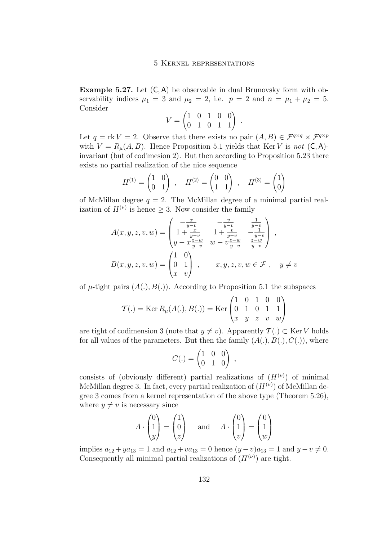**Example 5.27.** Let  $(C, A)$  be observable in dual Brunovsky form with observability indices  $\mu_1 = 3$  and  $\mu_2 = 2$ , i.e.  $p = 2$  and  $n = \mu_1 + \mu_2 = 5$ . Consider

$$
V = \begin{pmatrix} 1 & 0 & 1 & 0 & 0 \\ 0 & 1 & 0 & 1 & 1 \end{pmatrix} .
$$

Let  $q = \text{rk } V = 2$ . Observe that there exists no pair  $(A, B) \in \mathcal{F}^{q \times q} \times \mathcal{F}^{q \times p}$ with  $V = R_{\mu}(A, B)$ . Hence Proposition 5.1 yields that Ker V is not  $(C, A)$ invariant (but of codimesion 2). But then according to Proposition 5.23 there exists no partial realization of the nice sequence

$$
H^{(1)} = \begin{pmatrix} 1 & 0 \\ 0 & 1 \end{pmatrix} , \quad H^{(2)} = \begin{pmatrix} 0 & 0 \\ 1 & 1 \end{pmatrix} , \quad H^{(3)} = \begin{pmatrix} 1 \\ 0 \end{pmatrix}
$$

of McMillan degree  $q = 2$ . The McMillan degree of a minimal partial realization of  $H^{(\nu)}$  is hence  $\geq 3$ . Now consider the family

$$
A(x, y, z, v, w) = \begin{pmatrix} -\frac{x}{y-v} & -\frac{v}{y-v} & \frac{1}{y-v} \\ 1 + \frac{x}{y-v} & 1 + \frac{v}{y-v} & -\frac{1}{y-v} \\ y - x\frac{z-w}{y-v} & w - v\frac{z-w}{y-v} & \frac{z-w}{y-v} \end{pmatrix},
$$
  

$$
B(x, y, z, v, w) = \begin{pmatrix} 1 & 0 \\ 0 & 1 \\ x & v \end{pmatrix}, \qquad x, y, z, v, w \in \mathcal{F}, \quad y \neq v
$$

of  $\mu$ -tight pairs  $(A(.), B(.))$ . According to Proposition 5.1 the subspaces

$$
\mathcal{T}(.) = \text{Ker } R_{\mu}(A(.), B(.)) = \text{Ker}\begin{pmatrix} 1 & 0 & 1 & 0 & 0 \\ 0 & 1 & 0 & 1 & 1 \\ x & y & z & v & w \end{pmatrix}
$$

are tight of codimension 3 (note that  $y \neq v$ ). Apparently  $\mathcal{T}(.) \subset \text{Ker } V$  holds for all values of the parameters. But then the family  $(A(.), B(.), C(.))$ , where

$$
C(.) = \begin{pmatrix} 1 & 0 & 0 \\ 0 & 1 & 0 \end{pmatrix} ,
$$

consists of (obviously different) partial realizations of  $(H<sup>(\nu)</sup>)$  of minimal McMillan degree 3. In fact, every partial realization of  $(H^{(\nu)})$  of McMillan degree 3 comes from a kernel representation of the above type (Theorem 5.26), where  $y \neq v$  is necessary since

$$
A \cdot \begin{pmatrix} 0 \\ 1 \\ y \end{pmatrix} = \begin{pmatrix} 1 \\ 0 \\ z \end{pmatrix} \quad \text{and} \quad A \cdot \begin{pmatrix} 0 \\ 1 \\ v \end{pmatrix} = \begin{pmatrix} 0 \\ 1 \\ w \end{pmatrix}
$$

implies  $a_{12} + ya_{13} = 1$  and  $a_{12} + va_{13} = 0$  hence  $(y - v)a_{13} = 1$  and  $y - v \neq 0$ . Consequently all minimal partial realizations of  $(H^{(\nu)})$  are tight.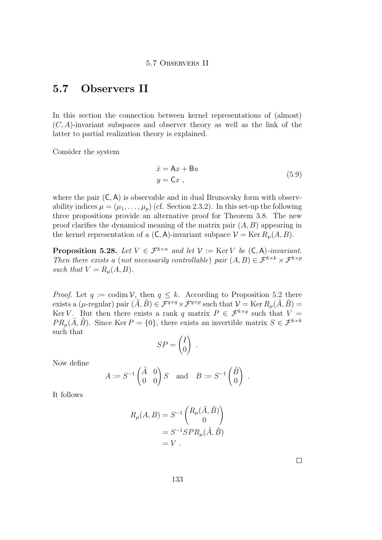# 5.7 Observers II

In this section the connection between kernel representations of (almost)  $(C, A)$ -invariant subspaces and observer theory as well as the link of the latter to partial realization theory is explained.

Consider the system

$$
\begin{aligned}\n\dot{x} &= A x + B u \\
y &= C x \,,\n\end{aligned} \tag{5.9}
$$

where the pair  $(C, A)$  is observable and in dual Brunovsky form with observability indices  $\mu = (\mu_1, \dots, \mu_p)$  (cf. Section 2.3.2). In this set-up the following three propositions provide an alternative proof for Theorem 3.8. The new proof clarifies the dynamical meaning of the matrix pair  $(A, B)$  appearing in the kernel representation of a  $(C, A)$ -invariant subpace  $\mathcal{V} = \text{Ker } R_{\mu}(A, B)$ .

**Proposition 5.28.** Let  $V \in \mathcal{F}^{k \times n}$  and let  $V := \text{Ker } V$  be  $(C, A)$ -invariant. Then there exists a (not necessarily controllable) pair  $(A, B) \in \mathcal{F}^{k \times k} \times \mathcal{F}^{k \times p}$ such that  $V = R_\mu(A, B)$ .

*Proof.* Let  $q := \text{codim } V$ , then  $q \leq k$ . According to Proposition 5.2 there exists a ( $\mu$ -regular) pair  $(\tilde{A}, \tilde{B}) \in \mathcal{F}^{q \times q} \times \mathcal{F}^{q \times p}$  such that  $\mathcal{V} = \text{Ker } R_{\mu}(\tilde{A}, \tilde{B}) =$ Ker V. But then there exists a rank q matrix  $P \in \mathcal{F}^{k \times q}$  such that  $V =$  $PR_{\mu}(\tilde{A}, \tilde{B})$ . Since Ker  $P = \{0\}$ , there exists an invertible matrix  $S \in \mathcal{F}^{k \times k}$ such that

$$
SP = \begin{pmatrix} I \\ 0 \end{pmatrix} \; .
$$

Now define

$$
A := S^{-1} \begin{pmatrix} \tilde{A} & 0 \\ 0 & 0 \end{pmatrix} S \text{ and } B := S^{-1} \begin{pmatrix} \tilde{B} \\ 0 \end{pmatrix}.
$$

It follows

$$
R_{\mu}(A, B) = S^{-1} \begin{pmatrix} R_{\mu}(\tilde{A}, \tilde{B}) \\ 0 \end{pmatrix}
$$
  
=  $S^{-1}SPR_{\mu}(\tilde{A}, \tilde{B})$   
=  $V$ .

 $\Box$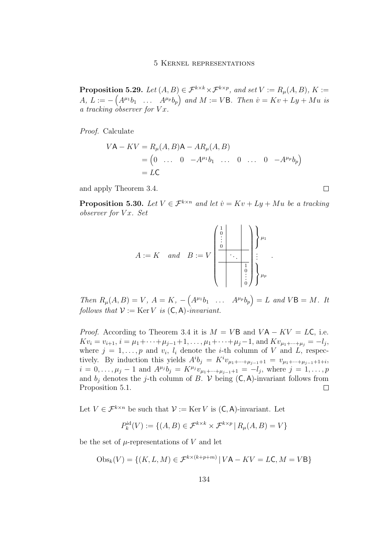**Proposition 5.29.** Let  $(A, B) \in \mathcal{F}^{k \times k} \times \mathcal{F}^{k \times p}$ , and set  $V := R_{\mu}(A, B)$ ,  $K :=$  $A, L := -\left(A^{\mu_1}b_1 \dots A^{\mu_p}b_p\right)$  and  $M := VB$ . Then  $\dot{v} = Kv + Ly + Mu$  is a tracking observer for  $Vx$ .

Proof. Calculate

$$
VA - KV = R_{\mu}(A, B)A - AR_{\mu}(A, B)
$$
  
=  $(0 \dots 0 - A^{\mu_1}b_1 \dots 0 \dots 0 - A^{\mu_p}b_p)$   
= LC

and apply Theorem 3.4.

**Proposition 5.30.** Let  $V \in \mathcal{F}^{k \times n}$  and let  $\dot{v} = Kv + Ly + Mu$  be a tracking observer for  $Vx$ . Set

A := K and B := V 1 0 . . . 0 . . . 1 0 . . . 0 µ1 . . . µp

Then  $R_\mu(A, B) = V$ ,  $A = K$ ,  $- (A^{\mu_1}b_1 \ldots A^{\mu_p}b_p) = L$  and  $VB = M$ . It follows that  $V := \text{Ker } V$  is  $(C, A)$ -invariant.

*Proof.* According to Theorem 3.4 it is  $M = VB$  and  $VA - KV = LC$ , i.e.  $Kv_i = v_{i+1}, i = \mu_1 + \cdots + \mu_{j-1} + 1, \ldots, \mu_1 + \cdots + \mu_j - 1$ , and  $Kv_{\mu_1 + \cdots + \mu_j} = -l_j$ , where  $j = 1, \ldots, p$  and  $v_i$ ,  $l_i$  denote the *i*-th column of V and L, respectively. By induction this yields  $A^i b_j = K^i v_{\mu_1 + \dots + \mu_{j-1}+1} = v_{\mu_1 + \dots + \mu_{j-1}+1+i}$  $i = 0, \ldots, \mu_j - 1$  and  $A^{\mu_j}b_j = K^{\mu_j}v_{\mu_1 + \cdots + \mu_{j-1} + 1} = -l_j$ , where  $j = 1, \ldots, p$ and  $b_j$  denotes the j-th column of B. V being  $(C, A)$ -invariant follows from Proposition 5.1.  $\Box$ 

Let  $V \in \mathcal{F}^{k \times n}$  be such that  $\mathcal{V} := \text{Ker } V$  is  $(C, A)$ -invariant. Let

$$
P_k^{\mathrm{id}}(V) := \{(A, B) \in \mathcal{F}^{k \times k} \times \mathcal{F}^{k \times p} \mid R_\mu(A, B) = V\}
$$

be the set of  $\mu$ -representations of V and let

$$
Obs_k(V) = \{(K, L, M) \in \mathcal{F}^{k \times (k+p+m)} \mid V\mathsf{A} - KV = LC, M = VB\}
$$

 $\Box$ 

.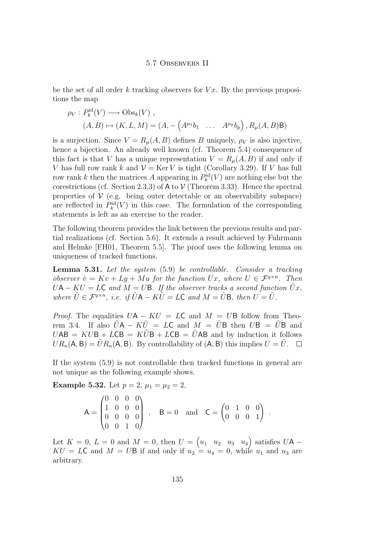# 5.7 Observers II

be the set of all order k tracking observers for  $Vx$ . By the previous propositions the map

$$
\rho_V: P_k^{\text{id}}(V) \longrightarrow \text{Obs}_k(V) ,
$$
  

$$
(A, B) \mapsto (K, L, M) = (A, -\left(A^{\mu_1}b_1 \dots A^{\mu_p}b_p\right), R_\mu(A, B)B)
$$

is a surjection. Since  $V = R_u(A, B)$  defines B uniquely,  $\rho_V$  is also injective, hence a bijection. An already well known (cf. Theorem 5.4) consequence of this fact is that V has a unique representation  $V = R_u(A, B)$  if and only if V has full row rank k and  $V = \text{Ker } V$  is tight (Corollary 3.29). If V has full row rank k then the matrices A appearing in  $P_k^{\text{id}}(V)$  are nothing else but the corestrictions (cf. Section 2.3.3) of A to  $\mathcal V$  (Theorem 3.33). Hence the spectral properties of  $V$  (e.g. being outer detectable or an observability subspace) are reflected in  $P_k^{\text{id}}(V)$  in this case. The formulation of the corresponding statements is left as an exercise to the reader.

The following theorem provides the link between the previous results and partial realizations (cf. Section 5.6). It extends a result achieved by Fuhrmann and Helmke [FH01, Theorem 5.5]. The proof uses the following lemma on uniqueness of tracked functions.

Lemma 5.31. Let the system (5.9) be controllable. Consider a tracking observer  $\dot{v} = Kv + Ly + Mu$  for the function Ux, where  $U \in \mathcal{F}^{q \times n}$ . Then  $U\mathsf{A} - K U = L\mathsf{C}$  and  $M = U\mathsf{B}$ . If the observer tracks a second function  $\tilde{U}x$ , where  $\tilde{U} \in \mathcal{F}^{q \times n}$ , i.e. if  $\tilde{U}A - K\tilde{U} = LC$  and  $M = \tilde{U}B$ , then  $U = \tilde{U}$ .

*Proof.* The equalities  $U\mathbf{A} - K\mathbf{U} = L\mathbf{C}$  and  $M = U\mathbf{B}$  follow from Theorem 3.4. If also  $\hat{U}A - K\hat{U} = LC$  and  $M = \hat{U}B$  then  $UB = \hat{U}B$  and  $UAB = KUB + LCB = K\tilde{U}B + LCB = \tilde{U}AB$  and by induction it follows  $UR_n(\mathsf{A}, \mathsf{B}) = UR_n(\mathsf{A}, \mathsf{B})$ . By controllability of  $(\mathsf{A}, \mathsf{B})$  this implies  $U = U$ .  $\Box$ 

If the system (5.9) is not controllable then tracked functions in general are not unique as the following example shows.

Example 5.32. Let  $p = 2$ ,  $\mu_1 = \mu_2 = 2$ ,

$$
A = \begin{pmatrix} 0 & 0 & 0 & 0 \\ 1 & 0 & 0 & 0 \\ 0 & 0 & 0 & 0 \\ 0 & 0 & 1 & 0 \end{pmatrix} , B = 0 \text{ and } C = \begin{pmatrix} 0 & 1 & 0 & 0 \\ 0 & 0 & 0 & 1 \end{pmatrix} .
$$

Let  $K = 0$ ,  $L = 0$  and  $M = 0$ , then  $U = \begin{pmatrix} u_1 & u_2 & u_3 & u_4 \end{pmatrix}$  satisfies  $U\mathsf{A}$  $KU = LC$  and  $M = UB$  if and only if  $u_2 = u_4 = 0$ , while  $u_1$  and  $u_3$  are arbitrary.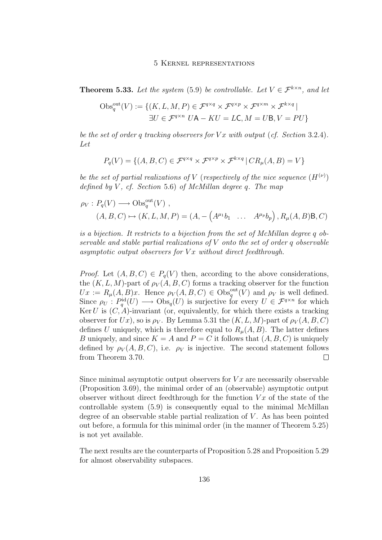**Theorem 5.33.** Let the system (5.9) be controllable. Let  $V \in \mathcal{F}^{k \times n}$ , and let

$$
Obs_q^{out}(V) := \{ (K, L, M, P) \in \mathcal{F}^{q \times q} \times \mathcal{F}^{q \times p} \times \mathcal{F}^{q \times m} \times \mathcal{F}^{k \times q} \mid
$$
  

$$
\exists U \in \mathcal{F}^{q \times n} \; U\mathsf{A} - KU = L\mathsf{C}, M = U\mathsf{B}, V = PU \}
$$

be the set of order q tracking observers for  $Vx$  with output (cf. Section 3.2.4). Let

$$
P_q(V) = \{(A, B, C) \in \mathcal{F}^{q \times q} \times \mathcal{F}^{q \times p} \times \mathcal{F}^{k \times q} | CR_\mu(A, B) = V\}
$$

be the set of partial realizations of V (respectively of the nice sequence  $(H^{(\nu)})$ defined by V, cf. Section 5.6) of McMillan degree q. The map

$$
\rho_V: P_q(V) \longrightarrow \mathrm{Obs}_q^{\mathrm{out}}(V) ,
$$
  

$$
(A, B, C) \mapsto (K, L, M, P) = (A, -\left(A^{\mu_1}b_1 \dots A^{\mu_p}b_p\right), R_\mu(A, B)B, C)
$$

is a bijection. It restricts to a bijection from the set of McMillan degree q observable and stable partial realizations of V onto the set of order q observable asymptotic output observers for  $Vx$  without direct feedthrough.

*Proof.* Let  $(A, B, C) \in P_q(V)$  then, according to the above considerations, the  $(K, L, M)$ -part of  $\rho_V(A, B, C)$  forms a tracking observer for the function  $Ux := R_{\mu}(A, B)x$ . Hence  $\rho_V(A, B, C) \in \text{Obs}_q^{\text{out}}(V)$  and  $\rho_V$  is well defined. Since  $\rho_U: P_q^{\text{id}}(U) \longrightarrow \text{Obs}_q(U)$  is surjective for every  $U \in \mathcal{F}^{q \times n}$  for which Ker U is  $(C, A)$ -invariant (or, equivalently, for which there exists a tracking observer for Ux), so is  $\rho_V$ . By Lemma 5.31 the  $(K, L, M)$ -part of  $\rho_V(A, B, C)$ defines U uniquely, which is therefore equal to  $R_\mu(A, B)$ . The latter defines B uniquely, and since  $K = A$  and  $P = C$  it follows that  $(A, B, C)$  is uniquely defined by  $\rho_V(A, B, C)$ , i.e.  $\rho_V$  is injective. The second statement follows from Theorem 3.70.  $\Box$ 

Since minimal asymptotic output observers for  $V_x$  are necessarily observable (Proposition 3.69), the minimal order of an (observable) asymptotic output observer without direct feedthrough for the function  $Vx$  of the state of the controllable system (5.9) is consequently equal to the minimal McMillan degree of an observable stable partial realization of  $V$ . As has been pointed out before, a formula for this minimal order (in the manner of Theorem 5.25) is not yet available.

The next results are the counterparts of Proposition 5.28 and Proposition 5.29 for almost observability subspaces.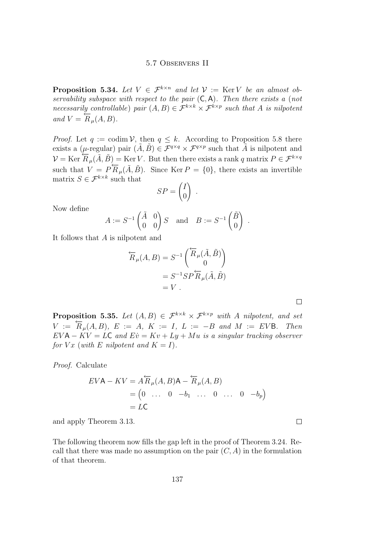### 5.7 Observers II

**Proposition 5.34.** Let  $V \in \mathcal{F}^{k \times n}$  and let  $V := \text{Ker } V$  be an almost observability subspace with respect to the pair  $(C, A)$ . Then there exists a (not necessarily controllable) pair  $(A, B) \in \mathcal{F}^{k \times k} \times \mathcal{F}^{k \times p}$  such that A is nilpotent and  $V =$  $\frac{9}{D}$  $R_\mu(A, B)$ .

*Proof.* Let  $q := \text{codim } V$ , then  $q \leq k$ . According to Proposition 5.8 there exists a ( $\mu$ -regular) pair  $(\tilde{A}, \tilde{B}) \in \mathcal{F}^{q \times q} \times \mathcal{F}^{q \times p}$  such that  $\tilde{A}$  is nilpotent and  $\mathcal{V} = \text{Ker}$  $R_{\mu}(\tilde{A}, \tilde{B}) = \text{Ker } V$ . But then there exists a rank q matrix  $P \in \mathcal{F}^{k \times q}$ such that  $V = F$  $R_{\mu}(\tilde{A}, \tilde{B})$ . Since Ker  $P = \{0\}$ , there exists an invertible matrix  $S \in \mathcal{F}^{k \times k}$  such that

$$
SP = \begin{pmatrix} I \\ 0 \end{pmatrix} .
$$

Now define

$$
A := S^{-1} \begin{pmatrix} \tilde{A} & 0 \\ 0 & 0 \end{pmatrix} S \text{ and } B := S^{-1} \begin{pmatrix} \tilde{B} \\ 0 \end{pmatrix}.
$$

It follows that A is nilpotent and

$$
\overleftarrow{R}_{\mu}(A, B) = S^{-1} \begin{pmatrix} \overleftarrow{R}_{\mu}(\tilde{A}, \tilde{B}) \\ 0 \end{pmatrix}
$$
  
=  $S^{-1}SP \overleftarrow{R}_{\mu}(\tilde{A}, \tilde{B})$   
=  $V$ .

**Proposition 5.35.** Let  $(A, B) \in \mathcal{F}^{k \times k} \times \mathcal{F}^{k \times p}$  with A nilpotent, and set  $V \; :=$  $\overline{R}_{\mu}(A, B), E := A, K := I, L := -B \text{ and } M := EVB.$  Then  $EVA - \overrightarrow{KV} = \overrightarrow{LC}$  and  $\overrightarrow{Ev} = Kv + \overrightarrow{Ly} + Mu$  is a singular tracking observer for  $Vx$  (with E nilpotent and  $K = I$ ).

Proof. Calculate

$$
EVA - KV = A\overleftarrow{R}_{\mu}(A, B)A - \overleftarrow{R}_{\mu}(A, B)
$$
  
= 
$$
\begin{pmatrix} 0 & \cdots & 0 & -b_1 & \cdots & 0 & \cdots & 0 & -b_p \end{pmatrix}
$$
  
= LC

and apply Theorem 3.13.

The following theorem now fills the gap left in the proof of Theorem 3.24. Recall that there was made no assumption on the pair  $(C, A)$  in the formulation of that theorem.

 $\Box$ 

 $\Box$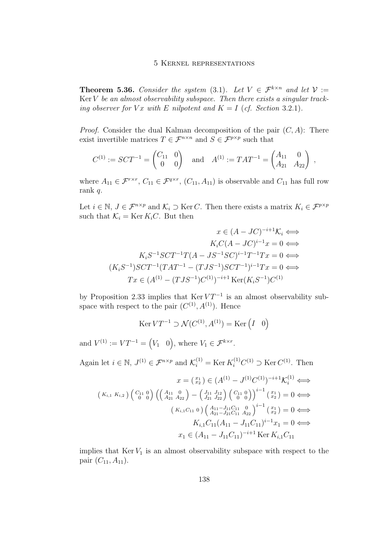**Theorem 5.36.** Consider the system (3.1). Let  $V \in \mathcal{F}^{k \times n}$  and let  $V :=$  $\text{Ker }V$  be an almost observability subspace. Then there exists a singular tracking observer for  $Vx$  with E nilpotent and  $K = I$  (cf. Section 3.2.1).

*Proof.* Consider the dual Kalman decomposition of the pair  $(C, A)$ : There exist invertible matrices  $T \in \mathcal{F}^{n \times n}$  and  $S \in \mathcal{F}^{p \times p}$  such that

$$
C^{(1)} := SCT^{-1} = \begin{pmatrix} C_{11} & 0 \\ 0 & 0 \end{pmatrix} \text{ and } A^{(1)} := TAT^{-1} = \begin{pmatrix} A_{11} & 0 \\ A_{21} & A_{22} \end{pmatrix} ,
$$

where  $A_{11} \in \mathcal{F}^{r \times r}$ ,  $C_{11} \in \mathcal{F}^{q \times r}$ ,  $(C_{11}, A_{11})$  is observable and  $C_{11}$  has full row rank q.

Let  $i \in \mathbb{N}, J \in \mathcal{F}^{n \times p}$  and  $\mathcal{K}_i \supset \text{Ker } C$ . Then there exists a matrix  $K_i \in \mathcal{F}^{p \times p}$ such that  $\mathcal{K}_i = \text{Ker } K_i C$ . But then

$$
x \in (A - JC)^{-i+1} K_i \iff
$$
  
\n
$$
K_i C (A - JC)^{i-1} x = 0 \iff
$$
  
\n
$$
K_i S^{-1} S C T^{-1} T (A - JS^{-1} SC)^{i-1} T^{-1} T x = 0 \iff
$$
  
\n
$$
(K_i S^{-1}) S C T^{-1} (T A T^{-1} - (T JS^{-1}) S C T^{-1})^{i-1} T x = 0 \iff
$$
  
\n
$$
T x \in (A^{(1)} - (T JS^{-1}) C^{(1)})^{-i+1} \text{Ker}(K_i S^{-1}) C^{(1)}
$$

by Proposition 2.33 implies that  $\text{Ker } VT^{-1}$  is an almost observability subspace with respect to the pair  $(C^{(1)}, A^{(1)})$ . Hence

$$
\operatorname{Ker} VT^{-1} \supset \mathcal{N}(C^{(1)}, A^{(1)}) = \operatorname{Ker} \left(I \quad 0 \right)
$$

and  $V^{(1)} := V T^{-1} = (V_1 \ 0)$ , where  $V_1 \in \mathcal{F}^{k \times r}$ .

Again let  $i \in \mathbb{N}$ ,  $J^{(1)} \in \mathcal{F}^{n \times p}$  and  $\mathcal{K}_i^{(1)} = \text{Ker } \mathcal{K}_i^{(1)} C^{(1)} \supset \text{Ker } C^{(1)}$ . Then

$$
x = \binom{x_1}{x_2} \in (A^{(1)} - J^{(1)}C^{(1)})^{-i+1} \mathcal{K}_i^{(1)} \iff
$$
  
\n
$$
\left(K_{i,1} K_{i,2}\right) \left(\begin{array}{cc} C_{11} & 0 \\ 0 & 0 \end{array}\right) \left(\begin{array}{cc} A_{11} & 0 \\ A_{21} & A_{22} \end{array}\right) - \left(\begin{array}{cc} J_{11} & J_{12} \\ J_{21} & J_{22} \end{array}\right) \left(\begin{array}{cc} C_{11} & 0 \\ 0 & 0 \end{array}\right)^{i-1} \left(\begin{array}{c} x_1 \\ x_2 \end{array}\right) = 0 \iff
$$
  
\n
$$
\left(K_{i,1} C_{11} & 0\right) \left(\begin{array}{cc} A_{11} - J_{11} C_{11} & 0 \\ A_{21} - J_{21} C_{11} & A_{22} \end{array}\right)^{i-1} \left(\begin{array}{c} x_1 \\ x_2 \end{array}\right) = 0 \iff
$$
  
\n
$$
K_{i,1} C_{11} (A_{11} - J_{11} C_{11})^{i-1} x_1 = 0 \iff
$$
  
\n
$$
x_1 \in (A_{11} - J_{11} C_{11})^{-i+1} \text{ Ker } K_{i,1} C_{11}
$$

implies that  $\text{Ker } V_1$  is an almost observability subspace with respect to the pair  $(C_{11}, A_{11})$ .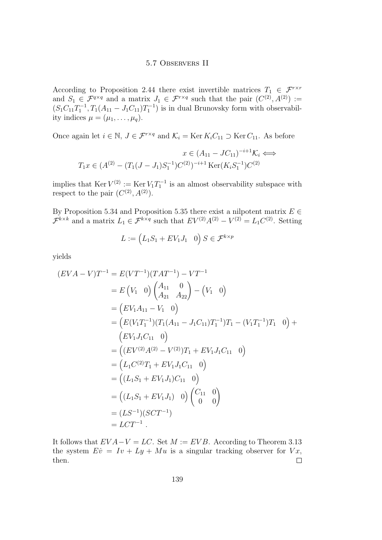# 5.7 Observers II

According to Proposition 2.44 there exist invertible matrices  $T_1 \in \mathcal{F}^{r \times r}$ and  $S_1 \in \mathcal{F}^{q \times q}$  and a matrix  $J_1 \in \mathcal{F}^{r \times q}$  such that the pair  $(C^{(2)}, A^{(2)}) :=$  $(S_1C_{11}T_1^{-1}, T_1(A_{11} - J_1C_{11})T_1^{-1})$  is in dual Brunovsky form with observability indices  $\mu = (\mu_1, \ldots, \mu_q)$ .

Once again let  $i \in \mathbb{N}$ ,  $J \in \mathcal{F}^{r \times q}$  and  $\mathcal{K}_i = \text{Ker } K_i C_{11} \supset \text{Ker } C_{11}$ . As before

$$
x \in (A_{11} - JC_{11})^{-i+1} K_i \Longleftrightarrow
$$
  

$$
T_1 x \in (A^{(2)} - (T_1(J - J_1)S_1^{-1})C^{(2)})^{-i+1} \operatorname{Ker}(K_i S_1^{-1})C^{(2)}
$$

implies that  $\text{Ker } V^{(2)} := \text{Ker } V_1 T_1^{-1}$  is an almost observability subspace with respect to the pair  $(C^{(2)}, A^{(2)})$ .

By Proposition 5.34 and Proposition 5.35 there exist a nilpotent matrix  $E \in$  $\mathcal{F}^{k\times k}$  and a matrix  $L_1 \in \mathcal{F}^{k\times q}$  such that  $EV^{(2)}A^{(2)} - V^{(2)} = L_1C^{(2)}$ . Setting

$$
L := (L_1 S_1 + EV_1 J_1 \quad 0) S \in \mathcal{F}^{k \times p}
$$

yields

$$
(EVA - V)T^{-1} = E(VT^{-1})(TAT^{-1}) - VT^{-1}
$$
  
=  $E(V_1 \t 0) \begin{pmatrix} A_{11} & 0 \\ A_{21} & A_{22} \end{pmatrix} - (V_1 \t 0)$   
=  $(EV_1A_{11} - V_1 \t 0)$   
=  $(E(V_1T_1^{-1})(T_1(A_{11} - J_1C_{11})T_1^{-1})T_1 - (V_1T_1^{-1})T_1 \t 0) +$   
 $(EV_1J_1C_{11} \t 0)$   
=  $((EV^{(2)}A^{(2)} - V^{(2)})T_1 + EV_1J_1C_{11} \t 0)$   
=  $(L_1C^{(2)}T_1 + EV_1J_1C_{11} \t 0)$   
=  $((L_1S_1 + EV_1J_1)C_{11} \t 0)$   
=  $((L_1S_1 + EV_1J_1) \t 0) \begin{pmatrix} C_{11} & 0 \\ 0 & 0 \end{pmatrix}$   
=  $(LS^{-1})(SCT^{-1})$   
=  $LCT^{-1}$ .

It follows that  $EVA-V = LC$ . Set  $M := EVB$ . According to Theorem 3.13 the system  $E\dot{v} = Iv + Ly + Mu$  is a singular tracking observer for  $Vx$ , then.  $\Box$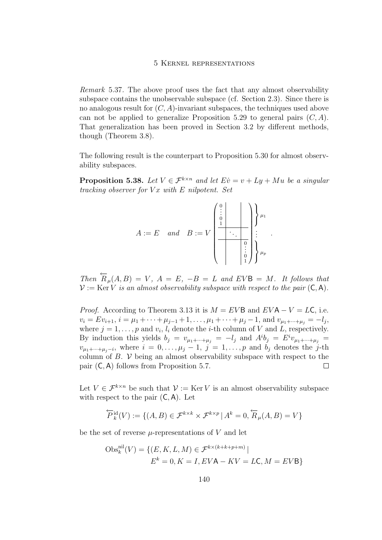Remark 5.37. The above proof uses the fact that any almost observability subspace contains the unobservable subspace (cf. Section 2.3). Since there is no analogous result for  $(C, A)$ -invariant subspaces, the techniques used above can not be applied to generalize Proposition 5.29 to general pairs  $(C, A)$ . That generalization has been proved in Section 3.2 by different methods, though (Theorem 3.8).

The following result is the counterpart to Proposition 5.30 for almost observability subspaces.

**Proposition 5.38.** Let  $V \in \mathcal{F}^{k \times n}$  and let  $E\dot{v} = v + Ly + Mu$  be a singular tracking observer for  $Vx$  with  $E$  nilpotent. Set

$$
A := E \quad and \quad B := V \begin{pmatrix} 0 & & & \\ \vdots & & & \\ 0 & & & \\ \hline & & & \ddots & \\ & & & & \\ \hline & & & & \\ & & & & \\ & & & & \\ & & & & \\ & & & & \\ & & & & \\ & & & & \\ & & & & \\ & & & & \\ & & & & \\ & & & & \\ & & & & \\ & & & & \\ & & & & \\ & & & & \\ & & & & \\ & & & & \\ & & & & \\ & & & & & \\ & & & & & \\ & & & & & \\ & & & & & \\ & & & & & \\ & & & & & \\ & & & & & \\ & & & & & \\ & & & & & \\ & & & & & \\ & & & & & \\ & & & & & \\ & & & & & & \\ & & & & & & \\ & & & & & & \\ & & & & & & \\ & & & & & & & \\ & & & & & & \\ & & & & & & \\ & & & & & & \\ & & & & & & \\ & & & & & & \\ & & & & & & \\ & & & & & & \\ & & & & &
$$

.

Then  $\overleftarrow{R}_{\mu}(A, B) = V$ ,  $A = E$ ,  $-B = L$  and  $EVB = M$ . It follows that  $\mathcal{V} := \text{Ker } V$  is an almost observability subspace with respect to the pair  $(C, A)$ .

*Proof.* According to Theorem 3.13 it is  $M = EVB$  and  $EVA - V = LC$ , i.e.  $v_i = Ev_{i+1}, i = \mu_1 + \cdots + \mu_{j-1} + 1, \ldots, \mu_1 + \cdots + \mu_j - 1$ , and  $v_{\mu_1 + \cdots + \mu_j} = -l_j$ , where  $j = 1, \ldots, p$  and  $v_i, l_i$  denote the *i*-th column of V and L, respectively. By induction this yields  $b_j = v_{\mu_1 + \dots + \mu_j} = -l_j$  and  $A^i b_j = E^i v_{\mu_1 + \dots + \mu_j} =$  $v_{\mu_1+\cdots+\mu_j-i}$ , where  $i=0,\ldots,\mu_j-1, j=1,\ldots,p$  and  $b_j$  denotes the j-th column of  $B$ .  $\mathcal V$  being an almost observability subspace with respect to the pair (C, A) follows from Proposition 5.7.  $\Box$ 

Let  $V \in \mathcal{F}^{k \times n}$  be such that  $V := \text{Ker } V$  is an almost observability subspace with respect to the pair  $(C, A)$ . Let

$$
\overleftarrow{P}_k^{\text{id}}(V) := \{ (A, B) \in \mathcal{F}^{k \times k} \times \mathcal{F}^{k \times p} | A^k = 0, \overleftarrow{R}_{\mu}(A, B) = V \}
$$

be the set of reverse  $\mu$ -representations of V and let

$$
Obs_k^{\text{nil}}(V) = \{ (E, K, L, M) \in \mathcal{F}^{k \times (k+k+p+m)} \mid
$$
  

$$
E^k = 0, K = I, EV\mathsf{A} - KV = L\mathsf{C}, M = EV\mathsf{B} \}
$$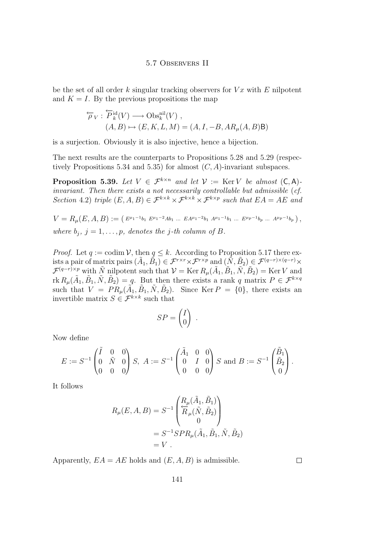# 5.7 Observers II

be the set of all order k singular tracking observers for  $Vx$  with E nilpotent and  $K = I$ . By the previous propositions the map

$$
\overleftarrow{\rho}_V : \overleftarrow{P}_k^{\text{id}}(V) \longrightarrow \text{Obs}_k^{\text{nil}}(V) ,
$$
  

$$
(A, B) \mapsto (E, K, L, M) = (A, I, -B, AR_\mu(A, B)B)
$$

is a surjection. Obviously it is also injective, hence a bijection.

The next results are the counterparts to Propositions 5.28 and 5.29 (respectively Propositions 5.34 and 5.35) for almost  $(C, A)$ -invariant subspaces.

**Proposition 5.39.** Let  $V \in \mathcal{F}^{k \times n}$  and let  $V := \text{Ker } V$  be almost  $(C, A)$ invariant. Then there exists a not necessarily controllable but admissible (cf. Section 4.2) triple  $(E, A, B) \in \mathcal{F}^{k \times k} \times \mathcal{F}^{k \times k} \times \mathcal{F}^{k \times p}$  such that  $EA = AE$  and

$$
V = R_{\mu}(E, A, B) := (E^{\mu_1 - \mu_1} E^{\mu_1 - \mu_2} A_{\mu_1} \dots E^{A^{\mu_1 - \mu_1}} A_{\mu_1 - \mu_1} \dots E^{\mu_p - \mu_p} \dots A^{\mu_p - \mu_p}),
$$
  
where  $b_j, j = 1, ..., p$ , denotes the *j*-th column of B.

*Proof.* Let  $q := \text{codim } V$ , then  $q \leq k$ . According to Proposition 5.17 there exists a pair of matrix pairs  $(\tilde{A}_1, \tilde{B}_1) \in \mathcal{F}^{r \times r} \times \mathcal{F}^{r \times p}$  and  $(\tilde{N}, \tilde{B}_2) \in \mathcal{F}^{(q-r) \times (q-r)} \times$  $\mathcal{F}^{(q-r)\times p}$  with  $\tilde{N}$  nilpotent such that  $\mathcal{V} = \text{Ker } R_{\mu}(\tilde{A}_1, \tilde{B}_1, \tilde{N}, \tilde{B}_2) = \text{Ker } V$  and rk  $R_{\mu}(\tilde{A}_1, \tilde{B}_1, \tilde{N}, \tilde{B}_2) = q$ . But then there exists a rank q matrix  $P \in \mathcal{F}^{k \times q}$ such that  $V = PR_{\mu}(\tilde{A}_1, \tilde{B}_1, \tilde{N}, \tilde{B}_2)$ . Since Ker  $P = \{0\}$ , there exists an invertible matrix  $S \in \mathcal{F}^{k \times k}$  such that

$$
SP = \begin{pmatrix} I \\ 0 \end{pmatrix}
$$

.

Now define

$$
E := S^{-1} \begin{pmatrix} \tilde{I} & 0 & 0 \\ 0 & \tilde{N} & 0 \\ 0 & 0 & 0 \end{pmatrix} S, \ A := S^{-1} \begin{pmatrix} \tilde{A}_1 & 0 & 0 \\ 0 & I & 0 \\ 0 & 0 & 0 \end{pmatrix} S \text{ and } B := S^{-1} \begin{pmatrix} \tilde{B}_1 \\ \tilde{B}_2 \\ 0 \end{pmatrix}.
$$

It follows

$$
R_{\mu}(E, A, B) = S^{-1} \begin{pmatrix} R_{\mu}(\tilde{A}_{1}, \tilde{B}_{1}) \\ \tilde{R}_{\mu}(\tilde{N}, \tilde{B}_{2}) \\ 0 \end{pmatrix}
$$
  
=  $S^{-1}SPR_{\mu}(\tilde{A}_{1}, \tilde{B}_{1}, \tilde{N}, \tilde{B}_{2})$   
=  $V$ .

Apparently,  $EA = AE$  holds and  $(E, A, B)$  is admissible.

141

 $\Box$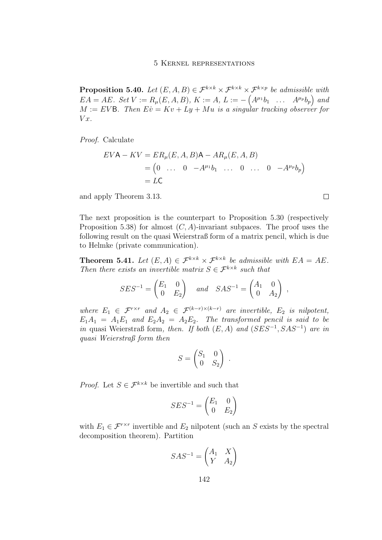**Proposition 5.40.** Let  $(E, A, B) \in \mathcal{F}^{k \times k} \times \mathcal{F}^{k \times k} \times \mathcal{F}^{k \times p}$  be admissible with  $EA = AE$ . Set  $V := R_{\mu}(E, A, B)$ ,  $K := A$ ,  $L := -\left(A^{\mu_1}b_1 \dots A^{\mu_p}b_p\right)$  and  $M := EVB$ . Then  $E\dot{v} = Kv + Ly + Mu$  is a singular tracking observer for  $Vx$ .

Proof. Calculate

$$
EVA - KV = ER_{\mu}(E, A, B)A - AR_{\mu}(E, A, B)
$$
  
=  $\begin{pmatrix} 0 & \cdots & 0 & -A^{\mu_1}b_1 & \cdots & 0 & \cdots & 0 & -A^{\mu_p}b_p \end{pmatrix}$   
= LC

and apply Theorem 3.13.

The next proposition is the counterpart to Proposition 5.30 (respectively Proposition 5.38) for almost  $(C, A)$ -invariant subpaces. The proof uses the following result on the quasi Weierstraß form of a matrix pencil, which is due to Helmke (private communication).

**Theorem 5.41.** Let  $(E, A) \in \mathcal{F}^{k \times k} \times \mathcal{F}^{k \times k}$  be admissible with  $EA = AE$ . Then there exists an invertible matrix  $S \in \mathcal{F}^{k \times k}$  such that

$$
SES^{-1} = \begin{pmatrix} E_1 & 0 \\ 0 & E_2 \end{pmatrix} \quad and \quad SAS^{-1} = \begin{pmatrix} A_1 & 0 \\ 0 & A_2 \end{pmatrix} ,
$$

where  $E_1 \in \mathcal{F}^{r \times r}$  and  $A_2 \in \mathcal{F}^{(k-r) \times (k-r)}$  are invertible,  $E_2$  is nilpotent,  $E_1A_1 = A_1E_1$  and  $E_2A_2 = A_2E_2$ . The transformed pencil is said to be in quasi Weierstraß form, then. If both  $(E, A)$  and  $(SES^{-1}, SAS^{-1})$  are in quasi Weierstraß form then

$$
S = \begin{pmatrix} S_1 & 0 \\ 0 & S_2 \end{pmatrix}
$$

.

*Proof.* Let  $S \in \mathcal{F}^{k \times k}$  be invertible and such that

$$
SES^{-1} = \begin{pmatrix} E_1 & 0 \\ 0 & E_2 \end{pmatrix}
$$

with  $E_1 \in \mathcal{F}^{r \times r}$  invertible and  $E_2$  nilpotent (such an S exists by the spectral decomposition theorem). Partition

$$
SAS^{-1} = \begin{pmatrix} A_1 & X \\ Y & A_2 \end{pmatrix}
$$

 $\Box$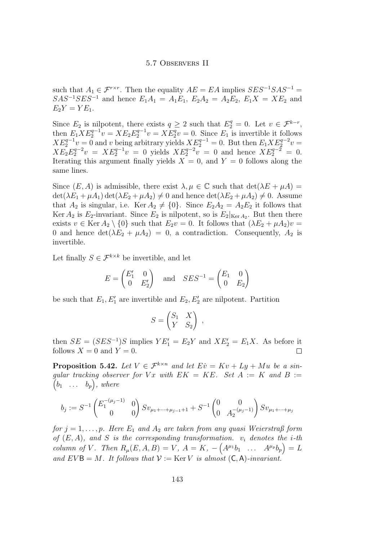# 5.7 Observers II

such that  $A_1 \in \mathcal{F}^{r \times r}$ . Then the equality  $AE = EA$  implies  $SES^{-1}SAS^{-1}$  $SAS^{-1}SES^{-1}$  and hence  $E_1A_1 = A_1E_1$ ,  $E_2A_2 = A_2E_2$ ,  $E_1X = XE_2$  and  $E_2Y = YE_1.$ 

Since  $E_2$  is nilpotent, there exists  $q \geq 2$  such that  $E_2^q = 0$ . Let  $v \in \mathcal{F}^{k-r}$ , then  $E_1 X E_2^{q-1} v = X E_2 E_2^{q-1} v = X E_2^q v = 0$ . Since  $E_1$  is invertible it follows  $X E_2^{q-1} v = 0$  and v being arbitrary yields  $X E_2^{q-1} = 0$ . But then  $E_1 X E_2^{q-2} v =$  $XE_2'E_2^{q-2}v = XE_2^{q-1}v = 0$  yields  $XE_2^{q-2}v = 0$  and hence  $XE_2^{q-2} = 0$ . Iterating this argument finally yields  $X = 0$ , and  $Y = 0$  follows along the same lines.

Since  $(E, A)$  is admissible, there exist  $\lambda, \mu \in \mathbb{C}$  such that  $\det(\lambda E + \mu A) =$  $\det(\lambda E_1 + \mu A_1) \det(\lambda E_2 + \mu A_2) \neq 0$  and hence  $\det(\lambda E_2 + \mu A_2) \neq 0$ . Assume that  $A_2$  is singular, i.e. Ker  $A_2 \neq \{0\}$ . Since  $E_2A_2 = A_2E_2$  it follows that Ker  $A_2$  is  $E_2$ -invariant. Since  $E_2$  is nilpotent, so is  $E_2|_{\text{Ker }A_2}$ . But then there exists  $v \in \text{Ker } A_2 \setminus \{0\}$  such that  $E_2v = 0$ . It follows that  $(\lambda E_2 + \mu A_2)v =$ 0 and hence  $\det(\lambda E_2 + \mu A_2) = 0$ , a contradiction. Consequently,  $A_2$  is invertible.

Let finally  $S \in \mathcal{F}^{k \times k}$  be invertible, and let

$$
E = \begin{pmatrix} E_1' & 0 \\ 0 & E_2' \end{pmatrix} \quad \text{and} \quad SES^{-1} = \begin{pmatrix} E_1 & 0 \\ 0 & E_2 \end{pmatrix}
$$

be such that  $E_1, E'_1$  are invertible and  $E_2, E'_2$  are nilpotent. Partition

$$
S = \begin{pmatrix} S_1 & X \\ Y & S_2 \end{pmatrix} ,
$$

then  $SE = (SES^{-1})S$  implies  $YE'_1 = E_2Y$  and  $XE'_2 = E_1X$ . As before it follows  $X = 0$  and  $Y = 0$ .

**Proposition 5.42.** Let  $V \in \mathcal{F}^{k \times n}$  and let  $E\dot{v} = Kv + Ly + Mu$  be a singular tracking observer for  $Vx$  with  $EK = KE$ . Set  $A := K$  and  $B :=$  $\begin{pmatrix} b_1 & \ldots & b_p \end{pmatrix}$ , where

$$
b_j := S^{-1} \begin{pmatrix} E_1^{-(\mu_j - 1)} & 0 \\ 0 & 0 \end{pmatrix} S v_{\mu_1 + \dots + \mu_{j-1} + 1} + S^{-1} \begin{pmatrix} 0 & 0 \\ 0 & A_2^{-(\mu_j - 1)} \end{pmatrix} S v_{\mu_1 + \dots + \mu_j}
$$

for  $j = 1, \ldots, p$ . Here  $E_1$  and  $A_2$  are taken from any quasi Weierstraß form of  $(E, A)$ , and S is the corresponding transformation.  $v_i$  denotes the *i*-th column of V. Then  $R_{\mu}(E, A, B) = V$ ,  $A = K$ ,  $-\left(A^{\mu_1}b_1 \ldots A^{\mu_p}b_p\right) = L$ and  $EVB = M$ . It follows that  $V := \text{Ker } V$  is almost  $(C, A)$ -invariant.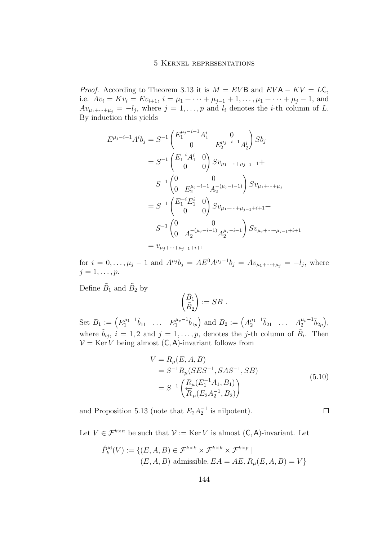*Proof.* According to Theorem 3.13 it is  $M = EVB$  and  $EVA - KV = LC$ , i.e.  $Av_i = Kv_{i+1}, i = \mu_1 + \cdots + \mu_{j-1} + 1, \ldots, \mu_1 + \cdots + \mu_j - 1$ , and  $Av_{\mu_1+\cdots+\mu_j} = -l_j$ , where  $j = 1, \ldots, p$  and  $l_i$  denotes the *i*-th column of L. By induction this yields

$$
E^{\mu_j - i - 1} A^i b_j = S^{-1} \begin{pmatrix} E_1^{\mu_j - i - 1} A_1^i & 0 \\ 0 & E_2^{\mu_j - i - 1} A_2^i \end{pmatrix} S b_j
$$
  
=  $S^{-1} \begin{pmatrix} E_1^{-i} A_1^i & 0 \\ 0 & 0 \end{pmatrix} S v_{\mu_1 + \dots + \mu_{j-1} + 1} +$   
 $S^{-1} \begin{pmatrix} 0 & 0 \\ 0 & E_2^{\mu_j - i - 1} A_2^{-(\mu_j - i - 1)} \end{pmatrix} S v_{\mu_1 + \dots + \mu_j}$   
=  $S^{-1} \begin{pmatrix} E_1^{-i} E_1^i & 0 \\ 0 & 0 \end{pmatrix} S v_{\mu_1 + \dots + \mu_{j-1} + i + 1} +$   
 $S^{-1} \begin{pmatrix} 0 & 0 \\ 0 & A_2^{-(\mu_j - i - 1)} A_2^{\mu_j - i - 1} \end{pmatrix} S v_{\mu_j + \dots + \mu_{j-1} + i + 1}$   
=  $v_{\mu_j + \dots + \mu_{j-1} + i + 1}$ 

for  $i = 0, ..., \mu_j - 1$  and  $A^{\mu_j}b_j = AE^0A^{\mu_j-1}b_j = Av_{\mu_1 + ... + \mu_j} = -l_j$ , where  $j=1,\ldots,p.$ 

Define  $\tilde{B}_1$  and  $\tilde{B}_2$  by

$$
\begin{pmatrix} \tilde{B}_1 \\ \tilde{B}_2 \end{pmatrix} := SB \ .
$$

Set  $B_1 := \left( E_1^{\mu_1 - 1} \tilde{b}_{11} \dots E_1^{\mu_p - 1} \right)$  $A_1^{\mu_p-1} \tilde{b}_{1p}$  and  $B_2 := \left(A_2^{\mu_1-1} \tilde{b}_{21} \dots A_2^{\mu_p-1}\right)$  $_{2}^{\mu_{p}-1}\tilde{b}_{2p}\Big),$ where  $\tilde{b}_{ij}$ ,  $i = 1, 2$  and  $j = 1, \ldots, p$ , denotes the j-th column of  $\tilde{B}_i$ . Then  $V = \text{Ker } V$  being almost  $(C, A)$ -invariant follows from

$$
V = R_{\mu}(E, A, B)
$$
  
=  $S^{-1}R_{\mu}(SES^{-1}, SAS^{-1}, SB)$   
=  $S^{-1} \left( \frac{R_{\mu}(E_1^{-1}A_1, B_1)}{R_{\mu}(E_2A_2^{-1}, B_2)} \right)$  (5.10)

 $\Box$ 

and Proposition 5.13 (note that  $E_2 A_2^{-1}$  is nilpotent).

Let  $V \in \mathcal{F}^{k \times n}$  be such that  $\mathcal{V} := \text{Ker } V$  is almost  $(C, A)$ -invariant. Let

$$
\hat{P}_k^{\text{id}}(V) := \{ (E, A, B) \in \mathcal{F}^{k \times k} \times \mathcal{F}^{k \times k} \times \mathcal{F}^{k \times p} \mid
$$
  

$$
(E, A, B) \text{ admissible}, EA = AE, R_\mu(E, A, B) = V \}
$$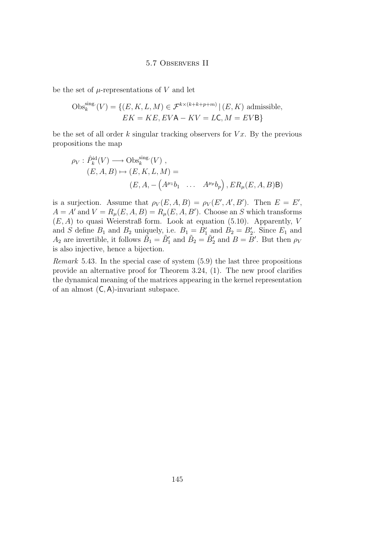#### 5.7 Observers II

be the set of  $\mu$ -representations of V and let

$$
Obs_k^{\text{sing.}}(V) = \{ (E, K, L, M) \in \mathcal{F}^{k \times (k+k+p+m)} | (E, K) \text{ admissible},\
$$

$$
EK = KE, EV\mathsf{A} - KV = L\mathsf{C}, M = EV\mathsf{B} \}
$$

be the set of all order k singular tracking observers for  $Vx$ . By the previous propositions the map

$$
\rho_V: \hat{P}_k^{\text{id}}(V) \longrightarrow \text{Obs}_k^{\text{sing.}}(V) ,
$$
  
\n
$$
(E, A, B) \mapsto (E, K, L, M) =
$$
  
\n
$$
(E, A, -\left(A^{\mu_1}b_1 \dots A^{\mu_p}b_p\right), ER_\mu(E, A, B)B)
$$

is a surjection. Assume that  $\rho_V(E, A, B) = \rho_V(E', A', B')$ . Then  $E = E'$ ,  $A = A'$  and  $V = R_{\mu}(E, A, B) = R_{\mu}(E, A, B')$ . Choose an S which transforms  $(E, A)$  to quasi Weierstraß form. Look at equation (5.10). Apparently, V and S define  $B_1$  and  $B_2$  uniquely, i.e.  $B_1 = B'_1$  and  $B_2 = B'_2$ . Since  $E_1$  and  $A_2$  are invertible, it follows  $\tilde{B}_1 = \tilde{B}'_1$  and  $\tilde{B}_2 = \tilde{B}'_2$  and  $B = \tilde{B}'$ . But then  $\rho_V$ is also injective, hence a bijection.

Remark 5.43. In the special case of system (5.9) the last three propositions provide an alternative proof for Theorem 3.24, (1). The new proof clarifies the dynamical meaning of the matrices appearing in the kernel representation of an almost (C, A)-invariant subspace.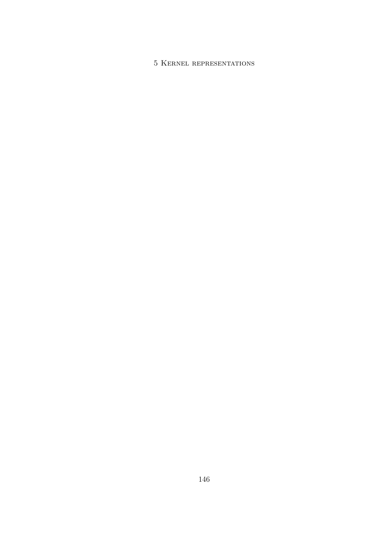### Kernel representations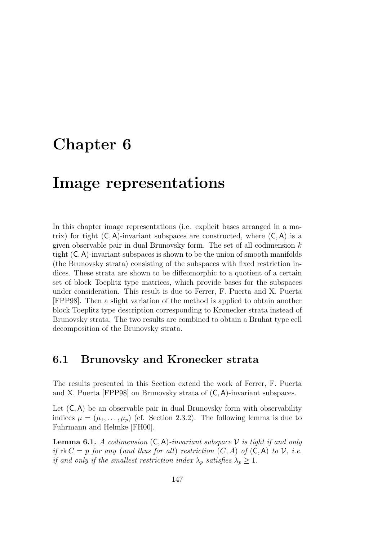# Chapter 6

## Image representations

In this chapter image representations (i.e. explicit bases arranged in a matrix) for tight  $(C, A)$ -invariant subspaces are constructed, where  $(C, A)$  is a given observable pair in dual Brunovsky form. The set of all codimension  $k$ tight  $(C, A)$ -invariant subspaces is shown to be the union of smooth manifolds (the Brunovsky strata) consisting of the subspaces with fixed restriction indices. These strata are shown to be diffeomorphic to a quotient of a certain set of block Toeplitz type matrices, which provide bases for the subspaces under consideration. This result is due to Ferrer, F. Puerta and X. Puerta [FPP98]. Then a slight variation of the method is applied to obtain another block Toeplitz type description corresponding to Kronecker strata instead of Brunovsky strata. The two results are combined to obtain a Bruhat type cell decomposition of the Brunovsky strata.

## 6.1 Brunovsky and Kronecker strata

The results presented in this Section extend the work of Ferrer, F. Puerta and X. Puerta [FPP98] on Brunovsky strata of (C, A)-invariant subspaces.

Let  $(C, A)$  be an observable pair in dual Brunovsky form with observability indices  $\mu = (\mu_1, \dots, \mu_p)$  (cf. Section 2.3.2). The following lemma is due to Fuhrmann and Helmke [FH00].

**Lemma 6.1.** A codimension  $(C, A)$ -invariant subspace V is tight if and only if  $\text{rk } \overline{C} = p$  for any (and thus for all) restriction  $(\overline{C}, \overline{A})$  of  $(C, A)$  to V, i.e. if and only if the smallest restriction index  $\lambda_p$  satisfies  $\lambda_p \geq 1$ .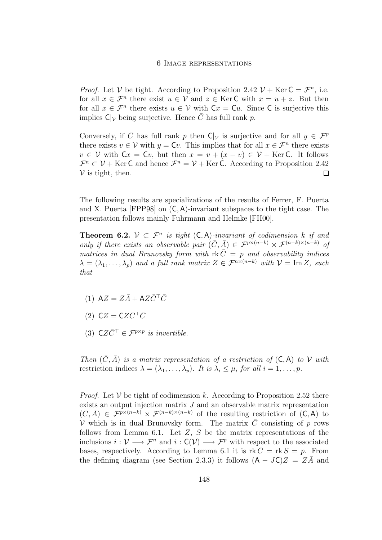*Proof.* Let  $V$  be tight. According to Proposition 2.42  $V + \text{Ker } \mathsf{C} = \mathcal{F}^n$ , i.e. for all  $x \in \mathcal{F}^n$  there exist  $u \in \mathcal{V}$  and  $z \in \text{Ker } \mathsf{C}$  with  $x = u + z$ . But then for all  $x \in \mathcal{F}^n$  there exists  $u \in \mathcal{V}$  with  $\mathsf{C}x = \mathsf{C}u$ . Since C is surjective this implies  $C|_V$  being surjective. Hence  $\overline{C}$  has full rank p.

Conversely, if  $\bar{C}$  has full rank p then  $C|_{\mathcal{V}}$  is surjective and for all  $y \in \mathcal{F}^p$ there exists  $v \in V$  with  $y = \mathsf{C}v$ . This implies that for all  $x \in \mathcal{F}^n$  there exists  $v \in V$  with  $\mathsf{C}x = \mathsf{C}v$ , but then  $x = v + (x - v) \in V + \text{Ker } \mathsf{C}$ . It follows  $\mathcal{F}^n \subset \mathcal{V}$  + Ker C and hence  $\mathcal{F}^n = \mathcal{V}$  + Ker C. According to Proposition 2.42  $V$  is tight, then.  $\Box$ 

The following results are specializations of the results of Ferrer, F. Puerta and X. Puerta [FPP98] on (C, A)-invariant subspaces to the tight case. The presentation follows mainly Fuhrmann and Helmke [FH00].

**Theorem 6.2.**  $V \subset \mathcal{F}^n$  is tight  $(C, A)$ -invariant of codimension k if and only if there exists an observable pair  $(\bar{C}, \bar{A}) \in \mathcal{F}^{p \times (n-k)} \times \mathcal{F}^{(n-k) \times (n-k)}$  of matrices in dual Brunovsky form with  $\overline{rk} \overline{C} = p$  and observability indices  $\lambda = (\lambda_1, \dots, \lambda_p)$  and a full rank matrix  $Z \in \mathcal{F}^{n \times (n-k)}$  with  $\mathcal{V} = \text{Im } Z$ , such that

- (1)  $AZ = Z\overline{A} + AZ\overline{C}^\top\overline{C}$
- (2)  $CZ = CZ\overline{C}^T\overline{C}$
- (3)  $CZ\overline{C}^{\top} \in \mathcal{F}^{p \times p}$  is invertible.

Then  $(\bar{C}, \bar{A})$  is a matrix representation of a restriction of  $(C, A)$  to V with restriction indices  $\lambda = (\lambda_1, \ldots, \lambda_p)$ . It is  $\lambda_i \leq \mu_i$  for all  $i = 1, \ldots, p$ .

*Proof.* Let  $V$  be tight of codimension k. According to Proposition 2.52 there exists an output injection matrix J and an observable matrix representation  $(\bar{C}, \bar{A}) \in \mathcal{F}^{p \times (n-k)} \times \mathcal{F}^{(n-k) \times (n-k)}$  of the resulting restriction of  $(C, A)$  to V which is in dual Brunovsky form. The matrix  $\overline{C}$  consisting of p rows follows from Lemma 6.1. Let  $Z$ ,  $S$  be the matrix representations of the inclusions  $i: \mathcal{V} \longrightarrow \mathcal{F}^n$  and  $i: \mathsf{C}(\mathcal{V}) \longrightarrow \mathcal{F}^p$  with respect to the associated bases, respectively. According to Lemma 6.1 it is  $rk \overline{C} = rk S = p$ . From the defining diagram (see Section 2.3.3) it follows  $(A - JC)Z = Z\overline{A}$  and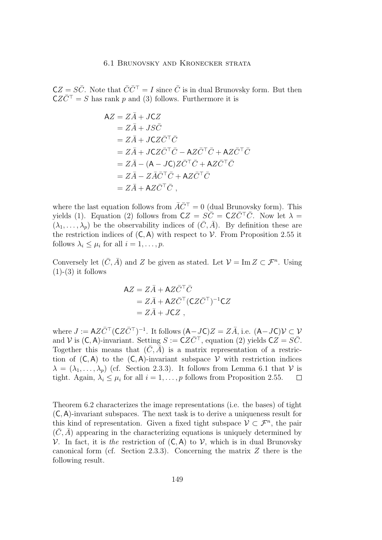#### 6.1 Brunovsky and Kronecker strata

 $CZ = S\overline{C}$ . Note that  $\overline{C}\overline{C}^{\top} = I$  since  $\overline{C}$  is in dual Brunovsky form. But then  $CZ\overline{C}^{\top} = S$  has rank p and (3) follows. Furthermore it is

$$
AZ = Z\overline{A} + JCZ
$$
  
=  $Z\overline{A} + JS\overline{C}$   
=  $Z\overline{A} + JCZ\overline{C}^\top\overline{C}$   
=  $Z\overline{A} + JCZ\overline{C}^\top\overline{C} - AZ\overline{C}^\top\overline{C} + AZ\overline{C}^\top\overline{C}$   
=  $Z\overline{A} - (A - JC)Z\overline{C}^\top\overline{C} + AZ\overline{C}^\top\overline{C}$   
=  $Z\overline{A} - Z\overline{A}\overline{C}^\top\overline{C} + AZ\overline{C}^\top\overline{C}$   
=  $Z\overline{A} + AZ\overline{C}^\top\overline{C}$ ,

where the last equation follows from  $\overline{A}\overline{C}^{\top}=0$  (dual Brunovsky form). This yields (1). Equation (2) follows from  $CZ = S\overline{C} = CZ\overline{C}^\top\overline{C}$ . Now let  $\lambda =$  $(\lambda_1, \ldots, \lambda_n)$  be the observability indices of  $(C, A)$ . By definition these are the restriction indices of  $(C, A)$  with respect to V. From Proposition 2.55 it follows  $\lambda_i \leq \mu_i$  for all  $i = 1, \ldots, p$ .

Conversely let  $(\bar{C}, \bar{A})$  and Z be given as stated. Let  $\mathcal{V} = \text{Im } Z \subset \mathcal{F}^n$ . Using  $(1)-(3)$  it follows

$$
AZ = Z\overline{A} + AZ\overline{C}^{\top}\overline{C}
$$
  
= Z\overline{A} + AZ\overline{C}^{\top} (CZ\overline{C}^{\top})^{-1}CZ  
= Z\overline{A} + JCZ ,

where  $J := AZ\bar{C}^\top (CZ\bar{C}^\top)^{-1}$ . It follows  $(A-JC)Z = Z\bar{A}$ , i.e.  $(A-JC)\mathcal{V} \subset \mathcal{V}$ and V is  $(C, A)$ -invariant. Setting  $S := CZ\overline{C}^\top$ , equation (2) yields  $CZ = S\overline{C}$ . Together this means that  $(\bar{C}, \bar{A})$  is a matrix representation of a restriction of  $(C, A)$  to the  $(C, A)$ -invariant subspace V with restriction indices  $\lambda = (\lambda_1, \ldots, \lambda_p)$  (cf. Section 2.3.3). It follows from Lemma 6.1 that V is tight. Again,  $\lambda_i \leq \mu_i$  for all  $i = 1, \ldots, p$  follows from Proposition 2.55.  $\Box$ 

Theorem 6.2 characterizes the image representations (i.e. the bases) of tight (C, A)-invariant subspaces. The next task is to derive a uniqueness result for this kind of representation. Given a fixed tight subspace  $V \subset \mathcal{F}^n$ , the pair  $(C, \overline{A})$  appearing in the characterizing equations is uniquely determined by  $V$ . In fact, it is the restriction of  $(C, A)$  to  $V$ , which is in dual Brunovsky canonical form (cf. Section 2.3.3). Concerning the matrix  $Z$  there is the following result.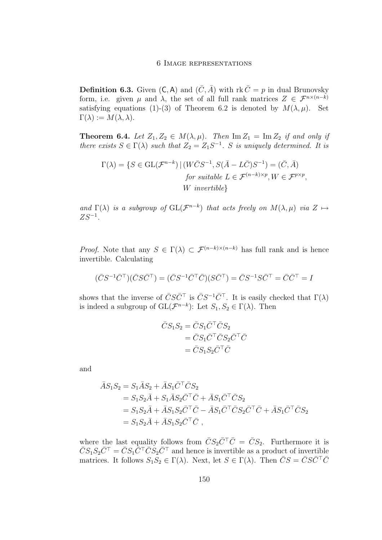**Definition 6.3.** Given  $(C, A)$  and  $(\overline{C}, \overline{A})$  with  $rk \overline{C} = p$  in dual Brunovsky form, i.e. given  $\mu$  and  $\lambda$ , the set of all full rank matrices  $Z \in \mathcal{F}^{n \times (n-k)}$ satisfying equations (1)-(3) of Theorem 6.2 is denoted by  $M(\lambda, \mu)$ . Set  $\Gamma(\lambda) := M(\lambda, \lambda).$ 

**Theorem 6.4.** Let  $Z_1, Z_2 \in M(\lambda, \mu)$ . Then  $\text{Im } Z_1 = \text{Im } Z_2$  if and only if there exists  $S \in \Gamma(\lambda)$  such that  $Z_2 = Z_1 S^{-1}$ . S is uniquely determined. It is

$$
\Gamma(\lambda) = \{ S \in GL(\mathcal{F}^{n-k}) \mid (W\bar{C}S^{-1}, S(\bar{A} - L\bar{C})S^{-1}) = (\bar{C}, \bar{A})
$$
  
for suitable  $L \in \mathcal{F}^{(n-k) \times p}, W \in \mathcal{F}^{p \times p},$   
W invertible $\}$ 

and  $\Gamma(\lambda)$  is a subgroup of  $GL(\mathcal{F}^{n-k})$  that acts freely on  $M(\lambda,\mu)$  via  $Z \mapsto$  $ZS^{-1}$ .

*Proof.* Note that any  $S \in \Gamma(\lambda) \subset \mathcal{F}^{(n-k)\times (n-k)}$  has full rank and is hence invertible. Calculating

$$
(\bar{C}S^{-1}\bar{C}^{\top})(\bar{C}S\bar{C}^{\top}) = (\bar{C}S^{-1}\bar{C}^{\top}\bar{C})(S\bar{C}^{\top}) = \bar{C}S^{-1}S\bar{C}^{\top} = \bar{C}\bar{C}^{\top} = I
$$

shows that the inverse of  $\bar{C}S\bar{C}^{\top}$  is  $\bar{C}S^{-1}\bar{C}^{\top}$ . It is easily checked that  $\Gamma(\lambda)$ is indeed a subgroup of  $GL(\mathcal{F}^{n-k})$ : Let  $S_1, S_2 \in \Gamma(\lambda)$ . Then

$$
\begin{aligned} \bar{C}S_1 S_2 &= \bar{C} S_1 \bar{C}^\top \bar{C} S_2 \\ &= \bar{C} S_1 \bar{C}^\top \bar{C} S_2 \bar{C}^\top \bar{C} \\ &= \bar{C} S_1 S_2 \bar{C}^\top \bar{C} \end{aligned}
$$

and

$$
\begin{split}\n\bar{A}S_{1}S_{2} &= S_{1}\bar{A}S_{2} + \bar{A}S_{1}\bar{C}^{\top}\bar{C}S_{2} \\
&= S_{1}S_{2}\bar{A} + S_{1}\bar{A}S_{2}\bar{C}^{\top}\bar{C} + \bar{A}S_{1}\bar{C}^{\top}\bar{C}S_{2} \\
&= S_{1}S_{2}\bar{A} + \bar{A}S_{1}S_{2}\bar{C}^{\top}\bar{C} - \bar{A}S_{1}\bar{C}^{\top}\bar{C}S_{2}\bar{C}^{\top}\bar{C} + \bar{A}S_{1}\bar{C}^{\top}\bar{C}S_{2} \\
&= S_{1}S_{2}\bar{A} + \bar{A}S_{1}S_{2}\bar{C}^{\top}\bar{C}\,,\n\end{split}
$$

where the last equality follows from  $\overline{C}S_2\overline{C}^{\top}\overline{C} = \overline{C}S_2$ . Furthermore it is  $\bar{C}S_1S_2\bar{C}^{\top}=\bar{C}S_1\bar{C}^{\top}\bar{C}S_2\bar{C}^{\top}$  and hence is invertible as a product of invertible matrices. It follows  $S_1S_2 \in \Gamma(\lambda)$ . Next, let  $S \in \Gamma(\lambda)$ . Then  $\overline{C}S = \overline{C}S\overline{C}^\top\overline{C}$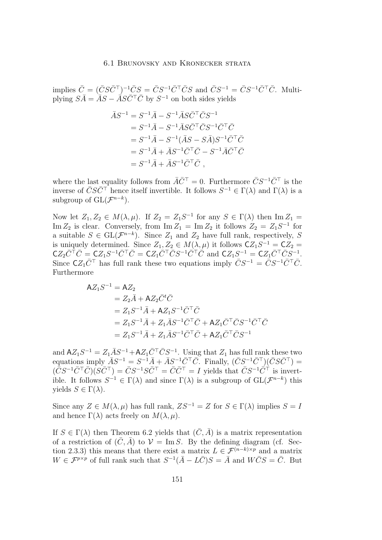#### 6.1 Brunovsky and Kronecker strata

implies  $\bar{C} = (\bar{C} S \bar{C}^\top)^{-1} \bar{C} S = \bar{C} S^{-1} \bar{C}^\top \bar{C} S$  and  $\bar{C} S^{-1} = \bar{C} S^{-1} \bar{C}^\top \bar{C}$ . Multiplying  $S\overline{A} = \overline{A}S - \overline{A}S\overline{C}^{\top}\overline{C}$  by  $S^{-1}$  on both sides yields

$$
\bar{A}S^{-1} = S^{-1}\bar{A} - S^{-1}\bar{A}S\bar{C}^{\top}\bar{C}S^{-1} \n= S^{-1}\bar{A} - S^{-1}\bar{A}S\bar{C}^{\top}\bar{C}S^{-1}\bar{C}^{\top}\bar{C} \n= S^{-1}\bar{A} - S^{-1}(\bar{A}S - S\bar{A})S^{-1}\bar{C}^{\top}\bar{C} \n= S^{-1}\bar{A} + \bar{A}S^{-1}\bar{C}^{\top}\bar{C} - S^{-1}\bar{A}\bar{C}^{\top}\bar{C} \n= S^{-1}\bar{A} + \bar{A}S^{-1}\bar{C}^{\top}\bar{C} ,
$$

where the last equality follows from  $\bar{A}\bar{C}^{\top}=0$ . Furthermore  $\bar{C}S^{-1}\bar{C}^{\top}$  is the inverse of  $\bar{C}S\bar{C}^{\top}$  hence itself invertible. It follows  $S^{-1} \in \Gamma(\lambda)$  and  $\Gamma(\lambda)$  is a subgroup of  $\mathrm{GL}(\mathcal{F}^{n-k})$ .

Now let  $Z_1, Z_2 \in M(\lambda, \mu)$ . If  $Z_2 = Z_1 S^{-1}$  for any  $S \in \Gamma(\lambda)$  then  $\text{Im } Z_1 =$ Im  $Z_2$  is clear. Conversely, from Im  $Z_1 = \text{Im } Z_2$  it follows  $Z_2 = Z_1 S^{-1}$  for a suitable  $S \in GL(\mathcal{F}^{n-k})$ . Since  $Z_1$  and  $Z_2$  have full rank, respectively, S is uniquely determined. Since  $Z_1, Z_2 \in M(\lambda, \mu)$  it follows  $\mathsf{C}Z_1S^{-1} = \mathsf{C}Z_2 =$  $\mathsf{C}Z_2\overline{C}^\top\overline{C} = \mathsf{C}Z_1S^{-1}\overline{C}^\top\overline{C} = \mathsf{C}Z_1\overline{C}^\top\overline{C}S^{-1}\overline{C}^\top\overline{C}$  and  $\mathsf{C}Z_1S^{-1} = \mathsf{C}Z_1\overline{C}^\top\overline{C}S^{-1}$ . Since  $\mathsf{C}Z_1\bar{C}^{\top}$  has full rank these two equations imply  $\bar{C}S^{-1} = \bar{C}S^{-1}\bar{C}^{\top}\bar{C}$ . Furthermore

$$
AZ_1S^{-1} = AZ_2
$$
  
= Z<sub>2</sub>Ā + AZ<sub>2</sub>Č<sup>t</sup>Č  
= Z<sub>1</sub>S<sup>-1</sup>Ā + AZ<sub>1</sub>S<sup>-1</sup>Č<sup>T</sup>Č  
= Z<sub>1</sub>S<sup>-1</sup>Ā + Z<sub>1</sub>ĀS<sup>-1</sup>Č<sup>T</sup>Č + AZ<sub>1</sub>Č<sup>T</sup>ČS<sup>-1</sup>Č<sup>T</sup>Č  
= Z<sub>1</sub>S<sup>-1</sup>Ā + Z<sub>1</sub>ĀS<sup>-1</sup>Č<sup>T</sup>Č + AZ<sub>1</sub>Č<sup>T</sup>ČS<sup>-1</sup>

and  $A Z_1 S^{-1} = Z_1 \overline{A} S^{-1} + A Z_1 \overline{C}^\top \overline{C} S^{-1}$ . Using that  $Z_1$  has full rank these two equations imply  $\bar{A}S^{-1} = S^{-1}\bar{A} + \bar{A}S^{-1}\bar{C}^{\top}\bar{C}$ . Finally,  $(\bar{C}S^{-1}\bar{C}^{\top})(\bar{C}S\bar{C}^{\top}) =$  $(\bar{C}S^{-1}\bar{C}^\top\bar{C})(S\bar{C}^\top) = \bar{C}S^{-1}S\bar{C}^\top = \bar{C}\bar{C}^\top = I$  yields that  $\bar{C}S^{-1}\bar{C}^\top$  is invertible. It follows  $S^{-1} \in \Gamma(\lambda)$  and since  $\Gamma(\lambda)$  is a subgroup of  $GL(\mathcal{F}^{n-k})$  this yields  $S \in \Gamma(\lambda)$ .

Since any  $Z \in M(\lambda, \mu)$  has full rank,  $ZS^{-1} = Z$  for  $S \in \Gamma(\lambda)$  implies  $S = I$ and hence  $\Gamma(\lambda)$  acts freely on  $M(\lambda,\mu)$ .

If  $S \in \Gamma(\lambda)$  then Theorem 6.2 yields that  $(\overline{C}, \overline{A})$  is a matrix representation of a restriction of  $(\bar{C}, \bar{A})$  to  $\mathcal{V} = \text{Im } S$ . By the defining diagram (cf. Section 2.3.3) this means that there exist a matrix  $L \in \mathcal{F}^{(n-k)\times p}$  and a matrix  $W \in \mathcal{F}^{p \times p}$  of full rank such that  $S^{-1}(\bar{A} - L\bar{C})S = \bar{A}$  and  $W\bar{C}S = \bar{C}$ . But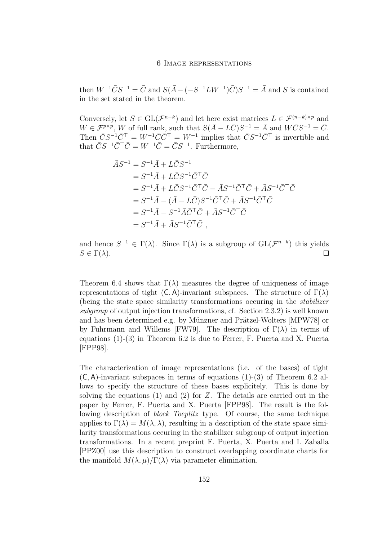then  $W^{-1}\bar{C}S^{-1} = \bar{C}$  and  $S(\bar{A} - (-S^{-1}LW^{-1})\bar{C})S^{-1} = \bar{A}$  and S is contained in the set stated in the theorem.

Conversely, let  $S \in GL(\mathcal{F}^{n-k})$  and let here exist matrices  $L \in \mathcal{F}^{(n-k)\times p}$  and  $W \in \mathcal{F}^{p \times p}$ , W of full rank, such that  $S(\bar{A} - L\bar{C})S^{-1} = \bar{A}$  and  $W\bar{C}S^{-1} = \bar{C}$ . Then  $\bar{C}S^{-1}\bar{C}^{\top} = W^{-1}\bar{C}\bar{C}^{\top} = W^{-1}$  implies that  $\bar{C}S^{-1}\bar{C}^{\top}$  is invertible and that  $\bar{C}S^{-1}\bar{C}^{\top}\bar{C} = W^{-1}\bar{C} = \bar{C}S^{-1}$ . Furthermore,

$$
\bar{A}S^{-1} = S^{-1}\bar{A} + L\bar{C}S^{-1}
$$
  
\n
$$
= S^{-1}\bar{A} + L\bar{C}S^{-1}\bar{C}^{\top}\bar{C}
$$
  
\n
$$
= S^{-1}\bar{A} + L\bar{C}S^{-1}\bar{C}^{\top}\bar{C} - \bar{A}S^{-1}\bar{C}^{\top}\bar{C} + \bar{A}S^{-1}\bar{C}^{\top}\bar{C}
$$
  
\n
$$
= S^{-1}\bar{A} - (\bar{A} - L\bar{C})S^{-1}\bar{C}^{\top}\bar{C} + \bar{A}S^{-1}\bar{C}^{\top}\bar{C}
$$
  
\n
$$
= S^{-1}\bar{A} - S^{-1}\bar{A}\bar{C}^{\top}\bar{C} + \bar{A}S^{-1}\bar{C}^{\top}\bar{C}
$$
  
\n
$$
= S^{-1}\bar{A} + \bar{A}S^{-1}\bar{C}^{\top}\bar{C},
$$

and hence  $S^{-1} \in \Gamma(\lambda)$ . Since  $\Gamma(\lambda)$  is a subgroup of  $GL(\mathcal{F}^{n-k})$  this yields  $S \in \Gamma(\lambda)$ .  $\Box$ 

Theorem 6.4 shows that  $\Gamma(\lambda)$  measures the degree of uniqueness of image representations of tight  $(C, A)$ -invariant subspaces. The structure of  $\Gamma(\lambda)$ (being the state space similarity transformations occuring in the stabilizer subgroup of output injection transformations, cf. Section 2.3.2) is well known and has been determined e.g. by Münzner and Prätzel-Wolters  $[MPW78]$  or by Fuhrmann and Willems [FW79]. The description of  $\Gamma(\lambda)$  in terms of equations (1)-(3) in Theorem 6.2 is due to Ferrer, F. Puerta and X. Puerta [FPP98].

The characterization of image representations (i.e. of the bases) of tight  $(C, A)$ -invariant subspaces in terms of equations  $(1)-(3)$  of Theorem 6.2 allows to specify the structure of these bases explicitely. This is done by solving the equations  $(1)$  and  $(2)$  for Z. The details are carried out in the paper by Ferrer, F. Puerta and X. Puerta [FPP98]. The result is the following description of *block Toeplitz* type. Of course, the same technique applies to  $\Gamma(\lambda) = M(\lambda, \lambda)$ , resulting in a description of the state space similarity transformations occuring in the stabilizer subgroup of output injection transformations. In a recent preprint F. Puerta, X. Puerta and I. Zaballa [PPZ00] use this description to construct overlapping coordinate charts for the manifold  $M(\lambda, \mu)/\Gamma(\lambda)$  via parameter elimination.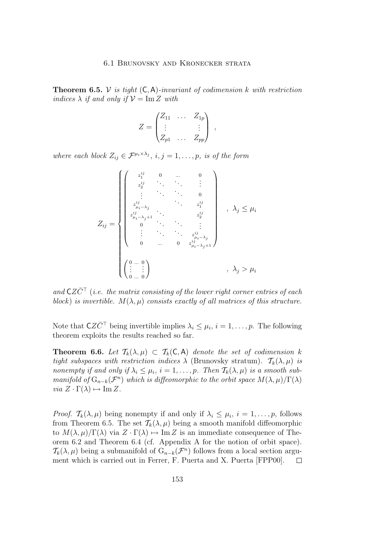#### 6.1 Brunovsky and Kronecker strata

**Theorem 6.5.** V is tight  $(C, A)$ -invariant of codimension k with restriction indices  $\lambda$  if and only if  $\mathcal{V} = \text{Im } Z$  with

$$
Z = \begin{pmatrix} Z_{11} & \cdots & Z_{1p} \\ \vdots & & \vdots \\ Z_{p1} & \cdots & Z_{pp} \end{pmatrix} ,
$$

where each block  $Z_{ij} \in \mathcal{F}^{\mu_i \times \lambda_j}$ ,  $i, j = 1, \ldots, p$ , is of the form

Zij = z ij 1 0 ... 0 z ij 2 . . . . . . . . . . . . . . . . . . <sup>0</sup> z ij µi−λj . . . <sup>z</sup> ij 1 z ij µi−λj+1 . . . <sup>z</sup> ij 2 0 . . . . . . . . . . . . . . . . . . <sup>z</sup> ij µi−λj 0 ... 0 z ij µi−λj+1 , λ<sup>j</sup> ≤ µ<sup>i</sup> Ã 0 ... 0 . . . . . . 0 ... 0 ! , λ<sup>j</sup> > µ<sup>i</sup>

and  $CZ\overline{C}^{\top}$  (i.e. the matrix consisting of the lower right corner entries of each block) is invertible.  $M(\lambda, \mu)$  consists exactly of all matrices of this structure.

Note that  $\mathsf{C}Z\bar{C}^{\top}$  being invertible implies  $\lambda_i \leq \mu_i, i = 1, \ldots, p$ . The following theorem exploits the results reached so far.

**Theorem 6.6.** Let  $\mathcal{T}_k(\lambda, \mu) \subset \mathcal{T}_k(C, A)$  denote the set of codimension k tight subspaces with restriction indices  $\lambda$  (Brunovsky stratum).  $\mathcal{T}_k(\lambda, \mu)$  is nonempty if and only if  $\lambda_i \leq \mu_i$ ,  $i = 1, \ldots, p$ . Then  $\mathcal{T}_k(\lambda, \mu)$  is a smooth submanifold of  $G_{n-k}(\mathcal{F}^n)$  which is diffeomorphic to the orbit space  $M(\lambda,\mu)/\Gamma(\lambda)$ via  $Z \cdot \Gamma(\lambda) \mapsto \text{Im } Z$ .

*Proof.*  $\mathcal{T}_{k}(\lambda,\mu)$  being nonempty if and only if  $\lambda_i \leq \mu_i$ ,  $i = 1,\ldots,p$ , follows from Theorem 6.5. The set  $\mathcal{T}_{k}(\lambda,\mu)$  being a smooth manifold diffeomorphic to  $M(\lambda, \mu)/\Gamma(\lambda)$  via  $Z \cdot \Gamma(\lambda) \mapsto \text{Im } Z$  is an immediate consequence of Theorem 6.2 and Theorem 6.4 (cf. Appendix A for the notion of orbit space).  $\mathcal{T}_{k}(\lambda,\mu)$  being a submanifold of  $G_{n-k}(\mathcal{F}^n)$  follows from a local section argument which is carried out in Ferrer, F. Puerta and X. Puerta [FPP00].  $\Box$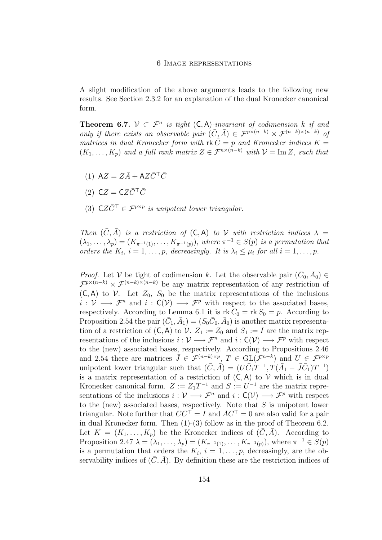A slight modification of the above arguments leads to the following new results. See Section 2.3.2 for an explanation of the dual Kronecker canonical form.

**Theorem 6.7.**  $V \subset \mathcal{F}^n$  is tight  $(C, A)$ -invariant of codimension k if and only if there exists an observable pair  $(\bar{C}, \bar{A}) \in \mathcal{F}^{p \times (n-k)} \times \mathcal{F}^{(n-k) \times (n-k)}$  of matrices in dual Kronecker form with  $\overline{K} = p$  and Kronecker indices  $K =$  $(K_1, \ldots, K_p)$  and a full rank matrix  $Z \in \mathcal{F}^{n \times (n-k)}$  with  $\mathcal{V} = \text{Im } Z$ , such that

- (1)  $AZ = Z\overline{A} + AZ\overline{C}^\top\overline{C}$
- (2)  $CZ = CZ\overline{C}^T\overline{C}$
- (3)  $CZ\overline{C}^{\top} \in \mathcal{F}^{p\times p}$  is unipotent lower triangular.

Then  $(\bar{C}, \bar{A})$  is a restriction of  $(C, A)$  to V with restriction indices  $\lambda =$  $(\lambda_1, \ldots, \lambda_p) = (K_{\pi^{-1}(1)}, \ldots, K_{\pi^{-1}(p)})$ , where  $\pi^{-1} \in S(p)$  is a permutation that orders the  $K_i$ ,  $i = 1, \ldots, p$ , decreasingly. It is  $\lambda_i \leq \mu_i$  for all  $i = 1, \ldots, p$ .

*Proof.* Let  $V$  be tight of codimension k. Let the observable pair  $(\bar{C}_0, \bar{A}_0) \in$  $\mathcal{F}^{p\times(n-k)}\times \mathcal{F}^{(n-k)\times(n-k)}$  be any matrix representation of any restriction of  $(C, A)$  to  $V$ . Let  $Z_0$ ,  $S_0$  be the matrix representations of the inclusions  $i: \mathcal{V} \longrightarrow \mathcal{F}^n$  and  $i: \mathsf{C}(\mathcal{V}) \longrightarrow \mathcal{F}^p$  with respect to the associated bases, respectively. According to Lemma 6.1 it is  $rk\overline{C}_0 = rk S_0 = p$ . According to Proposition 2.54 the pair  $(\bar{C}_1, \bar{A}_1) = (S_0 \bar{C}_0, \bar{A}_0)$  is another matrix representation of a restriction of  $(C, A)$  to  $V$ .  $Z_1 := Z_0$  and  $S_1 := I$  are the matrix representations of the inclusions  $i: \mathcal{V} \longrightarrow \mathcal{F}^n$  and  $i: \mathsf{C}(\mathcal{V}) \longrightarrow \mathcal{F}^p$  with respect to the (new) associated bases, respectively. According to Propositions 2.46 and 2.54 there are matrices  $\bar{J} \in \mathcal{F}^{(n-k)\times p}$ ,  $T \in GL(\mathcal{F}^{n-k})$  and  $U \in \mathcal{F}^{p\times p}$ unipotent lower triangular such that  $(\bar{C}, \bar{A}) = (U\bar{C}_1T^{-1}, T(\bar{A}_1 - \bar{J}\bar{C}_1)T^{-1})$ is a matrix representation of a restriction of  $(C, A)$  to V which is in dual Kronecker canonical form.  $Z := Z_1 T^{-1}$  and  $S := U^{-1}$  are the matrix representations of the inclusions  $i: \mathcal{V} \longrightarrow \mathcal{F}^n$  and  $i: \mathsf{C}(\mathcal{V}) \longrightarrow \mathcal{F}^p$  with respect to the (new) associated bases, respectively. Note that  $S$  is unipotent lower triangular. Note further that  $\overline{C}\overline{C}^{\top} = I$  and  $\overline{A}\overline{C}^{\top} = 0$  are also valid for a pair in dual Kronecker form. Then (1)-(3) follow as in the proof of Theorem 6.2. Let  $K = (K_1, \ldots, K_p)$  be the Kronecker indices of  $(\bar{C}, \bar{A})$ . According to Proposition 2.47  $\lambda = (\lambda_1, ..., \lambda_p) = (K_{\pi^{-1}(1)}, ..., K_{\pi^{-1}(p)})$ , where  $\pi^{-1} \in S(p)$ is a permutation that orders the  $K_i$ ,  $i = 1, \ldots, p$ , decreasingly, are the observability indices of  $(\overline{C}, \overline{A})$ . By definition these are the restriction indices of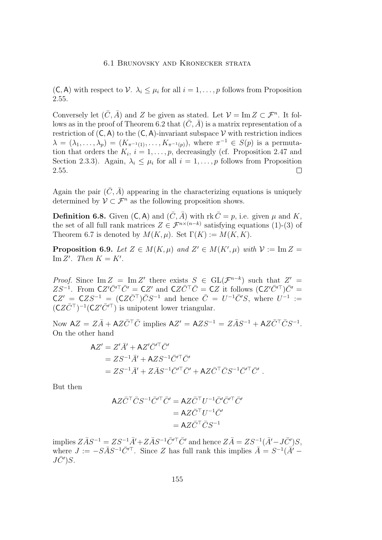#### 6.1 Brunovsky and Kronecker strata

 $(C, A)$  with respect to  $\mathcal{V}$ .  $\lambda_i \leq \mu_i$  for all  $i = 1, \ldots, p$  follows from Proposition 2.55.

Conversely let  $(\bar{C}, \bar{A})$  and Z be given as stated. Let  $\mathcal{V} = \text{Im } Z \subset \mathcal{F}^n$ . It follows as in the proof of Theorem 6.2 that  $(\overline{C}, \overline{A})$  is a matrix representation of a restriction of  $(C, A)$  to the  $(C, A)$ -invariant subspace V with restriction indices  $\lambda = (\lambda_1, \ldots, \lambda_p) = (K_{\pi^{-1}(1)}, \ldots, K_{\pi^{-1}(p)})$ , where  $\pi^{-1} \in S(p)$  is a permutation that orders the  $K_i$ ,  $i = 1, \ldots, p$ , decreasingly (cf. Proposition 2.47 and Section 2.3.3). Again,  $\lambda_i \leq \mu_i$  for all  $i = 1, \ldots, p$  follows from Proposition 2.55.  $\Box$ 

Again the pair  $(\bar{C}, \bar{A})$  appearing in the characterizing equations is uniquely determined by  $\mathcal{V} \subset \mathcal{F}^n$  as the following proposition shows.

**Definition 6.8.** Given  $(C, A)$  and  $(\overline{C}, \overline{A})$  with rk  $\overline{C} = p$ , i.e. given  $\mu$  and K, the set of all full rank matrices  $Z \in \mathcal{F}^{n \times (n-k)}$  satisfying equations (1)-(3) of Theorem 6.7 is denoted by  $M(K, \mu)$ . Set  $\Gamma(K) := M(K, K)$ .

**Proposition 6.9.** Let  $Z \in M(K,\mu)$  and  $Z' \in M(K',\mu)$  with  $\mathcal{V} := \text{Im } Z =$  $\text{Im } Z'$ . Then  $K = K'$ .

*Proof.* Since Im Z = Im Z' there exists  $S \in GL(\mathcal{F}^{n-k})$  such that  $Z' =$  $ZS^{-1}$ . From  $CZ'\overline{C'}^T\overline{C'} = CZ'$  and  $CZ\overline{C}^T\overline{C} = CZ$  it follows  $(CZ'\overline{C'}^T)\overline{C'} =$  $CZ' = CZS^{-1} = (CZ\overline{C}^T)\overline{C}S^{-1}$  and hence  $\overline{C} = U^{-1}\overline{C}'S$ , where  $U^{-1}$  :=  $(CZ\overline{C}^{\top})^{-1}(CZ'\overline{C}'^{\top})$  is unipotent lower triangular.

Now  $\mathsf{A}Z = Z\overline{A} + \mathsf{A}Z\overline{C}^\top\overline{C}$  implies  $\mathsf{A}Z' = \mathsf{A}ZS^{-1} = Z\overline{A}S^{-1} + \mathsf{A}Z\overline{C}^\top\overline{C}S^{-1}$ . On the other hand

$$
AZ' = Z'\overline{A}' + AZ'\overline{C}'^{\top}\overline{C}'
$$
  
= 
$$
ZS^{-1}\overline{A}' + AZS^{-1}\overline{C}'^{\top}\overline{C}'
$$
  
= 
$$
ZS^{-1}\overline{A}' + Z\overline{A}S^{-1}\overline{C}'^{\top}\overline{C}' + AZ\overline{C}^{\top}\overline{C}S^{-1}\overline{C}'^{\top}\overline{C}'.
$$

But then

$$
AZ\overline{C}^{\top}\overline{C}S^{-1}\overline{C}'^{\top}\overline{C}' = AZ\overline{C}^{\top}U^{-1}\overline{C}'\overline{C}'^{\top}\overline{C}'
$$

$$
= AZ\overline{C}^{\top}U^{-1}\overline{C}'
$$

$$
= AZ\overline{C}^{\top}\overline{C}S^{-1}
$$

implies  $Z\overline{A}S^{-1} = ZS^{-1}\overline{A}' + Z\overline{A}S^{-1}\overline{C}'^{\top}\overline{C}'$  and hence  $Z\overline{A} = ZS^{-1}(\overline{A}' - J\overline{C}')S$ , where  $J := -S\overline{A}S^{-1}\overline{C}'^{\top}$ . Since Z has full rank this implies  $\overline{A} = S^{-1}(\overline{A}' J\bar{C}'$ )S.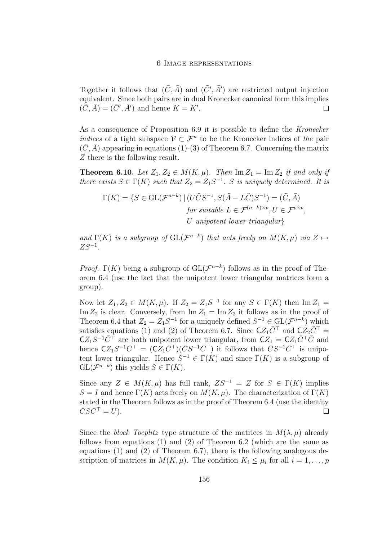Together it follows that  $(\bar{C}, \bar{A})$  and  $(\bar{C}', \bar{A}')$  are restricted output injection equivalent. Since both pairs are in dual Kronecker canonical form this implies  $(\bar{C}, \bar{A}) = (\bar{C}', \bar{A}')$  and hence  $K = K'$ .  $\Box$ 

As a consequence of Proposition 6.9 it is possible to define the Kronecker *indices* of a tight subspace  $V \subset \mathcal{F}^n$  to be the Kronecker indices of the pair  $(\bar{C}, \bar{A})$  appearing in equations (1)-(3) of Theorem 6.7. Concerning the matrix Z there is the following result.

**Theorem 6.10.** Let  $Z_1, Z_2 \in M(K, \mu)$ . Then  $\text{Im } Z_1 = \text{Im } Z_2$  if and only if there exists  $S \in \Gamma(K)$  such that  $Z_2 = Z_1 S^{-1}$ . S is uniquely determined. It is

$$
\Gamma(K) = \{ S \in GL(\mathcal{F}^{n-k}) \mid (U\bar{C}S^{-1}, S(\bar{A} - L\bar{C})S^{-1}) = (\bar{C}, \bar{A})
$$
  
for suitable  $L \in \mathcal{F}^{(n-k) \times p}, U \in \mathcal{F}^{p \times p},$   
U unipotent lower triangular $\}$ 

and  $\Gamma(K)$  is a subgroup of  $GL(\mathcal{F}^{n-k})$  that acts freely on  $M(K,\mu)$  via  $Z \mapsto$  $ZS^{-1}$ .

*Proof.*  $\Gamma(K)$  being a subgroup of  $GL(\mathcal{F}^{n-k})$  follows as in the proof of Theorem 6.4 (use the fact that the unipotent lower triangular matrices form a group).

Now let  $Z_1, Z_2 \in M(K, \mu)$ . If  $Z_2 = Z_1 S^{-1}$  for any  $S \in \Gamma(K)$  then  $\text{Im } Z_1 =$ Im  $Z_2$  is clear. Conversely, from Im  $Z_1 = \text{Im } Z_2$  it follows as in the proof of Theorem 6.4 that  $Z_2 = Z_1 S^{-1}$  for a uniquely defined  $S^{-1} \in GL(\mathcal{F}^{n-k})$  which satisfies equations (1) and (2) of Theorem 6.7. Since  $\mathsf{C}Z_1\bar{C}^\top$  and  $\mathsf{C}Z_2\bar{C}^\top$  =  $CZ_1S^{-1}\bar{C}^{\top}$  are both unipotent lower triangular, from  $CZ_1 = CZ_1\bar{C}^{\top}\bar{C}$  and hence  $CZ_1S^{-1}\bar{C}^{\top} = (CZ_1\bar{C}^{\top})(\bar{C}S^{-1}\bar{C}^{\top})$  it follows that  $\bar{C}S^{-1}\bar{C}^{\top}$  is unipotent lower triangular. Hence  $S^{-1} \in \Gamma(K)$  and since  $\Gamma(K)$  is a subgroup of  $GL(\mathcal{F}^{n-k})$  this yields  $S \in \Gamma(K)$ .

Since any  $Z \in M(K,\mu)$  has full rank,  $ZS^{-1} = Z$  for  $S \in \Gamma(K)$  implies  $S = I$  and hence  $\Gamma(K)$  acts freely on  $M(K, \mu)$ . The characterization of  $\Gamma(K)$ stated in the Theorem follows as in the proof of Theorem 6.4 (use the identity  $\overline{C}S\overline{C}^{\top} = U$ .  $\Box$ 

Since the block Toeplitz type structure of the matrices in  $M(\lambda, \mu)$  already follows from equations (1) and (2) of Theorem 6.2 (which are the same as equations  $(1)$  and  $(2)$  of Theorem 6.7), there is the following analogous description of matrices in  $M(K, \mu)$ . The condition  $K_i \leq \mu_i$  for all  $i = 1, \ldots, p$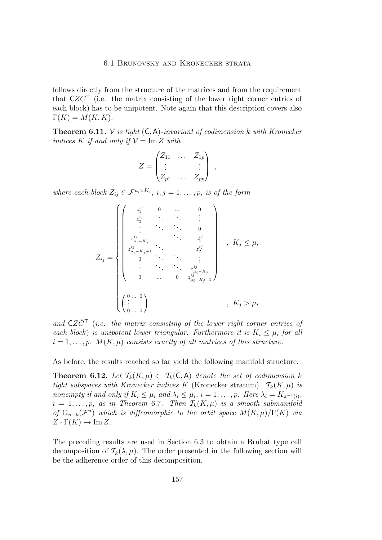#### 6.1 Brunovsky and Kronecker strata

follows directly from the structure of the matrices and from the requirement that  $CZ\overline{C}^{\top}$  (i.e. the matrix consisting of the lower right corner entries of each block) has to be unipotent. Note again that this description covers also  $\Gamma(K) = M(K, K).$ 

**Theorem 6.11.**  $V$  is tight  $(C, A)$ -invariant of codimension k with Kronecker indices K if and only if  $\mathcal{V} = \text{Im } Z$  with

$$
Z = \begin{pmatrix} Z_{11} & \dots & Z_{1p} \\ \vdots & & \vdots \\ Z_{p1} & \dots & Z_{pp} \end{pmatrix} ,
$$

where each block  $Z_{ij} \in \mathcal{F}^{\mu_i \times K_j}$ ,  $i, j = 1, \ldots, p$ , is of the form

$$
Z_{ij} = \begin{cases} \begin{pmatrix} z_1^{ij} & 0 & \dots & 0 \\ z_2^{ij} & \ddots & \ddots & \vdots \\ \vdots & \ddots & \ddots & 0 \\ z_{\mu_i-K_j}^{ij} & \ddots & z_1^{ij} \\ z_{\mu_i-K_j+1}^{ij} & \ddots & z_2^{ij} \\ 0 & \ddots & \ddots & \vdots \\ \vdots & \ddots & \ddots & z_{\mu_i-K_j}^{ij} \\ 0 & \dots & 0 & z_{\mu_i-K_j+1}^{ij} \end{pmatrix} & , K_j \leq \mu_i \\ \begin{pmatrix} 0 & 0 \\ \vdots & \vdots \\ 0 & \dots & 0 \end{pmatrix} & , K_j > \mu_i \end{cases}
$$

and  $CZ\overline{C}^{\top}$  (i.e. the matrix consisting of the lower right corner entries of each block) is unipotent lower triangular. Furthermore it is  $K_i \leq \mu_i$  for all  $i = 1, \ldots, p$ .  $M(K, \mu)$  consists exactly of all matrices of this structure.

As before, the results reached so far yield the following manifold structure.

**Theorem 6.12.** Let  $\mathcal{T}_k(K,\mu) \subset \mathcal{T}_k(\mathsf{C},\mathsf{A})$  denote the set of codimension k tight subspaces with Kronecker indices K (Kronecker stratum).  $\mathcal{T}_{k}(K,\mu)$  is nonempty if and only if  $K_i \leq \mu_i$  and  $\lambda_i \leq \mu_i$ ,  $i = 1, \ldots, p$ . Here  $\lambda_i = K_{\pi^{-1}(i)}$ ,  $i = 1, \ldots, p$ , as in Theorem 6.7. Then  $\mathcal{T}_k(K, \mu)$  is a smooth submanifold of  $G_{n-k}(\mathcal{F}^n)$  which is diffeomorphic to the orbit space  $M(K,\mu)/\Gamma(K)$  via  $Z \cdot \Gamma(K) \mapsto \operatorname{Im} Z.$ 

The preceding results are used in Section 6.3 to obtain a Bruhat type cell decomposition of  $\mathcal{T}_k(\lambda,\mu)$ . The order presented in the following section will be the adherence order of this decomposition.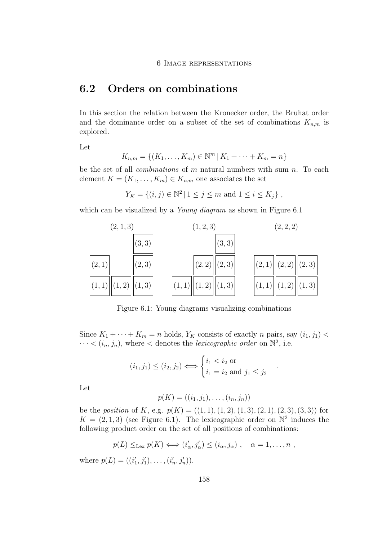## 6.2 Orders on combinations

In this section the relation between the Kronecker order, the Bruhat order and the dominance order on a subset of the set of combinations  $K_{n,m}$  is explored.

Let

$$
K_{n,m} = \{(K_1, \ldots, K_m) \in \mathbb{N}^m \, | \, K_1 + \cdots + K_m = n\}
$$

be the set of all *combinations* of  $m$  natural numbers with sum  $n$ . To each element  $K = (K_1, \ldots, K_m) \in K_{n,m}$  one associates the set

$$
Y_K = \{(i, j) \in \mathbb{N}^2 \mid 1 \le j \le m \text{ and } 1 \le i \le K_j\},\
$$

which can be visualized by a *Young diagram* as shown in Figure 6.1



Figure 6.1: Young diagrams visualizing combinations

Since  $K_1 + \cdots + K_m = n$  holds,  $Y_K$  consists of exactly n pairs, say  $(i_1, j_1)$  <  $\cdots < (i_n, j_n)$ , where  $\lt$  denotes the *lexicographic order* on  $\mathbb{N}^2$ , i.e.

$$
(i_1, j_1) \le (i_2, j_2) \Longleftrightarrow \begin{cases} i_1 < i_2 \text{ or} \\ i_1 = i_2 \text{ and } j_1 \le j_2 \end{cases}
$$

.

Let

$$
p(K) = ((i_1, j_1), \ldots, (i_n, j_n))
$$

be the *position* of K, e.g.  $p(K) = ((1, 1), (1, 2), (1, 3), (2, 1), (2, 3), (3, 3))$  for  $K = (2, 1, 3)$  (see Figure 6.1). The lexicographic order on  $\mathbb{N}^2$  induces the following product order on the set of all positions of combinations:

$$
p(L) \leq_{\text{Lex}} p(K) \iff (i'_{\alpha}, j'_{\alpha}) \leq (i_{\alpha}, j_{\alpha}) , \quad \alpha = 1, ..., n ,
$$

where  $p(L) = ((i'_1, j'_1), \ldots, (i'_n, j'_n)).$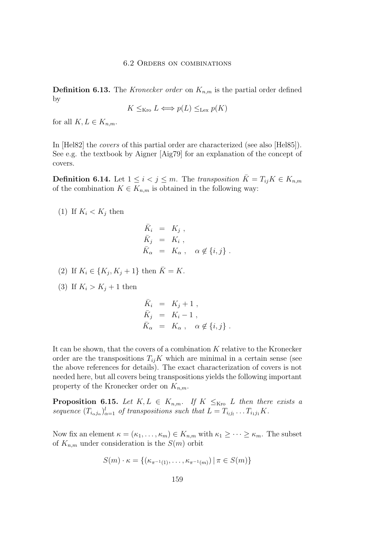#### 6.2 Orders on combinations

**Definition 6.13.** The *Kronecker order* on  $K_{n,m}$  is the partial order defined by

$$
K \leq_{\text{Kro}} L \iff p(L) \leq_{\text{Lex}} p(K)
$$

for all  $K, L \in K_{n,m}$ .

In [Hel82] the covers of this partial order are characterized (see also [Hel85]). See e.g. the textbook by Aigner [Aig79] for an explanation of the concept of covers.

**Definition 6.14.** Let  $1 \leq i < j \leq m$ . The transposition  $\bar{K} = T_{ij}K \in K_{n,m}$ of the combination  $K \in K_{n,m}$  is obtained in the following way:

(1) If  $K_i < K_j$  then

$$
\begin{aligned}\n\bar{K}_i &= K_j, \\
\bar{K}_j &= K_i, \\
\bar{K}_{\alpha} &= K_{\alpha}, \quad \alpha \notin \{i, j\}.\n\end{aligned}
$$

- (2) If  $K_i \in \{K_j, K_j + 1\}$  then  $\bar{K} = K$ .
- (3) If  $K_i > K_j + 1$  then

$$
\begin{aligned}\n\bar{K}_i &= K_j + 1, \\
\bar{K}_j &= K_i - 1, \\
\bar{K}_{\alpha} &= K_{\alpha}, \quad \alpha \notin \{i, j\}.\n\end{aligned}
$$

It can be shown, that the covers of a combination K relative to the Kronecker order are the transpositions  $T_{ij}K$  which are minimal in a certain sense (see the above references for details). The exact characterization of covers is not needed here, but all covers being transpositions yields the following important property of the Kronecker order on  $K_{n,m}$ .

**Proposition 6.15.** Let  $K, L \in K_{n,m}$ . If  $K \leq_{\text{Kro}} L$  then there exists a sequence  $(T_{i_{\alpha}j_{\alpha}})_{\alpha=1}^{l}$  of transpositions such that  $L=T_{i_{l}j_{l}}\ldots T_{i_{1}j_{1}}K$ .

Now fix an element  $\kappa = (\kappa_1, \ldots, \kappa_m) \in K_{n,m}$  with  $\kappa_1 \geq \cdots \geq \kappa_m$ . The subset of  $K_{n,m}$  under consideration is the  $S(m)$  orbit

$$
S(m) \cdot \kappa = \{ (\kappa_{\pi^{-1}(1)}, \ldots, \kappa_{\pi^{-1}(m)}) \mid \pi \in S(m) \}
$$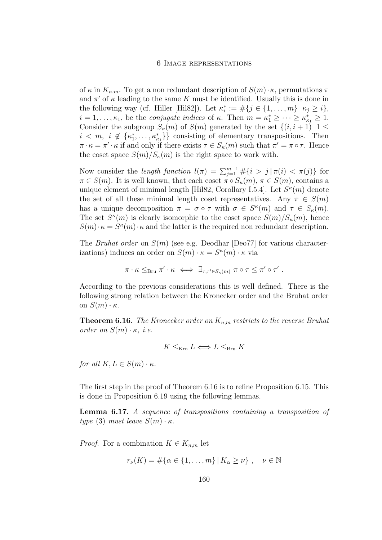of  $\kappa$  in  $K_{n,m}$ . To get a non redundant description of  $S(m) \cdot \kappa$ , permutations  $\pi$ and  $\pi'$  of  $\kappa$  leading to the same K must be identified. Usually this is done in the following way (cf. Hiller [Hil82]). Let  $\kappa_i^* := \#\{j \in \{1, ..., m\} \mid \kappa_j \geq i\},\$  $i = 1, \ldots, \kappa_1$ , be the *conjugate indices* of  $\kappa$ . Then  $m = \kappa_1^* \geq \cdots \geq \kappa_{\kappa_1}^* \geq 1$ . Consider the subgroup  $S_{\kappa}(m)$  of  $S(m)$  generated by the set  $\{(i,i+1) | 1 \leq$  $i \leq m, i \notin {\kappa_1^*, \ldots, \kappa_{\kappa_1}^*}$  consisting of elementary transpositions. Then  $\pi \cdot \kappa = \pi' \cdot \kappa$  if and only if there exists  $\tau \in S_{\kappa}(m)$  such that  $\pi' = \pi \circ \tau$ . Hence the coset space  $S(m)/S_{\kappa}(m)$  is the right space to work with.

Now consider the *length function*  $l(\pi) = \sum_{j=1}^{m-1} \# \{i > j \mid \pi(i) < \pi(j)\}\$ for  $\pi \in S(m)$ . It is well known, that each coset  $\pi \circ S_{\kappa}(m)$ ,  $\pi \in S(m)$ , contains a unique element of minimal length [Hil82, Corollary I.5.4]. Let  $S^{\kappa}(m)$  denote the set of all these minimal length coset representatives. Any  $\pi \in S(m)$ has a unique decomposition  $\pi = \sigma \circ \tau$  with  $\sigma \in S^{\kappa}(m)$  and  $\tau \in S_{\kappa}(m)$ . The set  $S^{\kappa}(m)$  is clearly isomorphic to the coset space  $S(m)/S_{\kappa}(m)$ , hence  $S(m) \cdot \kappa = S^{\kappa}(m) \cdot \kappa$  and the latter is the required non redundant description.

The Bruhat order on  $S(m)$  (see e.g. Deodhar [Deo77] for various characterizations) induces an order on  $S(m) \cdot \kappa = S^{\kappa}(m) \cdot \kappa$  via

$$
\pi \cdot \kappa \leq_{\text{Bru}} \pi' \cdot \kappa \iff \exists_{\tau, \tau' \in S_{\kappa}(m)} \pi \circ \tau \leq \pi' \circ \tau' .
$$

According to the previous considerations this is well defined. There is the following strong relation between the Kronecker order and the Bruhat order on  $S(m) \cdot \kappa$ .

**Theorem 6.16.** The Kronecker order on  $K_{n,m}$  restricts to the reverse Bruhat order on  $S(m) \cdot \kappa$ , *i.e.* 

$$
K \leq_{\text{Kro}} L \Longleftrightarrow L \leq_{\text{Bru}} K
$$

for all  $K, L \in S(m) \cdot \kappa$ .

The first step in the proof of Theorem 6.16 is to refine Proposition 6.15. This is done in Proposition 6.19 using the following lemmas.

Lemma 6.17. A sequence of transpositions containing a transposition of type (3) must leave  $S(m) \cdot \kappa$ .

*Proof.* For a combination  $K \in K_{n,m}$  let

$$
r_{\nu}(K) = \#\{\alpha \in \{1, \ldots, m\} \mid K_{\alpha} \ge \nu\}, \quad \nu \in \mathbb{N}
$$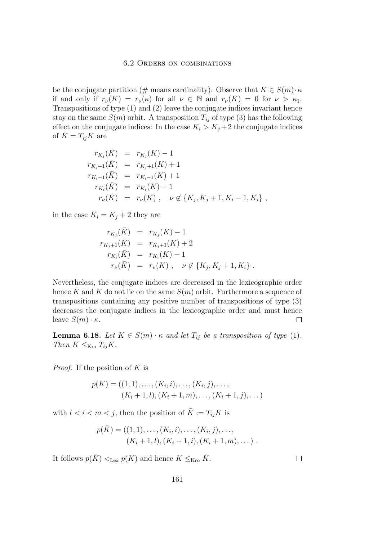#### 6.2 Orders on combinations

be the conjugate partition (# means cardinality). Observe that  $K \in S(m) \cdot \kappa$ if and only if  $r_{\nu}(K) = r_{\nu}(\kappa)$  for all  $\nu \in \mathbb{N}$  and  $r_{\nu}(K) = 0$  for  $\nu > \kappa_1$ . Transpositions of type (1) and (2) leave the conjugate indices invariant hence stay on the same  $S(m)$  orbit. A transposition  $T_{ij}$  of type (3) has the following effect on the conjugate indices: In the case  $K_i > K_j + 2$  the conjugate indices of  $K = T_{ij}K$  are

$$
r_{K_j}(\bar{K}) = r_{K_j}(K) - 1
$$
  
\n
$$
r_{K_{j+1}}(\bar{K}) = r_{K_{j+1}}(K) + 1
$$
  
\n
$$
r_{K_{i-1}}(\bar{K}) = r_{K_{i-1}}(K) + 1
$$
  
\n
$$
r_{K_i}(\bar{K}) = r_{K_i}(K) - 1
$$
  
\n
$$
r_{\nu}(\bar{K}) = r_{\nu}(K), \quad \nu \notin \{K_j, K_j + 1, K_i - 1, K_i\},
$$

in the case  $K_i = K_j + 2$  they are

$$
r_{K_j}(\bar{K}) = r_{K_j}(K) - 1
$$
  
\n
$$
r_{K_{j+1}}(\bar{K}) = r_{K_{j+1}}(K) + 2
$$
  
\n
$$
r_{K_i}(\bar{K}) = r_{K_i}(K) - 1
$$
  
\n
$$
r_{\nu}(\bar{K}) = r_{\nu}(K), \quad \nu \notin \{K_j, K_j + 1, K_i\}.
$$

Nevertheless, the conjugate indices are decreased in the lexicographic order hence  $\bar{K}$  and K do not lie on the same  $S(m)$  orbit. Furthermore a sequence of transpositions containing any positive number of transpositions of type (3) decreases the conjugate indices in the lexicographic order and must hence leave  $S(m) \cdot \kappa$ .  $\Box$ 

**Lemma 6.18.** Let  $K \in S(m) \cdot \kappa$  and let  $T_{ij}$  be a transposition of type (1). Then  $K \leq_{\text{Kro}} T_{ij}K$ .

*Proof.* If the position of  $K$  is

$$
p(K) = ((1, 1), \dots, (K_i, i), \dots, (K_i, j), \dots, (K_i + 1, l), (K_i + 1, m), \dots, (K_i + 1, j), \dots)
$$

with  $l < i < m < j$ , then the position of  $\overline{K} := T_{ij}K$  is

$$
p(\bar{K}) = ((1, 1), \dots, (K_i, i), \dots, (K_i, j), \dots, (K_i + 1, l), (K_i + 1, i), (K_i + 1, m), \dots).
$$

It follows  $p(\bar{K}) <_{\text{Lex}} p(K)$  and hence  $K \leq_{\text{Kro}} \bar{K}$ .

 $\Box$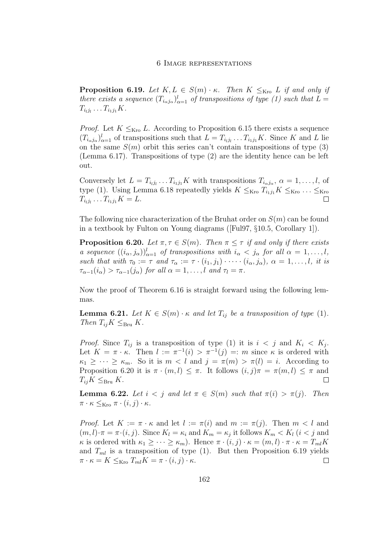**Proposition 6.19.** Let  $K, L \in S(m) \cdot \kappa$ . Then  $K \leq_{\text{Kro}} L$  if and only if there exists a sequence  $(T_{i_{\alpha}j_{\alpha}})_{\alpha=1}^{l}$  of transpositions of type (1) such that  $L =$  $T_{i_lj_l} \dots T_{i_1j_1}K$ .

*Proof.* Let  $K \leq_{\text{Kro}} L$ . According to Proposition 6.15 there exists a sequence  $(T_{i_{\alpha}j_{\alpha}})_{\alpha=1}^{l}$  of transpositions such that  $L = T_{i_{l}j_{l}} \dots T_{i_{1}j_{1}}K$ . Since K and L lie on the same  $S(m)$  orbit this series can't contain transpositions of type (3) (Lemma 6.17). Transpositions of type (2) are the identity hence can be left out.

Conversely let  $L = T_{i_l j_l} \dots T_{i_1 j_1} K$  with transpositions  $T_{i_\alpha j_\alpha}$ ,  $\alpha = 1, \dots, l$ , of type (1). Using Lemma 6.18 repeatedly yields  $K \leq_{\text{Kro}} T_{i_1j_1} K \leq_{\text{Kro}} ... \leq_{\text{Kro}}$  $T_{i_1j_1} \ldots T_{i_1j_1}K = L.$  $\Box$ 

The following nice characterization of the Bruhat order on  $S(m)$  can be found in a textbook by Fulton on Young diagrams ([Ful97, §10.5, Corollary 1]).

**Proposition 6.20.** Let  $\pi, \tau \in S(m)$ . Then  $\pi \leq \tau$  if and only if there exists a sequence  $((i_{\alpha}, j_{\alpha}))_{\alpha=1}^l$  of transpositions with  $i_{\alpha} < j_{\alpha}$  for all  $\alpha = 1, \ldots, l$ , such that with  $\tau_0 := \tau$  and  $\tau_\alpha := \tau \cdot (i_1, j_1) \cdot \cdots \cdot (i_\alpha, j_\alpha), \ \alpha = 1, \ldots, l, \$ it is  $\tau_{\alpha-1}(i_{\alpha}) > \tau_{\alpha-1}(j_{\alpha})$  for all  $\alpha = 1, \ldots, l$  and  $\tau_l = \pi$ .

Now the proof of Theorem 6.16 is straight forward using the following lemmas.

**Lemma 6.21.** Let  $K \in S(m) \cdot \kappa$  and let  $T_{ij}$  be a transposition of type (1). Then  $T_{ij}K \leq_{\text{Bru}} K$ .

*Proof.* Since  $T_{ij}$  is a transposition of type (1) it is  $i < j$  and  $K_i < K_j$ . Let  $K = \pi \cdot \kappa$ . Then  $l := \pi^{-1}(i) > \pi^{-1}(j) =: m$  since  $\kappa$  is ordered with  $\kappa_1 \geq \cdots \geq \kappa_m$ . So it is  $m < l$  and  $j = \pi(m) > \pi(l) = i$ . According to Proposition 6.20 it is  $\pi \cdot (m, l) \leq \pi$ . It follows  $(i, j)\pi = \pi(m, l) \leq \pi$  and  $T_{ij}K \leq_{\text{Bru}} K$ . П

**Lemma 6.22.** Let  $i < j$  and let  $\pi \in S(m)$  such that  $\pi(i) > \pi(j)$ . Then  $\pi \cdot \kappa \leq_{\text{Kro}} \pi \cdot (i, j) \cdot \kappa.$ 

*Proof.* Let  $K := \pi \cdot \kappa$  and let  $l := \pi(i)$  and  $m := \pi(j)$ . Then  $m < l$  and  $(m, l) \cdot \pi = \pi \cdot (i, j)$ . Since  $K_l = \kappa_i$  and  $K_m = \kappa_j$  it follows  $K_m < K_l$   $(i < j$  and  $\kappa$  is ordered with  $\kappa_1 \geq \cdots \geq \kappa_m$ ). Hence  $\pi \cdot (i, j) \cdot \kappa = (m, l) \cdot \pi \cdot \kappa = T_{ml} K$ and  $T_{ml}$  is a transposition of type (1). But then Proposition 6.19 yields  $\pi \cdot \kappa = K \leq_{\text{Kro}} T_{ml} K = \pi \cdot (i, j) \cdot \kappa.$  $\Box$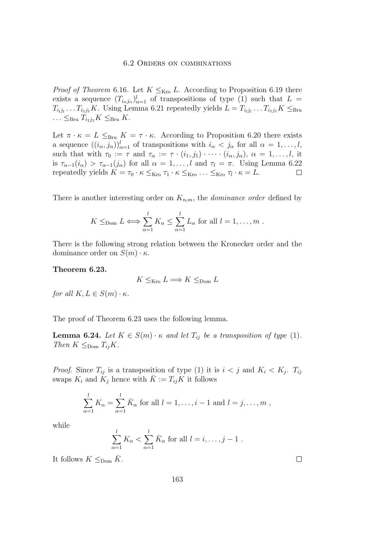#### 6.2 Orders on combinations

*Proof of Theorem* 6.16. Let  $K \leq_{\text{Kro}} L$ . According to Proposition 6.19 there exists a sequence  $(T_{i_{\alpha}j_{\alpha}})_{\alpha=1}^{l}$  of transpositions of type (1) such that  $L =$  $T_{i_lj_l} \ldots T_{i_1j_1}K$ . Using Lemma 6.21 repeatedly yields  $L = T_{i_lj_l} \ldots T_{i_1j_1}K \leq_{\text{Bru}}$  $\ldots \leq_{\text{Bru}} T_{i_1j_1} K \leq_{\text{Bru}} K.$ 

Let  $\pi \cdot \kappa = L \leq_{\text{Bru}} K = \tau \cdot \kappa$ . According to Proposition 6.20 there exists a sequence  $((i_{\alpha}, j_{\alpha}))_{\alpha=1}^l$  of transpositions with  $i_{\alpha} < j_{\alpha}$  for all  $\alpha = 1, \ldots, l$ , such that with  $\tau_0 := \tau$  and  $\tau_\alpha := \tau \cdot (i_1, j_1) \cdot \cdots \cdot (i_\alpha, j_\alpha)$ ,  $\alpha = 1, \ldots, l$ , it is  $\tau_{\alpha-1}(i_{\alpha}) > \tau_{\alpha-1}(j_{\alpha})$  for all  $\alpha = 1, \ldots, l$  and  $\tau_l = \pi$ . Using Lemma 6.22 repeatedly yields  $K = \tau_0 \cdot \kappa \leq_{\text{Kro}} \tau_1 \cdot \kappa \leq_{\text{Kro}} \ldots \leq_{\text{Kro}} \tau_l \cdot \kappa = L$ .  $\Box$ 

There is another interesting order on  $K_{n,m}$ , the *dominance order* defined by

$$
K \leq_{\text{Dom}} L \Longleftrightarrow \sum_{\alpha=1}^{l} K_{\alpha} \leq \sum_{\alpha=1}^{l} L_{\alpha} \text{ for all } l = 1, \ldots, m .
$$

There is the following strong relation between the Kronecker order and the dominance order on  $S(m) \cdot \kappa$ .

#### Theorem 6.23.

$$
K \leq_{\text{Kro}} L \Longrightarrow K \leq_{\text{Dom}} L
$$

for all  $K, L \in S(m) \cdot \kappa$ .

The proof of Theorem 6.23 uses the following lemma.

**Lemma 6.24.** Let  $K \in S(m) \cdot \kappa$  and let  $T_{ij}$  be a transposition of type (1). Then  $K \leq_{\text{Dom}} T_{ij}K$ .

*Proof.* Since  $T_{ij}$  is a transposition of type (1) it is  $i < j$  and  $K_i < K_j$ .  $T_{ij}$ swaps  $K_i$  and  $K_j$  hence with  $K := T_{ij}K$  it follows

$$
\sum_{\alpha=1}^{l} K_{\alpha} = \sum_{\alpha=1}^{l} \bar{K}_{\alpha} \text{ for all } l = 1, \dots, i-1 \text{ and } l = j, \dots, m ,
$$

while

$$
\sum_{\alpha=1}^{l} K_{\alpha} < \sum_{\alpha=1}^{l} \bar{K}_{\alpha} \text{ for all } l = i, \dots, j - 1 \ .
$$

It follows  $K \leq_{\text{Dom}} \bar{K}$ .

 $\Box$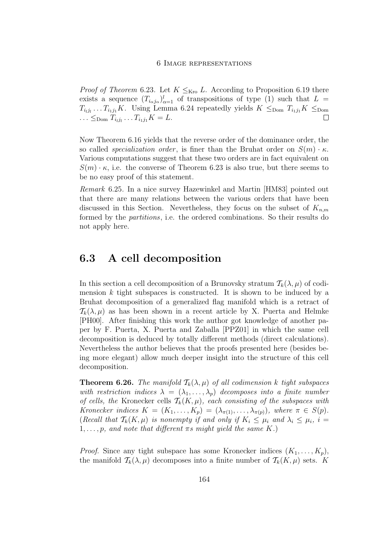*Proof of Theorem* 6.23. Let  $K \leq_{\text{Kro}} L$ . According to Proposition 6.19 there exists a sequence  $(T_{i_{\alpha}j_{\alpha}})_{\alpha=1}^{l}$  of transpositions of type (1) such that  $L =$  $T_{i_lj_l} \ldots T_{i_1j_1}K$ . Using Lemma 6.24 repeatedly yields  $K \leq_{\text{Dom}} T_{i_1j_1}K \leq_{\text{Dom}}$  $\ldots \leq$ Dom  $T_{i_lj_l}\ldots T_{i_1j_1}K = L.$  $\Box$ 

Now Theorem 6.16 yields that the reverse order of the dominance order, the so called *specialization order*, is finer than the Bruhat order on  $S(m) \cdot \kappa$ . Various computations suggest that these two orders are in fact equivalent on  $S(m) \cdot \kappa$ , i.e. the converse of Theorem 6.23 is also true, but there seems to be no easy proof of this statement.

Remark 6.25. In a nice survey Hazewinkel and Martin [HM83] pointed out that there are many relations between the various orders that have been discussed in this Section. Nevertheless, they focus on the subset of  $K_{n,m}$ formed by the partitions, i.e. the ordered combinations. So their results do not apply here.

## 6.3 A cell decomposition

In this section a cell decomposition of a Brunovsky stratum  $\mathcal{T}_{k}(\lambda,\mu)$  of codimension  $k$  tight subspaces is constructed. It is shown to be induced by a Bruhat decomposition of a generalized flag manifold which is a retract of  $\mathcal{T}_{k}(\lambda,\mu)$  as has been shown in a recent article by X. Puerta and Helmke [PH00]. After finishing this work the author got knowledge of another paper by F. Puerta, X. Puerta and Zaballa [PPZ01] in which the same cell decomposition is deduced by totally different methods (direct calculations). Nevertheless the author believes that the proofs presented here (besides being more elegant) allow much deeper insight into the structure of this cell decomposition.

**Theorem 6.26.** The manifold  $T_k(\lambda, \mu)$  of all codimension k tight subspaces with restriction indices  $\lambda = (\lambda_1, \ldots, \lambda_p)$  decomposes into a finite number of cells, the Kronecker cells  $\mathcal{T}_{k}(K,\mu)$ , each consisting of the subspaces with Kronecker indices  $K = (K_1, \ldots, K_p) = (\lambda_{\pi(1)}, \ldots, \lambda_{\pi(p)})$ , where  $\pi \in S(p)$ . (Recall that  $\mathcal{T}_{k}(K,\mu)$  is nonempty if and only if  $K_i \leq \mu_i$  and  $\lambda_i \leq \mu_i$ ,  $i =$  $1, \ldots, p$ , and note that different  $\pi s$  might yield the same K.)

*Proof.* Since any tight subspace has some Kronecker indices  $(K_1, \ldots, K_p)$ , the manifold  $\mathcal{T}_{k}(\lambda,\mu)$  decomposes into a finite number of  $\mathcal{T}_{k}(K,\mu)$  sets. K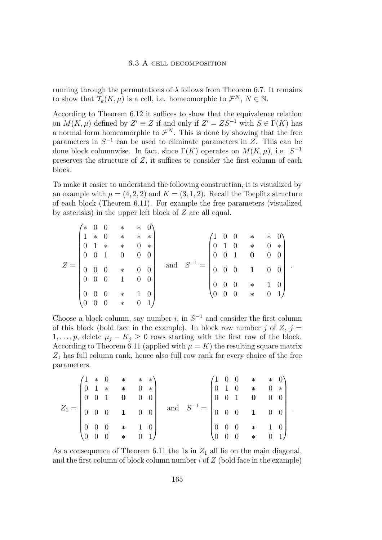#### 6.3 A cell decomposition

running through the permutations of  $\lambda$  follows from Theorem 6.7. It remains to show that  $\mathcal{T}_{k}(K,\mu)$  is a cell, i.e. homeomorphic to  $\mathcal{F}^{N}, N \in \mathbb{N}$ .

According to Theorem 6.12 it suffices to show that the equivalence relation on  $M(K, \mu)$  defined by  $Z' \equiv Z$  if and only if  $Z' = ZS^{-1}$  with  $S \in \Gamma(K)$  has a normal form homeomorphic to  $\mathcal{F}^N$ . This is done by showing that the free parameters in  $S^{-1}$  can be used to eliminate parameters in Z. This can be done block columnwise. In fact, since  $\Gamma(K)$  operates on  $M(K, \mu)$ , i.e.  $S^{-1}$ preserves the structure of Z, it suffices to consider the first column of each block.

To make it easier to understand the following construction, it is visualized by an example with  $\mu = (4, 2, 2)$  and  $K = (3, 1, 2)$ . Recall the Toeplitz structure of each block (Theorem 6.11). For example the free parameters (visualized by asterisks) in the upper left block of Z are all equal.

$$
Z = \begin{pmatrix} * & 0 & 0 & * & * & * & 0 \\ 1 & * & 0 & * & * & * & * \\ 0 & 1 & * & * & 0 & * \\ 0 & 0 & 1 & 0 & 0 & 0 \\ 0 & 0 & 0 & * & 0 & 0 \\ 0 & 0 & 0 & * & 1 & 0 \\ 0 & 0 & 0 & * & 0 & 1 \end{pmatrix} \quad \text{and} \quad S^{-1} = \begin{pmatrix} 1 & 0 & 0 & * & * & 0 \\ 0 & 1 & 0 & * & 0 & * \\ 0 & 0 & 1 & 0 & 0 & 0 \\ 0 & 0 & 0 & 1 & 0 & 0 \\ 0 & 0 & 0 & * & 1 & 0 \\ 0 & 0 & 0 & * & 0 & 1 \end{pmatrix}.
$$

Choose a block column, say number i, in  $S^{-1}$  and consider the first column of this block (bold face in the example). In block row number j of Z,  $j =$ 1, ..., p, delete  $\mu_i - K_i \geq 0$  rows starting with the first row of the block. According to Theorem 6.11 (applied with  $\mu = K$ ) the resulting square matrix  $Z_1$  has full column rank, hence also full row rank for every choice of the free parameters.

$$
Z_1 = \begin{pmatrix} 1 & * & 0 & * & * & * \\ 0 & 1 & * & * & 0 & * \\ 0 & 0 & 1 & 0 & 0 & 0 \\ 0 & 0 & 0 & 1 & 0 & 0 \\ 0 & 0 & 0 & * & 1 & 0 \\ 0 & 0 & 0 & * & 0 & 1 \end{pmatrix} \quad \text{and} \quad S^{-1} = \begin{pmatrix} 1 & 0 & 0 & * & * & 0 \\ 0 & 1 & 0 & * & 0 & * \\ 0 & 0 & 1 & 0 & 0 & 0 \\ 0 & 0 & 0 & 1 & 0 & 0 \\ 0 & 0 & 0 & * & 1 & 0 \\ 0 & 0 & 0 & * & 0 & 1 \end{pmatrix}
$$

.

As a consequence of Theorem 6.11 the 1s in  $Z_1$  all lie on the main diagonal, and the first column of block column number  $i$  of  $Z$  (bold face in the example)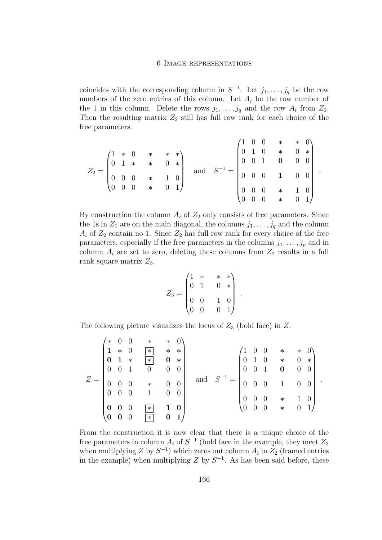coincides with the corresponding column in  $S^{-1}$ . Let  $j_1, \ldots, j_q$  be the row numbers of the zero entries of this column. Let  $A_i$  be the row number of the 1 in this column. Delete the rows  $j_1, \ldots, j_q$  and the row  $A_i$  from  $Z_1$ . Then the resulting matrix  $Z_2$  still has full row rank for each choice of the free parameters.

$$
Z_2 = \begin{pmatrix} 1 & * & 0 & * & * & * \\ 0 & 1 & * & * & 0 & * \\ 0 & 0 & 0 & * & 1 & 0 \\ 0 & 0 & 0 & * & 0 & 1 \end{pmatrix} \quad \text{and} \quad S^{-1} = \begin{pmatrix} 1 & 0 & 0 & * & * & 0 \\ 0 & 1 & 0 & * & 0 & * \\ 0 & 0 & 1 & 0 & 0 & 0 \\ 0 & 0 & 0 & 1 & 0 & 0 \\ 0 & 0 & 0 & * & 1 & 0 \\ 0 & 0 & 0 & * & 0 & 1 \end{pmatrix}.
$$

By construction the column  $A_i$  of  $Z_2$  only consists of free parameters. Since the 1s in  $Z_1$  are on the main diagonal, the columns  $j_1, \ldots, j_q$  and the column  $A_i$  of  $Z_2$  contain no 1. Since  $Z_2$  has full row rank for every choice of the free parameters, especially if the free parameters in the columns  $j_1, \ldots, j_p$  and in column  $A_i$  are set to zero, deleting these columns from  $Z_2$  results in a full rank square matrix  $Z_3$ .

$$
Z_3 = \begin{pmatrix} 1 & * & * & * \\ 0 & 1 & 0 & * \\ 0 & 0 & 1 & 0 \\ 0 & 0 & 0 & 1 \end{pmatrix}.
$$

The following picture visualizes the locus of  $Z_3$  (bold face) in Z.

|       | ั∗                                             |                  |                |                                                                                     | $*$            |                |     |          |                         |                |                |                                                                                |            |                |
|-------|------------------------------------------------|------------------|----------------|-------------------------------------------------------------------------------------|----------------|----------------|-----|----------|-------------------------|----------------|----------------|--------------------------------------------------------------------------------|------------|----------------|
|       | $1 * 0$                                        |                  |                | $\begin{array}{c cc} * & * \\ \hline * & * \\ \hline * & 0 \\ 0 & 0 \\ \end{array}$ |                | $\ast$         |     |          |                         |                |                |                                                                                |            |                |
|       | $\begin{vmatrix} 0 & 1 \\ 1 & 1 \end{vmatrix}$ |                  |                |                                                                                     |                | $\ast$         |     |          |                         |                |                | $\begin{pmatrix} 1 & 0 & 0 & * & * & 0 \\ 0 & 1 & 0 & * & 0 & * \end{pmatrix}$ |            |                |
|       | $\begin{bmatrix} 0 & 0 \end{bmatrix}$          |                  | $\overline{1}$ |                                                                                     |                | 0 <sub>1</sub> |     |          | $\mathbf{1} \mathbf{0}$ | $\overline{0}$ | $\overline{1}$ | $\bf{0}$                                                                       | $0\quad 0$ |                |
| $Z =$ | $\theta$                                       | $\theta$         | $\overline{0}$ | $\begin{array}{c} * \\ 1 \end{array}$                                               | $\overline{0}$ | $\overline{0}$ | and | $C^{-1}$ | $\overline{0}$          | $\overline{0}$ | $\theta$       |                                                                                |            | $0\quad 0$     |
|       | $\begin{pmatrix} 0 & 0 & 0 \end{pmatrix}$      |                  |                |                                                                                     | $0\quad 0$     |                |     |          | $\mathbf{1}_{0}$        |                | $\theta$       | $*$                                                                            | $1\quad 0$ |                |
|       | $\overline{0}$                                 | $\boldsymbol{0}$ | $\theta$       | $*$                                                                                 | $\mathbf{1}$   | $\bf{0}$       |     |          | $\sqrt{0}$              | $\overline{0}$ | $\overline{0}$ |                                                                                |            | 0 <sub>1</sub> |
|       | $\sqrt{0}$                                     |                  | $\overline{0}$ | $*$                                                                                 | $\bf{0}$       | $\mathbf{1}$   |     |          |                         |                |                |                                                                                |            |                |

.

From the construction it is now clear that there is a unique choice of the free parameters in column  $A_i$  of  $S^{-1}$  (bold face in the example, they meet  $Z_3$ when multiplying  $Z$  by  $S^{-1}$ ) which zeros out column  $A_i$  in  $Z_2$  (framed entries in the example) when multiplying  $Z$  by  $S^{-1}$ . As has been said before, these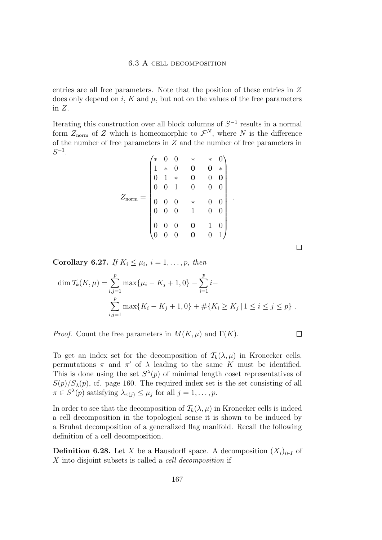entries are all free parameters. Note that the position of these entries in Z does only depend on i, K and  $\mu$ , but not on the values of the free parameters in Z.

Iterating this construction over all block columns of  $S^{-1}$  results in a normal form  $Z_{\text{norm}}$  of Z which is homeomorphic to  $\mathcal{F}^N$ , where N is the difference of the number of free parameters in Z and the number of free parameters in  $S^{-1}$ .

$$
Z_{\text{norm}} = \begin{pmatrix} * & 0 & 0 & * & * & 0 \\ 1 & * & 0 & \mathbf{0} & \mathbf{0} & * \\ 0 & 1 & * & \mathbf{0} & 0 & \mathbf{0} \\ 0 & 0 & 1 & 0 & 0 & 0 \\ 0 & 0 & 0 & * & 0 & 0 \\ 0 & 0 & 0 & 1 & 0 & 0 \\ 0 & 0 & \mathbf{0} & \mathbf{0} & 0 & 1 \end{pmatrix}
$$

.

 $\Box$ 

Corollary 6.27. If  $K_i \leq \mu_i$ ,  $i = 1, \ldots, p$ , then

$$
\dim \mathcal{T}_{k}(K,\mu) = \sum_{i,j=1}^{p} \max\{\mu_{i} - K_{j} + 1, 0\} - \sum_{i=1}^{p} i - \sum_{i,j=1}^{p} \max\{K_{i} - K_{j} + 1, 0\} + \# \{K_{i} \ge K_{j} | 1 \le i \le j \le p\}.
$$

*Proof.* Count the free parameters in  $M(K, \mu)$  and  $\Gamma(K)$ .

To get an index set for the decomposition of  $\mathcal{T}_{k}(\lambda, \mu)$  in Kronecker cells, permutations  $\pi$  and  $\pi'$  of  $\lambda$  leading to the same K must be identified. This is done using the set  $S^{\lambda}(p)$  of minimal length coset representatives of  $S(p)/S_{\lambda}(p)$ , cf. page 160. The required index set is the set consisting of all  $\pi \in S^{\lambda}(p)$  satisfying  $\lambda_{\pi(j)} \leq \mu_j$  for all  $j = 1, \ldots, p$ .

In order to see that the decomposition of  $\mathcal{T}_{k}(\lambda,\mu)$  in Kronecker cells is indeed a cell decomposition in the topological sense it is shown to be induced by a Bruhat decomposition of a generalized flag manifold. Recall the following definition of a cell decomposition.

**Definition 6.28.** Let X be a Hausdorff space. A decomposition  $(X_i)_{i\in I}$  of X into disjoint subsets is called a *cell decomposition* if

 $\Box$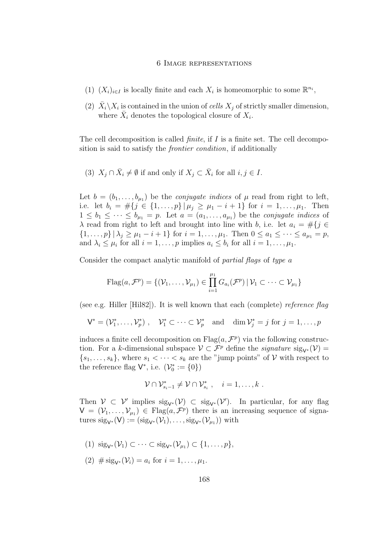- (1)  $(X_i)_{i \in I}$  is locally finite and each  $X_i$  is homeomorphic to some  $\mathbb{R}^{n_i}$ ,
- (2)  $\bar{X}_i \backslash X_i$  is contained in the union of cells  $X_j$  of strictly smaller dimension, where  $\bar{X}_i$  denotes the topological closure of  $X_i$ .

The cell decomposition is called *finite*, if  $I$  is a finite set. The cell decomposition is said to satisfy the frontier condition, if additionally

(3)  $X_j \cap \bar{X}_i \neq \emptyset$  if and only if  $X_j \subset \bar{X}_i$  for all  $i, j \in I$ .

Let  $b = (b_1, \ldots, b_{\mu_1})$  be the *conjugate indices* of  $\mu$  read from right to left, i.e. let  $b_i = #\{j \in \{1, ..., p\} | \mu_j \geq \mu_1 - i + 1\}$  for  $i = 1, ..., \mu_1$ . Then  $1 \leq b_1 \leq \cdots \leq b_{\mu_1} = p$ . Let  $a = (a_1, \ldots, a_{\mu_1})$  be the *conjugate indices* of  $\lambda$  read from right to left and brought into line with b, i.e. let  $a_i = #\{j \in$  $\{1,\ldots,p\} | \lambda_i \geq \mu_1 - i + 1\}$  for  $i = 1,\ldots,\mu_1$ . Then  $0 \leq a_1 \leq \cdots \leq a_{\mu_1} = p$ , and  $\lambda_i \leq \mu_i$  for all  $i = 1, \ldots, p$  implies  $a_i \leq b_i$  for all  $i = 1, \ldots, \mu_1$ .

Consider the compact analytic manifold of partial flags of type a

$$
\mathrm{Flag}(a,\mathcal{F}^p) = \{(\mathcal{V}_1,\ldots,\mathcal{V}_{\mu_1}) \in \prod_{i=1}^{\mu_1} G_{a_i}(\mathcal{F}^p) \, | \, \mathcal{V}_1 \subset \cdots \subset \mathcal{V}_{\mu_1}\}
$$

(see e.g. Hiller [Hil82]). It is well known that each (complete) reference flag

$$
\mathsf{V}^* = (\mathcal{V}_1^*, \dots, \mathcal{V}_p^*) \ , \quad \mathcal{V}_1^* \subset \dots \subset \mathcal{V}_p^* \quad \text{and} \quad \dim \mathcal{V}_j^* = j \text{ for } j = 1, \dots, p
$$

induces a finite cell decomposition on  $Flag(a, \mathcal{F}^p)$  via the following construction. For a k-dimensional subspace  $\mathcal{V} \subset \mathcal{F}^p$  define the *signature*  $sig_{\mathsf{V}^*}(\mathcal{V}) =$  $\{s_1, \ldots, s_k\}$ , where  $s_1 < \cdots < s_k$  are the "jump points" of V with respect to the reference flag  $V^*$ , i.e.  $(\mathcal{V}_0^* := \{0\})$ 

$$
\mathcal{V} \cap \mathcal{V}_{s_i-1}^* \neq \mathcal{V} \cap \mathcal{V}_{s_i}^*, \quad i = 1, \ldots, k.
$$

Then  $V \subset V'$  implies  $sig_{V^*}(\mathcal{V}) \subset sig_{V^*}(\mathcal{V}')$ . In particular, for any flag  $V = (V_1, \ldots, V_{\mu_1}) \in Flag(a, \mathcal{F}^p)$  there is an increasing sequence of signatures  $sig_{V^*}(V) := (sig_{V^*}(\mathcal{V}_1), \ldots, sig_{V^*}(\mathcal{V}_{\mu_1}))$  with

- (1)  $\operatorname{sig}_{\mathsf{V}^*}(\mathcal{V}_1) \subset \cdots \subset \operatorname{sig}_{\mathsf{V}^*}(\mathcal{V}_{\mu_1}) \subset \{1,\ldots,p\},\$
- (2)  $\# \text{sig}_{V^*}(V_i) = a_i \text{ for } i = 1, ..., \mu_1.$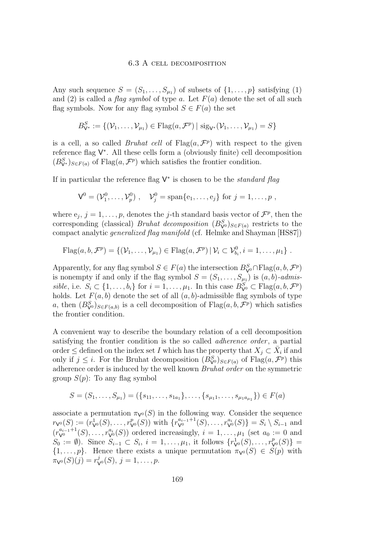#### 6.3 A cell decomposition

Any such sequence  $S = (S_1, \ldots, S_{\mu_1})$  of subsets of  $\{1, \ldots, p\}$  satisfying (1) and (2) is called a *flag symbol* of type a. Let  $F(a)$  denote the set of all such flag symbols. Now for any flag symbol  $S \in F(a)$  the set

$$
B_{\mathsf{V}^*}^S := \{(\mathcal{V}_1, \ldots, \mathcal{V}_{\mu_1}) \in \mathrm{Flag}(a, \mathcal{F}^p) \mid \mathrm{sig}_{\mathsf{V}^*}(\mathcal{V}_1, \ldots, \mathcal{V}_{\mu_1}) = S\}
$$

is a cell, a so called *Bruhat cell* of  $Flag(a, \mathcal{F}^p)$  with respect to the given reference flag  $V^*$ . All these cells form a (obviously finite) cell decomposition  $(B_{\mathsf{V}^*}^S)_{S \in F(a)}$  of Flag $(a, \mathcal{F}^p)$  which satisfies the frontier condition.

If in particular the reference flag  $V^*$  is chosen to be the *standard flag* 

 $\mathsf{V}^0 = (\mathcal{V}^0_1, \ldots, \mathcal{V}^0_p)$ ,  $\mathcal{V}^0_j = \text{span}\{e_1, \ldots, e_j\}$  for  $j = 1, \ldots, p$ ,

where  $e_j$ ,  $j = 1, \ldots, p$ , denotes the j-th standard basis vector of  $\mathcal{F}^p$ , then the corresponding (classical) *Bruhat decomposition*  $(B_{\mathsf{V}^0}^S)_{S \in F(a)}$  restricts to the compact analytic generalized flag manifold (cf. Helmke and Shayman [HS87])

$$
\mathrm{Flag}(a, b, \mathcal{F}^p) = \{(\mathcal{V}_1, \ldots, \mathcal{V}_{\mu_1}) \in \mathrm{Flag}(a, \mathcal{F}^p) \, | \, \mathcal{V}_i \subset \mathcal{V}_{b_i}^0, i = 1, \ldots, \mu_1 \} \; .
$$

Apparently, for any flag symbol  $S \in F(a)$  the intersection  $B_{\mathsf{V}^0}^S \cap \text{Flag}(a, b, \mathcal{F}^p)$ is nonempty if and only if the flag symbol  $S = (S_1, \ldots, S_{\mu_1})$  is  $(a, b)$ -admis*sible*, i.e.  $S_i \subset \{1, \ldots, b_i\}$  for  $i = 1, \ldots, \mu_1$ . In this case  $B_{\mathsf{V}^0}^S \subset \text{Flag}(a, b, \mathcal{F}^p)$ holds. Let  $F(a, b)$  denote the set of all  $(a, b)$ -admissible flag symbols of type a, then  $(B_{\mathsf{V}^0}^S)_{S \in F(a,b)}$  is a cell decomposition of  $\text{Flag}(a, b, \mathcal{F}^p)$  which satisfies the frontier condition.

A convenient way to describe the boundary relation of a cell decomposition satisfying the frontier condition is the so called adherence order , a partial order  $\leq$  defined on the index set I which has the property that  $X_j \subset \overline{X}_i$  if and only if  $j \leq i$ . For the Bruhat decomposition  $(B_{\mathsf{V}^0}^S)_{S \in F(a)}$  of  $\text{Flag}(a, \mathcal{F}^p)$  this adherence order is induced by the well known Bruhat order on the symmetric group  $S(p)$ : To any flag symbol

$$
S = (S_1, \ldots, S_{\mu_1}) = (\{s_{11}, \ldots, s_{1a_1}\}, \ldots, \{s_{\mu_1 1}, \ldots, s_{\mu_1 a_{\mu_1}}\}) \in F(a)
$$

associate a permutation  $\pi_{\mathsf{V}^0}(S)$  in the following way. Consider the sequence  $r_{\mathsf{V}^0}(S) := (r_{\mathsf{V}^0}^1(S), \ldots, r_{\mathsf{V}^0}^p(S))$  with  $\{r_{\mathsf{V}^0}^{a_{i-1}+1}(S), \ldots, r_{\mathsf{V}^0}^{a_i}(S)\} = S_i \setminus S_{i-1}$  and  $(r_{V^0}^{a_{i-1}+1}(S),...,r_{V^0}^{a_i}(S))$  ordered increasingly,  $i = 1,..., \mu_1$  (set  $a_0 := 0$  and  $S_0 := \emptyset$ ). Since  $S_{i-1} \subset S_i$ ,  $i = 1, ..., \mu_1$ , it follows  $\{r^1_{\mathsf{V}^0}(S), ..., r^p_{\mathsf{V}^0}(S)\}$  $\{1,\ldots,p\}$ . Hence there exists a unique permutation  $\pi_{\mathsf{V}^0}(S) \in S(p)$  with  $\pi_{\mathsf{V}^0}(S)(j) = r_{\mathsf{V}^0}^j(S), j = 1, \ldots, p.$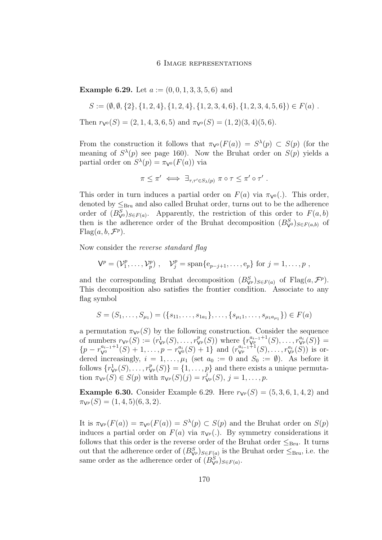**Example 6.29.** Let  $a := (0, 0, 1, 3, 3, 5, 6)$  and

$$
S := (\emptyset, \emptyset, \{2\}, \{1, 2, 4\}, \{1, 2, 4\}, \{1, 2, 3, 4, 6\}, \{1, 2, 3, 4, 5, 6\}) \in F(a) .
$$

Then  $r_{\mathsf{V}^0}(S) = (2, 1, 4, 3, 6, 5)$  and  $\pi_{\mathsf{V}^0}(S) = (1, 2)(3, 4)(5, 6)$ .

From the construction it follows that  $\pi_{V}(\mathcal{F}(a)) = S^{\lambda}(p) \subset S(p)$  (for the meaning of  $S^{\lambda}(p)$  see page 160). Now the Bruhat order on  $S(p)$  yields a partial order on  $S^{\lambda}(p) = \pi_{V^0}(F(a))$  via

$$
\pi \leq \pi' \iff \exists_{\tau,\tau' \in S_{\lambda}(p)} \pi \circ \tau \leq \pi' \circ \tau' .
$$

This order in turn induces a partial order on  $F(a)$  via  $\pi_{V^0}(.)$ . This order, denoted by  $\leq_{\text{Bru}}$  and also called Bruhat order, turns out to be the adherence order of  $(B_{\mathbf{V}^0}^S)_{S \in F(a)}$ . Apparently, the restriction of this order to  $F(a, b)$ then is the adherence order of the Bruhat decomposition  $(B_{V^0}^S)_{S\in F(a,b)}$  of  $Flag(a, b, \mathcal{F}^p).$ 

Now consider the reverse standard flag

$$
\mathsf{V}^p = (\mathcal{V}^p_1, \dots, \mathcal{V}^p_p) \ , \quad \mathcal{V}^p_j = \text{span}\{e_{p-j+1}, \dots, e_p\} \text{ for } j = 1, \dots, p \ ,
$$

and the corresponding Bruhat decomposition  $(B_{\mathsf{V}^p}^S)_{S \in F(a)}$  of  $\text{Flag}(a, \mathcal{F}^p)$ . This decomposition also satisfies the frontier condition. Associate to any flag symbol

$$
S = (S_1, \ldots, S_{\mu_1}) = (\{s_{11}, \ldots, s_{1a_1}\}, \ldots, \{s_{\mu_1 1}, \ldots, s_{\mu_1 a_{\mu_1}}\}) \in F(a)
$$

a permutation  $\pi_{\mathsf{V}^p}(S)$  by the following construction. Consider the sequence of numbers  $r_{\mathsf{V}^p}(S) := (r_{\mathsf{V}^p}^1(S), \ldots, r_{\mathsf{V}^p}^p(S))$  where  $\{r_{\mathsf{V}^p}^{a_{i-1}+1}(S), \ldots, r_{\mathsf{V}^p}^{a_i}(S)\} =$  ${p-r_{\mathsf{V}^0}^{a_{i-1}+1}(S) + 1, \ldots, p-r_{\mathsf{V}^0}^{a_i}(S) + 1}$  and  $(r_{\mathsf{V}^p}^{a_{i-1}+1}(S), \ldots, r_{\mathsf{V}^p}^{a_i}(S))$  is ordered increasingly,  $i = 1, ..., \mu_1$  (set  $a_0 := 0$  and  $S_0 := \emptyset$ ). As before it follows  $\{r^1_{\mathsf{V}^p}(S), \ldots, r^p_{\mathsf{V}^p}(S)\} = \{1, \ldots, p\}$  and there exists a unique permutation  $\pi_{\mathsf{V}^p}(S) \in S(p)$  with  $\pi_{\mathsf{V}^p}(S)(j) = r_{\mathsf{V}^p}^j(S), j = 1, \ldots, p$ .

**Example 6.30.** Consider Example 6.29. Here  $r_{V_P}(S) = (5, 3, 6, 1, 4, 2)$  and  $\pi_{\mathsf{V}^p}(S) = (1, 4, 5)(6, 3, 2).$ 

It is  $\pi_{\mathsf{V}^p}(F(a)) = \pi_{\mathsf{V}^0}(F(a)) = S^{\lambda}(p) \subset S(p)$  and the Bruhat order on  $S(p)$ induces a partial order on  $F(a)$  via  $\pi_{V_P}$ . By symmetry considerations it follows that this order is the reverse order of the Bruhat order  $\leq_{\text{Bru}}$ . It turns out that the adherence order of  $(B_{\mathsf{V}^p}^S)_{S \in F(a)}$  is the Bruhat order  $\leq_{\mathrm{Bru}}$ , i.e. the same order as the adherence order of  $(B_{\mathsf{V}^0}^S)_{S \in F(a)}$ .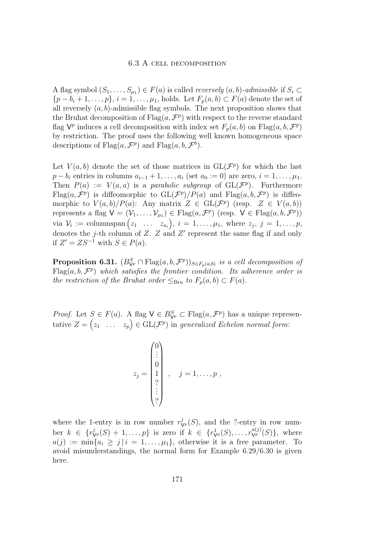#### 6.3 A cell decomposition

A flag symbol  $(S_1, \ldots, S_{\mu_1}) \in F(a)$  is called *reversely*  $(a, b)$ -*admissible* if  $S_i \subset$  $\{p-b_i+1,\ldots,p\}, i=1,\ldots,\mu_1$ , holds. Let  $F_p(a,b)\subset F(a)$  denote the set of all reversely  $(a, b)$ -admissible flag symbols. The next proposition shows that the Bruhat decomposition of  $Flag(a, \mathcal{F}^p)$  with respect to the reverse standard flag  $\mathsf{V}^p$  induces a cell decomposition with index set  $F_p(a, b)$  on  $\text{Flag}(a, b, \mathcal{F}^p)$ by restriction. The proof uses the following well known homogeneous space descriptions of  $\text{Flag}(a, \mathcal{F}^p)$  and  $\text{Flag}(a, b, \mathcal{F}^b)$ .

Let  $V(a, b)$  denote the set of those matrices in  $GL(\mathcal{F}^p)$  for which the last  $p - b_i$  entries in columns  $a_{i-1} + 1, \ldots, a_i$  (set  $a_0 := 0$ ) are zero,  $i = 1, \ldots, \mu_1$ . Then  $P(a) := V(a, a)$  is a parabolic subgroup of  $GL(\mathcal{F}^p)$ . Furthermore Flag(a,  $\mathcal{F}^p$ ) is diffeomorphic to  $GL(\mathcal{F}^p)/P(a)$  and Flag(a, b,  $\mathcal{F}^p$ ) is diffeomorphic to  $V(a, b)/P(a)$ : Any matrix  $Z \in GL(\mathcal{F}^p)$  (resp.  $Z \in V(a, b)$ ) represents a flag  $V = (\mathcal{V}_1, \ldots, \mathcal{V}_{\mu_1}) \in Flag(a, \mathcal{F}^p)$  (resp.  $V \in Flag(a, b, \mathcal{F}^p)$ ) via  $\mathcal{V}_i := \text{columnspan}\left(z_1 \dots z_{a_i}\right), i = 1,\dots,\mu_1, \text{ where } z_j, j = 1,\dots,p,$ denotes the j-th column of Z. Z and Z' represent the same flag if and only if  $Z' = ZS^{-1}$  with  $S \in P(a)$ .

**Proposition 6.31.**  $(B_{\mathsf{V}^p}^S \cap \mathrm{Flag}(a, b, \mathcal{F}^p))_{S \in F_p(a,b)}$  is a cell decomposition of  $Flag(a, b, \mathcal{F}^p)$  which satisfies the frontier condition. Its adherence order is the restriction of the Bruhat order  $\leq_{\text{Bru}}$  to  $F_p(a, b) \subset F(a)$ .

*Proof.* Let  $S \in F(a)$ . A flag  $V \in B_{V^p}^S \subset Flag(a, \mathcal{F}^p)$  has a unique representative  $Z = \begin{pmatrix} z_1 & \dots & z_p \end{pmatrix} \in \text{GL}(\mathcal{F}^p)$  in generalized Echelon normal form:

$$
z_j = \begin{pmatrix} 0 \\ \vdots \\ 0 \\ 1 \\ \vdots \\ 0 \end{pmatrix} , \quad j = 1, \dots, p ,
$$

where the 1-entry is in row number  $r_{V^p}^j(S)$ , and the ?-entry in row number  $k \in \{r^j_{\mathsf{V}^p}(S) + 1, \ldots, p\}$  is zero if  $k \in \{r^1_{\mathsf{V}^p}(S), \ldots, r^{\mathsf{a}(j)}_{\mathsf{V}^p}(S)\},\$  where  $a(j) := \min\{a_i \geq j \mid i = 1, \ldots, \mu_1\}$ , otherwise it is a free parameter. To avoid misunderstandings, the normal form for Example 6.29/6.30 is given here.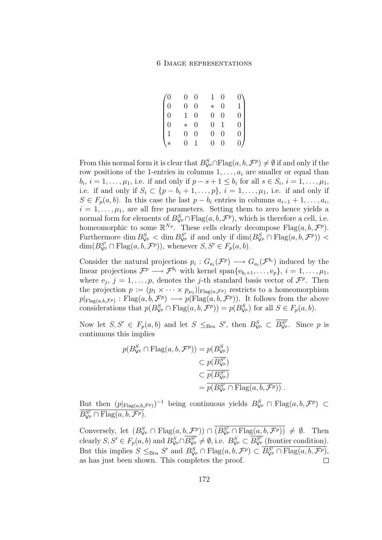|                                                            | $0 \quad 0$    |                |                | $1 \quad 0$    |                                                           |
|------------------------------------------------------------|----------------|----------------|----------------|----------------|-----------------------------------------------------------|
|                                                            | $0 \quad 0$    |                |                | $* 0$          |                                                           |
|                                                            | $1 \quad 0$    |                |                | $0 \quad 0$    |                                                           |
| $\begin{pmatrix} 0 \\ 0 \\ 0 \\ 0 \\ 1 \\ * \end{pmatrix}$ | $\ast$         | $\overline{0}$ |                | 0 <sub>1</sub> | $\begin{pmatrix} 0 \ 1 \ 0 \ 0 \ 0 \ 0 \ 0 \end{pmatrix}$ |
|                                                            | $\overline{0}$ | $\overline{0}$ | $\overline{0}$ | $\overline{0}$ |                                                           |
|                                                            | 0 <sub>1</sub> |                | $\overline{0}$ | $\overline{0}$ |                                                           |

From this normal form it is clear that  $B_{\mathsf{V}^p}^S \cap \mathrm{Flag}(a, b, \mathcal{F}^p) \neq \emptyset$  if and only if the row positions of the 1-entries in columns  $1, \ldots, a_i$  are smaller or equal than  $b_i, i = 1, \ldots, \mu_1$ , i.e. if and only if  $p - s + 1 \leq b_i$  for all  $s \in S_i$ ,  $i = 1, \ldots, \mu_1$ , i.e. if and only if  $S_i \subset \{p - b_i + 1, \ldots, p\}, i = 1, \ldots, \mu_1$ , i.e. if and only if  $S \in F_p(a, b)$ . In this case the last  $p - b_i$  entries in columns  $a_{i-1} + 1, \ldots, a_i$ ,  $i = 1, \ldots, \mu_1$ , are all free parameters. Setting them to zero hence yields a normal form for elements of  $B_{\mathsf{V}^p}^S \cap \mathrm{Flag}(a, b, \mathcal{F}^p)$ , which is therefore a cell, i.e. homeomorphic to some  $\mathbb{R}^{N_S}$ . These cells clearly decompose  $Flag(a, b, \mathcal{F}^p)$ . Furthermore dim  $B_{\mathsf{V}^p}^S <$  dim  $B_{\mathsf{V}^p}^{S'}$  if and only if  $\dim(B_{\mathsf{V}^p}^S \cap \text{Flag}(a, b, \mathcal{F}^p))$  <  $\dim(B_{\mathsf{V}^p}^{S'} \cap \mathrm{Flag}(a, b, \mathcal{F}^p)),$  whenever  $S, S' \in F_p(a, b)$ .

Consider the natural projections  $p_i: G_{a_i}(\mathcal{F}^p) \longrightarrow G_{a_i}(\mathcal{F}^{b_i})$  induced by the linear projections  $\mathcal{F}^p \longrightarrow \mathcal{F}^{b_i}$  with kernel span $\{e_{b_i+1}, \ldots, e_p\}, i = 1, \ldots, \mu_1$ , where  $e_j$ ,  $j = 1, \ldots, p$ , denotes the j-th standard basis vector of  $\mathcal{F}^p$ . Then the projection  $p := (p_1 \times \cdots \times p_{\mu_1})|_{\text{Flag}(a,\mathcal{F}^p)}$  restricts to a homeomorphism  $p|_{\text{Flag}(a,b,\mathcal{F}^p)} : \text{Flag}(a,b,\mathcal{F}^p) \longrightarrow p(\text{Flag}(a,b,\mathcal{F}^p)).$  It follows from the above considerations that  $p(B_{\mathsf{V}^p}^S \cap \mathrm{Flag}(a, b, \mathcal{F}^p)) = p(B_{\mathsf{V}^p}^S)$  for all  $S \in F_p(a, b)$ .

Now let  $S, S' \in F_p(a, b)$  and let  $S \leq_{\text{Bru}} S'$ , then  $B_{\mathsf{V}^p}^S \subset \overline{B_{\mathsf{V}^p}^S}$ . Since p is continuous this implies

$$
p(B_{\mathsf{V}^p}^S \cap \operatorname{Flag}(a, b, \mathcal{F}^p)) = p(B_{\mathsf{V}^p}^S)
$$
  
\n
$$
\subset p(\overline{B_{\mathsf{V}^p}^{S'}})
$$
  
\n
$$
\subset \overline{p(B_{\mathsf{V}^p}^{S'})}
$$
  
\n
$$
= \overline{p(B_{\mathsf{V}^p}^{S'} \cap \operatorname{Flag}(a, b, \mathcal{F}^p))}.
$$

But then  $(p|_{Flag(a,b,\mathcal{F}^p)})^{-1}$  being continuous yields  $B_{\mathsf{V}^p}^S \cap Flag(a,b,\mathcal{F}^p) \subset$  $\overline{B_{\mathsf{V}^p}^{S'}} \cap \mathrm{Flag}(a, b, \mathcal{F}^p).$ 

Conversely, let  $(B_{\mathsf{V}^p}^S \cap \mathrm{Flag}(a, b, \mathcal{F}^p)) \cap \overline{(B_{\mathsf{V}^p}^{S'} \cap \mathrm{Flag}(a, b, \mathcal{F}^p))} \neq \emptyset$ . Then clearly  $S, S' \in F_p(a, b)$  and  $B_{\mathsf{V}^p}^S \cap \overline{B_{\mathsf{V}^p}^{S'}} \neq \emptyset$ , i.e.  $B_{\mathsf{V}^p}^S \subset \overline{B_{\mathsf{V}^p}^{S'}}$  (frontier condition). But this implies  $S \leq_{\text{Bru}} S'$  and  $B_{\mathsf{V}^p}^S \cap \text{Flag}(a, b, \mathcal{F}^p) \subset \overline{B_{\mathsf{V}^p}^{S'}} \cap \text{Flag}(a, b, \mathcal{F}^p)$ , as has just been shown. This completes the proof.  $\Box$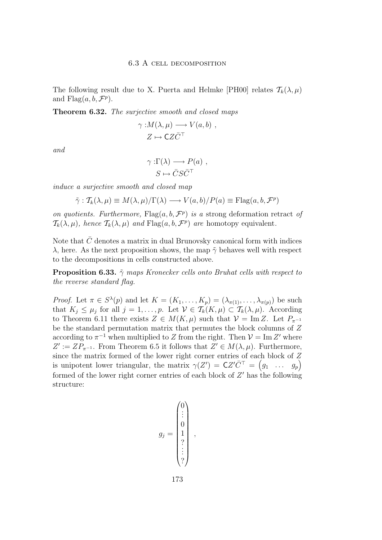The following result due to X. Puerta and Helmke [PH00] relates  $\mathcal{T}_{k}(\lambda, \mu)$ and  $Flag(a, b, \mathcal{F}^p)$ .

Theorem 6.32. The surjective smooth and closed maps

$$
\gamma: M(\lambda, \mu) \longrightarrow V(a, b) ,
$$
  

$$
Z \mapsto \mathsf{C} Z \overline{C}^\top
$$

and

$$
\gamma : \Gamma(\lambda) \longrightarrow P(a) ,
$$
  

$$
S \mapsto \bar{C} S \bar{C}^{\top}
$$

induce a surjective smooth and closed map

$$
\tilde{\gamma} : \mathcal{T}_{k}(\lambda, \mu) \equiv M(\lambda, \mu)/\Gamma(\lambda) \longrightarrow V(a, b)/P(a) \equiv \text{Flag}(a, b, \mathcal{F}^{p})
$$

on quotients. Furthermore,  $Flag(a, b, \mathcal{F}^p)$  is a strong deformation retract of  $\mathcal{T}_{k}(\lambda,\mu)$ , hence  $\mathcal{T}_{k}(\lambda,\mu)$  and  $\text{Flag}(a,b,\mathcal{F}^{p})$  are homotopy equivalent.

Note that  $\bar{C}$  denotes a matrix in dual Brunovsky canonical form with indices  $λ$ , here. As the next proposition shows, the map  $\tilde{γ}$  behaves well with respect to the decompositions in cells constructed above.

**Proposition 6.33.**  $\tilde{\gamma}$  maps Kronecker cells onto Bruhat cells with respect to the reverse standard flag.

*Proof.* Let  $\pi \in S^{\lambda}(p)$  and let  $K = (K_1, \ldots, K_p) = (\lambda_{\pi(1)}, \ldots, \lambda_{\pi(p)})$  be such that  $K_j \leq \mu_j$  for all  $j = 1, \ldots, p$ . Let  $\mathcal{V} \in \mathcal{T}_k(K, \mu) \subset \mathcal{T}_k(\lambda, \mu)$ . According to Theorem 6.11 there exists  $Z \in M(K,\mu)$  such that  $\mathcal{V} = \text{Im } Z$ . Let  $P_{\pi^{-1}}$ be the standard permutation matrix that permutes the block columns of Z according to  $\pi^{-1}$  when multiplied to Z from the right. Then  $\mathcal{V} = \text{Im } Z'$  where  $Z' := ZP_{\pi^{-1}}$ . From Theorem 6.5 it follows that  $Z' \in M(\lambda, \mu)$ . Furthermore, since the matrix formed of the lower right corner entries of each block of Z is unipotent lower triangular, the matrix  $\gamma(Z') = \mathsf{C} Z' \overline{C}^\top = \begin{pmatrix} g_1 & \dots & g_p \end{pmatrix}$ formed of the lower right corner entries of each block of  $Z'$  has the following structure:

$$
g_j = \begin{pmatrix} 0 \\ \vdots \\ 0 \\ 1 \\ \vdots \\ 0 \end{pmatrix} ,
$$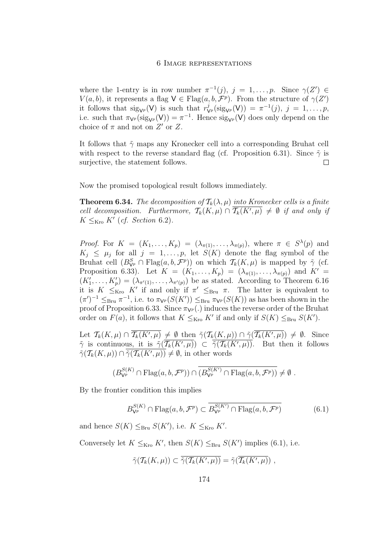where the 1-entry is in row number  $\pi^{-1}(j)$ ,  $j = 1, \ldots, p$ . Since  $\gamma(Z') \in$  $V(a, b)$ , it represents a flag  $V \in Flag(a, b, \mathcal{F}^p)$ . From the structure of  $\gamma(Z')$ it follows that  $sig_{V_P}(V)$  is such that  $r_{V_P}^j(sig_{V_P}(V)) = \pi^{-1}(j)$ ,  $j = 1, \ldots, p$ , i.e. such that  $\pi_{V^p}(\text{sig}_{V^p}(V)) = \pi^{-1}$ . Hence  $\text{sig}_{V^p}(V)$  does only depend on the choice of  $\pi$  and not on  $Z'$  or  $Z$ .

It follows that  $\tilde{\gamma}$  maps any Kronecker cell into a corresponding Bruhat cell with respect to the reverse standard flag (cf. Proposition 6.31). Since  $\tilde{\gamma}$  is surjective, the statement follows.  $\Box$ 

Now the promised topological result follows immediately.

**Theorem 6.34.** The decomposition of  $T_k(\lambda, \mu)$  into Kronecker cells is a finite cell decomposition. Furthermore,  $\mathcal{T}_k(K,\mu) \cap \mathcal{T}_k(K',\mu) \neq \emptyset$  if and only if  $K \leq_{\text{Kro}} K'$  (*cf. Section* 6.2).

*Proof.* For  $K = (K_1, \ldots, K_p) = (\lambda_{\pi(1)}, \ldots, \lambda_{\pi(p)})$ , where  $\pi \in S^{\lambda}(p)$  and  $K_j \leq \mu_j$  for all  $j = 1, \ldots, p$ , let  $S(K)$  denote the flag symbol of the Bruhat cell  $(B_{\mathsf{V}^p}^S \cap \mathrm{Flag}(a, b, \mathcal{F}^p))$  on which  $\mathcal{T}_k(K, \mu)$  is mapped by  $\tilde{\gamma}$  (cf. Proposition 6.33). Let  $K = (K_1, \ldots, K_p) = (\lambda_{\pi(1)}, \ldots, \lambda_{\pi(p)})$  and  $K' =$  $(K'_1, \ldots, K'_p) = (\lambda_{\pi'(1)}, \ldots, \lambda_{\pi'(p)})$  be as stated. According to Theorem 6.16 it is  $K \leq_{\text{Kro}} K'$  if and only if  $\pi' \leq_{\text{Bru}} \pi$ . The latter is equivalent to  $(\pi')^{-1} \le_{\text{Bru}} \pi^{-1}$ , i.e. to  $\pi_{\mathsf{V}^p}(S(K')) \le_{\text{Bru}} \pi_{\mathsf{V}^p}(S(K))$  as has been shown in the proof of Proposition 6.33. Since  $\pi_{V_p}$ . induces the reverse order of the Bruhat order on  $F(a)$ , it follows that  $K \leq_{\text{Kro}} K'$  if and only if  $S(K) \leq_{\text{Bru}} S(K')$ .

Let  $\mathcal{T}_k(K,\mu) \cap \mathcal{T}_k(K',\mu) \neq \emptyset$  then  $\tilde{\gamma}(\mathcal{T}_k(K,\mu)) \cap \tilde{\gamma}(\mathcal{T}_k(K',\mu)) \neq \emptyset$ . Since  $\tilde{\gamma}$  is continuous, it is  $\tilde{\gamma}(\mathcal{T}_k(K', \mu)) \subset \tilde{\gamma}(\mathcal{T}_k(K', \mu))$ . But then it follows  $\tilde{\gamma}(\mathcal{T}_{k}(K,\mu)) \cap \tilde{\gamma}(\mathcal{T}_{k}(K',\mu)) \neq \emptyset$ , in other words

$$
(B_{\mathsf{V}^p}^{S(K)} \cap \mathrm{Flag}(a, b, \mathcal{F}^p)) \cap \overline{(B_{\mathsf{V}^p}^{S(K')}\cap \mathrm{Flag}(a, b, \mathcal{F}^p))} \neq \emptyset.
$$

By the frontier condition this implies

$$
B_{\mathsf{V}^p}^{S(K)} \cap \mathrm{Flag}(a, b, \mathcal{F}^p) \subset \overline{B_{\mathsf{V}^p}^{S(K')}} \cap \mathrm{Flag}(a, b, \mathcal{F}^p)
$$
(6.1)

and hence  $S(K) \leq_{\text{Bru}} S(K')$ , i.e.  $K \leq_{\text{Kro}} K'$ .

Conversely let  $K \leq_{\text{Kro}} K'$ , then  $S(K) \leq_{\text{Bru}} S(K')$  implies (6.1), i.e.

$$
\tilde{\gamma}(\mathcal{T}_k(K,\mu)) \subset \overline{\tilde{\gamma}(\mathcal{T}_k(K',\mu))} = \tilde{\gamma}(\overline{\mathcal{T}_k(K',\mu)}) ,
$$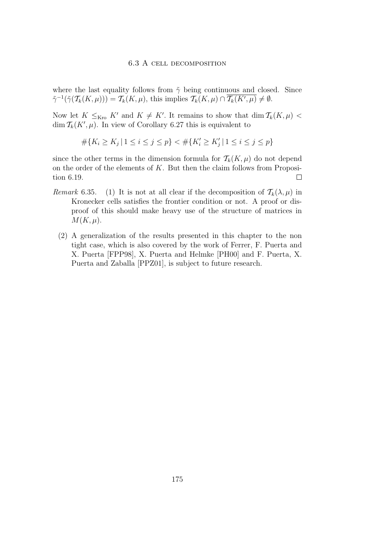#### 6.3 A cell decomposition

where the last equality follows from  $\tilde{\gamma}$  being continuous and closed. Since  $\tilde{\gamma}^{-1}(\tilde{\gamma}(\mathcal{T}_{k}(K,\mu)))=\mathcal{T}_{k}(K,\mu),$  this implies  $\mathcal{T}_{k}(K,\mu)\cap\overline{\mathcal{T}_{k}(K',\mu)}}\neq\emptyset$ .

Now let  $K \leq_{\text{Kro}} K'$  and  $K \neq K'$ . It remains to show that  $\dim \mathcal{T}_{k}(K, \mu)$  $\dim T_k(K',\mu)$ . In view of Corollary 6.27 this is equivalent to

$$
\#\{K_i \ge K_j \mid 1 \le i \le j \le p\} < \#\{K'_i \ge K'_j \mid 1 \le i \le j \le p\}
$$

since the other terms in the dimension formula for  $\mathcal{T}_{k}(K,\mu)$  do not depend on the order of the elements of  $K$ . But then the claim follows from Proposition 6.19.  $\Box$ 

- Remark 6.35. (1) It is not at all clear if the decomposition of  $\mathcal{T}_k(\lambda, \mu)$  in Kronecker cells satisfies the frontier condition or not. A proof or disproof of this should make heavy use of the structure of matrices in  $M(K,\mu).$ 
	- (2) A generalization of the results presented in this chapter to the non tight case, which is also covered by the work of Ferrer, F. Puerta and X. Puerta [FPP98], X. Puerta and Helmke [PH00] and F. Puerta, X. Puerta and Zaballa [PPZ01], is subject to future research.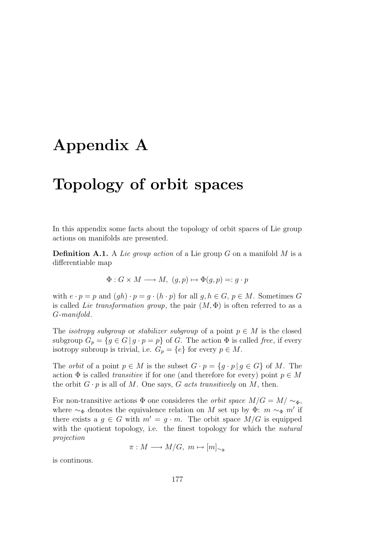# Appendix A

# Topology of orbit spaces

In this appendix some facts about the topology of orbit spaces of Lie group actions on manifolds are presented.

**Definition A.1.** A Lie group action of a Lie group G on a manifold M is a differentiable map

$$
\Phi: G \times M \longrightarrow M, \ (g, p) \mapsto \Phi(g, p) =: g \cdot p
$$

with  $e \cdot p = p$  and  $(qh) \cdot p = q \cdot (h \cdot p)$  for all  $q, h \in G, p \in M$ . Sometimes G is called Lie transformation group, the pair  $(M, \Phi)$  is often referred to as a G-manifold.

The *isotropy subgroup* or *stabilizer subgroup* of a point  $p \in M$  is the closed subgroup  $G_p = \{g \in G \mid g \cdot p = p\}$  of G. The action  $\Phi$  is called free, if every isotropy subroup is trivial, i.e.  $G_p = \{e\}$  for every  $p \in M$ .

The *orbit* of a point  $p \in M$  is the subset  $G \cdot p = \{g \cdot p \mid g \in G\}$  of M. The action  $\Phi$  is called *transitive* if for one (and therefore for every) point  $p \in M$ the orbit  $G \cdot p$  is all of M. One says, G acts transitively on M, then.

For non-transitive actions  $\Phi$  one consideres the *orbit space*  $M/G = M/\sim_{\Phi}$ , where  $\sim_{\Phi}$  denotes the equivalence relation on M set up by  $\Phi$ :  $m \sim_{\Phi} m'$  if there exists a  $q \in G$  with  $m' = q \cdot m$ . The orbit space  $M/G$  is equipped with the quotient topology, i.e. the finest topology for which the *natural* projection

$$
\pi: M \longrightarrow M/G, \ m \mapsto [m]_{\sim_{\Phi}}
$$

is continous.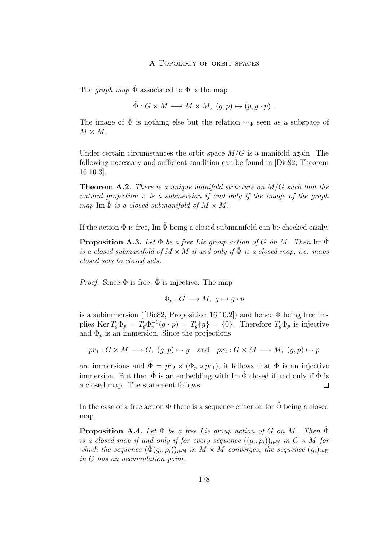#### A Topology of orbit spaces

The *graph* map  $\hat{\Phi}$  associated to  $\Phi$  is the map

 $\hat{\Phi}: G \times M \longrightarrow M \times M$ ,  $(q, p) \mapsto (p, q \cdot p)$ .

The image of  $\hat{\Phi}$  is nothing else but the relation  $\sim_{\Phi}$  seen as a subspace of  $M \times M$ .

Under certain circumstances the orbit space  $M/G$  is a manifold again. The following necessary and sufficient condition can be found in [Die82, Theorem 16.10.3].

**Theorem A.2.** There is a unique manifold structure on  $M/G$  such that the natural projection  $\pi$  is a submersion if and only if the image of the graph map Im  $\Phi$  is a closed submanifold of  $M \times M$ .

If the action  $\Phi$  is free, Im  $\Phi$  being a closed submanifold can be checked easily.

**Proposition A.3.** Let  $\Phi$  be a free Lie group action of G on M. Then  $\text{Im } \hat{\Phi}$ is a closed submanifold of  $M \times M$  if and only if  $\hat{\Phi}$  is a closed map, i.e. maps closed sets to closed sets.

*Proof.* Since  $\Phi$  is free,  $\hat{\Phi}$  is injective. The map

 $\Phi_n: G \longrightarrow M, \ q \mapsto q \cdot p$ 

is a subimmersion ( $[Die 82, Proposition 16.10.2]$ ) and hence  $\Phi$  being free implies  $\text{Ker } T_g \Phi_p = T_g \Phi_p^{-1}(g \cdot p) = T_g \{g\} = \{0\}.$  Therefore  $T_g \Phi_p$  is injective and  $\Phi_p$  is an immersion. Since the projections

 $pr_1: G \times M \longrightarrow G$ ,  $(g, p) \mapsto g$  and  $pr_2: G \times M \longrightarrow M$ ,  $(g, p) \mapsto p$ 

are immersions and  $\hat{\Phi} = pr_2 \times (\Phi_p \circ pr_1)$ , it follows that  $\hat{\Phi}$  is an injective immersion. But then  $\hat{\Phi}$  is an embedding with Im  $\hat{\Phi}$  closed if and only if  $\hat{\Phi}$  is a closed map. The statement follows.  $\Box$ 

In the case of a free action  $\Phi$  there is a sequence criterion for  $\Phi$  being a closed map.

**Proposition A.4.** Let  $\Phi$  be a free Lie group action of G on M. Then  $\Phi$ is a closed map if and only if for every sequence  $((g_i, p_i))_{i \in \mathbb{N}}$  in  $G \times M$  for which the sequence  $(\hat{\Phi}(g_i, p_i))_{i \in \mathbb{N}}$  in  $M \times M$  converges, the sequence  $(g_i)_{i \in \mathbb{N}}$ in G has an accumulation point.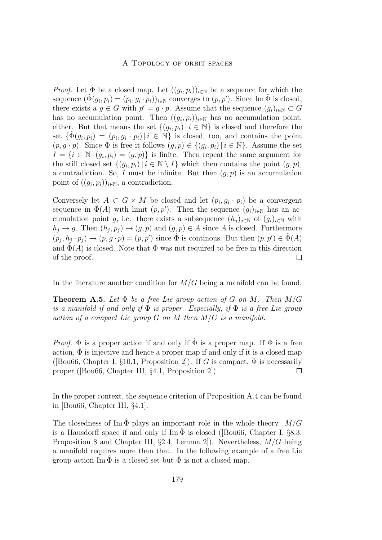#### A Topology of orbit spaces

*Proof.* Let  $\hat{\Phi}$  be a closed map. Let  $((g_i, p_i))_{i \in \mathbb{N}}$  be a sequence for which the sequence  $(\hat{\Phi}(g_i, p_i) = (p_i, g_i \cdot p_i))_{i \in \mathbb{N}}$  converges to  $(p, p')$ . Since Im  $\hat{\Phi}$  is closed, there exists a  $g \in G$  with  $p' = g \cdot p$ . Assume that the sequence  $(g_i)_{i \in \mathbb{N}} \subset G$ has no accumulation point. Then  $((g_i, p_i))_{i \in \mathbb{N}}$  has no accumulation point, either. But that means the set  $\{(g_i, p_i) | i \in \mathbb{N}\}\$ is closed and therefore the set  $\{\hat{\Phi}(g_i, p_i) = (p_i, g_i \cdot p_i) | i \in \mathbb{N}\}\$ is closed, too, and contains the point  $(p, g \cdot p)$ . Since  $\Phi$  is free it follows  $(g, p) \in \{(g_i, p_i) | i \in \mathbb{N}\}\.$  Assume the set  $I = \{i \in \mathbb{N} \mid (g_i, p_i) = (g, p)\}\$ is finite. Then repeat the same argument for the still closed set  $\{(g_i, p_i) | i \in \mathbb{N} \setminus I\}$  which then contains the point  $(g, p)$ , a contradiction. So, I must be infinite. But then  $(q, p)$  is an accumulation point of  $((g_i, p_i))_{i \in \mathbb{N}}$ , a contradiction.

Conversely let  $A \subset G \times M$  be closed and let  $(p_i, g_i \cdot p_i)$  be a convergent sequence in  $\hat{\Phi}(A)$  with limit  $(p, p')$ . Then the sequence  $(g_i)_{i \in \mathbb{N}}$  has an accumulation point g, i.e. there exists a subsequence  $(h_i)_{i\in\mathbb{N}}$  of  $(g_i)_{i\in\mathbb{N}}$  with  $h_j \to g$ . Then  $(h_j, p_j) \to (g, p)$  and  $(g, p) \in A$  since A is closed. Furthermore  $(p_j, h_j \cdot p_j) \to (p, g \cdot p) = (p, p')$  since  $\hat{\Phi}$  is continous. But then  $(p, p') \in \hat{\Phi}(A)$ and  $\ddot{\Phi}(A)$  is closed. Note that  $\Phi$  was not required to be free in this direction of the proof.  $\Box$ 

In the literature another condition for  $M/G$  being a manifold can be found.

**Theorem A.5.** Let  $\Phi$  be a free Lie group action of G on M. Then  $M/G$ is a manifold if and only if  $\Phi$  is proper. Especially, if  $\Phi$  is a free Lie group action of a compact Lie group  $G$  on  $M$  then  $M/G$  is a manifold.

*Proof.*  $\Phi$  is a proper action if and only if  $\hat{\Phi}$  is a proper map. If  $\Phi$  is a free action,  $\hat{\Phi}$  is injective and hence a proper map if and only if it is a closed map ([Bou66, Chapter I, §10.1, Proposition 2]). If G is compact,  $\Phi$  is necessarily proper ([Bou66, Chapter III, §4.1, Proposition 2]).  $\Box$ 

In the proper context, the sequence criterion of Proposition A.4 can be found in [Bou66, Chapter III, §4.1].

The closedness of Im  $\Phi$  plays an important role in the whole theory.  $M/G$ is a Hausdorff space if and only if Im  $\hat{\Phi}$  is closed ([Bou66, Chapter I, §8.3, Proposition 8 and Chapter III,  $\S 2.4$ , Lemma 2.). Nevertheless,  $M/G$  being a manifold requires more than that. In the following example of a free Lie group action Im  $\hat{\Phi}$  is a closed set but  $\hat{\Phi}$  is not a closed map.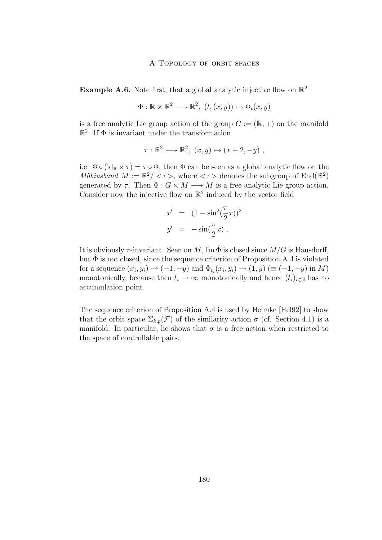#### A Topology of orbit spaces

**Example A.6.** Note first, that a global analytic injective flow on  $\mathbb{R}^2$ 

$$
\Phi: \mathbb{R} \times \mathbb{R}^2 \longrightarrow \mathbb{R}^2, \ (t, (x, y)) \mapsto \Phi_t(x, y)
$$

is a free analytic Lie group action of the group  $G := (\mathbb{R}, +)$  on the manifold  $\mathbb{R}^2$ . If  $\Phi$  is invariant under the transformation

$$
\tau : \mathbb{R}^2 \longrightarrow \mathbb{R}^2, (x, y) \mapsto (x + 2, -y) ,
$$

i.e.  $\Phi \circ (\mathrm{id}_{\mathbb{R}} \times \tau) = \tau \circ \Phi$ , then  $\Phi$  can be seen as a global analytic flow on the Möbiusband  $M := \mathbb{R}^2 / \langle \tau \rangle$ , where  $\langle \tau \rangle$  denotes the subgroup of End( $\mathbb{R}^2$ ) generated by  $\tau$ . Then  $\Phi: G \times M \longrightarrow M$  is a free analytic Lie group action. Consider now the injective flow on  $\mathbb{R}^2$  induced by the vector field

$$
x' = (1 - \sin^2(\frac{\pi}{2}x))^2
$$
  

$$
y' = -\sin(\frac{\pi}{2}x).
$$

It is obviously  $\tau$ -invariant. Seen on M, Im  $\hat{\Phi}$  is closed since  $M/G$  is Hausdorff, but  $\hat{\Phi}$  is not closed, since the sequence criterion of Proposition A.4 is violated for a sequence  $(x_i, y_i) \rightarrow (-1, -y)$  and  $\Phi_{t_i}(x_i, y_i) \rightarrow (1, y)$   $(\equiv (-1, -y)$  in M) monotonically, because then  $t_i \to \infty$  monotonically and hence  $(t_i)_{i \in \mathbb{N}}$  has no accumulation point.

The sequence criterion of Proposition A.4 is used by Helmke [Hel92] to show that the orbit space  $\Sigma_{k,p}(\mathcal{F})$  of the similarity action  $\sigma$  (cf. Section 4.1) is a manifold. In particular, he shows that  $\sigma$  is a free action when restricted to the space of controllable pairs.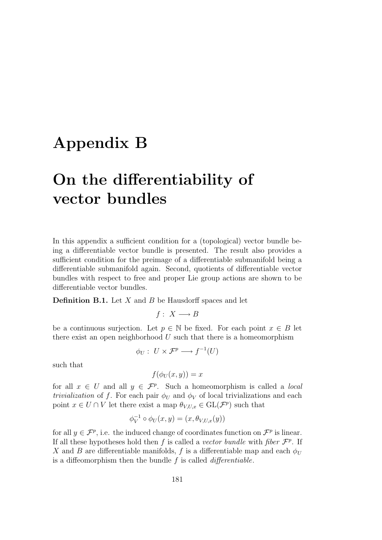# Appendix B

# On the differentiability of vector bundles

In this appendix a sufficient condition for a (topological) vector bundle being a differentiable vector bundle is presented. The result also provides a sufficient condition for the preimage of a differentiable submanifold being a differentiable submanifold again. Second, quotients of differentiable vector bundles with respect to free and proper Lie group actions are shown to be differentiable vector bundles.

**Definition B.1.** Let  $X$  and  $B$  be Hausdorff spaces and let

$$
f: X \longrightarrow B
$$

be a continuous surjection. Let  $p \in \mathbb{N}$  be fixed. For each point  $x \in B$  let there exist an open neighborhood  $U$  such that there is a homeomorphism

$$
\phi_U: U \times \mathcal{F}^p \longrightarrow f^{-1}(U)
$$

such that

$$
f(\phi_U(x,y)) = x
$$

for all  $x \in U$  and all  $y \in \mathcal{F}^p$ . Such a homeomorphism is called a *local trivialization* of f. For each pair  $\phi_U$  and  $\phi_V$  of local trivializations and each point  $x \in U \cap V$  let there exist a map  $\theta_{V,U,x} \in GL(\mathcal{F}^p)$  such that

$$
\phi_V^{-1} \circ \phi_U(x, y) = (x, \theta_{V, U, x}(y))
$$

for all  $y \in \mathcal{F}^p$ , i.e. the induced change of coordinates function on  $\mathcal{F}^p$  is linear. If all these hypotheses hold then f is called a vector bundle with fiber  $\mathcal{F}^p$ . If X and B are differentiable manifolds, f is a differentiable map and each  $\phi_U$ is a diffeomorphism then the bundle  $f$  is called *differentiable*.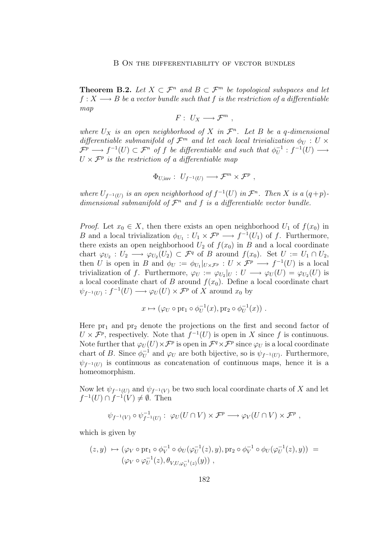**Theorem B.2.** Let  $X \subset \mathcal{F}^n$  and  $B \subset \mathcal{F}^m$  be topological subspaces and let  $f: X \longrightarrow B$  be a vector bundle such that f is the restriction of a differentiable map

$$
F: U_X \longrightarrow \mathcal{F}^m ,
$$

where  $U_X$  is an open neighborhood of X in  $\mathcal{F}^n$ . Let B be a q-dimensional differentiable submanifold of  $\mathcal{F}^m$  and let each local trivialization  $\phi_U : U \times$  $\mathcal{F}^p \longrightarrow f^{-1}(U) \subset \mathcal{F}^n$  of f be differentiable and such that  $\phi_U^{-1} : f^{-1}(U) \longrightarrow$  $U \times \mathcal{F}^p$  is the restriction of a differentiable map

$$
\Phi_{U,\text{inv}}: U_{f^{-1}(U)} \longrightarrow \mathcal{F}^m \times \mathcal{F}^p ,
$$

where  $U_{f^{-1}(U)}$  is an open neighborhood of  $f^{-1}(U)$  in  $\mathcal{F}^n$ . Then X is a  $(q+p)$ dimensional submanifold of  $\mathcal{F}^n$  and f is a differentiable vector bundle.

*Proof.* Let  $x_0 \in X$ , then there exists an open neighborhood  $U_1$  of  $f(x_0)$  in B and a local trivialization  $\phi_{U_1}: U_1 \times \mathcal{F}^p \longrightarrow f^{-1}(U_1)$  of f. Furthermore, there exists an open neighborhood  $U_2$  of  $f(x_0)$  in B and a local coordinate chart  $\varphi_{U_2}: U_2 \longrightarrow \varphi_{U_2}(U_2) \subset \mathcal{F}^q$  of B around  $f(x_0)$ . Set  $U := U_1 \cap U_2$ , then U is open in B and  $\phi_U := \phi_{U_1}|_{U \times \mathcal{F}^p} : U \times \mathcal{F}^p \longrightarrow f^{-1}(U)$  is a local trivialization of f. Furthermore,  $\varphi_U := \varphi_{U_2}|_U : U \longrightarrow \varphi_U(U) = \varphi_{U_2}(U)$  is a local coordinate chart of B around  $f(x_0)$ . Define a local coordinate chart  $\psi_{f^{-1}(U)} : f^{-1}(U) \longrightarrow \varphi_U(U) \times \mathcal{F}^p$  of X around  $x_0$  by

$$
x \mapsto (\varphi_U \circ \text{pr}_1 \circ \phi_U^{-1}(x), \text{pr}_2 \circ \phi_U^{-1}(x)) .
$$

Here  $pr_1$  and  $pr_2$  denote the projections on the first and second factor of  $U \times \mathcal{F}^p$ , respectively. Note that  $f^{-1}(U)$  is open in X since f is continuous. Note further that  $\varphi_U(U) \times \mathcal{F}^p$  is open in  $\mathcal{F}^q \times \mathcal{F}^p$  since  $\varphi_U$  is a local coordinate chart of B. Since  $\phi_U^{-1}$  and  $\varphi_U$  are both bijective, so is  $\psi_{f^{-1}(U)}$ . Furthermore,  $\psi_{f^{-1}(U)}$  is continuous as concatenation of continuous maps, hence it is a homeomorphism.

Now let  $\psi_{f^{-1}(U)}$  and  $\psi_{f^{-1}(V)}$  be two such local coordinate charts of X and let  $f^{-1}(U) \cap f^{-1}(V) \neq \emptyset$ . Then

$$
\psi_{f^{-1}(V)} \circ \psi_{f^{-1}(U)}^{-1} : \varphi_U(U \cap V) \times \mathcal{F}^p \longrightarrow \varphi_V(U \cap V) \times \mathcal{F}^p,
$$

which is given by

$$
(z,y) \mapsto (\varphi_V \circ pr_1 \circ \phi_V^{-1} \circ \phi_U(\varphi_U^{-1}(z),y), pr_2 \circ \phi_V^{-1} \circ \phi_U(\varphi_U^{-1}(z),y)) = (\varphi_V \circ \varphi_U^{-1}(z), \theta_{V,U,\varphi_U^{-1}(z)}(y)),
$$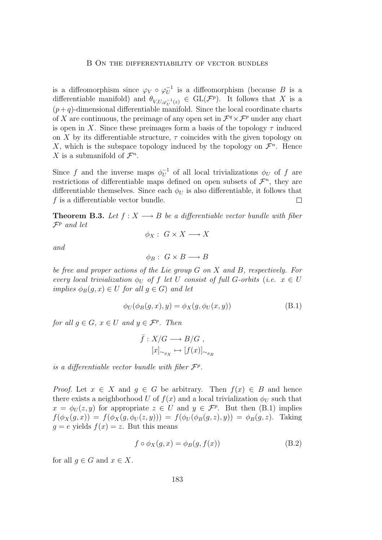#### B On the differentiability of vector bundles

is a diffeomorphism since  $\varphi_V \circ \varphi_U^{-1}$  is a diffeomorphism (because B is a differentiable manifold) and  $\theta_{V,U,\varphi_U^{-1}(z)} \in GL(\mathcal{F}^p)$ . It follows that X is a  $(p+q)$ -dimensional differentiable manifold. Since the local coordinate charts of X are continuous, the preimage of any open set in  $\mathcal{F}^q \times \mathcal{F}^p$  under any chart is open in X. Since these preimages form a basis of the topology  $\tau$  induced on X by its differentiable structure,  $\tau$  coincides with the given topology on X, which is the subspace topology induced by the topology on  $\mathcal{F}^n$ . Hence X is a submanifold of  $\mathcal{F}^n$ .

Since f and the inverse maps  $\phi_U^{-1}$  of all local trivializations  $\phi_U$  of f are restrictions of differentiable maps defined on open subsets of  $\mathcal{F}^n$ , they are differentiable themselves. Since each  $\phi_U$  is also differentiable, it follows that f is a differentiable vector bundle.  $\Box$ 

**Theorem B.3.** Let  $f : X \longrightarrow B$  be a differentiable vector bundle with fiber  $\mathcal{F}^p$  and let  $\phi_X: G \times X \longrightarrow X$ 

and

$$
\phi_B: G \times B \longrightarrow B
$$

be free and proper actions of the Lie group  $G$  on  $X$  and  $B$ , respectively. For every local trivialization  $\phi_U$  of f let U consist of full G-orbits (i.e.  $x \in U$ implies  $\phi_B(q, x) \in U$  for all  $q \in G$ ) and let

$$
\phi_U(\phi_B(g, x), y) = \phi_X(g, \phi_U(x, y))
$$
\n(B.1)

for all  $g \in G$ ,  $x \in U$  and  $y \in \mathcal{F}^p$ . Then

$$
\bar{f}: X/G \longrightarrow B/G ,
$$

$$
[x]_{\sim_{\phi_X}} \mapsto [f(x)]_{\sim_{\phi_B}}
$$

is a differentiable vector bundle with fiber  $\mathcal{F}^p$ .

*Proof.* Let  $x \in X$  and  $q \in G$  be arbitrary. Then  $f(x) \in B$  and hence there exists a neighborhood U of  $f(x)$  and a local trivialization  $\phi_U$  such that  $x = \phi_U(z, y)$  for appropriate  $z \in U$  and  $y \in \mathcal{F}^p$ . But then (B.1) implies  $f(\phi_X(g, x)) = f(\phi_X(g, \phi_U(z, y))) = f(\phi_U(\phi_B(g, z), y)) = \phi_B(g, z)$ . Taking  $q = e$  yields  $f(x) = z$ . But this means

$$
f \circ \phi_X(g, x) = \phi_B(g, f(x))
$$
 (B.2)

for all  $q \in G$  and  $x \in X$ .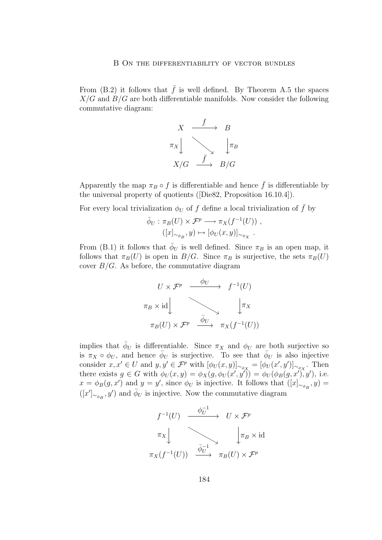From (B.2) it follows that  $\bar{f}$  is well defined. By Theorem A.5 the spaces  $X/G$  and  $B/G$  are both differentiable manifolds. Now consider the following commutative diagram:



Apparently the map  $\pi_B \circ f$  is differentiable and hence  $\bar{f}$  is differentiable by the universal property of quotients ([Die82, Proposition 16.10.4]).

For every local trivialization  $\phi_U$  of f define a local trivialization of  $\bar{f}$  by

$$
\overline{\phi}_U : \pi_B(U) \times \mathcal{F}^p \longrightarrow \pi_X(f^{-1}(U)),
$$
  

$$
([x]_{\sim_{\phi_B}}, y) \mapsto [\phi_U(x, y)]_{\sim_{\phi_X}}.
$$

From (B.1) it follows that  $\bar{\phi}_U$  is well defined. Since  $\pi_B$  is an open map, it follows that  $\pi_B(U)$  is open in  $B/G$ . Since  $\pi_B$  is surjective, the sets  $\pi_B(U)$ cover  $B/G$ . As before, the commutative diagram

$$
U \times \mathcal{F}^p \xrightarrow{\phi_U} f^{-1}(U)
$$
  

$$
\pi_B \times \mathrm{id} \downarrow \qquad \qquad \downarrow \pi_X
$$
  

$$
\pi_B(U) \times \mathcal{F}^p \xrightarrow{\bar{\phi}_U} \pi_X(f^{-1}(U))
$$

implies that  $\bar{\phi}_U$  is differentiable. Since  $\pi_X$  and  $\phi_U$  are both surjective so is  $\pi_X \circ \phi_U$ , and hence  $\bar{\phi}_U$  is surjective. To see that  $\bar{\phi}_U$  is also injective consider  $x, x' \in U$  and  $y, y' \in \mathcal{F}^p$  with  $[\phi_U(x, y)]_{\sim_{\phi_X}} = [\phi_U(x', y')]_{\sim_{\phi_X}}$ . Then there exists  $g \in G$  with  $\phi_U(x, y) = \phi_X(g, \phi_U(x', y')) = \phi_U(\phi_B(g, x'), y')$ , i.e.  $x = \phi_B(g, x')$  and  $y = y'$ , since  $\phi_U$  is injective. It follows that  $([x]_{\sim_{\phi_B}}, y) =$  $([x']_{\sim_{\phi_B}}, y')$  and  $\bar{\phi}_U$  is injective. Now the commutative diagram

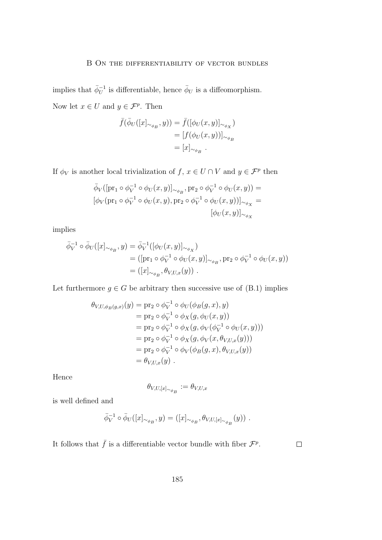#### B On the differentiability of vector bundles

implies that  $\bar{\phi}_U^{-1}$  is differentiable, hence  $\bar{\phi}_U$  is a diffeomorphism. Now let  $x \in U$  and  $y \in \mathcal{F}^p$ . Then

$$
\bar{f}(\bar{\phi}_U([x]_{\sim_{\phi_B}}, y)) = \bar{f}([\phi_U(x, y)]_{\sim_{\phi_X}})
$$

$$
= [f(\phi_U(x, y))]_{\sim_{\phi_B}}
$$

$$
= [x]_{\sim_{\phi_B}}.
$$

If  $\phi_V$  is another local trivialization of  $f, x \in U \cap V$  and  $y \in \mathcal{F}^p$  then

$$
\bar{\phi}_V([\text{pr}_1 \circ \phi_V^{-1} \circ \phi_U(x, y)]_{\sim_{\phi_B}}, \text{pr}_2 \circ \phi_V^{-1} \circ \phi_U(x, y)) =
$$
  

$$
[\phi_V(\text{pr}_1 \circ \phi_V^{-1} \circ \phi_U(x, y), \text{pr}_2 \circ \phi_V^{-1} \circ \phi_U(x, y))]_{\sim_{\phi_X}} =
$$
  

$$
[\phi_U(x, y)]_{\sim_{\phi_X}}
$$

implies

$$
\bar{\phi}_V^{-1} \circ \bar{\phi}_U([x]_{\sim_{\phi_B}}, y) = \bar{\phi}_V^{-1}([\phi_U(x, y)]_{\sim_{\phi_X}})
$$
  
= 
$$
([\text{pr}_1 \circ \phi_V^{-1} \circ \phi_U(x, y)]_{\sim_{\phi_B}}, \text{pr}_2 \circ \phi_V^{-1} \circ \phi_U(x, y))
$$
  
= 
$$
([x]_{\sim_{\phi_B}}, \theta_{V,U,x}(y)) .
$$

Let furthermore  $g \in G$  be arbitrary then successive use of  $(B.1)$  implies

$$
\theta_{V,U,\phi_B(g,x)}(y) = \text{pr}_2 \circ \phi_V^{-1} \circ \phi_U(\phi_B(g,x), y)
$$
  
\n
$$
= \text{pr}_2 \circ \phi_V^{-1} \circ \phi_X(g, \phi_U(x, y))
$$
  
\n
$$
= \text{pr}_2 \circ \phi_V^{-1} \circ \phi_X(g, \phi_V(\phi_V^{-1} \circ \phi_U(x, y)))
$$
  
\n
$$
= \text{pr}_2 \circ \phi_V^{-1} \circ \phi_X(g, \phi_V(x, \theta_{V,U,x}(y)))
$$
  
\n
$$
= \text{pr}_2 \circ \phi_V^{-1} \circ \phi_V(\phi_B(g, x), \theta_{V,U,x}(y))
$$
  
\n
$$
= \theta_{V,U,x}(y) .
$$

Hence

$$
\theta_{V,U,[x]_{\sim_{\phi_B}}} := \theta_{V,U,x}
$$

is well defined and

$$
\bar{\phi}_V^{-1} \circ \bar{\phi}_U([x]_{\sim_{\phi_B}}, y) = ([x]_{\sim_{\phi_B}}, \theta_{V,U,[x]_{\sim_{\phi_B}}}(y)) .
$$

It follows that  $\bar{f}$  is a differentiable vector bundle with fiber  $\mathcal{F}^p$ .

 $\Box$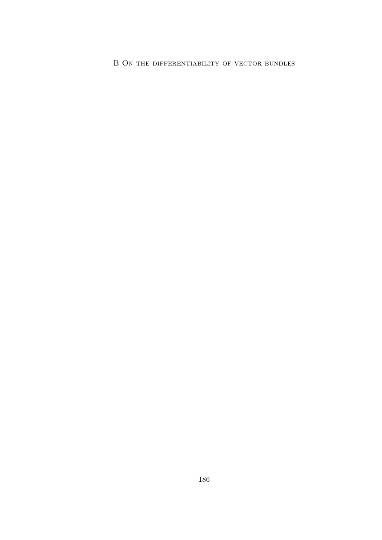## B On the differentiability of vector bundles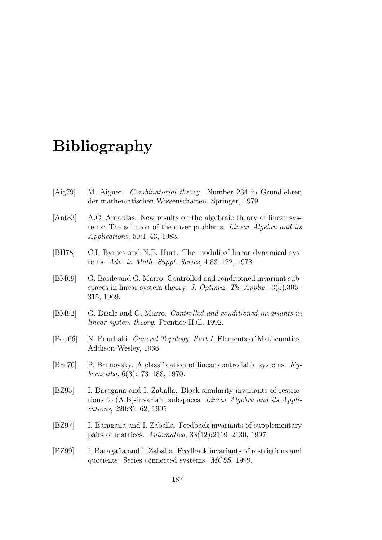# Bibliography

- [Aig79] M. Aigner. Combinatorial theory. Number 234 in Grundlehren der mathematischen Wissenschaften. Springer, 1979.
- [Ant83] A.C. Antoulas. New results on the algebraic theory of linear systems: The solution of the cover problems. Linear Algebra and its Applications, 50:1–43, 1983.
- [BH78] C.I. Byrnes and N.E. Hurt. The moduli of linear dynamical systems. Adv. in Math. Suppl. Series, 4:83–122, 1978.
- [BM69] G. Basile and G. Marro. Controlled and conditioned invariant subspaces in linear system theory. J. Optimiz. Th. Applic., 3(5):305– 315, 1969.
- [BM92] G. Basile and G. Marro. Controlled and conditioned invariants in linear system theory. Prentice Hall, 1992.
- [Bou66] N. Bourbaki. *General Topology, Part I*. Elements of Mathematics. Addison-Wesley, 1966.
- $[Bru70]$  P. Brunovsky. A classification of linear controllable systems. Kybernetika, 6(3):173–188, 1970.
- [BZ95] I. Baragaña and I. Zaballa. Block similarity invariants of restrictions to (A,B)-invariant subspaces. Linear Algebra and its Applications, 220:31–62, 1995.
- [BZ97] I. Baragaña and I. Zaballa. Feedback invariants of supplementary pairs of matrices. Automatica, 33(12):2119–2130, 1997.
- [BZ99] I. Baragaña and I. Zaballa. Feedback invariants of restrictions and quotients: Series connected systems. MCSS, 1999.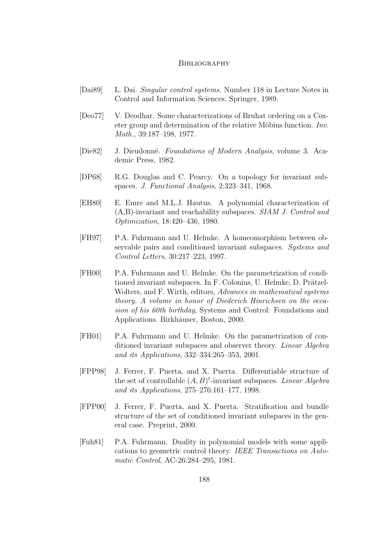- [Dai89] L. Dai. Singular control systems. Number 118 in Lecture Notes in Control and Information Sciences. Springer, 1989.
- [Deo77] V. Deodhar. Some characterizations of Bruhat ordering on a Coxeter group and determination of the relative Möbius function. Inv. Math., 39:187–198, 1977.
- [Die82] J. Dieudonné. Foundations of Modern Analysis, volume 3. Academic Press, 1982.
- [DP68] R.G. Douglas and C. Pearcy. On a topology for invariant subspaces. J. Functional Analysis, 2:323–341, 1968.
- [EH80] E. Emre and M.L.J. Hautus. A polynomial characterization of (A,B)-invariant and reachability subspaces. SIAM J. Control and Optimization, 18:420–436, 1980.
- [FH97] P.A. Fuhrmann and U. Helmke. A homeomorphism between observable pairs and conditioned invariant subspaces. Systems and Control Letters, 30:217–223, 1997.
- [FH00] P.A. Fuhrmann and U. Helmke. On the parametrization of conditioned invariant subspaces. In F. Colonius, U. Helmke, D. Prätzel-Wolters, and F. Wirth, editors, Advances in mathematical systems theory. A volume in honor of Diederich Hinrichsen on the occasion of his 60th birthday, Systems and Control: Foundations and Applications. Birkhäuser, Boston, 2000.
- [FH01] P.A. Fuhrmann and U. Helmke. On the parametrization of conditioned invariant subspaces and observer theory. Linear Algebra and its Applications, 332–334:265–353, 2001.
- [FPP98] J. Ferrer, F. Puerta, and X. Puerta. Differentiable structure of the set of controllable  $(A, B)^t$ -invariant subspaces. *Linear Algebra* and its Applications, 275–276:161–177, 1998.
- [FPP00] J. Ferrer, F. Puerta, and X. Puerta. Stratification and bundle structure of the set of conditioned invariant subspaces in the general case. Preprint, 2000.
- [Fuh81] P.A. Fuhrmann. Duality in polynomial models with some applications to geometric control theory. IEEE Transactions on Automatic Control, AC-26:284–295, 1981.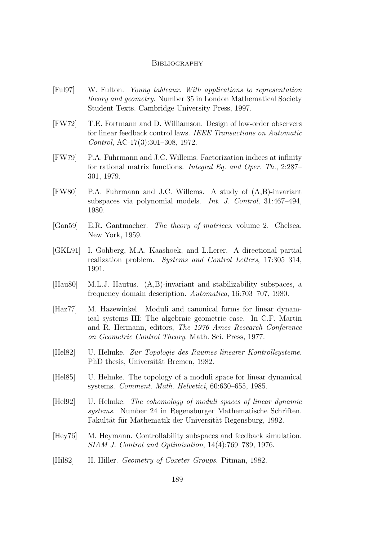- [Ful97] W. Fulton. Young tableaux. With applications to representation theory and geometry. Number 35 in London Mathematical Society Student Texts. Cambridge University Press, 1997.
- [FW72] T.E. Fortmann and D. Williamson. Design of low-order observers for linear feedback control laws. IEEE Transactions on Automatic Control, AC-17(3):301–308, 1972.
- [FW79] P.A. Fuhrmann and J.C. Willems. Factorization indices at infinity for rational matrix functions. Integral Eq. and Oper. Th., 2:287– 301, 1979.
- [FW80] P.A. Fuhrmann and J.C. Willems. A study of (A,B)-invariant subspaces via polynomial models. Int. J. Control, 31:467–494, 1980.
- [Gan59] E.R. Gantmacher. The theory of matrices, volume 2. Chelsea, New York, 1959.
- [GKL91] I. Gohberg, M.A. Kaashoek, and L.Lerer. A directional partial realization problem. Systems and Control Letters, 17:305–314, 1991.
- [Hau80] M.L.J. Hautus. (A,B)-invariant and stabilizability subspaces, a frequency domain description. Automatica, 16:703–707, 1980.
- [Haz77] M. Hazewinkel. Moduli and canonical forms for linear dynamical systems III: The algebraic geometric case. In C.F. Martin and R. Hermann, editors, The 1976 Ames Research Conference on Geometric Control Theory. Math. Sci. Press, 1977.
- [Hel82] U. Helmke. Zur Topologie des Raumes linearer Kontrollsysteme. PhD thesis, Universität Bremen, 1982.
- [Hel85] U. Helmke. The topology of a moduli space for linear dynamical systems. Comment. Math. Helvetici, 60:630–655, 1985.
- [Hel92] U. Helmke. The cohomology of moduli spaces of linear dynamic systems. Number 24 in Regensburger Mathematische Schriften. Fakultät für Mathematik der Universität Regensburg, 1992.
- [Hey76] M. Heymann. Controllability subspaces and feedback simulation. SIAM J. Control and Optimization, 14(4):769–789, 1976.
- [Hil82] H. Hiller. *Geometry of Coxeter Groups*. Pitman, 1982.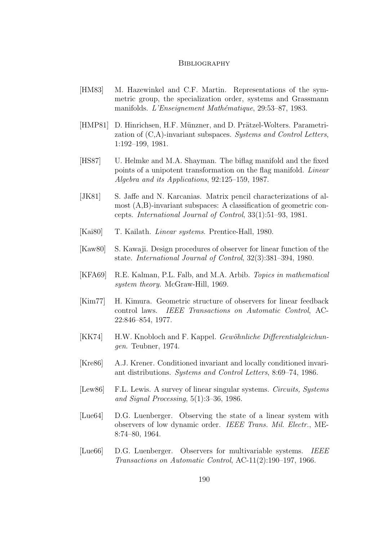- [HM83] M. Hazewinkel and C.F. Martin. Representations of the symmetric group, the specialization order, systems and Grassmann manifolds. L'Enseignement Mathématique, 29:53–87, 1983.
- [HMP81] D. Hinrichsen, H.F. Münzner, and D. Prätzel-Wolters. Parametrization of (C,A)-invariant subspaces. Systems and Control Letters, 1:192–199, 1981.
- [HS87] U. Helmke and M.A. Shayman. The biflag manifold and the fixed points of a unipotent transformation on the flag manifold. Linear Algebra and its Applications, 92:125–159, 1987.
- [JK81] S. Jaffe and N. Karcanias. Matrix pencil characterizations of almost (A,B)-invariant subspaces: A classification of geometric concepts. International Journal of Control, 33(1):51–93, 1981.
- [Kai80] T. Kailath. *Linear systems*. Prentice-Hall, 1980.
- [Kaw80] S. Kawaji. Design procedures of observer for linear function of the state. International Journal of Control, 32(3):381–394, 1980.
- [KFA69] R.E. Kalman, P.L. Falb, and M.A. Arbib. Topics in mathematical system theory. McGraw-Hill, 1969.
- [Kim77] H. Kimura. Geometric structure of observers for linear feedback control laws. IEEE Transactions on Automatic Control, AC-22:846–854, 1977.
- [KK74] H.W. Knobloch and F. Kappel. *Gewöhnliche Differentialgleichun*gen. Teubner, 1974.
- [Kre86] A.J. Krener. Conditioned invariant and locally conditioned invariant distributions. Systems and Control Letters, 8:69–74, 1986.
- [Lew86] F.L. Lewis. A survey of linear singular systems. Circuits, Systems and Signal Processing, 5(1):3–36, 1986.
- [Lue64] D.G. Luenberger. Observing the state of a linear system with observers of low dynamic order. IEEE Trans. Mil. Electr., ME-8:74–80, 1964.
- [Lue66] D.G. Luenberger. Observers for multivariable systems. IEEE Transactions on Automatic Control, AC-11(2):190–197, 1966.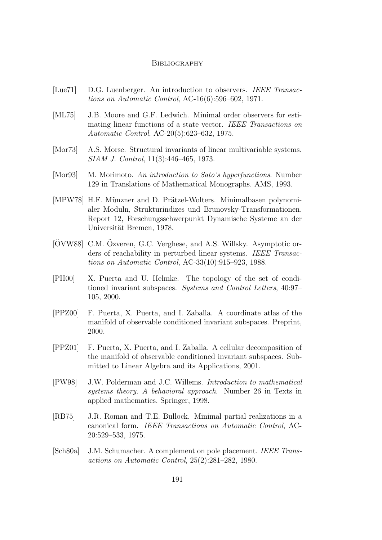- [Lue71] D.G. Luenberger. An introduction to observers. IEEE Transactions on Automatic Control, AC-16(6):596–602, 1971.
- [ML75] J.B. Moore and G.F. Ledwich. Minimal order observers for estimating linear functions of a state vector. IEEE Transactions on Automatic Control, AC-20(5):623–632, 1975.
- [Mor73] A.S. Morse. Structural invariants of linear multivariable systems. SIAM J. Control, 11(3):446–465, 1973.
- [Mor93] M. Morimoto. An introduction to Sato's hyperfunctions. Number 129 in Translations of Mathematical Monographs. AMS, 1993.
- [MPW78] H.F. Münzner and D. Prätzel-Wolters. Minimalbasen polynomialer Moduln, Strukturindizes und Brunovsky-Transformationen. Report 12, Forschungsschwerpunkt Dynamische Systeme an der Universität Bremen, 1978.
- [ÖVW88] C.M. Özveren, G.C. Verghese, and A.S. Willsky. Asymptotic orders of reachability in perturbed linear systems. IEEE Transactions on Automatic Control, AC-33(10):915–923, 1988.
- [PH00] X. Puerta and U. Helmke. The topology of the set of conditioned invariant subspaces. Systems and Control Letters, 40:97– 105, 2000.
- [PPZ00] F. Puerta, X. Puerta, and I. Zaballa. A coordinate atlas of the manifold of observable conditioned invariant subspaces. Preprint, 2000.
- [PPZ01] F. Puerta, X. Puerta, and I. Zaballa. A cellular decomposition of the manifold of observable conditioned invariant subspaces. Submitted to Linear Algebra and its Applications, 2001.
- [PW98] J.W. Polderman and J.C. Willems. Introduction to mathematical systems theory. A behavioral approach. Number 26 in Texts in applied mathematics. Springer, 1998.
- [RB75] J.R. Roman and T.E. Bullock. Minimal partial realizations in a canonical form. IEEE Transactions on Automatic Control, AC-20:529–533, 1975.
- [Sch80a] J.M. Schumacher. A complement on pole placement. IEEE Transactions on Automatic Control, 25(2):281–282, 1980.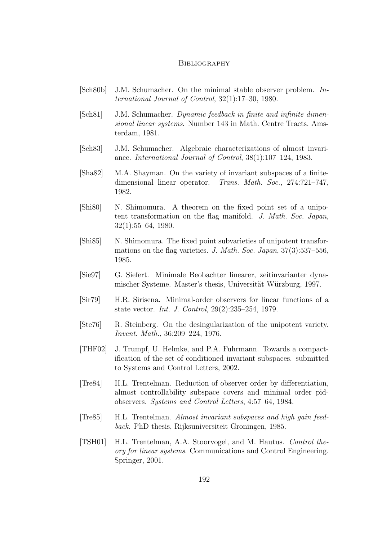- [Sch80b] J.M. Schumacher. On the minimal stable observer problem. International Journal of Control, 32(1):17–30, 1980.
- [Sch81] J.M. Schumacher. Dynamic feedback in finite and infinite dimensional linear systems. Number 143 in Math. Centre Tracts. Amsterdam, 1981.
- [Sch83] J.M. Schumacher. Algebraic characterizations of almost invariance. International Journal of Control, 38(1):107–124, 1983.
- [Sha82] M.A. Shayman. On the variety of invariant subspaces of a finitedimensional linear operator. Trans. Math. Soc., 274:721-747, 1982.
- [Shi80] N. Shimomura. A theorem on the fixed point set of a unipotent transformation on the flag manifold. J. Math. Soc. Japan, 32(1):55–64, 1980.
- [Shi85] N. Shimomura. The fixed point subvarieties of unipotent transformations on the flag varieties. J. Math. Soc. Japan, 37(3):537–556, 1985.
- [Sie97] G. Siefert. Minimale Beobachter linearer, zeitinvarianter dynamischer Systeme. Master's thesis, Universität Würzburg, 1997.
- [Sir79] H.R. Sirisena. Minimal-order observers for linear functions of a state vector. Int. J. Control, 29(2):235–254, 1979.
- [Ste76] R. Steinberg. On the desingularization of the unipotent variety. Invent. Math., 36:209–224, 1976.
- [THF02] J. Trumpf, U. Helmke, and P.A. Fuhrmann. Towards a compactification of the set of conditioned invariant subspaces. submitted to Systems and Control Letters, 2002.
- [Tre84] H.L. Trentelman. Reduction of observer order by differentiation, almost controllability subspace covers and minimal order pidobservers. Systems and Control Letters, 4:57–64, 1984.
- [Tre85] H.L. Trentelman. Almost invariant subspaces and high gain feedback. PhD thesis, Rijksuniversiteit Groningen, 1985.
- [TSH01] H.L. Trentelman, A.A. Stoorvogel, and M. Hautus. Control theory for linear systems. Communications and Control Engineering. Springer, 2001.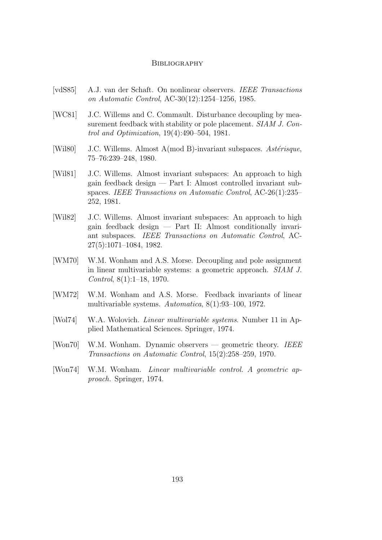- [vdS85] A.J. van der Schaft. On nonlinear observers. IEEE Transactions on Automatic Control, AC-30(12):1254–1256, 1985.
- [WC81] J.C. Willems and C. Commault. Disturbance decoupling by measurement feedback with stability or pole placement. SIAM J. Control and Optimization, 19(4):490–504, 1981.
- [Wil80] J.C. Willems. Almost  $A$ (mod B)-invariant subspaces. Astérisque, 75–76:239–248, 1980.
- [Wil81] J.C. Willems. Almost invariant subspaces: An approach to high gain feedback design — Part I: Almost controlled invariant subspaces. IEEE Transactions on Automatic Control, AC-26(1):235– 252, 1981.
- [Wil82] J.C. Willems. Almost invariant subspaces: An approach to high gain feedback design — Part II: Almost conditionally invariant subspaces. IEEE Transactions on Automatic Control, AC-27(5):1071–1084, 1982.
- [WM70] W.M. Wonham and A.S. Morse. Decoupling and pole assignment in linear multivariable systems: a geometric approach. SIAM J. Control, 8(1):1–18, 1970.
- [WM72] W.M. Wonham and A.S. Morse. Feedback invariants of linear multivariable systems. Automatica, 8(1):93–100, 1972.
- [Wol74] W.A. Wolovich. Linear multivariable systems. Number 11 in Applied Mathematical Sciences. Springer, 1974.
- [Won70] W.M. Wonham. Dynamic observers geometric theory. IEEE Transactions on Automatic Control, 15(2):258–259, 1970.
- [Won74] W.M. Wonham. Linear multivariable control. A geometric approach. Springer, 1974.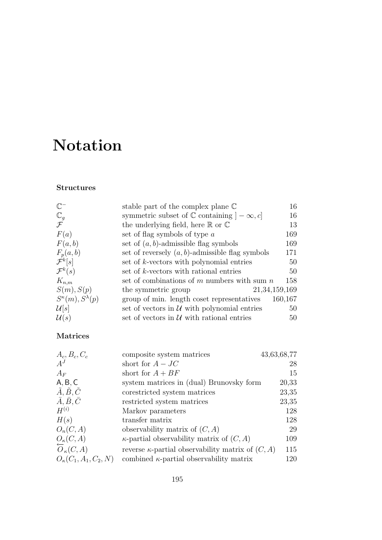# Notation

### **Structures**

| $\mathbb{C}^-$                     | stable part of the complex plane $\mathbb C$             | 16      |
|------------------------------------|----------------------------------------------------------|---------|
| $\mathbb{C}_q$                     | symmetric subset of $\mathbb C$ containing $ -\infty,c $ | 16      |
| $\mathcal{F}$                      | the underlying field, here $\mathbb R$ or $\mathbb C$    | 13      |
| F(a)                               | set of flag symbols of type $a$                          | 169     |
| F(a,b)                             | set of $(a, b)$ -admissible flag symbols                 | 169     |
| $F_n(a,b)$                         | set of reversely $(a, b)$ -admissible flag symbols       | 171     |
| $\mathcal{F}^k[s]$                 | set of k-vectors with polynomial entries                 | 50      |
| $\mathcal{F}^k(s)$                 | set of k-vectors with rational entries                   | 50      |
| $K_{n,m}$                          | set of combinations of $m$ numbers with sum $n$          | 158     |
| S(m), S(p)                         | 21, 34, 159, 169<br>the symmetric group                  |         |
| $S^{\kappa}(m)$ , $S^{\lambda}(p)$ | group of min. length coset representatives               | 160,167 |
| $\mathcal{U}[s]$                   | set of vectors in $U$ with polynomial entries            | 50      |
| $\mathcal{U}(s)$                   | set of vectors in $\mathcal U$ with rational entries     | 50      |

## Matrices

| $A_c, B_c, C_c$                   | composite system matrices                                  | 43,63,68,77 |
|-----------------------------------|------------------------------------------------------------|-------------|
| $A^J$                             | short for $A-JC$                                           | 28          |
| $A_F$                             | short for $A + BF$                                         | 15          |
| A, B, C                           | system matrices in (dual) Brunovsky form                   | 20,33       |
| $\tilde{A}, \tilde{B}, \tilde{C}$ | corestricted system matrices                               | 23,35       |
| $\bar{A}, \bar{B}, \bar{C}$       | restricted system matrices                                 | 23,35       |
| $H^{(i)}$                         | Markov parameters                                          | 128         |
| H(s)                              | transfer matrix                                            | 128         |
| $O_n(C, A)$                       | observability matrix of $(C, A)$                           | 29          |
| $O_{\kappa}(C, A)$                | $\kappa$ -partial observability matrix of $(C, A)$         | 109         |
| $\overleftarrow{O}_{\kappa}(C,A)$ | reverse $\kappa$ -partial observability matrix of $(C, A)$ | 115         |
| $O_{\kappa}(C_1, A_1, C_2, N)$    | combined $\kappa$ -partial observability matrix            | 120         |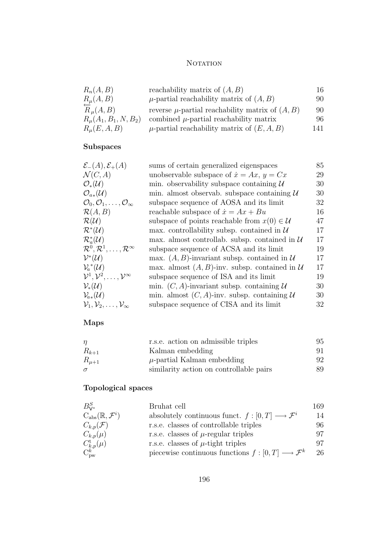## **NOTATION**

| $R_n(A, B)$                 | reachability matrix of $(A, B)$                        | 16  |
|-----------------------------|--------------------------------------------------------|-----|
| $R_\mu(A,B)$                | $\mu$ -partial reachability matrix of $(A, B)$         | 90  |
| $\overline{R}_{\mu}(A,B)$   | reverse $\mu$ -partial reachability matrix of $(A, B)$ | 90  |
| $R_{\mu}(A_1, B_1, N, B_2)$ | combined $\mu$ -partial reachability matrix            | 96  |
| $R_\mu(E, A, B)$            | $\mu$ -partial reachability matrix of $(E, A, B)$      | 141 |

## Subspaces

| $\mathcal{E}_{-}(A), \mathcal{E}_{+}(A)$                     | sums of certain generalized eigenspaces                     | 85 |
|--------------------------------------------------------------|-------------------------------------------------------------|----|
| $\mathcal{N}(C, A)$                                          | unobservable subspace of $\dot{x} = Ax, y = Cx$             | 29 |
| $\mathcal{O}_*(\mathcal{U})$                                 | min. observability subspace containing $\mathcal{U}$        | 30 |
| $\mathcal{O}_{a*}(\mathcal{U})$                              | min. almost observab. subspace containing $\mathcal{U}$     | 30 |
| $\mathcal{O}_0, \mathcal{O}_1, \ldots, \mathcal{O}_{\infty}$ | subspace sequence of AOSA and its limit                     | 32 |
| $\mathcal{R}(A,B)$                                           | reachable subspace of $\dot{x} = Ax + Bu$                   | 16 |
| $\mathcal{R}(\mathcal{U})$                                   | subspace of points reachable from $x(0) \in \mathcal{U}$    | 47 |
| $\mathcal{R}^*(\mathcal{U})$                                 | max. controllability subsp. contained in $\mathcal{U}$      | 17 |
| $\mathcal{R}_a^*(\mathcal{U})$                               | max. almost controllab. subsp. contained in $\mathcal{U}$   | 17 |
| $\mathcal{R}^0, \mathcal{R}^1, \ldots, \mathcal{R}^\infty$   | subspace sequence of ACSA and its limit                     | 19 |
| $\mathcal{V}^*(\mathcal{U})$                                 | max. $(A, B)$ -invariant subsp. contained in U              | 17 |
| $\mathcal{V}_a^*(\mathcal{U})$                               | max. almost $(A, B)$ -inv. subsp. contained in $\mathcal U$ | 17 |
| $\mathcal{V}^1, \mathcal{V}^2, \ldots, \mathcal{V}^\infty$   | subspace sequence of ISA and its limit                      | 19 |
| $\mathcal{V}_*(\mathcal{U})$                                 | min. $(C, A)$ -invariant subsp. containing U                | 30 |
| $\mathcal{V}_{a*}(\mathcal{U})$                              | min. almost $(C, A)$ -inv. subsp. containing $\mathcal U$   | 30 |
| $\mathcal{V}_1, \mathcal{V}_2, \ldots, \mathcal{V}_{\infty}$ | subspace sequence of CISA and its limit                     | 32 |
|                                                              |                                                             |    |

## Maps

| $\eta$      | r.s.e. action on admissible triples     | 95   |
|-------------|-----------------------------------------|------|
| $R_{k+1}$   | Kalman embedding                        | -91- |
| $R_{\mu+1}$ | $\mu$ -partial Kalman embedding         | 92   |
| $\sigma$    | similarity action on controllable pairs | 89.  |

## Topological spaces

| $B^S_{V^*}$                                                              | Bruhat cell                                                            | 169 |
|--------------------------------------------------------------------------|------------------------------------------------------------------------|-----|
| $C_{\rm abs}(\mathbb{R},\mathcal{F}^i)$                                  | absolutely continuous funct. $f:[0,T] \longrightarrow \mathcal{F}^i$   | 14  |
| $C_{k,p}(\mathcal{F})$                                                   | r.s.e. classes of controllable triples                                 | 96  |
| $C_{k,p}(\mu)$                                                           | r.s.e. classes of $\mu$ -regular triples                               | 97  |
|                                                                          | r.s.e. classes of $\mu$ -tight triples                                 | 97  |
| $\mathcal{C}_{k,p}^{\mathrm{t}}(\mu)$<br>$\mathcal{C}_{\mathrm{pw}}^{k}$ | piecewise continuous functions $f:[0,T] \longrightarrow \mathcal{F}^k$ | 26  |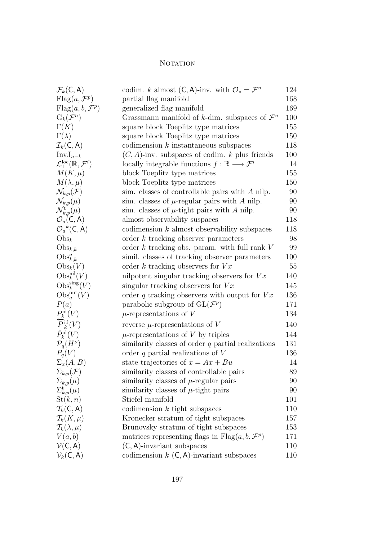## **NOTATION**

| $\mathcal{F}_k(\mathsf{C},\mathsf{A})$              | codim. k almost $(C, A)$ -inv. with $\mathcal{O}_* = \mathcal{F}^n$         | 124 |
|-----------------------------------------------------|-----------------------------------------------------------------------------|-----|
| $Flag(a, \mathcal{F}^p)$                            | partial flag manifold                                                       | 168 |
| $Flag(a, b, \mathcal{F}^p)$                         | generalized flag manifold                                                   | 169 |
| $\mathrm{G}_k(\mathcal{F}^n)$                       | Grassmann manifold of k-dim. subspaces of $\mathcal{F}^n$                   | 100 |
| $\Gamma(K)$                                         | square block Toeplitz type matrices                                         | 155 |
| $\Gamma(\lambda)$                                   | square block Toeplitz type matrices                                         | 150 |
| $\mathcal{I}_k(\mathsf{C},\mathsf{A})$              | codimension $k$ instantaneous subspaces                                     | 118 |
| $\text{InvJ}_{n-k}$                                 | $(C, A)$ -inv. subspaces of codim. k plus friends                           | 100 |
| $\mathcal{L}^{\rm loc}_1(\mathbb{R},\mathcal{F}^i)$ | locally integrable functions $f : \mathbb{R} \longrightarrow \mathcal{F}^i$ | 14  |
| $M(K,\mu)$                                          | block Toeplitz type matrices                                                | 155 |
| $M(\lambda,\mu)$                                    | block Toeplitz type matrices                                                | 150 |
| $\mathcal{N}_{k,p}(\mathcal{F})$                    | sim. classes of controllable pairs with $A$ nilp.                           | 90  |
| $\mathcal{N}_{k,p}(\mu)$                            | sim. classes of $\mu$ -regular pairs with A nilp.                           | 90  |
| $\mathcal{N}_{k,p}^{\text{t}}(\mu)$                 | sim. classes of $\mu$ -tight pairs with A nilp.                             | 90  |
| $\mathcal{O}_a(\mathsf{C},\mathsf{A})$              | almost observability suspaces                                               | 118 |
| $\mathcal{O}_a{}^k$ (C, A)                          | codimension $k$ almost observability subspaces                              | 118 |
| $Obs_k$                                             | order $k$ tracking observer parameters                                      | 98  |
| $\mathrm{Obs}_{k,k}$                                | order $k$ tracking obs. param. with full rank $V$                           | 99  |
| $\mathrm{Obs}_{k,k}^{\sigma}$                       | simil. classes of tracking observer parameters                              | 100 |
| $\mathrm{Obs}_k(V)$                                 | order k tracking observers for $Vx$                                         | 55  |
| $\mathrm{Obs}^{\mathrm{nil}}_k(V)$                  | nilpotent singular tracking observers for $Vx$                              | 140 |
| $\mathrm{Obs}_k^{\mathrm{sing}}(V)$                 | singular tracking observers for $Vx$                                        | 145 |
| $Obs_q^{\text{out}}(V)$                             | order q tracking observers with output for $Vx$                             | 136 |
| P(a)                                                | parabolic subgroup of $GL(\mathcal{F}^p)$                                   | 171 |
|                                                     | $\mu$ -representations of V                                                 | 134 |
| $\frac{P_k^{\rm id}(V)}{P^{\rm id}_k(V)}$           | reverse $\mu$ -representations of V                                         | 140 |
| $\hat{P}_k^{\rm id}(V)$                             | $\mu$ -representations of V by triples                                      | 144 |
| $\mathcal{P}_q(H^{\nu})$                            | similarity classes of order $q$ partial realizations                        | 131 |
| $P_q(V)$                                            | order $q$ partial realizations of $V$                                       | 136 |
| $\Sigma_x(A, B)$                                    | state trajectories of $\dot{x} = Ax + Bu$                                   | 14  |
| $\Sigma_{k,p}(\mathcal{F})$                         | similarity classes of controllable pairs                                    | 89  |
| $\Sigma_{k,p}(\mu)$                                 | similarity classes of $\mu$ -regular pairs                                  | 90  |
| $\Sigma_{k,p}^{\mathrm{t}}(\mu)$                    | similarity classes of $\mu$ -tight pairs                                    | 90  |
| $\mathrm{St}(k,n)$                                  | Stiefel manifold                                                            | 101 |
| $\mathcal{T}_{k}(\mathsf{C},\mathsf{A})$            | codimension $k$ tight subspaces                                             | 110 |
| $\mathcal{T}_{k}(K,\mu)$                            | Kronecker stratum of tight subspaces                                        | 157 |
| $\mathcal{T}_{k}(\lambda,\mu)$                      | Brunovsky stratum of tight subspaces                                        | 153 |
| V(a,b)                                              | matrices representing flags in $Flag(a, b, \mathcal{F}^p)$                  | 171 |
| V(C, A)                                             | $(C, A)$ -invariant subspaces                                               | 110 |
| $\mathcal{V}_k(\mathsf{C},\mathsf{A})$              | codimension $k$ (C, A)-invariant subspaces                                  | 110 |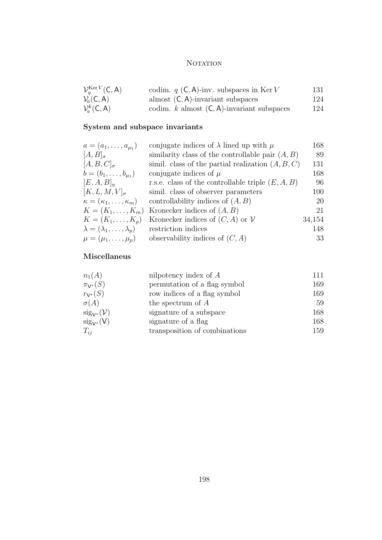## **NOTATION**

| $\mathcal{V}_a^{\text{Ker }V}(\mathsf{C},\mathsf{A})$ | codim. $q$ (C, A)-inv. subspaces in Ker V     | 131 |
|-------------------------------------------------------|-----------------------------------------------|-----|
| $\mathcal{V}_a(\mathsf{C},\mathsf{A})$                | almost $(C, A)$ -invariant subspaces          | 124 |
| $\mathcal{V}_a^k(\mathsf{C},\mathsf{A})$              | codim. k almost $(C, A)$ -invariant subspaces | 124 |

# System and subspace invariants

| $a=(a_1,\ldots,a_{\mu_1})$                 | conjugate indices of $\lambda$ lined up with $\mu$  | 168    |
|--------------------------------------------|-----------------------------------------------------|--------|
| $[A, B]_{\sigma}$                          | similarity class of the controllable pair $(A, B)$  | -89    |
| $[A, B, C]_{\sigma}$                       | simil. class of the partial realization $(A, B, C)$ | 131    |
| $b=(b_1,\ldots,b_{\mu_1})$                 | conjugate indices of $\mu$                          | 168    |
| $[E, A, B]_n$                              | r.s.e. class of the controllable triple $(E, A, B)$ | 96     |
| $[K, L, M, V]_{\sigma}$                    | simil. class of observer parameters                 | 100    |
| $\kappa = (\kappa_1, \ldots, \kappa_m)$    | controllability indices of $(A, B)$                 | 20     |
| $K = (K_1, , K_m)$                         | Kronecker indices of $(A, B)$                       | 21     |
| $K = (K_1, , K_p)$                         | Kronecker indices of $(C, A)$ or $V$                | 34,154 |
| $\lambda = (\lambda_1, \ldots, \lambda_p)$ | restriction indices                                 | 148    |
| $\mu = (\mu_1, \ldots, \mu_p)$             | observability indices of $(C, A)$                   | 33     |

## Miscellaneus

| $n_1(A)$                 | nilpotency index of $A$       | 111 |
|--------------------------|-------------------------------|-----|
| $\pi_{V^*}(S)$           | permutation of a flag symbol  | 169 |
| $r_{\mathsf{V}^*}(S)$    | row indices of a flag symbol  | 169 |
| $\sigma(A)$              | the spectrum of $A$           | 59  |
| $sig_{V^*}(\mathcal{V})$ | signature of a subspace       | 168 |
| $sig_{V^*}(V)$           | signature of a flag           | 168 |
| $T_{ii}$                 | transposition of combinations | 159 |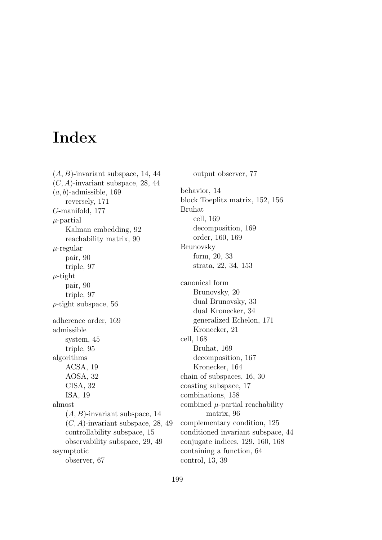# Index

 $(A, B)$ -invariant subspace, 14, 44  $(C, A)$ -invariant subspace, 28, 44  $(a, b)$ -admissible, 169 reversely, 171 G-manifold, 177  $\mu$ -partial Kalman embedding, 92 reachability matrix, 90  $\mu$ -regular pair, 90 triple, 97  $\mu$ -tight pair, 90 triple, 97  $\rho$ -tight subspace, 56 adherence order, 169 admissible system, 45 triple, 95 algorithms ACSA, 19 AOSA, 32 CISA, 32 ISA, 19 almost  $(A, B)$ -invariant subspace, 14  $(C, A)$ -invariant subspace, 28, 49 controllability subspace, 15 observability subspace, 29, 49 asymptotic observer, 67

output observer, 77 behavior, 14 block Toeplitz matrix, 152, 156 Bruhat cell, 169 decomposition, 169 order, 160, 169 Brunovsky form, 20, 33 strata, 22, 34, 153 canonical form Brunovsky, 20 dual Brunovsky, 33 dual Kronecker, 34 generalized Echelon, 171 Kronecker, 21 cell, 168 Bruhat, 169 decomposition, 167 Kronecker, 164 chain of subspaces, 16, 30 coasting subspace, 17 combinations, 158 combined  $\mu$ -partial reachability matrix, 96 complementary condition, 125 conditioned invariant subspace, 44 conjugate indices, 129, 160, 168 containing a function, 64 control, 13, 39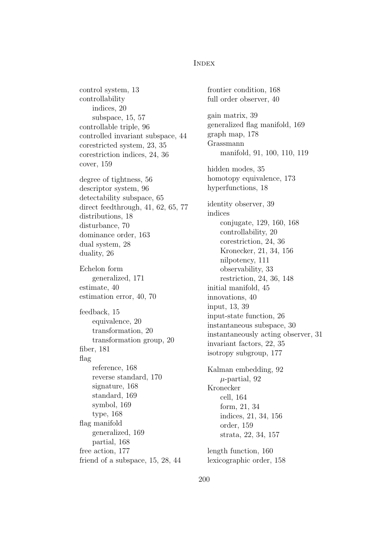control system, 13 controllability indices, 20 subspace, 15, 57 controllable triple, 96 controlled invariant subspace, 44 corestricted system, 23, 35 corestriction indices, 24, 36 cover, 159 degree of tightness, 56 descriptor system, 96 detectability subspace, 65 direct feedthrough, 41, 62, 65, 77 distributions, 18 disturbance, 70 dominance order, 163 dual system, 28 duality, 26 Echelon form generalized, 171 estimate, 40 estimation error, 40, 70 feedback, 15 equivalence, 20 transformation, 20 transformation group, 20 fiber, 181 flag reference, 168 reverse standard, 170 signature, 168 standard, 169 symbol, 169 type, 168 flag manifold generalized, 169 partial, 168 free action, 177 friend of a subspace, 15, 28, 44

frontier condition, 168 full order observer, 40 gain matrix, 39 generalized flag manifold, 169 graph map, 178 Grassmann manifold, 91, 100, 110, 119 hidden modes, 35 homotopy equivalence, 173 hyperfunctions, 18 identity observer, 39 indices conjugate, 129, 160, 168 controllability, 20 corestriction, 24, 36 Kronecker, 21, 34, 156 nilpotency, 111 observability, 33 restriction, 24, 36, 148 initial manifold, 45 innovations, 40 input, 13, 39 input-state function, 26 instantaneous subspace, 30 instantaneously acting observer, 31 invariant factors, 22, 35 isotropy subgroup, 177 Kalman embedding, 92  $\mu$ -partial, 92 Kronecker cell, 164 form, 21, 34 indices, 21, 34, 156 order, 159 strata, 22, 34, 157 length function, 160 lexicographic order, 158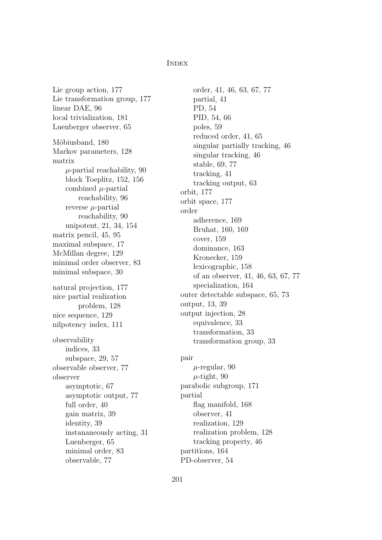Lie transformation group, 177 linear DAE, 96 local trivialization, 181 Luenberger observer, 65 Möbiusband, 180 Markov parameters, 128 matrix  $\mu$ -partial reachability, 90 block Toeplitz, 152, 156 combined  $\mu$ -partial reachability, 96 reverse  $\mu$ -partial reachability, 90 unipotent, 21, 34, 154 matrix pencil, 45, 95 maximal subspace, 17 McMillan degree, 129 minimal order observer, 83 minimal subspace, 30 natural projection, 177 nice partial realization problem, 128 nice sequence, 129 nilpotency index, 111 observability indices, 33 subspace, 29, 57 observable observer, 77 observer asymptotic, 67 asymptotic output, 77 full order, 40 gain matrix, 39 identity, 39 instananeously acting, 31 Luenberger, 65 minimal order, 83 observable, 77

Lie group action, 177

order, 41, 46, 63, 67, 77 partial, 41 PD, 54 PID, 54, 66 poles, 59 reduced order, 41, 65 singular partially tracking, 46 singular tracking, 46 stable, 69, 77 tracking, 41 tracking output, 63 orbit, 177 orbit space, 177 order adherence, 169 Bruhat, 160, 169 cover, 159 dominance, 163 Kronecker, 159 lexicographic, 158 of an observer, 41, 46, 63, 67, 77 specialization, 164 outer detectable subspace, 65, 73 output, 13, 39 output injection, 28 equivalence, 33 transformation, 33 transformation group, 33

#### pair

 $\mu$ -regular, 90  $\mu$ -tight, 90 parabolic subgroup, 171 partial flag manifold, 168 observer, 41 realization, 129 realization problem, 128 tracking property, 46 partitions, 164 PD-observer, 54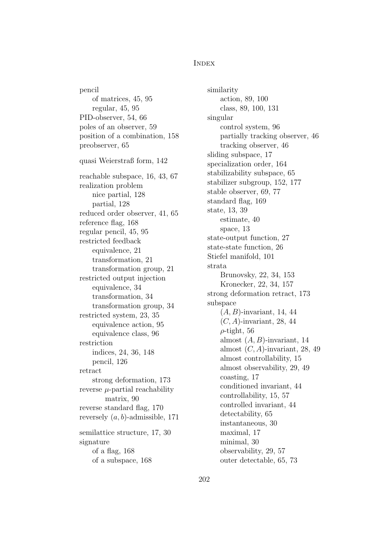pencil of matrices, 45, 95 regular, 45, 95 PID-observer, 54, 66 poles of an observer, 59 position of a combination, 158 preobserver, 65 quasi Weierstraß form, 142 reachable subspace, 16, 43, 67 realization problem nice partial, 128 partial, 128 reduced order observer, 41, 65 reference flag, 168 regular pencil, 45, 95 restricted feedback equivalence, 21 transformation, 21 transformation group, 21 restricted output injection equivalence, 34 transformation, 34 transformation group, 34 restricted system, 23, 35 equivalence action, 95 equivalence class, 96 restriction indices, 24, 36, 148 pencil, 126 retract strong deformation, 173 reverse  $\mu$ -partial reachability matrix, 90 reverse standard flag, 170 reversely  $(a, b)$ -admissible, 171 semilattice structure, 17, 30 signature of a flag, 168 of a subspace, 168

similarity action, 89, 100 class, 89, 100, 131 singular control system, 96 partially tracking observer, 46 tracking observer, 46 sliding subspace, 17 specialization order, 164 stabilizability subspace, 65 stabilizer subgroup, 152, 177 stable observer, 69, 77 standard flag, 169 state, 13, 39 estimate, 40 space, 13 state-output function, 27 state-state function, 26 Stiefel manifold, 101 strata Brunovsky, 22, 34, 153 Kronecker, 22, 34, 157 strong deformation retract, 173 subspace  $(A, B)$ -invariant, 14, 44  $(C, A)$ -invariant, 28, 44  $\rho$ -tight, 56 almost  $(A, B)$ -invariant, 14 almost  $(C, A)$ -invariant, 28, 49 almost controllability, 15 almost observability, 29, 49 coasting, 17 conditioned invariant, 44 controllability, 15, 57 controlled invariant, 44 detectability, 65 instantaneous, 30 maximal, 17 minimal, 30 observability, 29, 57 outer detectable, 65, 73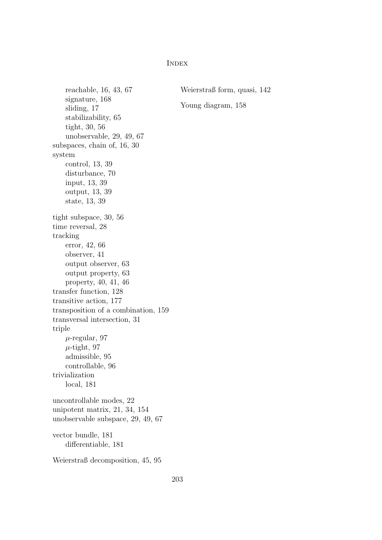reachable, 16, 43, 67 signature, 168 sliding, 17 stabilizability, 65 tight, 30, 56 unobservable, 29, 49, 67 subspaces, chain of, 16, 30 system control, 13, 39 disturbance, 70 input, 13, 39 output, 13, 39 state, 13, 39 tight subspace, 30, 56 time reversal, 28 tracking error, 42, 66 observer, 41 output observer, 63 output property, 63 property, 40, 41, 46 transfer function, 128 transitive action, 177 transposition of a combination, 159 transversal intersection, 31 triple  $\mu$ -regular, 97  $\mu$ -tight, 97 admissible, 95 controllable, 96 trivialization local, 181 uncontrollable modes, 22 unipotent matrix, 21, 34, 154 unobservable subspace, 29, 49, 67 vector bundle, 181 differentiable, 181 Weierstraß decomposition, 45, 95

Weierstraß form, quasi, 142 Young diagram, 158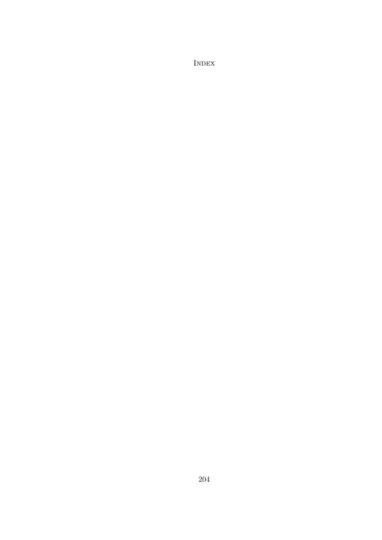Index